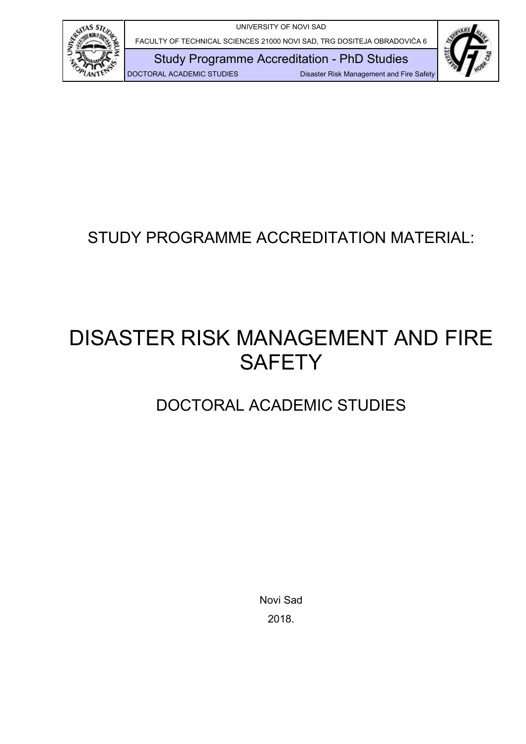

FACULTY OF TECHNICAL SCIENCES 21000 NOVI SAD, TRG DOSITEJA OBRADOVIĆA 6

Study Programme Accreditation - PhD Studies DOCTORAL ACADEMIC STUDIES<br>
Disaster Risk Management and Fire Safety



STUDY PROGRAMME ACCREDITATION MATERIAL:

# DISASTER RISK MANAGEMENT AND FIRE **SAFETY**

# DOCTORAL ACADEMIC STUDIES

Novi Sad 2018.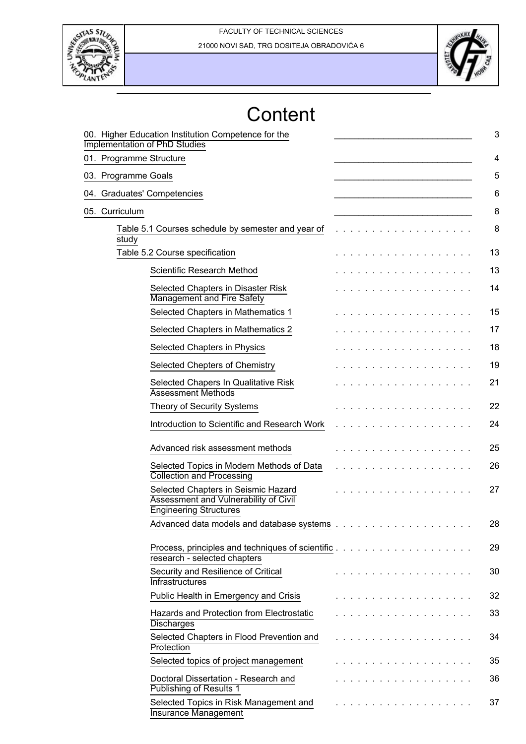FACULTY OF TECHNICAL SCIENCES 21000 NOVI SAD, TRG DOSITEJA OBRADOVIĆA 6





# **Content**

| 00. Higher Education Institution Competence for the<br><b>Implementation of PhD Studies</b>                   |  |  |  |  |  |                                                                                                                                                                                                                                |  |  | 3  |
|---------------------------------------------------------------------------------------------------------------|--|--|--|--|--|--------------------------------------------------------------------------------------------------------------------------------------------------------------------------------------------------------------------------------|--|--|----|
| 01. Programme Structure                                                                                       |  |  |  |  |  |                                                                                                                                                                                                                                |  |  | 4  |
| 03. Programme Goals                                                                                           |  |  |  |  |  |                                                                                                                                                                                                                                |  |  | 5  |
| 04. Graduates' Competencies                                                                                   |  |  |  |  |  |                                                                                                                                                                                                                                |  |  | 6  |
| 05. Curriculum                                                                                                |  |  |  |  |  |                                                                                                                                                                                                                                |  |  | 8  |
| Table 5.1 Courses schedule by semester and year of                                                            |  |  |  |  |  |                                                                                                                                                                                                                                |  |  | 8  |
| study<br>Table 5.2 Course specification                                                                       |  |  |  |  |  | the second contract of the second contract of                                                                                                                                                                                  |  |  | 13 |
| Scientific Research Method                                                                                    |  |  |  |  |  |                                                                                                                                                                                                                                |  |  | 13 |
| Selected Chapters in Disaster Risk<br>Management and Fire Safety                                              |  |  |  |  |  |                                                                                                                                                                                                                                |  |  | 14 |
| Selected Chapters in Mathematics 1                                                                            |  |  |  |  |  | de la caractería de la caractería de la caractería                                                                                                                                                                             |  |  | 15 |
| Selected Chapters in Mathematics 2                                                                            |  |  |  |  |  |                                                                                                                                                                                                                                |  |  | 17 |
| Selected Chapters in Physics                                                                                  |  |  |  |  |  |                                                                                                                                                                                                                                |  |  | 18 |
| Selected Chepters of Chemistry                                                                                |  |  |  |  |  | the second contract of the second contract of the second contract of the second contract of the second contract of the second contract of the second contract of the second contract of the second contract of the second cont |  |  | 19 |
| Selected Chapers In Qualitative Risk<br><b>Assessment Methods</b>                                             |  |  |  |  |  |                                                                                                                                                                                                                                |  |  | 21 |
| <b>Theory of Security Systems</b>                                                                             |  |  |  |  |  |                                                                                                                                                                                                                                |  |  | 22 |
| Introduction to Scientific and Research Work                                                                  |  |  |  |  |  |                                                                                                                                                                                                                                |  |  | 24 |
| Advanced risk assessment methods                                                                              |  |  |  |  |  |                                                                                                                                                                                                                                |  |  | 25 |
| Selected Topics in Modern Methods of Data<br><b>Collection and Processing</b>                                 |  |  |  |  |  |                                                                                                                                                                                                                                |  |  | 26 |
| Selected Chapters in Seismic Hazard<br>Assessment and Vulnerability of Civil<br><b>Engineering Structures</b> |  |  |  |  |  |                                                                                                                                                                                                                                |  |  | 27 |
| Advanced data models and database systems                                                                     |  |  |  |  |  |                                                                                                                                                                                                                                |  |  | 28 |
| research - selected chapters                                                                                  |  |  |  |  |  |                                                                                                                                                                                                                                |  |  | 29 |
| Security and Resilience of Critical<br>Infrastructures                                                        |  |  |  |  |  | .                                                                                                                                                                                                                              |  |  | 30 |
| Public Health in Emergency and Crisis                                                                         |  |  |  |  |  | .                                                                                                                                                                                                                              |  |  | 32 |
| Hazards and Protection from Electrostatic<br><b>Discharges</b>                                                |  |  |  |  |  | the contract of the contract of the contract of the contract of the contract of the contract of the contract of                                                                                                                |  |  | 33 |
| Selected Chapters in Flood Prevention and<br>Protection                                                       |  |  |  |  |  | de la caractería de la caractería de la caractería                                                                                                                                                                             |  |  | 34 |
| Selected topics of project management                                                                         |  |  |  |  |  | والمتعاط والمتعاونة والمتعاونة والمتعاونة والمتعاونة                                                                                                                                                                           |  |  | 35 |
| Doctoral Dissertation - Research and<br><b>Publishing of Results 1</b>                                        |  |  |  |  |  | .                                                                                                                                                                                                                              |  |  | 36 |
| Selected Topics in Risk Management and<br><b>Insurance Management</b>                                         |  |  |  |  |  |                                                                                                                                                                                                                                |  |  | 37 |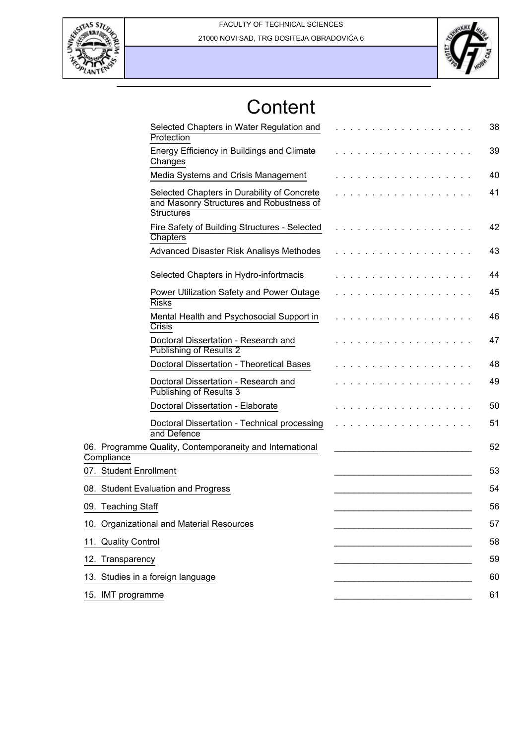



# **Content**

| Selected Chapters in Water Regulation and<br>Protection                                                      | .                                 | 38 |
|--------------------------------------------------------------------------------------------------------------|-----------------------------------|----|
| Energy Efficiency in Buildings and Climate<br>Changes                                                        |                                   | 39 |
| Media Systems and Crisis Management                                                                          |                                   | 40 |
| Selected Chapters in Durability of Concrete<br>and Masonry Structures and Robustness of<br><b>Structures</b> |                                   | 41 |
| Fire Safety of Building Structures - Selected<br>Chapters                                                    | and the state of the state of the | 42 |
| Advanced Disaster Risk Analisys Methodes                                                                     |                                   | 43 |
| Selected Chapters in Hydro-infortmacis                                                                       | .                                 | 44 |
| Power Utilization Safety and Power Outage<br><b>Risks</b>                                                    |                                   | 45 |
| Mental Health and Psychosocial Support in<br>Crisis                                                          |                                   | 46 |
| Doctoral Dissertation - Research and<br><b>Publishing of Results 2</b>                                       | .                                 | 47 |
| Doctoral Dissertation - Theoretical Bases                                                                    |                                   | 48 |
| Doctoral Dissertation - Research and<br><b>Publishing of Results 3</b>                                       |                                   | 49 |
| Doctoral Dissertation - Elaborate                                                                            | .                                 | 50 |
| Doctoral Dissertation - Technical processing<br>and Defence                                                  |                                   | 51 |
| 06. Programme Quality, Contemporaneity and International<br>Compliance                                       |                                   | 52 |
| 07. Student Enrollment                                                                                       |                                   | 53 |
| 08. Student Evaluation and Progress                                                                          |                                   | 54 |
| 09. Teaching Staff                                                                                           |                                   | 56 |
| 10. Organizational and Material Resources                                                                    |                                   | 57 |
| 11. Quality Control                                                                                          |                                   | 58 |
| 12. Transparency                                                                                             |                                   | 59 |
| 13. Studies in a foreign language                                                                            |                                   | 60 |
| 15. IMT programme                                                                                            |                                   | 61 |
|                                                                                                              |                                   |    |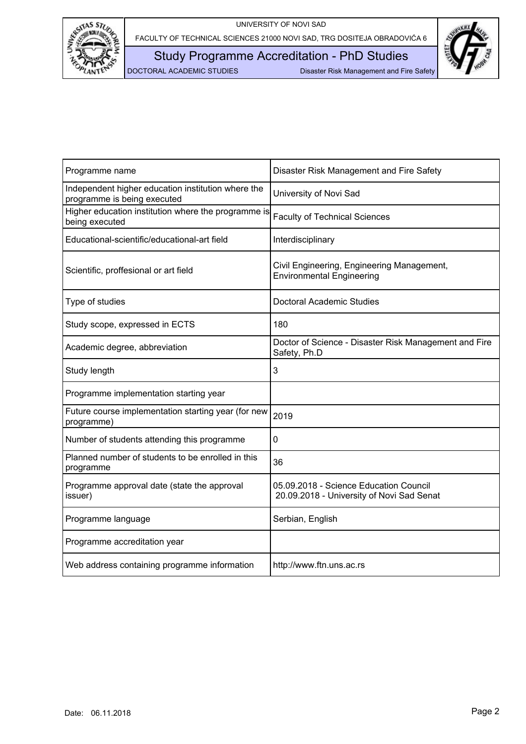

FACULTY OF TECHNICAL SCIENCES 21000 NOVI SAD, TRG DOSITEJA OBRADOVIĆA 6

Study Programme Accreditation - PhD Studies



DOCTORAL ACADEMIC STUDIES Disaster Risk Management and Fire Safety

| Programme name                                                                    | Disaster Risk Management and Fire Safety                                            |
|-----------------------------------------------------------------------------------|-------------------------------------------------------------------------------------|
| Independent higher education institution where the<br>programme is being executed | University of Novi Sad                                                              |
| Higher education institution where the programme is<br>being executed             | <b>Faculty of Technical Sciences</b>                                                |
| Educational-scientific/educational-art field                                      | Interdisciplinary                                                                   |
| Scientific, proffesional or art field                                             | Civil Engineering, Engineering Management,<br><b>Environmental Engineering</b>      |
| Type of studies                                                                   | <b>Doctoral Academic Studies</b>                                                    |
| Study scope, expressed in ECTS                                                    | 180                                                                                 |
| Academic degree, abbreviation                                                     | Doctor of Science - Disaster Risk Management and Fire<br>Safety, Ph.D               |
| Study length                                                                      | 3                                                                                   |
| Programme implementation starting year                                            |                                                                                     |
| Future course implementation starting year (for new<br>programme)                 | 2019                                                                                |
| Number of students attending this programme                                       | $\mathbf 0$                                                                         |
| Planned number of students to be enrolled in this<br>programme                    | 36                                                                                  |
| Programme approval date (state the approval<br>issuer)                            | 05.09.2018 - Science Education Council<br>20.09.2018 - University of Novi Sad Senat |
| Programme language                                                                | Serbian, English                                                                    |
| Programme accreditation year                                                      |                                                                                     |
| Web address containing programme information                                      | http://www.ftn.uns.ac.rs                                                            |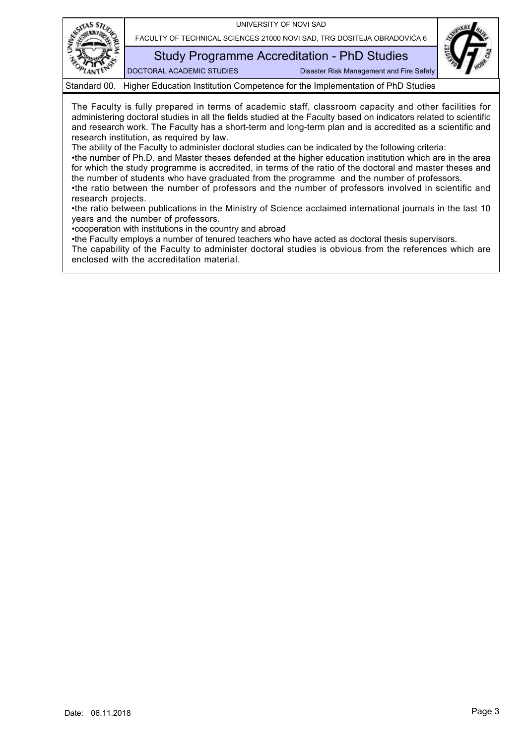

<span id="page-4-0"></span>The Faculty is fully prepared in terms of academic staff, classroom capacity and other facilities for administering doctoral studies in all the fields studied at the Faculty based on indicators related to scientific and research work. The Faculty has a short-term and long-term plan and is accredited as a scientific and research institution, as required by law.

The ability of the Faculty to administer doctoral studies can be indicated by the following criteria:

•the number of Ph.D. and Master theses defended at the higher education institution which are in the area for which the study programme is accredited, in terms of the ratio of the doctoral and master theses and the number of students who have graduated from the programme and the number of professors.

•the ratio between the number of professors and the number of professors involved in scientific and research projects.

•the ratio between publications in the Ministry of Science acclaimed international journals in the last 10 years and the number of professors.

•cooperation with institutions in the country and abroad

•the Faculty employs a number of tenured teachers who have acted as doctoral thesis supervisors.

The capability of the Faculty to administer doctoral studies is obvious from the references which are enclosed with the accreditation material.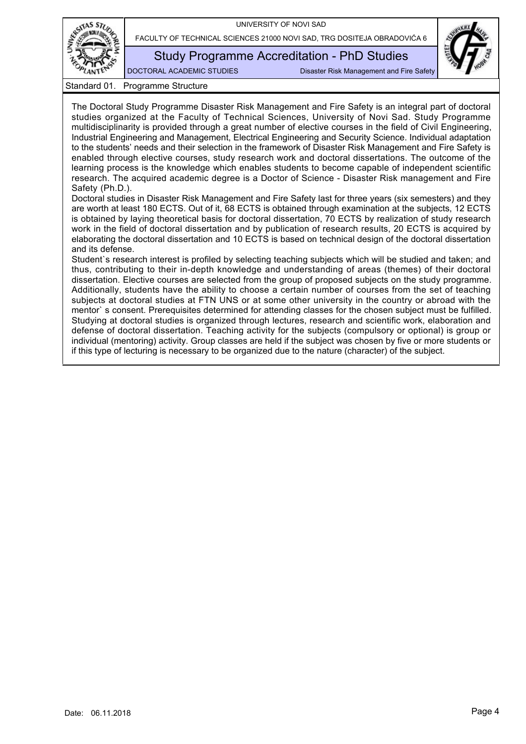



FACULTY OF TECHNICAL SCIENCES 21000 NOVI SAD, TRG DOSITEJA OBRADOVIĆA 6

Study Programme Accreditation - PhD Studies



DOCTORAL ACADEMIC STUDIES Disaster Risk Management and Fire Safety

Standard 01. Programme Structure

<span id="page-5-0"></span>The Doctoral Study Programme Disaster Risk Management and Fire Safety is an integral part of doctoral studies organized at the Faculty of Technical Sciences, University of Novi Sad. Study Programme multidisciplinarity is provided through a great number of elective courses in the field of Civil Engineering, Industrial Engineering and Management, Electrical Engineering and Security Science. Individual adaptation to the students' needs and their selection in the framework of Disaster Risk Management and Fire Safety is enabled through elective courses, study research work and doctoral dissertations. The outcome of the learning process is the knowledge which enables students to become capable of independent scientific research. The acquired academic degree is a Doctor of Science - Disaster Risk management and Fire Safety (Ph.D.).

Doctoral studies in Disaster Risk Management and Fire Safety last for three years (six semesters) and they are worth at least 180 ECTS. Out of it, 68 ECTS is obtained through examination at the subjects, 12 ECTS is obtained by laying theoretical basis for doctoral dissertation, 70 ECTS by realization of study research work in the field of doctoral dissertation and by publication of research results, 20 ECTS is acquired by elaborating the doctoral dissertation and 10 ECTS is based on technical design of the doctoral dissertation and its defense.

Student`s research interest is profiled by selecting teaching subjects which will be studied and taken; and thus, contributing to their in-depth knowledge and understanding of areas (themes) of their doctoral dissertation. Elective courses are selected from the group of proposed subjects on the study programme. Additionally, students have the ability to choose a certain number of courses from the set of teaching subjects at doctoral studies at FTN UNS or at some other university in the country or abroad with the mentor` s consent. Prerequisites determined for attending classes for the chosen subject must be fulfilled. Studying at doctoral studies is organized through lectures, research and scientific work, elaboration and defense of doctoral dissertation. Teaching activity for the subjects (compulsory or optional) is group or individual (mentoring) activity. Group classes are held if the subject was chosen by five or more students or if this type of lecturing is necessary to be organized due to the nature (character) of the subject.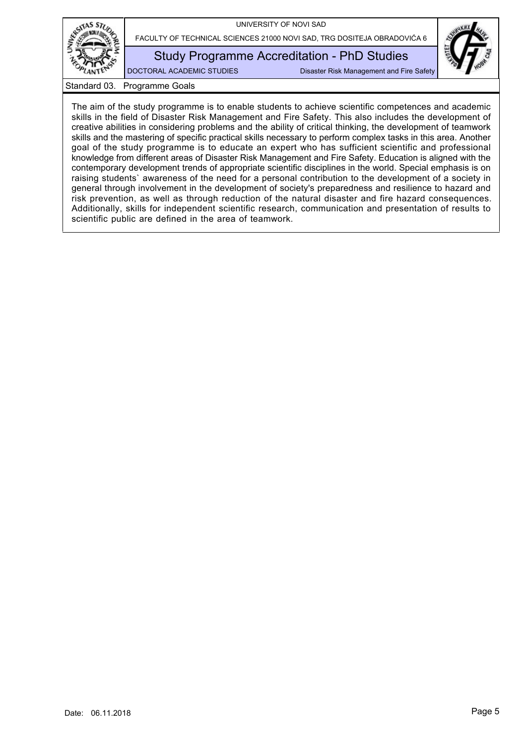



FACULTY OF TECHNICAL SCIENCES 21000 NOVI SAD, TRG DOSITEJA OBRADOVIĆA 6



Study Programme Accreditation - PhD Studies

DOCTORAL ACADEMIC STUDIES Disaster Risk Management and Fire Safety

Standard 03. Programme Goals

<span id="page-6-0"></span>The aim of the study programme is to enable students to achieve scientific competences and academic skills in the field of Disaster Risk Management and Fire Safety. This also includes the development of creative abilities in considering problems and the ability of critical thinking, the development of teamwork skills and the mastering of specific practical skills necessary to perform complex tasks in this area. Another goal of the study programme is to educate an expert who has sufficient scientific and professional knowledge from different areas of Disaster Risk Management and Fire Safety. Education is aligned with the contemporary development trends of appropriate scientific disciplines in the world. Special emphasis is on raising students` awareness of the need for a personal contribution to the development of a society in general through involvement in the development of society's preparedness and resilience to hazard and risk prevention, as well as through reduction of the natural disaster and fire hazard consequences. Additionally, skills for independent scientific research, communication and presentation of results to scientific public are defined in the area of teamwork.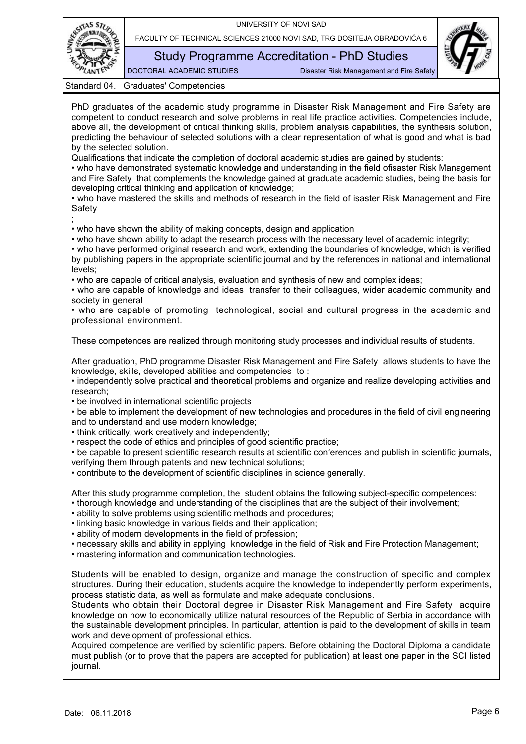

FACULTY OF TECHNICAL SCIENCES 21000 NOVI SAD, TRG DOSITEJA OBRADOVIĆA 6



Study Programme Accreditation - PhD Studies

DOCTORAL ACADEMIC STUDIES Disaster Risk Management and Fire Safety

Standard 04. Graduates' Competencies

<span id="page-7-0"></span>PhD graduates of the academic study programme in Disaster Risk Management and Fire Safety are competent to conduct research and solve problems in real life practice activities. Competencies include, above all, the development of critical thinking skills, problem analysis capabilities, the synthesis solution, predicting the behaviour of selected solutions with a clear representation of what is good and what is bad by the selected solution.

Qualifications that indicate the completion of doctoral academic studies are gained by students:

• who have demonstrated systematic knowledge and understanding in the field ofisaster Risk Management and Fire Safety that complements the knowledge gained at graduate academic studies, being the basis for developing critical thinking and application of knowledge;

• who have mastered the skills and methods of research in the field of isaster Risk Management and Fire Safety

; • who have shown the ability of making concepts, design and application

• who have shown ability to adapt the research process with the necessary level of academic integrity;

• who have performed original research and work, extending the boundaries of knowledge, which is verified by publishing papers in the appropriate scientific journal and by the references in national and international levels;

• who are capable of critical analysis, evaluation and synthesis of new and complex ideas;

• who are capable of knowledge and ideas transfer to their colleagues, wider academic community and society in general

• who are capable of promoting technological, social and cultural progress in the academic and professional environment.

These competences are realized through monitoring study processes and individual results of students.

After graduation, PhD programme Disaster Risk Management and Fire Safety allows students to have the knowledge, skills, developed abilities and competencies to :

• independently solve practical and theoretical problems and organize and realize developing activities and research;

• be involved in international scientific projects

• be able to implement the development of new technologies and procedures in the field of civil engineering and to understand and use modern knowledge;

• think critically, work creatively and independently;

• respect the code of ethics and principles of good scientific practice;

• be capable to present scientific research results at scientific conferences and publish in scientific journals, verifying them through patents and new technical solutions;

• contribute to the development of scientific disciplines in science generally.

After this study programme completion, the student obtains the following subject-specific competences:

• thorough knowledge and understanding of the disciplines that are the subject of their involvement;

• ability to solve problems using scientific methods and procedures;

• linking basic knowledge in various fields and their application;

• ability of modern developments in the field of profession;

• necessary skills and ability in applying knowledge in the field of Risk and Fire Protection Management;

• mastering information and communication technologies.

Students will be enabled to design, organize and manage the construction of specific and complex structures. During their education, students acquire the knowledge to independently perform experiments, process statistic data, as well as formulate and make adequate conclusions.

Students who obtain their Doctoral degree in Disaster Risk Management and Fire Safety acquire knowledge on how to economically utilize natural resources of the Republic of Serbia in accordance with the sustainable development principles. In particular, attention is paid to the development of skills in team work and development of professional ethics.

Acquired competence are verified by scientific papers. Before obtaining the Doctoral Diploma a candidate must publish (or to prove that the papers are accepted for publication) at least one paper in the SCI listed journal.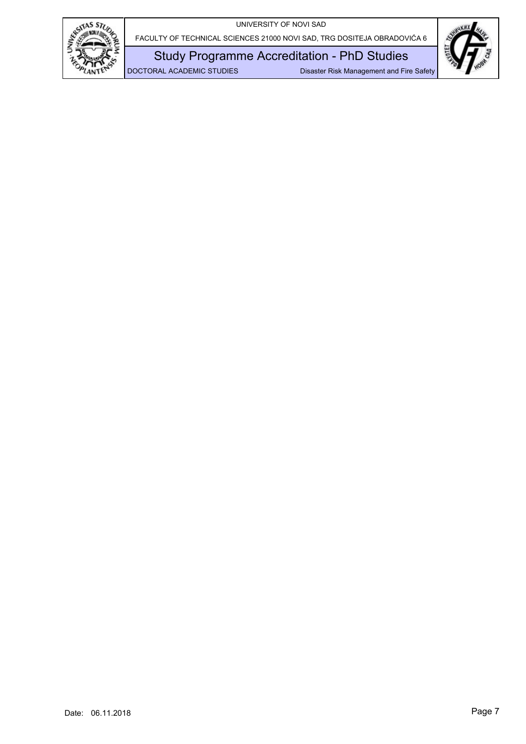

FACULTY OF TECHNICAL SCIENCES 21000 NOVI SAD, TRG DOSITEJA OBRADOVIĆA 6



Study Programme Accreditation - PhD Studies

DOCTORAL ACADEMIC STUDIES Disaster Risk Management and Fire Safety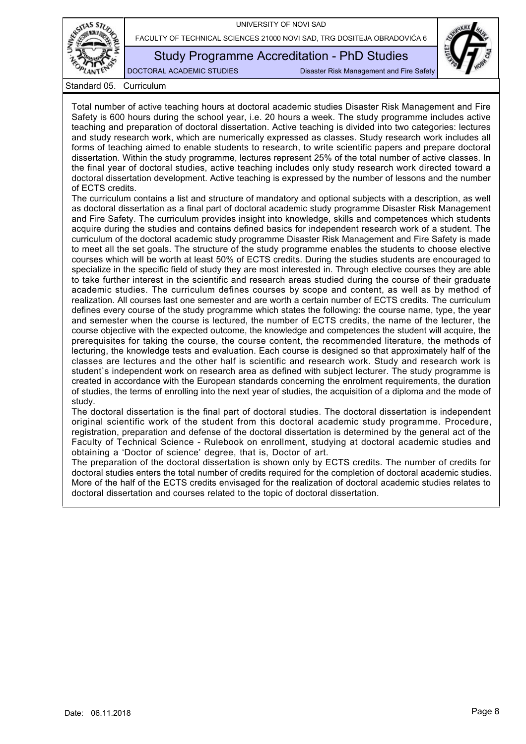

FACULTY OF TECHNICAL SCIENCES 21000 NOVI SAD, TRG DOSITEJA OBRADOVIĆA 6

Study Programme Accreditation - PhD Studies

DOCTORAL ACADEMIC STUDIES Disaster Risk Management and Fire Safety

Standard 05. Curriculum

<span id="page-9-0"></span>Total number of active teaching hours at doctoral academic studies Disaster Risk Management and Fire Safety is 600 hours during the school year, i.e. 20 hours a week. The study programme includes active teaching and preparation of doctoral dissertation. Active teaching is divided into two categories: lectures and study research work, which are numerically expressed as classes. Study research work includes all forms of teaching aimed to enable students to research, to write scientific papers and prepare doctoral dissertation. Within the study programme, lectures represent 25% of the total number of active classes. In the final year of doctoral studies, active teaching includes only study research work directed toward a doctoral dissertation development. Active teaching is expressed by the number of lessons and the number of ECTS credits.

The curriculum contains a list and structure of mandatory and optional subjects with a description, as well as doctoral dissertation as a final part of doctoral academic study programme Disaster Risk Management and Fire Safety. The curriculum provides insight into knowledge, skills and competences which students acquire during the studies and contains defined basics for independent research work of a student. The curriculum of the doctoral academic study programme Disaster Risk Management and Fire Safety is made to meet all the set goals. The structure of the study programme enables the students to choose elective courses which will be worth at least 50% of ECTS credits. During the studies students are encouraged to specialize in the specific field of study they are most interested in. Through elective courses they are able to take further interest in the scientific and research areas studied during the course of their graduate academic studies. The curriculum defines courses by scope and content, as well as by method of realization. All courses last one semester and are worth a certain number of ECTS credits. The curriculum defines every course of the study programme which states the following: the course name, type, the year and semester when the course is lectured, the number of ECTS credits, the name of the lecturer, the course objective with the expected outcome, the knowledge and competences the student will acquire, the prerequisites for taking the course, the course content, the recommended literature, the methods of lecturing, the knowledge tests and evaluation. Each course is designed so that approximately half of the classes are lectures and the other half is scientific and research work. Study and research work is student`s independent work on research area as defined with subject lecturer. The study programme is created in accordance with the European standards concerning the enrolment requirements, the duration of studies, the terms of enrolling into the next year of studies, the acquisition of a diploma and the mode of study.

The doctoral dissertation is the final part of doctoral studies. The doctoral dissertation is independent original scientific work of the student from this doctoral academic study programme. Procedure, registration, preparation and defense of the doctoral dissertation is determined by the general act of the Faculty of Technical Science - Rulebook on enrollment, studying at doctoral academic studies and obtaining a 'Doctor of science' degree, that is, Doctor of art.

The preparation of the doctoral dissertation is shown only by ECTS credits. The number of credits for doctoral studies enters the total number of credits required for the completion of doctoral academic studies. More of the half of the ECTS credits envisaged for the realization of doctoral academic studies relates to doctoral dissertation and courses related to the topic of doctoral dissertation.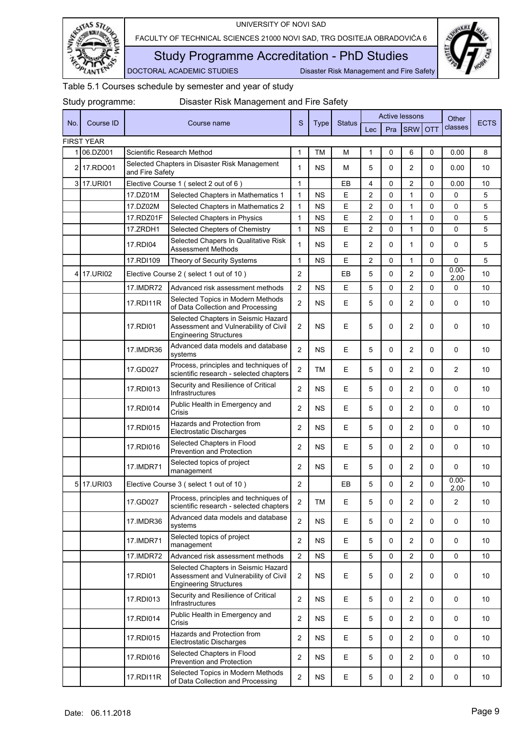

FACULTY OF TECHNICAL SCIENCES 21000 NOVI SAD, TRG DOSITEJA OBRADOVIĆA 6



Study Programme Accreditation - PhD Studies DOCTORAL ACADEMIC STUDIES Disaster Risk Management and Fire Safety

### <span id="page-10-0"></span>Table 5.1 Courses schedule by semester and year of study

|     |                   |                 |                                                                                                                                                                      |                  |             |               |                |          | <b>Active lessons</b> |            | Other            |             |
|-----|-------------------|-----------------|----------------------------------------------------------------------------------------------------------------------------------------------------------------------|------------------|-------------|---------------|----------------|----------|-----------------------|------------|------------------|-------------|
| No. | Course ID         |                 | Course name                                                                                                                                                          | S                | <b>Type</b> | <b>Status</b> | Lec            | Pra      | <b>SRW</b>            | <b>OTT</b> | classes          | <b>ECTS</b> |
|     | <b>FIRST YEAR</b> |                 |                                                                                                                                                                      |                  |             |               |                |          |                       |            |                  |             |
| 1   | 06.DZ001          |                 | Scientific Research Method                                                                                                                                           | $\mathbf{1}$     | TM          | М             | 1              | 0        | 6                     | 0          | 0.00             | 8           |
|     | 217.RDO01         | and Fire Safety | Selected Chapters in Disaster Risk Management                                                                                                                        | 1                | <b>NS</b>   | М             | 5              | 0        | $\overline{c}$        | 0          | 0.00             | 10          |
| 3   | 17.URI01          |                 | Elective Course 1 (select 2 out of 6)                                                                                                                                | $\mathbf{1}$     |             | EB            | 4              | $\Omega$ | $\overline{2}$        | 0          | 0.00             | 10          |
|     |                   | 17.DZ01M        | Selected Chapters in Mathematics 1                                                                                                                                   | 1                | <b>NS</b>   | E             | 2              | $\Omega$ | $\mathbf{1}$          | $\Omega$   | $\Omega$         | 5           |
|     |                   | 17.DZ02M        | Selected Chapters in Mathematics 2                                                                                                                                   | $\mathbf{1}$     | <b>NS</b>   | E             | $\overline{2}$ | 0        | $\mathbf{1}$          | $\Omega$   | 0                | 5           |
|     |                   | 17.RDZ01F       | Selected Chapters in Physics                                                                                                                                         | $\mathbf{1}$     | <b>NS</b>   | E             | $\overline{2}$ | $\Omega$ | $\mathbf{1}$          | 0          | 0                | 5           |
|     |                   | 17.ZRDH1        | Selected Chepters of Chemistry                                                                                                                                       | $\mathbf{1}$     | <b>NS</b>   | E             | $\overline{2}$ | $\Omega$ | $\mathbf{1}$          | 0          | 0                | 5           |
|     |                   | 17.RDI04        | Selected Chapers In Qualitative Risk<br>Assessment Methods                                                                                                           | $\mathbf{1}$     | <b>NS</b>   | Е             | 2              | 0        | 1                     | 0          | 0                | 5           |
|     |                   | 17.RDI109       | Theory of Security Systems                                                                                                                                           | $\mathbf{1}$     | <b>NS</b>   | Е             | $\overline{2}$ | $\Omega$ | $\mathbf{1}$          | 0          | $\Omega$         | 5           |
| 4   | 17.URI02          |                 | Elective Course 2 (select 1 out of 10)                                                                                                                               | $\overline{2}$   |             | EВ            | 5              | $\Omega$ | $\overline{c}$        | 0          | $0.00 -$<br>2.00 | 10          |
|     |                   | 17.IMDR72       | Advanced risk assessment methods                                                                                                                                     | 2                | <b>NS</b>   | E             | 5              | 0        | $\overline{c}$        | 0          | 0                | 10          |
|     |                   | 17.RDI11R       | Selected Topics in Modern Methods<br>of Data Collection and Processing                                                                                               | $\overline{c}$   | <b>NS</b>   | Е             | 5              | 0        | $\overline{2}$        | 0          | 0                | 10          |
|     |                   | 17.RDI01        | Selected Chapters in Seismic Hazard<br>$\overline{2}$<br>Assessment and Vulnerability of Civil<br><b>Engineering Structures</b><br>Advanced data models and database |                  | <b>NS</b>   | E             | 5              | 0        | $\overline{2}$        | $\Omega$   | $\Omega$         | 10          |
|     |                   | 17.IMDR36       | $\overline{c}$<br>systems                                                                                                                                            |                  | <b>NS</b>   | E             | 5              | 0        | $\overline{c}$        | 0          | 0                | 10          |
|     |                   | 17.GD027        | Process, principles and techniques of<br>scientific research - selected chapters                                                                                     | $\overline{c}$   | ТM          | E             | 5              | 0        | $\overline{2}$        | 0          | $\overline{2}$   | 10          |
|     |                   | 17.RDI013       | Security and Resilience of Critical<br>$\overline{2}$<br>Infrastructures                                                                                             |                  | <b>NS</b>   | Е             | 5              | 0        | 2                     | 0          | $\Omega$         | 10          |
|     |                   | 17.RDI014       | Public Health in Emergency and<br>Crisis                                                                                                                             | $\overline{2}$   | <b>NS</b>   | Е             | 5              | 0        | 2                     | 0          | 0                | 10          |
|     |                   | 17.RDI015       | Hazards and Protection from<br><b>Electrostatic Discharges</b>                                                                                                       | $\overline{2}$   | <b>NS</b>   | E             | 5              | 0        | $\overline{2}$        | 0          | 0                | 10          |
|     |                   | 17.RDI016       | Selected Chapters in Flood<br>Prevention and Protection                                                                                                              | 2                | <b>NS</b>   | Е             | 5              | $\Omega$ | $\overline{2}$        | $\Omega$   | $\Omega$         | 10          |
|     |                   | 17.IMDR71       | Selected topics of project<br>management                                                                                                                             | $\overline{2}$   | <b>NS</b>   | Е             | 5              | 0        | 2                     | 0          | 0                | 10          |
| 5   | 17.URI03          |                 | Elective Course 3 (select 1 out of 10)                                                                                                                               | $\overline{2}$   |             | EB            | 5              | 0        | $\overline{2}$        | 0          | $0.00 -$<br>2.00 | 10          |
|     |                   | 17.GD027        | Process, principles and techniques of<br>scientific research - selected chapters                                                                                     | $\overline{c}$   | ТM          | Е             | 5              | 0        | $\overline{2}$        | 0          | $\overline{2}$   | 10          |
|     |                   | 17.IMDR36       | Advanced data models and database<br>systems                                                                                                                         | 2                | <b>NS</b>   | E             | 5              | 0        | $\overline{2}$        | 0          | 0                | 10          |
|     |                   | 17.IMDR71       | Selected topics of project<br>management                                                                                                                             | $\boldsymbol{2}$ | <b>NS</b>   | E             | 5              | 0        | 2                     | 0          | 0                | 10          |
|     |                   | 17.IMDR72       | Advanced risk assessment methods                                                                                                                                     | $\overline{2}$   | <b>NS</b>   | E             | 5              | 0        | $\overline{c}$        | 0          | 0                | 10          |
|     |                   | 17.RDI01        | Selected Chapters in Seismic Hazard<br>Assessment and Vulnerability of Civil<br><b>Engineering Structures</b>                                                        | $\overline{2}$   | <b>NS</b>   | E             | 5              | 0        | 2                     | 0          | 0                | 10          |
|     |                   | 17.RDI013       | Security and Resilience of Critical<br>Infrastructures                                                                                                               | $\overline{2}$   | <b>NS</b>   | E             | 5              | 0        | $\overline{c}$        | 0          | 0                | 10          |
|     |                   | 17.RDI014       | Public Health in Emergency and<br>Crisis                                                                                                                             | $\overline{2}$   | <b>NS</b>   | E             | 5              | 0        | $\overline{2}$        | 0          | 0                | 10          |
|     |                   | 17.RDI015       | Hazards and Protection from<br><b>Electrostatic Discharges</b>                                                                                                       | $\overline{2}$   | <b>NS</b>   | Ε             | 5              | 0        | $\overline{2}$        | 0          | 0                | 10          |
|     |                   | 17.RDI016       | Selected Chapters in Flood<br>Prevention and Protection                                                                                                              | $\overline{2}$   | <b>NS</b>   | E             | 5              | 0        | $\overline{2}$        | 0          | 0                | 10          |
|     |                   | 17.RDI11R       | Selected Topics in Modern Methods<br>of Data Collection and Processing                                                                                               | $\overline{2}$   | <b>NS</b>   | Ε             | 5              | 0        | $\overline{2}$        | 0          | 0                | 10          |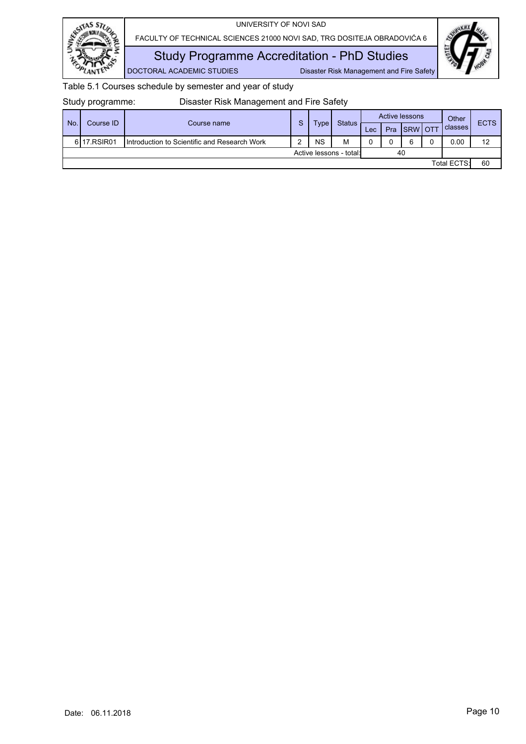

## Table 5.1 Courses schedule by semester and year of study

|                  |              | Course name                                  | S | $T$ ype   | <b>Status</b>           |     | Active lessons | Other              | <b>ECTS</b> |
|------------------|--------------|----------------------------------------------|---|-----------|-------------------------|-----|----------------|--------------------|-------------|
| No.<br>Course ID |              |                                              |   |           |                         | Lec | Pra ISRW OTT   | classes            |             |
|                  | 6 17. RSIR01 | Introduction to Scientific and Research Work |   | <b>NS</b> | M                       |     | ี              | 0.00               | 12          |
|                  |              |                                              |   |           | Active lessons - total: |     | 40             |                    |             |
|                  |              |                                              |   |           |                         |     |                | <b>Total ECTS:</b> | 60          |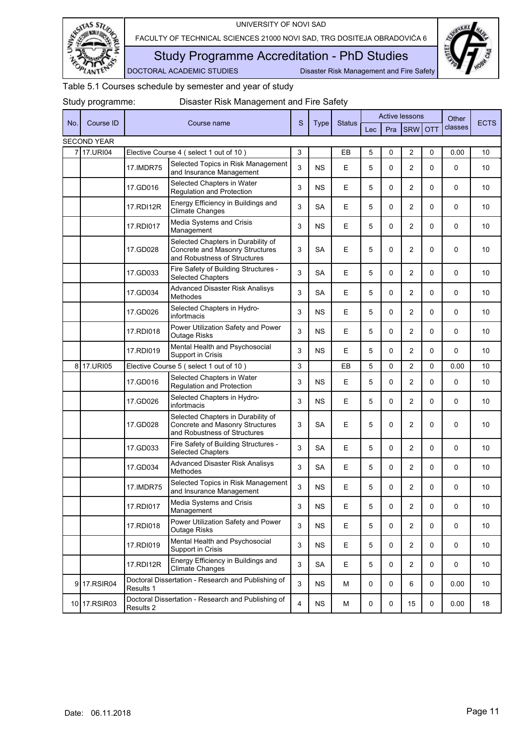

FACULTY OF TECHNICAL SCIENCES 21000 NOVI SAD, TRG DOSITEJA OBRADOVIĆA 6



Study Programme Accreditation - PhD Studies DOCTORAL ACADEMIC STUDIES Disaster Risk Management and Fire Safety

## Table 5.1 Courses schedule by semester and year of study

|   | No.<br>Course ID<br>Course name |                  | S<br><b>Status</b><br><b>Type</b>                                                                     |                |           | <b>Active lessons</b> |     | Other    | <b>ECTS</b>    |            |         |                 |
|---|---------------------------------|------------------|-------------------------------------------------------------------------------------------------------|----------------|-----------|-----------------------|-----|----------|----------------|------------|---------|-----------------|
|   |                                 |                  |                                                                                                       |                |           |                       | Lec | Pra      | <b>SRW</b>     | <b>OTT</b> | classes |                 |
|   | <b>SECOND YEAR</b>              |                  |                                                                                                       |                |           |                       |     |          |                |            |         |                 |
| 7 | 17.URI04                        |                  | Elective Course 4 (select 1 out of 10)                                                                | 3              |           | EB                    | 5   | 0        | 2              | 0          | 0.00    | 10              |
|   |                                 | <b>17.IMDR75</b> | Selected Topics in Risk Management<br>and Insurance Management                                        | 3              | <b>NS</b> | Е                     | 5   | 0        | $\overline{2}$ | $\Omega$   | 0       | 10              |
|   |                                 | 17.GD016         | Selected Chapters in Water<br>Regulation and Protection                                               | 3              | ΝS        | Е                     | 5   | 0        | $\overline{2}$ | 0          | 0       | 10              |
|   |                                 | 17.RDI12R        | Energy Efficiency in Buildings and<br>Climate Changes                                                 | 3              | <b>SA</b> | Е                     | 5   | 0        | $\overline{2}$ | 0          | 0       | 10              |
|   |                                 | 17.RDI017        | Media Systems and Crisis<br>Management                                                                | 3              | <b>NS</b> | Е                     | 5   | 0        | 2              | 0          | 0       | 10              |
|   |                                 | 17.GD028         | Selected Chapters in Durability of<br>Concrete and Masonry Structures<br>and Robustness of Structures | 3              | SА        | E                     | 5   | 0        | $\overline{2}$ | 0          | 0       | 10              |
|   |                                 | 17.GD033         | Fire Safety of Building Structures -<br>Selected Chapters                                             | 3              | <b>SA</b> | E                     | 5   | $\Omega$ | $\overline{2}$ | $\Omega$   | 0       | 10              |
|   |                                 | 17.GD034         | <b>Advanced Disaster Risk Analisys</b><br>Methodes                                                    | 3              | <b>SA</b> | E                     | 5   | 0        | $\overline{2}$ | $\Omega$   | 0       | 10              |
|   |                                 | 17.GD026         | Selected Chapters in Hydro-<br>infortmacis                                                            | 3              | ΝS        | Е                     | 5   | 0        | $\overline{2}$ | 0          | 0       | 10              |
|   |                                 | 17.RDI018        | Power Utilization Safety and Power<br>3<br><b>Outage Risks</b>                                        |                | <b>NS</b> | Е                     | 5   | 0        | 2              | $\Omega$   | 0       | 10              |
|   |                                 | 17.RDI019        | Mental Health and Psychosocial<br>3<br>Support in Crisis                                              |                | <b>NS</b> | E                     | 5   | $\Omega$ | $\overline{2}$ | $\Omega$   | 0       | 10              |
|   | 817.URI05                       |                  | Elective Course 5 (select 1 out of 10)                                                                | 3              |           | EB                    | 5   | 0        | $\overline{c}$ | 0          | 0.00    | 10              |
|   |                                 | 17.GD016         | Selected Chapters in Water<br>Regulation and Protection                                               | 3              | <b>NS</b> | Е                     | 5   | 0        | $\overline{2}$ | $\Omega$   | 0       | 10              |
|   |                                 | 17.GD026         | Selected Chapters in Hydro-<br>infortmacis                                                            | 3              | <b>NS</b> | E                     | 5   | $\Omega$ | $\overline{2}$ | $\Omega$   | 0       | 10              |
|   |                                 | 17.GD028         | Selected Chapters in Durability of<br>Concrete and Masonry Structures<br>and Robustness of Structures | 3              | SA        | Е                     | 5   | 0        | $\overline{2}$ | 0          | 0       | 10              |
|   |                                 | 17.GD033         | Fire Safety of Building Structures -<br>Selected Chapters                                             | 3              | SА        | E                     | 5   | 0        | 2              | $\Omega$   | 0       | 10              |
|   |                                 | 17.GD034         | <b>Advanced Disaster Risk Analisys</b><br><b>Methodes</b>                                             | 3              | <b>SA</b> | E                     | 5   | 0        | $\overline{2}$ | $\Omega$   | 0       | 10              |
|   |                                 | 17.IMDR75        | Selected Topics in Risk Management<br>and Insurance Management                                        | 3              | ΝS        | Е                     | 5   | 0        | 2              | 0          | 0       | 10              |
|   |                                 | 17.RDI017        | Media Systems and Crisis<br>Management                                                                | 3              | ΝS        | Е                     | 5   | 0        | 2              | 0          | 0       | 10              |
|   |                                 | 17.RDI018        | Power Utilization Safety and Power<br><b>Outage Risks</b>                                             | 3              | <b>NS</b> | Е                     | 5   | 0        | $\overline{2}$ | $\Omega$   | 0       | 10 <sup>1</sup> |
|   |                                 | 17.RDI019        | Mental Health and Psychosocial<br>Support in Crisis                                                   | 3              | <b>NS</b> | Е                     | 5   | 0        | $\overline{2}$ | 0          | 0       | 10              |
|   |                                 | 17.RDI12R        | Energy Efficiency in Buildings and<br>Climate Changes                                                 |                | SА        | Е                     | 5   | 0        | 2              | 0          | 0       | 10              |
|   | 917.RSIR04                      | Results 1        | Doctoral Dissertation - Research and Publishing of                                                    | 3              | <b>NS</b> | м                     | 0   | 0        | 6              | 0          | 0.00    | 10              |
|   | 10 17.RSIR03                    | Results 2        | Doctoral Dissertation - Research and Publishing of                                                    | $\overline{4}$ | <b>NS</b> | M                     | 0   | 0        | 15             | 0          | 0.00    | 18              |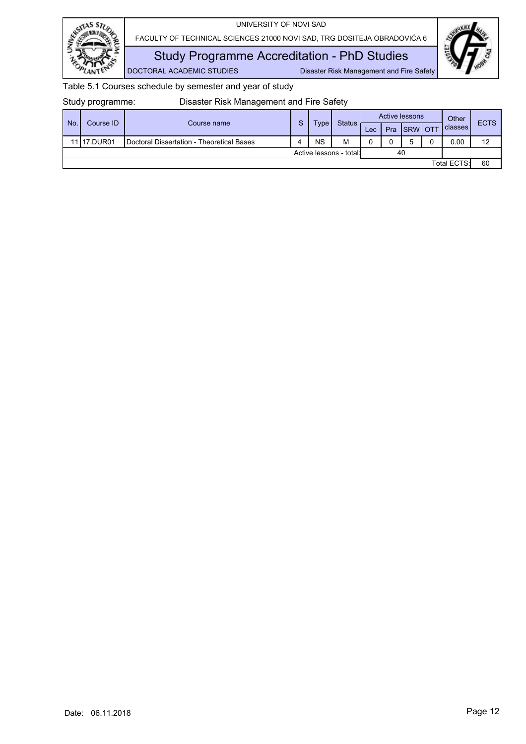

## Table 5.1 Courses schedule by semester and year of study

| No. | Course ID   | Course name                                        | S    |               |                         | Active lessons |              |         | Other              | <b>ECTS</b> |
|-----|-------------|----------------------------------------------------|------|---------------|-------------------------|----------------|--------------|---------|--------------------|-------------|
|     |             |                                                    | Type | <b>Status</b> | Lec.                    |                | Pra ISRW OTT | classes |                    |             |
|     | 11 17.DUR01 | <b>I</b> Doctoral Dissertation - Theoretical Bases |      | <b>NS</b>     | M                       |                |              |         | 0.00               | 12          |
|     |             |                                                    |      |               | Active lessons - total: |                |              | 40      |                    |             |
|     |             |                                                    |      |               |                         |                |              |         | <b>Total ECTS:</b> | 60          |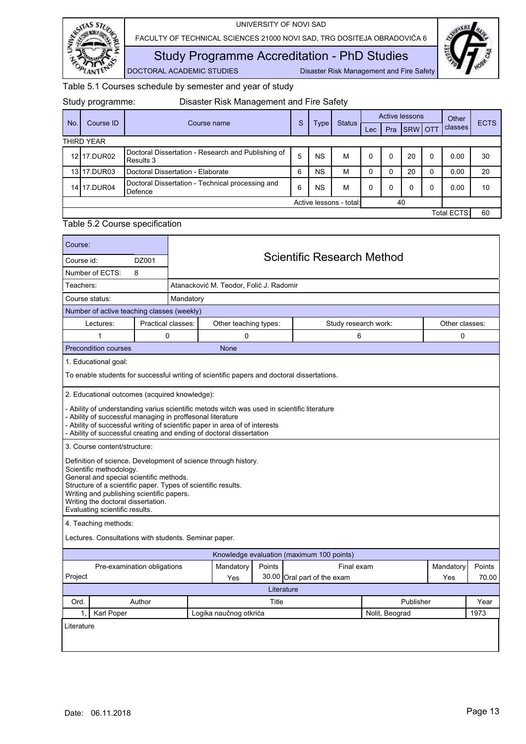

FACULTY OF TECHNICAL SCIENCES 21000 NOVI SAD, TRG DOSITEJA OBRADOVIĆA 6 Study Programme Accreditation - PhD Studies

DOCTORAL ACADEMIC STUDIES Disaster Risk Management and Fire Safety

## Table 5.1 Courses schedule by semester and year of study

Study programme: Disaster Risk Management and Fire Safety

|     |             | Course name                                                     |   |           | <b>Status</b>           |     |     | Active lessons | Other       | <b>ECTS</b> |
|-----|-------------|-----------------------------------------------------------------|---|-----------|-------------------------|-----|-----|----------------|-------------|-------------|
| No. | Course ID   |                                                                 | S | Type      |                         | Lec | Pra | <b>SRW OTT</b> | classes     |             |
|     | THIRD YEAR  |                                                                 |   |           |                         |     |     |                |             |             |
|     | 12 17.DUR02 | Doctoral Dissertation - Research and Publishing of<br>Results 3 | 5 | <b>NS</b> | M                       | 0   | 0   | 20             | 0.00        | 30          |
|     | 13 17.DUR03 | Doctoral Dissertation - Elaborate                               | 6 | <b>NS</b> | M                       | 0   | 0   | 20             | 0.00        | 20          |
|     | 14 17.DUR04 | Doctoral Dissertation - Technical processing and<br>Defence     | 6 | <b>NS</b> | M                       | 0   |     | 0              | 0.00        | 10          |
|     |             |                                                                 |   |           | Active lessons - total: |     |     | 40             |             |             |
|     |             |                                                                 |   |           |                         |     |     |                | Total ECTS: | 60          |

<span id="page-14-1"></span><span id="page-14-0"></span>

| Course:         |                                                                                                                                                                                                                                                                                                                  |                           |           |                                                                |        |                                           |                |                |        |  |  |
|-----------------|------------------------------------------------------------------------------------------------------------------------------------------------------------------------------------------------------------------------------------------------------------------------------------------------------------------|---------------------------|-----------|----------------------------------------------------------------|--------|-------------------------------------------|----------------|----------------|--------|--|--|
| Course id:      |                                                                                                                                                                                                                                                                                                                  | DZ001                     |           |                                                                |        | <b>Scientific Research Method</b>         |                |                |        |  |  |
| Number of ECTS: |                                                                                                                                                                                                                                                                                                                  | 8                         |           |                                                                |        |                                           |                |                |        |  |  |
| Teachers:       |                                                                                                                                                                                                                                                                                                                  |                           |           | Atanacković M. Teodor, Folić J. Radomir                        |        |                                           |                |                |        |  |  |
| Course status:  |                                                                                                                                                                                                                                                                                                                  |                           | Mandatory |                                                                |        |                                           |                |                |        |  |  |
|                 | Number of active teaching classes (weekly)                                                                                                                                                                                                                                                                       |                           |           |                                                                |        |                                           |                |                |        |  |  |
|                 | Lectures:                                                                                                                                                                                                                                                                                                        | <b>Practical classes:</b> |           | Other teaching types:                                          |        | Study research work:                      |                | Other classes: |        |  |  |
|                 | 1                                                                                                                                                                                                                                                                                                                | 0                         |           | 0                                                              |        | 6                                         |                | 0              |        |  |  |
|                 | <b>Precondition courses</b>                                                                                                                                                                                                                                                                                      |                           |           | <b>None</b>                                                    |        |                                           |                |                |        |  |  |
|                 | 1. Educational goal:                                                                                                                                                                                                                                                                                             |                           |           |                                                                |        |                                           |                |                |        |  |  |
|                 | To enable students for successful writing of scientific papers and doctoral dissertations.                                                                                                                                                                                                                       |                           |           |                                                                |        |                                           |                |                |        |  |  |
|                 | 2. Educational outcomes (acquired knowledge):                                                                                                                                                                                                                                                                    |                           |           |                                                                |        |                                           |                |                |        |  |  |
|                 | - Ability of understanding varius scientific metods witch was used in scientific literature<br>- Ability of successful managing in proffesonal literature<br>- Ability of successful writing of scientific paper in area of of interests<br>- Ability of successful creating and ending of doctoral dissertation |                           |           |                                                                |        |                                           |                |                |        |  |  |
|                 | 3. Course content/structure:                                                                                                                                                                                                                                                                                     |                           |           |                                                                |        |                                           |                |                |        |  |  |
|                 | Scientific methodology.<br>General and special scientific methods.<br>Structure of a scientific paper. Types of scientific results.<br>Writing and publishing scientific papers.<br>Writing the doctoral dissertation.<br>Evaluating scientific results.                                                         |                           |           | Definition of science. Development of science through history. |        |                                           |                |                |        |  |  |
|                 | 4. Teaching methods:                                                                                                                                                                                                                                                                                             |                           |           |                                                                |        |                                           |                |                |        |  |  |
|                 | Lectures. Consultations with students. Seminar paper.                                                                                                                                                                                                                                                            |                           |           |                                                                |        |                                           |                |                |        |  |  |
|                 |                                                                                                                                                                                                                                                                                                                  |                           |           |                                                                |        | Knowledge evaluation (maximum 100 points) |                |                |        |  |  |
|                 | Pre-examination obligations                                                                                                                                                                                                                                                                                      |                           |           | Mandatory                                                      | Points | Final exam                                |                | Mandatory      | Points |  |  |
| Project         |                                                                                                                                                                                                                                                                                                                  |                           |           | Yes                                                            |        | 30.00 Oral part of the exam               |                | Yes            | 70.00  |  |  |
|                 |                                                                                                                                                                                                                                                                                                                  |                           |           |                                                                |        | Literature                                |                |                |        |  |  |
| Ord.            |                                                                                                                                                                                                                                                                                                                  | Author                    |           |                                                                | Title  |                                           | Publisher      |                | Year   |  |  |
| 1.              | Karl Poper                                                                                                                                                                                                                                                                                                       |                           |           | Logika naučnog otkrića                                         |        |                                           | Nolit, Beograd |                | 1973   |  |  |
| Literature      |                                                                                                                                                                                                                                                                                                                  |                           |           |                                                                |        |                                           |                |                |        |  |  |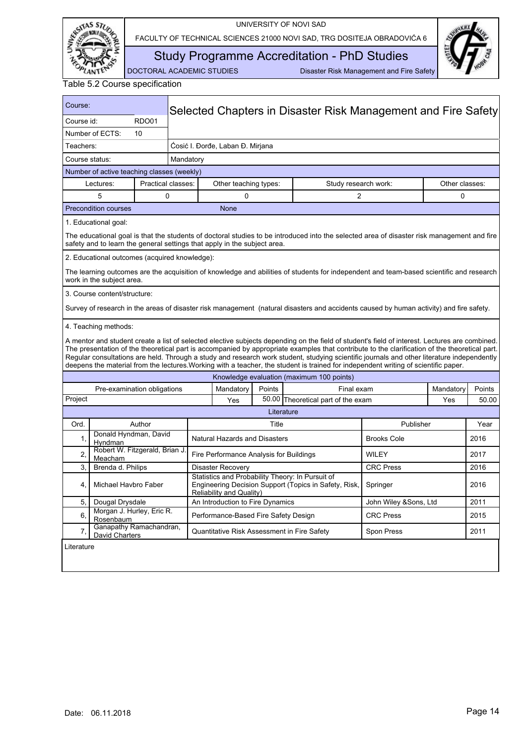

FACULTY OF TECHNICAL SCIENCES 21000 NOVI SAD, TRG DOSITEJA OBRADOVIĆA 6



Study Programme Accreditation - PhD Studies

<span id="page-15-0"></span>DOCTORAL ACADEMIC STUDIES Disaster Risk Management and Fire Safety

| Course:<br>Selected Chapters in Disaster Risk Management and Fire Safety |                                                                                                                                         |                    |           |                                                                          |            |                                                                                                                                                                                                                                                                                                                                                                                                                                                                                                                                                                                      |                       |                |        |  |  |  |  |  |  |
|--------------------------------------------------------------------------|-----------------------------------------------------------------------------------------------------------------------------------------|--------------------|-----------|--------------------------------------------------------------------------|------------|--------------------------------------------------------------------------------------------------------------------------------------------------------------------------------------------------------------------------------------------------------------------------------------------------------------------------------------------------------------------------------------------------------------------------------------------------------------------------------------------------------------------------------------------------------------------------------------|-----------------------|----------------|--------|--|--|--|--|--|--|
| Course id:                                                               |                                                                                                                                         | <b>RDO01</b>       |           |                                                                          |            |                                                                                                                                                                                                                                                                                                                                                                                                                                                                                                                                                                                      |                       |                |        |  |  |  |  |  |  |
|                                                                          | Number of ECTS:                                                                                                                         | 10                 |           |                                                                          |            |                                                                                                                                                                                                                                                                                                                                                                                                                                                                                                                                                                                      |                       |                |        |  |  |  |  |  |  |
| Teachers:                                                                |                                                                                                                                         |                    |           | Cosić I. Đorđe, Laban Đ. Mirjana                                         |            |                                                                                                                                                                                                                                                                                                                                                                                                                                                                                                                                                                                      |                       |                |        |  |  |  |  |  |  |
| Course status:                                                           |                                                                                                                                         |                    | Mandatory |                                                                          |            |                                                                                                                                                                                                                                                                                                                                                                                                                                                                                                                                                                                      |                       |                |        |  |  |  |  |  |  |
|                                                                          | Number of active teaching classes (weekly)                                                                                              |                    |           |                                                                          |            |                                                                                                                                                                                                                                                                                                                                                                                                                                                                                                                                                                                      |                       |                |        |  |  |  |  |  |  |
|                                                                          | Lectures:                                                                                                                               | Practical classes: |           | Other teaching types:                                                    |            | Study research work:                                                                                                                                                                                                                                                                                                                                                                                                                                                                                                                                                                 |                       | Other classes: |        |  |  |  |  |  |  |
|                                                                          | 5                                                                                                                                       | 0                  |           | 0                                                                        |            | $\overline{c}$                                                                                                                                                                                                                                                                                                                                                                                                                                                                                                                                                                       |                       | 0              |        |  |  |  |  |  |  |
|                                                                          | <b>Precondition courses</b>                                                                                                             |                    |           | None                                                                     |            |                                                                                                                                                                                                                                                                                                                                                                                                                                                                                                                                                                                      |                       |                |        |  |  |  |  |  |  |
|                                                                          | 1. Educational goal:                                                                                                                    |                    |           |                                                                          |            |                                                                                                                                                                                                                                                                                                                                                                                                                                                                                                                                                                                      |                       |                |        |  |  |  |  |  |  |
|                                                                          |                                                                                                                                         |                    |           | safety and to learn the general settings that apply in the subject area. |            | The educational goal is that the students of doctoral studies to be introduced into the selected area of disaster risk management and fire                                                                                                                                                                                                                                                                                                                                                                                                                                           |                       |                |        |  |  |  |  |  |  |
|                                                                          | 2. Educational outcomes (acquired knowledge):                                                                                           |                    |           |                                                                          |            |                                                                                                                                                                                                                                                                                                                                                                                                                                                                                                                                                                                      |                       |                |        |  |  |  |  |  |  |
|                                                                          | work in the subject area.                                                                                                               |                    |           |                                                                          |            | The learning outcomes are the acquisition of knowledge and abilities of students for independent and team-based scientific and research                                                                                                                                                                                                                                                                                                                                                                                                                                              |                       |                |        |  |  |  |  |  |  |
|                                                                          | 3. Course content/structure:                                                                                                            |                    |           |                                                                          |            |                                                                                                                                                                                                                                                                                                                                                                                                                                                                                                                                                                                      |                       |                |        |  |  |  |  |  |  |
|                                                                          | Survey of research in the areas of disaster risk management (natural disasters and accidents caused by human activity) and fire safety. |                    |           |                                                                          |            |                                                                                                                                                                                                                                                                                                                                                                                                                                                                                                                                                                                      |                       |                |        |  |  |  |  |  |  |
|                                                                          | 4. Teaching methods:                                                                                                                    |                    |           |                                                                          |            |                                                                                                                                                                                                                                                                                                                                                                                                                                                                                                                                                                                      |                       |                |        |  |  |  |  |  |  |
|                                                                          |                                                                                                                                         |                    |           |                                                                          |            | A mentor and student create a list of selected elective subjects depending on the field of student's field of interest. Lectures are combined.<br>The presentation of the theoretical part is accompanied by appropriate examples that contribute to the clarification of the theoretical part.<br>Regular consultations are held. Through a study and research work student, studying scientific journals and other literature independently<br>deepens the material from the lectures. Working with a teacher, the student is trained for independent writing of scientific paper. |                       |                |        |  |  |  |  |  |  |
|                                                                          |                                                                                                                                         |                    |           |                                                                          |            | Knowledge evaluation (maximum 100 points)                                                                                                                                                                                                                                                                                                                                                                                                                                                                                                                                            |                       |                |        |  |  |  |  |  |  |
|                                                                          | Pre-examination obligations                                                                                                             |                    |           | Mandatory                                                                | Points     | Final exam                                                                                                                                                                                                                                                                                                                                                                                                                                                                                                                                                                           |                       | Mandatory      | Points |  |  |  |  |  |  |
| Project                                                                  |                                                                                                                                         |                    |           | Yes                                                                      | 50.00      | Theoretical part of the exam                                                                                                                                                                                                                                                                                                                                                                                                                                                                                                                                                         |                       | Yes            | 50.00  |  |  |  |  |  |  |
|                                                                          |                                                                                                                                         |                    |           |                                                                          | Literature |                                                                                                                                                                                                                                                                                                                                                                                                                                                                                                                                                                                      |                       |                |        |  |  |  |  |  |  |
| Ord.                                                                     |                                                                                                                                         | Author             |           |                                                                          | Title      |                                                                                                                                                                                                                                                                                                                                                                                                                                                                                                                                                                                      | Publisher             |                | Year   |  |  |  |  |  |  |
| 1,                                                                       | Donald Hyndman, David<br>Hyndman                                                                                                        |                    |           | Natural Hazards and Disasters                                            |            |                                                                                                                                                                                                                                                                                                                                                                                                                                                                                                                                                                                      | <b>Brooks Cole</b>    |                | 2016   |  |  |  |  |  |  |
| 2.                                                                       | Robert W. Fitzgerald, Brian J<br>Meacham                                                                                                |                    |           | Fire Performance Analysis for Buildings                                  |            |                                                                                                                                                                                                                                                                                                                                                                                                                                                                                                                                                                                      | WILEY                 |                | 2017   |  |  |  |  |  |  |
| 3.                                                                       | Brenda d. Philips                                                                                                                       |                    |           | <b>Disaster Recovery</b>                                                 |            |                                                                                                                                                                                                                                                                                                                                                                                                                                                                                                                                                                                      | <b>CRC Press</b>      |                | 2016   |  |  |  |  |  |  |
| 4.                                                                       | Michael Havbro Faber                                                                                                                    |                    |           | Reliability and Quality)                                                 |            | Statistics and Probability Theory: In Pursuit of<br>Engineering Decision Support (Topics in Safety, Risk,                                                                                                                                                                                                                                                                                                                                                                                                                                                                            | Springer              |                | 2016   |  |  |  |  |  |  |
| 5 <sub>1</sub>                                                           | Dougal Drysdale                                                                                                                         |                    |           | An Introduction to Fire Dynamics                                         |            |                                                                                                                                                                                                                                                                                                                                                                                                                                                                                                                                                                                      | John Wiley &Sons, Ltd |                | 2011   |  |  |  |  |  |  |
| 6.                                                                       | Morgan J. Hurley, Eric R.<br>Rosenbaum                                                                                                  |                    |           | Performance-Based Fire Safety Design                                     |            |                                                                                                                                                                                                                                                                                                                                                                                                                                                                                                                                                                                      | <b>CRC Press</b>      |                | 2015   |  |  |  |  |  |  |
| 7,                                                                       | Ganapathy Ramachandran,<br>David Charters                                                                                               |                    |           | Quantitative Risk Assessment in Fire Safety                              |            |                                                                                                                                                                                                                                                                                                                                                                                                                                                                                                                                                                                      | Spon Press            |                | 2011   |  |  |  |  |  |  |
| Literature                                                               |                                                                                                                                         |                    |           |                                                                          |            |                                                                                                                                                                                                                                                                                                                                                                                                                                                                                                                                                                                      |                       |                |        |  |  |  |  |  |  |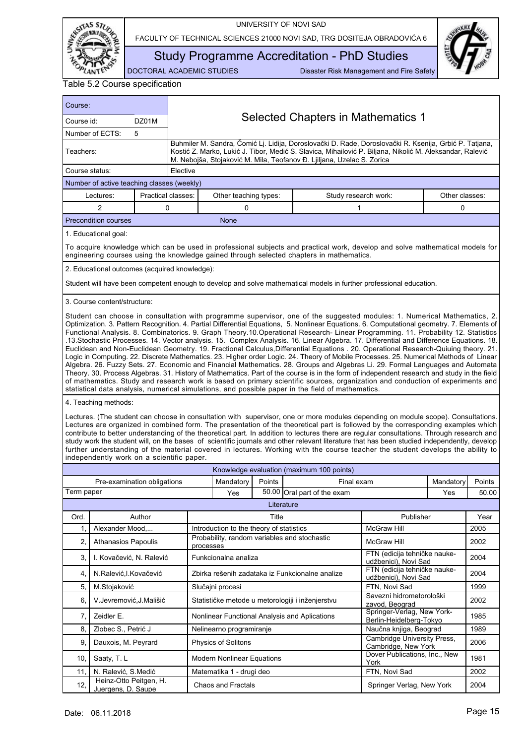

FACULTY OF TECHNICAL SCIENCES 21000 NOVI SAD, TRG DOSITEJA OBRADOVIĆA 6



Study Programme Accreditation - PhD Studies

<span id="page-16-0"></span>DOCTORAL ACADEMIC STUDIES Disaster Risk Management and Fire Safety

| Course:                                                           |                                                                                                                |                    |                                                           |                                                       |                                                                                                                                                                                                                                                                                                                                                                                                                                                                                                                                                                                                                                                                                                                                                                                                                                                                                                                                                                                                                                                                                                                                                                                                                                                                                                                                                                  |                                                      |                |        |  |  |  |
|-------------------------------------------------------------------|----------------------------------------------------------------------------------------------------------------|--------------------|-----------------------------------------------------------|-------------------------------------------------------|------------------------------------------------------------------------------------------------------------------------------------------------------------------------------------------------------------------------------------------------------------------------------------------------------------------------------------------------------------------------------------------------------------------------------------------------------------------------------------------------------------------------------------------------------------------------------------------------------------------------------------------------------------------------------------------------------------------------------------------------------------------------------------------------------------------------------------------------------------------------------------------------------------------------------------------------------------------------------------------------------------------------------------------------------------------------------------------------------------------------------------------------------------------------------------------------------------------------------------------------------------------------------------------------------------------------------------------------------------------|------------------------------------------------------|----------------|--------|--|--|--|
| Course id:                                                        | DZ01M                                                                                                          |                    |                                                           |                                                       | Selected Chapters in Mathematics 1                                                                                                                                                                                                                                                                                                                                                                                                                                                                                                                                                                                                                                                                                                                                                                                                                                                                                                                                                                                                                                                                                                                                                                                                                                                                                                                               |                                                      |                |        |  |  |  |
|                                                                   | Number of ECTS:<br>5                                                                                           |                    |                                                           |                                                       |                                                                                                                                                                                                                                                                                                                                                                                                                                                                                                                                                                                                                                                                                                                                                                                                                                                                                                                                                                                                                                                                                                                                                                                                                                                                                                                                                                  |                                                      |                |        |  |  |  |
| Teachers:                                                         |                                                                                                                |                    |                                                           |                                                       | Buhmiler M. Sandra, Čomić Lj. Lidija, Doroslovački D. Rade, Doroslovački R. Ksenija, Grbić P. Tatjana,<br>Kostić Z. Marko, Lukić J. Tibor, Medić S. Slavica, Mihailović P. Biljana, Nikolić M. Aleksandar, Ralević<br>M. Nebojša, Stojaković M. Mila, Teofanov Đ. Ljiljana, Uzelac S. Zorica                                                                                                                                                                                                                                                                                                                                                                                                                                                                                                                                                                                                                                                                                                                                                                                                                                                                                                                                                                                                                                                                     |                                                      |                |        |  |  |  |
| Course status:                                                    |                                                                                                                | Elective           |                                                           |                                                       |                                                                                                                                                                                                                                                                                                                                                                                                                                                                                                                                                                                                                                                                                                                                                                                                                                                                                                                                                                                                                                                                                                                                                                                                                                                                                                                                                                  |                                                      |                |        |  |  |  |
|                                                                   | Number of active teaching classes (weekly)                                                                     |                    |                                                           |                                                       |                                                                                                                                                                                                                                                                                                                                                                                                                                                                                                                                                                                                                                                                                                                                                                                                                                                                                                                                                                                                                                                                                                                                                                                                                                                                                                                                                                  |                                                      |                |        |  |  |  |
|                                                                   | Lectures:                                                                                                      | Practical classes: | Other teaching types:                                     |                                                       | Study research work:                                                                                                                                                                                                                                                                                                                                                                                                                                                                                                                                                                                                                                                                                                                                                                                                                                                                                                                                                                                                                                                                                                                                                                                                                                                                                                                                             |                                                      | Other classes: |        |  |  |  |
|                                                                   | $\overline{2}$                                                                                                 | 0                  | 0                                                         |                                                       | 1                                                                                                                                                                                                                                                                                                                                                                                                                                                                                                                                                                                                                                                                                                                                                                                                                                                                                                                                                                                                                                                                                                                                                                                                                                                                                                                                                                |                                                      | 0              |        |  |  |  |
|                                                                   | <b>Precondition courses</b>                                                                                    |                    | <b>None</b>                                               |                                                       |                                                                                                                                                                                                                                                                                                                                                                                                                                                                                                                                                                                                                                                                                                                                                                                                                                                                                                                                                                                                                                                                                                                                                                                                                                                                                                                                                                  |                                                      |                |        |  |  |  |
|                                                                   | 1. Educational goal:                                                                                           |                    |                                                           |                                                       |                                                                                                                                                                                                                                                                                                                                                                                                                                                                                                                                                                                                                                                                                                                                                                                                                                                                                                                                                                                                                                                                                                                                                                                                                                                                                                                                                                  |                                                      |                |        |  |  |  |
|                                                                   |                                                                                                                |                    |                                                           |                                                       | To acquire knowledge which can be used in professional subjects and practical work, develop and solve mathematical models for<br>engineering courses using the knowledge gained through selected chapters in mathematics.                                                                                                                                                                                                                                                                                                                                                                                                                                                                                                                                                                                                                                                                                                                                                                                                                                                                                                                                                                                                                                                                                                                                        |                                                      |                |        |  |  |  |
|                                                                   | 2. Educational outcomes (acquired knowledge):                                                                  |                    |                                                           |                                                       |                                                                                                                                                                                                                                                                                                                                                                                                                                                                                                                                                                                                                                                                                                                                                                                                                                                                                                                                                                                                                                                                                                                                                                                                                                                                                                                                                                  |                                                      |                |        |  |  |  |
|                                                                   |                                                                                                                |                    |                                                           |                                                       | Student will have been competent enough to develop and solve mathematical models in further professional education.                                                                                                                                                                                                                                                                                                                                                                                                                                                                                                                                                                                                                                                                                                                                                                                                                                                                                                                                                                                                                                                                                                                                                                                                                                              |                                                      |                |        |  |  |  |
|                                                                   | 3. Course content/structure:                                                                                   |                    |                                                           |                                                       |                                                                                                                                                                                                                                                                                                                                                                                                                                                                                                                                                                                                                                                                                                                                                                                                                                                                                                                                                                                                                                                                                                                                                                                                                                                                                                                                                                  |                                                      |                |        |  |  |  |
|                                                                   |                                                                                                                |                    |                                                           |                                                       | Student can choose in consultation with programme supervisor, one of the suggested modules: 1. Numerical Mathematics, 2.<br>Optimization. 3. Pattern Recognition. 4. Partial Differential Equations, 5. Nonlinear Equations. 6. Computational geometry. 7. Elements of<br>Functional Analysis. 8. Combinatorics. 9. Graph Theory.10.Operational Research- Linear Programming. 11. Probability 12. Statistics<br>.13. Stochastic Processes. 14. Vector analysis. 15. Complex Analysis. 16. Linear Algebra. 17. Differential and Difference Equations. 18.<br>Euclidean and Non-Euclidean Geometry. 19. Fractional Calculus, Differential Equations . 20. Operational Research-Quiuing theory. 21.<br>Logic in Computing. 22. Discrete Mathematics. 23. Higher order Logic. 24. Theory of Mobile Processes. 25. Numerical Methods of Linear<br>Algebra. 26. Fuzzy Sets. 27. Economic and Financial Mathematics. 28. Groups and Algebras Li. 29. Formal Languages and Automata<br>Theory. 30. Process Algebras. 31. History of Mathematics. Part of the course is in the form of independent research and study in the field<br>of mathematics. Study and research work is based on primary scientific sources, organization and conduction of experiments and<br>statistical data analysis, numerical simulations, and possible paper in the field of mathematics. |                                                      |                |        |  |  |  |
|                                                                   | 4. Teaching methods:<br>independently work on a scientific paper.                                              |                    |                                                           |                                                       | Lectures. (The student can choose in consultation with supervisor, one or more modules depending on module scope). Consultations.<br>Lectures are organized in combined form. The presentation of the theoretical part is followed by the corresponding examples which<br>contribute to better understanding of the theoretical part. In addition to lectures there are regular consultations. Through research and<br>study work the student will, on the bases of scientific journals and other relevant literature that has been studied independently, develop<br>further understanding of the material covered in lectures. Working with the course teacher the student develops the ability to                                                                                                                                                                                                                                                                                                                                                                                                                                                                                                                                                                                                                                                             |                                                      |                |        |  |  |  |
|                                                                   |                                                                                                                |                    |                                                           |                                                       | Knowledge evaluation (maximum 100 points)                                                                                                                                                                                                                                                                                                                                                                                                                                                                                                                                                                                                                                                                                                                                                                                                                                                                                                                                                                                                                                                                                                                                                                                                                                                                                                                        |                                                      |                |        |  |  |  |
|                                                                   | Pre-examination obligations                                                                                    |                    | Mandatory                                                 | Points                                                | Final exam                                                                                                                                                                                                                                                                                                                                                                                                                                                                                                                                                                                                                                                                                                                                                                                                                                                                                                                                                                                                                                                                                                                                                                                                                                                                                                                                                       |                                                      | Mandatory      | Points |  |  |  |
| Term paper                                                        |                                                                                                                |                    | Yes                                                       |                                                       | 50.00 Oral part of the exam                                                                                                                                                                                                                                                                                                                                                                                                                                                                                                                                                                                                                                                                                                                                                                                                                                                                                                                                                                                                                                                                                                                                                                                                                                                                                                                                      |                                                      | Yes            | 50.00  |  |  |  |
|                                                                   |                                                                                                                |                    |                                                           | Literature                                            |                                                                                                                                                                                                                                                                                                                                                                                                                                                                                                                                                                                                                                                                                                                                                                                                                                                                                                                                                                                                                                                                                                                                                                                                                                                                                                                                                                  |                                                      |                |        |  |  |  |
| Ord.                                                              | Author                                                                                                         |                    |                                                           | Title                                                 |                                                                                                                                                                                                                                                                                                                                                                                                                                                                                                                                                                                                                                                                                                                                                                                                                                                                                                                                                                                                                                                                                                                                                                                                                                                                                                                                                                  | Publisher                                            |                | Year   |  |  |  |
| 1,                                                                | Alexander Mood,                                                                                                |                    | Introduction to the theory of statistics                  |                                                       |                                                                                                                                                                                                                                                                                                                                                                                                                                                                                                                                                                                                                                                                                                                                                                                                                                                                                                                                                                                                                                                                                                                                                                                                                                                                                                                                                                  | <b>McGraw Hill</b>                                   |                | 2005   |  |  |  |
| 2,                                                                | <b>Athanasios Papoulis</b>                                                                                     |                    | Probability, random variables and stochastic<br>processes |                                                       |                                                                                                                                                                                                                                                                                                                                                                                                                                                                                                                                                                                                                                                                                                                                                                                                                                                                                                                                                                                                                                                                                                                                                                                                                                                                                                                                                                  | <b>McGraw Hill</b>                                   |                | 2002   |  |  |  |
| 3.                                                                | I. Kovačević, N. Ralević                                                                                       |                    | Funkcionalna analiza                                      |                                                       |                                                                                                                                                                                                                                                                                                                                                                                                                                                                                                                                                                                                                                                                                                                                                                                                                                                                                                                                                                                                                                                                                                                                                                                                                                                                                                                                                                  | FTN (edicija tehničke nauke-<br>udžbenici), Novi Sad |                | 2004   |  |  |  |
| 4,                                                                | N.Ralević, I. Kovačević                                                                                        |                    |                                                           |                                                       | Zbirka rešenih zadataka iz Funkcionalne analize                                                                                                                                                                                                                                                                                                                                                                                                                                                                                                                                                                                                                                                                                                                                                                                                                                                                                                                                                                                                                                                                                                                                                                                                                                                                                                                  | FTN (edicija tehničke nauke-<br>udžbenici), Novi Sad |                | 2004   |  |  |  |
| 5,                                                                | M.Stojaković                                                                                                   |                    | Slučajni procesi                                          |                                                       |                                                                                                                                                                                                                                                                                                                                                                                                                                                                                                                                                                                                                                                                                                                                                                                                                                                                                                                                                                                                                                                                                                                                                                                                                                                                                                                                                                  | FTN. Novi Sad                                        |                | 1999   |  |  |  |
| 6.                                                                | V. Jevremović, J. Mališić                                                                                      |                    |                                                           |                                                       | Statističke metode u metorologiji i inženjerstvu                                                                                                                                                                                                                                                                                                                                                                                                                                                                                                                                                                                                                                                                                                                                                                                                                                                                                                                                                                                                                                                                                                                                                                                                                                                                                                                 | Savezni hidrometorološki<br>zavod, Beograd           |                | 2002   |  |  |  |
| 7,<br>Zeidler E.<br>Nonlinear Functional Analysis and Aplications |                                                                                                                |                    |                                                           | Springer-Verlag, New York-<br>Berlin-Heidelberg-Tokyo |                                                                                                                                                                                                                                                                                                                                                                                                                                                                                                                                                                                                                                                                                                                                                                                                                                                                                                                                                                                                                                                                                                                                                                                                                                                                                                                                                                  | 1985                                                 |                |        |  |  |  |
| 8.                                                                | Zlobec S., Petrić J<br>Nelinearno programiranje<br>Naučna knjiga, Beograd                                      |                    |                                                           |                                                       | 1989                                                                                                                                                                                                                                                                                                                                                                                                                                                                                                                                                                                                                                                                                                                                                                                                                                                                                                                                                                                                                                                                                                                                                                                                                                                                                                                                                             |                                                      |                |        |  |  |  |
| 9.                                                                | Cambridge University Press,<br>Dauxois, M. Peyrard<br>Physics of Solitons<br>Cambridge, New York               |                    |                                                           |                                                       |                                                                                                                                                                                                                                                                                                                                                                                                                                                                                                                                                                                                                                                                                                                                                                                                                                                                                                                                                                                                                                                                                                                                                                                                                                                                                                                                                                  | 2006                                                 |                |        |  |  |  |
| 10,                                                               | Saaty, T. L                                                                                                    |                    | Modern Nonlinear Equations                                |                                                       |                                                                                                                                                                                                                                                                                                                                                                                                                                                                                                                                                                                                                                                                                                                                                                                                                                                                                                                                                                                                                                                                                                                                                                                                                                                                                                                                                                  | Dover Publications, Inc., New<br>York                |                | 1981   |  |  |  |
| 11,                                                               | N. Ralević, S. Medić                                                                                           |                    | Matematika 1 - drugi deo                                  |                                                       |                                                                                                                                                                                                                                                                                                                                                                                                                                                                                                                                                                                                                                                                                                                                                                                                                                                                                                                                                                                                                                                                                                                                                                                                                                                                                                                                                                  | FTN, Novi Sad                                        |                | 2002   |  |  |  |
| 12,                                                               | Heinz-Otto Peitgen, H.<br>2004<br><b>Chaos and Fractals</b><br>Springer Verlag, New York<br>Juergens, D. Saupe |                    |                                                           |                                                       |                                                                                                                                                                                                                                                                                                                                                                                                                                                                                                                                                                                                                                                                                                                                                                                                                                                                                                                                                                                                                                                                                                                                                                                                                                                                                                                                                                  |                                                      |                |        |  |  |  |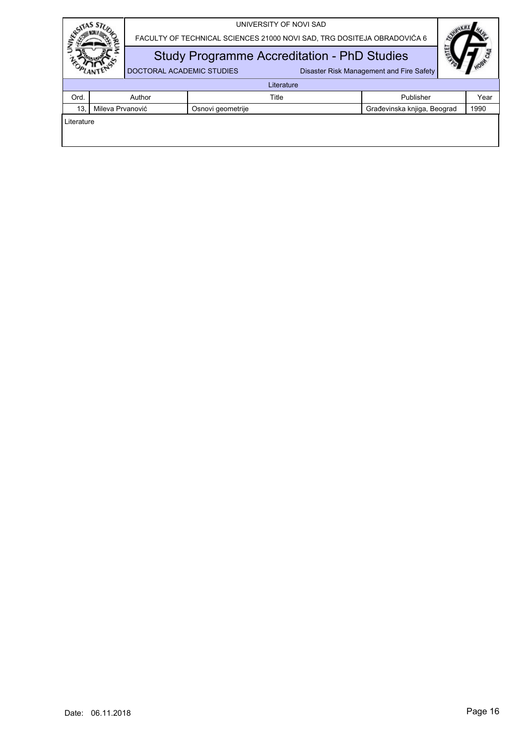|            | UNIVERSITY OF NOVI SAD                                                |        |                                                                         |                             |   |      |  |  |  |  |  |
|------------|-----------------------------------------------------------------------|--------|-------------------------------------------------------------------------|-----------------------------|---|------|--|--|--|--|--|
|            |                                                                       |        | FACULTY OF TECHNICAL SCIENCES 21000 NOVI SAD, TRG DOSITEJA OBRADOVIĆA 6 |                             |   |      |  |  |  |  |  |
|            |                                                                       |        | <b>Study Programme Accreditation - PhD Studies</b>                      |                             | 핃 |      |  |  |  |  |  |
|            | DOCTORAL ACADEMIC STUDIES<br>Disaster Risk Management and Fire Safety |        |                                                                         |                             |   |      |  |  |  |  |  |
|            |                                                                       |        | Literature                                                              |                             |   |      |  |  |  |  |  |
| Ord.       |                                                                       | Author | Title                                                                   | Publisher                   |   | Year |  |  |  |  |  |
| 13.        | Mileva Prvanović                                                      |        | Osnovi geometrije                                                       | Građevinska knjiga, Beograd |   | 1990 |  |  |  |  |  |
| Literature |                                                                       |        |                                                                         |                             |   |      |  |  |  |  |  |
|            |                                                                       |        |                                                                         |                             |   |      |  |  |  |  |  |
|            |                                                                       |        |                                                                         |                             |   |      |  |  |  |  |  |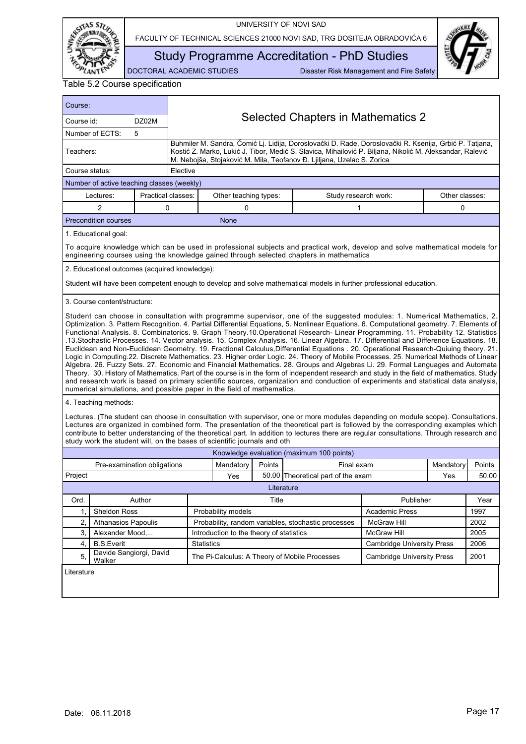

FACULTY OF TECHNICAL SCIENCES 21000 NOVI SAD, TRG DOSITEJA OBRADOVIĆA 6



<span id="page-18-0"></span>Study Programme Accreditation - PhD Studies

DOCTORAL ACADEMIC STUDIES Disaster Risk Management and Fire Safety

| Course:        |                                                                                                                     |                    |          |                                                                                                                                                    |            |                                                                                                                                                                                                                                                                                                                                                                                                                                                                                                                                                                                                                                                                                                                                                                                                                                                                                                                                                                                                                                                                                                                                                                                                                                                                                                                                                                                                                                                                                                                                                           |                                   |                |        |  |  |  |
|----------------|---------------------------------------------------------------------------------------------------------------------|--------------------|----------|----------------------------------------------------------------------------------------------------------------------------------------------------|------------|-----------------------------------------------------------------------------------------------------------------------------------------------------------------------------------------------------------------------------------------------------------------------------------------------------------------------------------------------------------------------------------------------------------------------------------------------------------------------------------------------------------------------------------------------------------------------------------------------------------------------------------------------------------------------------------------------------------------------------------------------------------------------------------------------------------------------------------------------------------------------------------------------------------------------------------------------------------------------------------------------------------------------------------------------------------------------------------------------------------------------------------------------------------------------------------------------------------------------------------------------------------------------------------------------------------------------------------------------------------------------------------------------------------------------------------------------------------------------------------------------------------------------------------------------------------|-----------------------------------|----------------|--------|--|--|--|
| Course id:     |                                                                                                                     | DZ02M              |          |                                                                                                                                                    |            | Selected Chapters in Mathematics 2                                                                                                                                                                                                                                                                                                                                                                                                                                                                                                                                                                                                                                                                                                                                                                                                                                                                                                                                                                                                                                                                                                                                                                                                                                                                                                                                                                                                                                                                                                                        |                                   |                |        |  |  |  |
|                | Number of ECTS:                                                                                                     | 5                  |          |                                                                                                                                                    |            |                                                                                                                                                                                                                                                                                                                                                                                                                                                                                                                                                                                                                                                                                                                                                                                                                                                                                                                                                                                                                                                                                                                                                                                                                                                                                                                                                                                                                                                                                                                                                           |                                   |                |        |  |  |  |
| Teachers:      |                                                                                                                     |                    |          |                                                                                                                                                    |            | Buhmiler M. Sandra, Čomić Lj. Lidija, Doroslovački D. Rade, Doroslovački R. Ksenija, Grbić P. Tatjana,<br>Kostić Z. Marko, Lukić J. Tibor, Medić S. Slavica, Mihailović P. Biljana, Nikolić M. Aleksandar, Ralević<br>M. Nebojša, Stojaković M. Mila, Teofanov Đ. Ljiljana, Uzelac S. Zorica                                                                                                                                                                                                                                                                                                                                                                                                                                                                                                                                                                                                                                                                                                                                                                                                                                                                                                                                                                                                                                                                                                                                                                                                                                                              |                                   |                |        |  |  |  |
| Course status: |                                                                                                                     |                    | Elective |                                                                                                                                                    |            |                                                                                                                                                                                                                                                                                                                                                                                                                                                                                                                                                                                                                                                                                                                                                                                                                                                                                                                                                                                                                                                                                                                                                                                                                                                                                                                                                                                                                                                                                                                                                           |                                   |                |        |  |  |  |
|                | Number of active teaching classes (weekly)                                                                          |                    |          |                                                                                                                                                    |            |                                                                                                                                                                                                                                                                                                                                                                                                                                                                                                                                                                                                                                                                                                                                                                                                                                                                                                                                                                                                                                                                                                                                                                                                                                                                                                                                                                                                                                                                                                                                                           |                                   |                |        |  |  |  |
|                | Lectures:                                                                                                           | Practical classes: |          | Other teaching types:                                                                                                                              |            | Study research work:                                                                                                                                                                                                                                                                                                                                                                                                                                                                                                                                                                                                                                                                                                                                                                                                                                                                                                                                                                                                                                                                                                                                                                                                                                                                                                                                                                                                                                                                                                                                      |                                   | Other classes: |        |  |  |  |
|                | $\overline{c}$                                                                                                      |                    | 0        | 0                                                                                                                                                  |            | 1                                                                                                                                                                                                                                                                                                                                                                                                                                                                                                                                                                                                                                                                                                                                                                                                                                                                                                                                                                                                                                                                                                                                                                                                                                                                                                                                                                                                                                                                                                                                                         |                                   | 0              |        |  |  |  |
|                | <b>Precondition courses</b>                                                                                         |                    |          | None                                                                                                                                               |            |                                                                                                                                                                                                                                                                                                                                                                                                                                                                                                                                                                                                                                                                                                                                                                                                                                                                                                                                                                                                                                                                                                                                                                                                                                                                                                                                                                                                                                                                                                                                                           |                                   |                |        |  |  |  |
|                | 1. Educational goal:                                                                                                |                    |          |                                                                                                                                                    |            |                                                                                                                                                                                                                                                                                                                                                                                                                                                                                                                                                                                                                                                                                                                                                                                                                                                                                                                                                                                                                                                                                                                                                                                                                                                                                                                                                                                                                                                                                                                                                           |                                   |                |        |  |  |  |
|                |                                                                                                                     |                    |          |                                                                                                                                                    |            | To acquire knowledge which can be used in professional subjects and practical work, develop and solve mathematical models for<br>engineering courses using the knowledge gained through selected chapters in mathematics                                                                                                                                                                                                                                                                                                                                                                                                                                                                                                                                                                                                                                                                                                                                                                                                                                                                                                                                                                                                                                                                                                                                                                                                                                                                                                                                  |                                   |                |        |  |  |  |
|                | 2. Educational outcomes (acquired knowledge):                                                                       |                    |          |                                                                                                                                                    |            |                                                                                                                                                                                                                                                                                                                                                                                                                                                                                                                                                                                                                                                                                                                                                                                                                                                                                                                                                                                                                                                                                                                                                                                                                                                                                                                                                                                                                                                                                                                                                           |                                   |                |        |  |  |  |
|                | Student will have been competent enough to develop and solve mathematical models in further professional education. |                    |          |                                                                                                                                                    |            |                                                                                                                                                                                                                                                                                                                                                                                                                                                                                                                                                                                                                                                                                                                                                                                                                                                                                                                                                                                                                                                                                                                                                                                                                                                                                                                                                                                                                                                                                                                                                           |                                   |                |        |  |  |  |
|                | 3. Course content/structure:                                                                                        |                    |          |                                                                                                                                                    |            |                                                                                                                                                                                                                                                                                                                                                                                                                                                                                                                                                                                                                                                                                                                                                                                                                                                                                                                                                                                                                                                                                                                                                                                                                                                                                                                                                                                                                                                                                                                                                           |                                   |                |        |  |  |  |
|                | 4. Teaching methods:                                                                                                |                    |          | numerical simulations, and possible paper in the field of mathematics.<br>study work the student will, on the bases of scientific journals and oth |            | Optimization. 3. Pattern Recognition. 4. Partial Differential Equations, 5. Nonlinear Equations. 6. Computational geometry. 7. Elements of<br>Functional Analysis. 8. Combinatorics. 9. Graph Theory.10.Operational Research-Linear Programming. 11. Probability 12. Statistics<br>.13. Stochastic Processes. 14. Vector analysis. 15. Complex Analysis. 16. Linear Algebra. 17. Differential and Difference Equations. 18.<br>Euclidean and Non-Euclidean Geometry. 19. Fractional Calculus, Differential Equations . 20. Operational Research-Quiuing theory. 21.<br>Logic in Computing.22. Discrete Mathematics. 23. Higher order Logic. 24. Theory of Mobile Processes. 25. Numerical Methods of Linear<br>Algebra. 26. Fuzzy Sets. 27. Economic and Financial Mathematics. 28. Groups and Algebras Li. 29. Formal Languages and Automata<br>Theory. 30. History of Mathematics. Part of the course is in the form of independent research and study in the field of mathematics. Study<br>and research work is based on primary scientific sources, organization and conduction of experiments and statistical data analysis,<br>Lectures. (The student can choose in consultation with supervisor, one or more modules depending on module scope). Consultations.<br>Lectures are organized in combined form. The presentation of the theoretical part is followed by the corresponding examples which<br>contribute to better understanding of the theoretical part. In addition to lectures there are regular consultations. Through research and |                                   |                |        |  |  |  |
|                |                                                                                                                     |                    |          |                                                                                                                                                    |            | Knowledge evaluation (maximum 100 points)                                                                                                                                                                                                                                                                                                                                                                                                                                                                                                                                                                                                                                                                                                                                                                                                                                                                                                                                                                                                                                                                                                                                                                                                                                                                                                                                                                                                                                                                                                                 |                                   |                |        |  |  |  |
|                | Pre-examination obligations                                                                                         |                    |          | Mandatory                                                                                                                                          | Points     | Final exam                                                                                                                                                                                                                                                                                                                                                                                                                                                                                                                                                                                                                                                                                                                                                                                                                                                                                                                                                                                                                                                                                                                                                                                                                                                                                                                                                                                                                                                                                                                                                |                                   | Mandatory      | Points |  |  |  |
| Project        |                                                                                                                     |                    |          | Yes                                                                                                                                                |            | 50.00 Theoretical part of the exam                                                                                                                                                                                                                                                                                                                                                                                                                                                                                                                                                                                                                                                                                                                                                                                                                                                                                                                                                                                                                                                                                                                                                                                                                                                                                                                                                                                                                                                                                                                        |                                   | Yes            | 50.00  |  |  |  |
|                |                                                                                                                     |                    |          |                                                                                                                                                    | Literature |                                                                                                                                                                                                                                                                                                                                                                                                                                                                                                                                                                                                                                                                                                                                                                                                                                                                                                                                                                                                                                                                                                                                                                                                                                                                                                                                                                                                                                                                                                                                                           |                                   |                |        |  |  |  |
| Ord.           |                                                                                                                     | Author             |          |                                                                                                                                                    | Title      |                                                                                                                                                                                                                                                                                                                                                                                                                                                                                                                                                                                                                                                                                                                                                                                                                                                                                                                                                                                                                                                                                                                                                                                                                                                                                                                                                                                                                                                                                                                                                           | Publisher                         |                | Year   |  |  |  |
| 1.             | Sheldon Ross                                                                                                        |                    |          | Probability models                                                                                                                                 |            |                                                                                                                                                                                                                                                                                                                                                                                                                                                                                                                                                                                                                                                                                                                                                                                                                                                                                                                                                                                                                                                                                                                                                                                                                                                                                                                                                                                                                                                                                                                                                           | <b>Academic Press</b>             |                | 1997   |  |  |  |
| 2.             | Athanasios Papoulis                                                                                                 |                    |          |                                                                                                                                                    |            | Probability, random variables, stochastic processes                                                                                                                                                                                                                                                                                                                                                                                                                                                                                                                                                                                                                                                                                                                                                                                                                                                                                                                                                                                                                                                                                                                                                                                                                                                                                                                                                                                                                                                                                                       | McGraw Hill                       |                | 2002   |  |  |  |
| 3.             | Alexander Mood,                                                                                                     |                    |          | Introduction to the theory of statistics                                                                                                           |            |                                                                                                                                                                                                                                                                                                                                                                                                                                                                                                                                                                                                                                                                                                                                                                                                                                                                                                                                                                                                                                                                                                                                                                                                                                                                                                                                                                                                                                                                                                                                                           | McGraw Hill                       |                | 2005   |  |  |  |
| 4.             | <b>B.S.Everit</b>                                                                                                   |                    |          | <b>Statistics</b>                                                                                                                                  |            |                                                                                                                                                                                                                                                                                                                                                                                                                                                                                                                                                                                                                                                                                                                                                                                                                                                                                                                                                                                                                                                                                                                                                                                                                                                                                                                                                                                                                                                                                                                                                           | <b>Cambridge University Press</b> |                | 2006   |  |  |  |
| 5,             | Davide Sangiorgi, David                                                                                             |                    |          |                                                                                                                                                    |            | The Pi-Calculus: A Theory of Mobile Processes                                                                                                                                                                                                                                                                                                                                                                                                                                                                                                                                                                                                                                                                                                                                                                                                                                                                                                                                                                                                                                                                                                                                                                                                                                                                                                                                                                                                                                                                                                             | <b>Cambridge University Press</b> |                | 2001   |  |  |  |
| Literature     | Walker                                                                                                              |                    |          |                                                                                                                                                    |            |                                                                                                                                                                                                                                                                                                                                                                                                                                                                                                                                                                                                                                                                                                                                                                                                                                                                                                                                                                                                                                                                                                                                                                                                                                                                                                                                                                                                                                                                                                                                                           |                                   |                |        |  |  |  |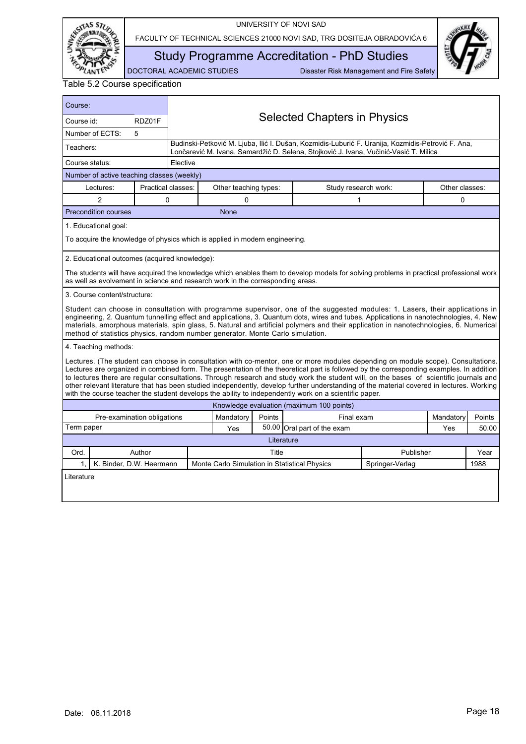

FACULTY OF TECHNICAL SCIENCES 21000 NOVI SAD, TRG DOSITEJA OBRADOVIĆA 6



<span id="page-19-0"></span>Study Programme Accreditation - PhD Studies

DOCTORAL ACADEMIC STUDIES Disaster Risk Management and Fire Safety

| Course:                                                                                 |                                                                                                                                                                                                                          |                    |          |                       |       |                                                                                                                                                                                                                                                                                                                                                                                                                                                                                                                                                                                                                                                                              |                 |                |       |  |  |  |  |
|-----------------------------------------------------------------------------------------|--------------------------------------------------------------------------------------------------------------------------------------------------------------------------------------------------------------------------|--------------------|----------|-----------------------|-------|------------------------------------------------------------------------------------------------------------------------------------------------------------------------------------------------------------------------------------------------------------------------------------------------------------------------------------------------------------------------------------------------------------------------------------------------------------------------------------------------------------------------------------------------------------------------------------------------------------------------------------------------------------------------------|-----------------|----------------|-------|--|--|--|--|
| Course id:                                                                              |                                                                                                                                                                                                                          | RDZ01F             |          |                       |       | <b>Selected Chapters in Physics</b>                                                                                                                                                                                                                                                                                                                                                                                                                                                                                                                                                                                                                                          |                 |                |       |  |  |  |  |
|                                                                                         | Number of ECTS:                                                                                                                                                                                                          | 5                  |          |                       |       |                                                                                                                                                                                                                                                                                                                                                                                                                                                                                                                                                                                                                                                                              |                 |                |       |  |  |  |  |
| Teachers:                                                                               |                                                                                                                                                                                                                          |                    |          |                       |       | Budinski-Petković M. Ljuba, Ilić I. Dušan, Kozmidis-Luburić F. Uranija, Kozmidis-Petrović F. Ana,<br>Lončarević M. Ivana, Samardžić D. Selena, Stojković J. Ivana, Vučinić-Vasić T. Milica                                                                                                                                                                                                                                                                                                                                                                                                                                                                                   |                 |                |       |  |  |  |  |
| Course status:                                                                          |                                                                                                                                                                                                                          |                    | Elective |                       |       |                                                                                                                                                                                                                                                                                                                                                                                                                                                                                                                                                                                                                                                                              |                 |                |       |  |  |  |  |
|                                                                                         | Number of active teaching classes (weekly)                                                                                                                                                                               |                    |          |                       |       |                                                                                                                                                                                                                                                                                                                                                                                                                                                                                                                                                                                                                                                                              |                 |                |       |  |  |  |  |
|                                                                                         | Lectures:                                                                                                                                                                                                                | Practical classes: |          | Other teaching types: |       | Study research work:                                                                                                                                                                                                                                                                                                                                                                                                                                                                                                                                                                                                                                                         |                 | Other classes: |       |  |  |  |  |
|                                                                                         | $\mathfrak{p}$                                                                                                                                                                                                           | $\Omega$           |          | $\Omega$              |       | $\mathbf{1}$                                                                                                                                                                                                                                                                                                                                                                                                                                                                                                                                                                                                                                                                 |                 | $\Omega$       |       |  |  |  |  |
|                                                                                         | Precondition courses                                                                                                                                                                                                     |                    |          | <b>None</b>           |       |                                                                                                                                                                                                                                                                                                                                                                                                                                                                                                                                                                                                                                                                              |                 |                |       |  |  |  |  |
|                                                                                         | 1. Educational goal:                                                                                                                                                                                                     |                    |          |                       |       |                                                                                                                                                                                                                                                                                                                                                                                                                                                                                                                                                                                                                                                                              |                 |                |       |  |  |  |  |
|                                                                                         | To acquire the knowledge of physics which is applied in modern engineering.                                                                                                                                              |                    |          |                       |       |                                                                                                                                                                                                                                                                                                                                                                                                                                                                                                                                                                                                                                                                              |                 |                |       |  |  |  |  |
|                                                                                         | 2. Educational outcomes (acquired knowledge):                                                                                                                                                                            |                    |          |                       |       |                                                                                                                                                                                                                                                                                                                                                                                                                                                                                                                                                                                                                                                                              |                 |                |       |  |  |  |  |
|                                                                                         | The students will have acquired the knowledge which enables them to develop models for solving problems in practical professional work<br>as well as evolvement in science and research work in the corresponding areas. |                    |          |                       |       |                                                                                                                                                                                                                                                                                                                                                                                                                                                                                                                                                                                                                                                                              |                 |                |       |  |  |  |  |
|                                                                                         | 3. Course content/structure:                                                                                                                                                                                             |                    |          |                       |       |                                                                                                                                                                                                                                                                                                                                                                                                                                                                                                                                                                                                                                                                              |                 |                |       |  |  |  |  |
|                                                                                         | method of statistics physics, random number generator. Monte Carlo simulation.                                                                                                                                           |                    |          |                       |       | Student can choose in consultation with programme supervisor, one of the suggested modules: 1. Lasers, their applications in<br>engineering, 2. Quantum tunnelling effect and applications, 3. Quantum dots, wires and tubes, Applications in nanotechnologies, 4. New<br>materials, amorphous materials, spin glass, 5. Natural and artificial polymers and their application in nanotechnologies, 6. Numerical                                                                                                                                                                                                                                                             |                 |                |       |  |  |  |  |
|                                                                                         | 4. Teaching methods:                                                                                                                                                                                                     |                    |          |                       |       |                                                                                                                                                                                                                                                                                                                                                                                                                                                                                                                                                                                                                                                                              |                 |                |       |  |  |  |  |
|                                                                                         |                                                                                                                                                                                                                          |                    |          |                       |       | Lectures. (The student can choose in consultation with co-mentor, one or more modules depending on module scope). Consultations.<br>Lectures are organized in combined form. The presentation of the theoretical part is followed by the corresponding examples. In addition<br>to lectures there are regular consultations. Through research and study work the student will, on the bases of scientific journals and<br>other relevant literature that has been studied independently, develop further understanding of the material covered in lectures. Working<br>with the course teacher the student develops the ability to independently work on a scientific paper. |                 |                |       |  |  |  |  |
|                                                                                         |                                                                                                                                                                                                                          |                    |          |                       |       | Knowledge evaluation (maximum 100 points)                                                                                                                                                                                                                                                                                                                                                                                                                                                                                                                                                                                                                                    |                 |                |       |  |  |  |  |
| Pre-examination obligations<br>Mandatory<br>Points<br>Final exam<br>Mandatory<br>Points |                                                                                                                                                                                                                          |                    |          |                       |       |                                                                                                                                                                                                                                                                                                                                                                                                                                                                                                                                                                                                                                                                              |                 |                |       |  |  |  |  |
| Term paper                                                                              |                                                                                                                                                                                                                          |                    |          | Yes                   |       | 50.00 Oral part of the exam                                                                                                                                                                                                                                                                                                                                                                                                                                                                                                                                                                                                                                                  |                 | Yes            | 50.00 |  |  |  |  |
|                                                                                         |                                                                                                                                                                                                                          |                    |          |                       |       | Literature                                                                                                                                                                                                                                                                                                                                                                                                                                                                                                                                                                                                                                                                   |                 |                |       |  |  |  |  |
| Ord.                                                                                    |                                                                                                                                                                                                                          | Author             |          |                       | Title |                                                                                                                                                                                                                                                                                                                                                                                                                                                                                                                                                                                                                                                                              | Publisher       |                | Year  |  |  |  |  |
| 1.                                                                                      | K. Binder, D.W. Heermann                                                                                                                                                                                                 |                    |          |                       |       | Monte Carlo Simulation in Statistical Physics                                                                                                                                                                                                                                                                                                                                                                                                                                                                                                                                                                                                                                | Springer-Verlag |                | 1988  |  |  |  |  |
| Literature                                                                              |                                                                                                                                                                                                                          |                    |          |                       |       |                                                                                                                                                                                                                                                                                                                                                                                                                                                                                                                                                                                                                                                                              |                 |                |       |  |  |  |  |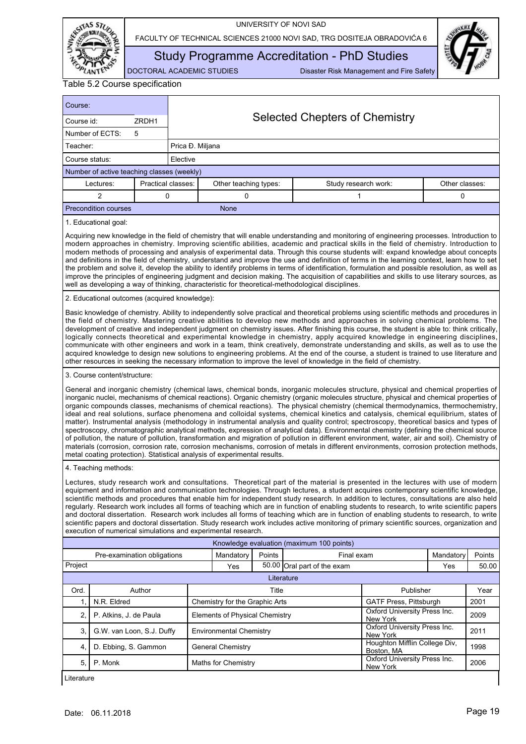

FACULTY OF TECHNICAL SCIENCES 21000 NOVI SAD, TRG DOSITEJA OBRADOVIĆA 6

Study Programme Accreditation - PhD Studies

<span id="page-20-0"></span>DOCTORAL ACADEMIC STUDIES Disaster Risk Management and Fire Safety

Table 5.2 Course specification

| Course:        |                                               |                    |                                                                                                                                                                                                                                                                                                                                                                                                                                                                                                                                                                                                                                                                                                                                                                                                                                                                                                                                                                   |                                                                          |        |                                                                                                                                                                                                                                                                                                                                                                                                                                                                                                                                                                                                                                                                                                                                                                                                                                                                                                                                                                                                                                                                                                                                             |            |                |        |
|----------------|-----------------------------------------------|--------------------|-------------------------------------------------------------------------------------------------------------------------------------------------------------------------------------------------------------------------------------------------------------------------------------------------------------------------------------------------------------------------------------------------------------------------------------------------------------------------------------------------------------------------------------------------------------------------------------------------------------------------------------------------------------------------------------------------------------------------------------------------------------------------------------------------------------------------------------------------------------------------------------------------------------------------------------------------------------------|--------------------------------------------------------------------------|--------|---------------------------------------------------------------------------------------------------------------------------------------------------------------------------------------------------------------------------------------------------------------------------------------------------------------------------------------------------------------------------------------------------------------------------------------------------------------------------------------------------------------------------------------------------------------------------------------------------------------------------------------------------------------------------------------------------------------------------------------------------------------------------------------------------------------------------------------------------------------------------------------------------------------------------------------------------------------------------------------------------------------------------------------------------------------------------------------------------------------------------------------------|------------|----------------|--------|
| Course id:     |                                               | ZRDH1              |                                                                                                                                                                                                                                                                                                                                                                                                                                                                                                                                                                                                                                                                                                                                                                                                                                                                                                                                                                   |                                                                          |        | <b>Selected Chepters of Chemistry</b>                                                                                                                                                                                                                                                                                                                                                                                                                                                                                                                                                                                                                                                                                                                                                                                                                                                                                                                                                                                                                                                                                                       |            |                |        |
|                | Number of ECTS:                               | 5                  |                                                                                                                                                                                                                                                                                                                                                                                                                                                                                                                                                                                                                                                                                                                                                                                                                                                                                                                                                                   |                                                                          |        |                                                                                                                                                                                                                                                                                                                                                                                                                                                                                                                                                                                                                                                                                                                                                                                                                                                                                                                                                                                                                                                                                                                                             |            |                |        |
| Teacher:       |                                               |                    | Prica Đ. Miljana                                                                                                                                                                                                                                                                                                                                                                                                                                                                                                                                                                                                                                                                                                                                                                                                                                                                                                                                                  |                                                                          |        |                                                                                                                                                                                                                                                                                                                                                                                                                                                                                                                                                                                                                                                                                                                                                                                                                                                                                                                                                                                                                                                                                                                                             |            |                |        |
| Course status: |                                               |                    | Elective                                                                                                                                                                                                                                                                                                                                                                                                                                                                                                                                                                                                                                                                                                                                                                                                                                                                                                                                                          |                                                                          |        |                                                                                                                                                                                                                                                                                                                                                                                                                                                                                                                                                                                                                                                                                                                                                                                                                                                                                                                                                                                                                                                                                                                                             |            |                |        |
|                | Number of active teaching classes (weekly)    |                    |                                                                                                                                                                                                                                                                                                                                                                                                                                                                                                                                                                                                                                                                                                                                                                                                                                                                                                                                                                   |                                                                          |        |                                                                                                                                                                                                                                                                                                                                                                                                                                                                                                                                                                                                                                                                                                                                                                                                                                                                                                                                                                                                                                                                                                                                             |            |                |        |
|                | Lectures:                                     | Practical classes: |                                                                                                                                                                                                                                                                                                                                                                                                                                                                                                                                                                                                                                                                                                                                                                                                                                                                                                                                                                   | Other teaching types:                                                    |        | Study research work:                                                                                                                                                                                                                                                                                                                                                                                                                                                                                                                                                                                                                                                                                                                                                                                                                                                                                                                                                                                                                                                                                                                        |            | Other classes: |        |
|                | $\overline{2}$                                |                    | 0                                                                                                                                                                                                                                                                                                                                                                                                                                                                                                                                                                                                                                                                                                                                                                                                                                                                                                                                                                 | $\Omega$                                                                 |        | 1                                                                                                                                                                                                                                                                                                                                                                                                                                                                                                                                                                                                                                                                                                                                                                                                                                                                                                                                                                                                                                                                                                                                           |            | $\Omega$       |        |
|                | <b>Precondition courses</b>                   |                    |                                                                                                                                                                                                                                                                                                                                                                                                                                                                                                                                                                                                                                                                                                                                                                                                                                                                                                                                                                   | None                                                                     |        |                                                                                                                                                                                                                                                                                                                                                                                                                                                                                                                                                                                                                                                                                                                                                                                                                                                                                                                                                                                                                                                                                                                                             |            |                |        |
|                | 1. Educational goal:                          |                    |                                                                                                                                                                                                                                                                                                                                                                                                                                                                                                                                                                                                                                                                                                                                                                                                                                                                                                                                                                   |                                                                          |        |                                                                                                                                                                                                                                                                                                                                                                                                                                                                                                                                                                                                                                                                                                                                                                                                                                                                                                                                                                                                                                                                                                                                             |            |                |        |
|                |                                               |                    |                                                                                                                                                                                                                                                                                                                                                                                                                                                                                                                                                                                                                                                                                                                                                                                                                                                                                                                                                                   |                                                                          |        | Acquiring new knowledge in the field of chemistry that will enable understanding and monitoring of engineering processes. Introduction to<br>modern approaches in chemistry. Improving scientific abilities, academic and practical skills in the field of chemistry. Introduction to<br>modern methods of processing and analysis of experimental data. Through this course students will: expand knowledge about concepts<br>and definitions in the field of chemistry, understand and improve the use and definition of terms in the learning context, learn how to set<br>the problem and solve it, develop the ability to identify problems in terms of identification, formulation and possible resolution, as well as<br>improve the principles of engineering judgment and decision making. The acquisition of capabilities and skills to use literary sources, as<br>well as developing a way of thinking, characteristic for theoretical-methodological disciplines.                                                                                                                                                              |            |                |        |
|                | 2. Educational outcomes (acquired knowledge): |                    |                                                                                                                                                                                                                                                                                                                                                                                                                                                                                                                                                                                                                                                                                                                                                                                                                                                                                                                                                                   |                                                                          |        |                                                                                                                                                                                                                                                                                                                                                                                                                                                                                                                                                                                                                                                                                                                                                                                                                                                                                                                                                                                                                                                                                                                                             |            |                |        |
|                |                                               |                    | Basic knowledge of chemistry. Ability to independently solve practical and theoretical problems using scientific methods and procedures in<br>the field of chemistry. Mastering creative abilities to develop new methods and approaches in solving chemical problems. The<br>development of creative and independent judgment on chemistry issues. After finishing this course, the student is able to: think critically,<br>logically connects theoretical and experimental knowledge in chemistry, apply acquired knowledge in engineering disciplines,<br>communicate with other engineers and work in a team, think creatively, demonstrate understanding and skills, as well as to use the<br>acquired knowledge to design new solutions to engineering problems. At the end of the course, a student is trained to use literature and<br>other resources in seeking the necessary information to improve the level of knowledge in the field of chemistry. |                                                                          |        |                                                                                                                                                                                                                                                                                                                                                                                                                                                                                                                                                                                                                                                                                                                                                                                                                                                                                                                                                                                                                                                                                                                                             |            |                |        |
|                | 3. Course content/structure:                  |                    |                                                                                                                                                                                                                                                                                                                                                                                                                                                                                                                                                                                                                                                                                                                                                                                                                                                                                                                                                                   |                                                                          |        |                                                                                                                                                                                                                                                                                                                                                                                                                                                                                                                                                                                                                                                                                                                                                                                                                                                                                                                                                                                                                                                                                                                                             |            |                |        |
|                |                                               |                    |                                                                                                                                                                                                                                                                                                                                                                                                                                                                                                                                                                                                                                                                                                                                                                                                                                                                                                                                                                   | metal coating protection). Statistical analysis of experimental results. |        | General and inorganic chemistry (chemical laws, chemical bonds, inorganic molecules structure, physical and chemical properties of<br>inorganic nuclei, mechanisms of chemical reactions). Organic chemistry (organic molecules structure, physical and chemical properties of<br>organic compounds classes, mechanisms of chemical reactions). The physical chemistry (chemical thermodynamics, thermochemistry,<br>ideal and real solutions, surface phenomena and colloidal systems, chemical kinetics and catalysis, chemical equilibrium, states of<br>matter). Instrumental analysis (methodology in instrumental analysis and quality control; spectroscopy, theoretical basics and types of<br>spectroscopy, chromatographic analytical methods, expression of analytical data). Environmental chemistry (defining the chemical source<br>of pollution, the nature of pollution, transformation and migration of pollution in different environment, water, air and soil). Chemistry of<br>materials (corrosion, corrosion rate, corrosion mechanisms, corrosion of metals in different environments, corrosion protection methods, |            |                |        |
|                | 4. Teaching methods:                          |                    |                                                                                                                                                                                                                                                                                                                                                                                                                                                                                                                                                                                                                                                                                                                                                                                                                                                                                                                                                                   |                                                                          |        |                                                                                                                                                                                                                                                                                                                                                                                                                                                                                                                                                                                                                                                                                                                                                                                                                                                                                                                                                                                                                                                                                                                                             |            |                |        |
|                |                                               |                    |                                                                                                                                                                                                                                                                                                                                                                                                                                                                                                                                                                                                                                                                                                                                                                                                                                                                                                                                                                   | execution of numerical simulations and experimental research.            |        | Lectures, study research work and consultations. Theoretical part of the material is presented in the lectures with use of modern<br>equipment and information and communication technologies. Through lectures, a student acquires contemporary scientific knowledge,<br>scientific methods and procedures that enable him for independent study research. In addition to lectures, consultations are also held<br>regularly. Research work includes all forms of teaching which are in function of enabling students to research, to write scientific papers<br>and doctoral dissertation. Research work includes all forms of teaching which are in function of enabling students to research, to write<br>scientific papers and doctoral dissertation. Study research work includes active monitoring of primary scientific sources, organization and                                                                                                                                                                                                                                                                                   |            |                |        |
|                |                                               |                    |                                                                                                                                                                                                                                                                                                                                                                                                                                                                                                                                                                                                                                                                                                                                                                                                                                                                                                                                                                   |                                                                          |        | Knowledge evaluation (maximum 100 points)                                                                                                                                                                                                                                                                                                                                                                                                                                                                                                                                                                                                                                                                                                                                                                                                                                                                                                                                                                                                                                                                                                   |            |                |        |
|                | Pre-examination obligations                   |                    |                                                                                                                                                                                                                                                                                                                                                                                                                                                                                                                                                                                                                                                                                                                                                                                                                                                                                                                                                                   | Mandatory                                                                | Points | Final exam                                                                                                                                                                                                                                                                                                                                                                                                                                                                                                                                                                                                                                                                                                                                                                                                                                                                                                                                                                                                                                                                                                                                  |            | Mandatory      | Points |
| Project        |                                               |                    | 50.00 Oral part of the exam<br>Yes<br>Yes                                                                                                                                                                                                                                                                                                                                                                                                                                                                                                                                                                                                                                                                                                                                                                                                                                                                                                                         |                                                                          |        |                                                                                                                                                                                                                                                                                                                                                                                                                                                                                                                                                                                                                                                                                                                                                                                                                                                                                                                                                                                                                                                                                                                                             |            |                | 50.00  |
|                |                                               |                    | Literature                                                                                                                                                                                                                                                                                                                                                                                                                                                                                                                                                                                                                                                                                                                                                                                                                                                                                                                                                        |                                                                          |        |                                                                                                                                                                                                                                                                                                                                                                                                                                                                                                                                                                                                                                                                                                                                                                                                                                                                                                                                                                                                                                                                                                                                             |            |                |        |
| Ord.           |                                               | Author             |                                                                                                                                                                                                                                                                                                                                                                                                                                                                                                                                                                                                                                                                                                                                                                                                                                                                                                                                                                   |                                                                          | Title  |                                                                                                                                                                                                                                                                                                                                                                                                                                                                                                                                                                                                                                                                                                                                                                                                                                                                                                                                                                                                                                                                                                                                             | Publisher  |                | Year   |
| $\mathbf{1}$   | N.R. Eldred                                   |                    | GATF Press, Pittsburgh<br>Chemistry for the Graphic Arts<br>Oxford University Press Inc.                                                                                                                                                                                                                                                                                                                                                                                                                                                                                                                                                                                                                                                                                                                                                                                                                                                                          |                                                                          |        |                                                                                                                                                                                                                                                                                                                                                                                                                                                                                                                                                                                                                                                                                                                                                                                                                                                                                                                                                                                                                                                                                                                                             | 2001       |                |        |
| 2.             | P. Atkins, J. de Paula                        |                    | Elements of Physical Chemistry<br>New York<br><b>Oxford University Press Inc.</b><br><b>Environmental Chemistry</b>                                                                                                                                                                                                                                                                                                                                                                                                                                                                                                                                                                                                                                                                                                                                                                                                                                               |                                                                          |        |                                                                                                                                                                                                                                                                                                                                                                                                                                                                                                                                                                                                                                                                                                                                                                                                                                                                                                                                                                                                                                                                                                                                             |            | 2009           |        |
| 3.             | G.W. van Loon, S.J. Duffy                     |                    | New York<br>Houghton Mifflin College Div,                                                                                                                                                                                                                                                                                                                                                                                                                                                                                                                                                                                                                                                                                                                                                                                                                                                                                                                         |                                                                          |        |                                                                                                                                                                                                                                                                                                                                                                                                                                                                                                                                                                                                                                                                                                                                                                                                                                                                                                                                                                                                                                                                                                                                             |            | 2011           |        |
| 4.             | D. Ebbing, S. Gammon                          |                    |                                                                                                                                                                                                                                                                                                                                                                                                                                                                                                                                                                                                                                                                                                                                                                                                                                                                                                                                                                   | General Chemistry                                                        |        |                                                                                                                                                                                                                                                                                                                                                                                                                                                                                                                                                                                                                                                                                                                                                                                                                                                                                                                                                                                                                                                                                                                                             | Boston, MA |                | 1998   |
| 5.             | P. Monk                                       |                    | Oxford University Press Inc.<br>2006<br>Maths for Chemistry<br>New York                                                                                                                                                                                                                                                                                                                                                                                                                                                                                                                                                                                                                                                                                                                                                                                                                                                                                           |                                                                          |        |                                                                                                                                                                                                                                                                                                                                                                                                                                                                                                                                                                                                                                                                                                                                                                                                                                                                                                                                                                                                                                                                                                                                             |            |                |        |

Literature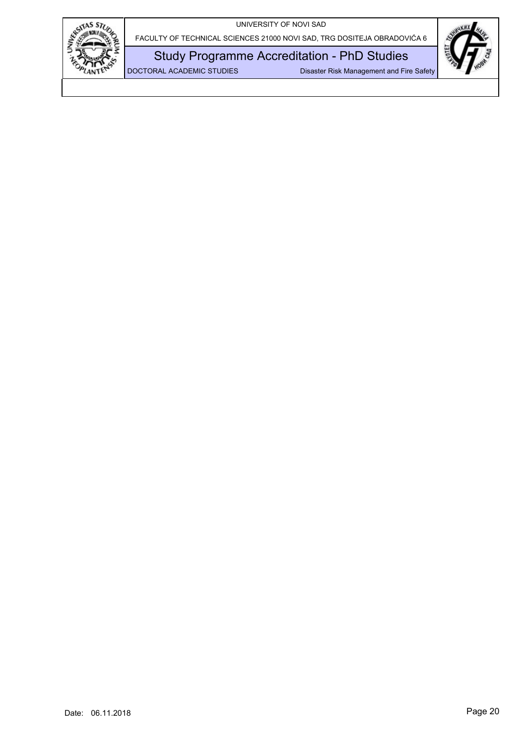

FACULTY OF TECHNICAL SCIENCES 21000 NOVI SAD, TRG DOSITEJA OBRADOVIĆA 6

Study Programme Accreditation - PhD Studies

DOCTORAL ACADEMIC STUDIES Disaster Risk Management and Fire Safety

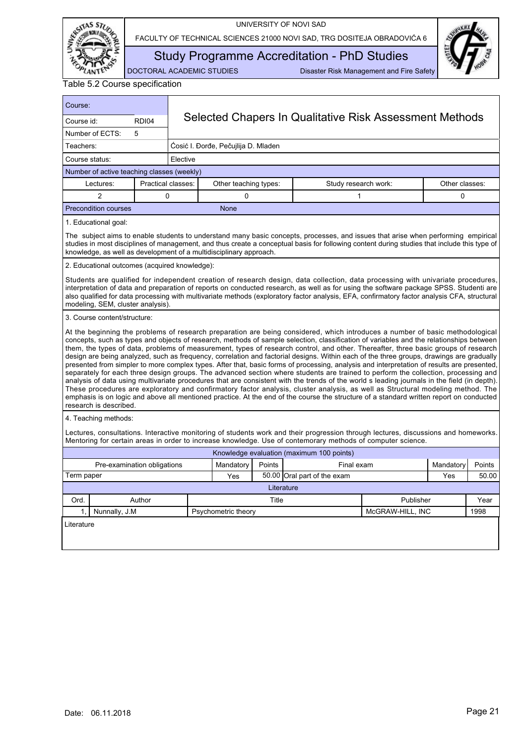

FACULTY OF TECHNICAL SCIENCES 21000 NOVI SAD, TRG DOSITEJA OBRADOVIĆA 6



Study Programme Accreditation - PhD Studies

<span id="page-22-0"></span>DOCTORAL ACADEMIC STUDIES Disaster Risk Management and Fire Safety

| Course:                                                                                 |                                                                                                                                                                                                                                                                                                                                                                                                                                                                |          |                                     |            |                                                                                                                                                                                                                                                                                                                                                                                                                                                                                                                                                                                                                                                                                                                                                                                                                                                                                                                                                                                                                                                                                                                                                                                                                                                                             |                  |                |       |  |  |
|-----------------------------------------------------------------------------------------|----------------------------------------------------------------------------------------------------------------------------------------------------------------------------------------------------------------------------------------------------------------------------------------------------------------------------------------------------------------------------------------------------------------------------------------------------------------|----------|-------------------------------------|------------|-----------------------------------------------------------------------------------------------------------------------------------------------------------------------------------------------------------------------------------------------------------------------------------------------------------------------------------------------------------------------------------------------------------------------------------------------------------------------------------------------------------------------------------------------------------------------------------------------------------------------------------------------------------------------------------------------------------------------------------------------------------------------------------------------------------------------------------------------------------------------------------------------------------------------------------------------------------------------------------------------------------------------------------------------------------------------------------------------------------------------------------------------------------------------------------------------------------------------------------------------------------------------------|------------------|----------------|-------|--|--|
| Course id:                                                                              | <b>RDI04</b>                                                                                                                                                                                                                                                                                                                                                                                                                                                   |          |                                     |            | Selected Chapers In Qualitative Risk Assessment Methods                                                                                                                                                                                                                                                                                                                                                                                                                                                                                                                                                                                                                                                                                                                                                                                                                                                                                                                                                                                                                                                                                                                                                                                                                     |                  |                |       |  |  |
| Number of ECTS:                                                                         | 5                                                                                                                                                                                                                                                                                                                                                                                                                                                              |          |                                     |            |                                                                                                                                                                                                                                                                                                                                                                                                                                                                                                                                                                                                                                                                                                                                                                                                                                                                                                                                                                                                                                                                                                                                                                                                                                                                             |                  |                |       |  |  |
| Teachers:                                                                               |                                                                                                                                                                                                                                                                                                                                                                                                                                                                |          | Cosić I. Đorđe, Pečujlija D. Mladen |            |                                                                                                                                                                                                                                                                                                                                                                                                                                                                                                                                                                                                                                                                                                                                                                                                                                                                                                                                                                                                                                                                                                                                                                                                                                                                             |                  |                |       |  |  |
| Course status:                                                                          |                                                                                                                                                                                                                                                                                                                                                                                                                                                                | Elective |                                     |            |                                                                                                                                                                                                                                                                                                                                                                                                                                                                                                                                                                                                                                                                                                                                                                                                                                                                                                                                                                                                                                                                                                                                                                                                                                                                             |                  |                |       |  |  |
| Number of active teaching classes (weekly)                                              |                                                                                                                                                                                                                                                                                                                                                                                                                                                                |          |                                     |            |                                                                                                                                                                                                                                                                                                                                                                                                                                                                                                                                                                                                                                                                                                                                                                                                                                                                                                                                                                                                                                                                                                                                                                                                                                                                             |                  |                |       |  |  |
| Lectures:                                                                               | Practical classes:                                                                                                                                                                                                                                                                                                                                                                                                                                             |          | Other teaching types:               |            | Study research work:                                                                                                                                                                                                                                                                                                                                                                                                                                                                                                                                                                                                                                                                                                                                                                                                                                                                                                                                                                                                                                                                                                                                                                                                                                                        |                  | Other classes: |       |  |  |
| $\overline{c}$                                                                          | 0                                                                                                                                                                                                                                                                                                                                                                                                                                                              |          | 0                                   |            | 1                                                                                                                                                                                                                                                                                                                                                                                                                                                                                                                                                                                                                                                                                                                                                                                                                                                                                                                                                                                                                                                                                                                                                                                                                                                                           |                  | 0              |       |  |  |
| <b>Precondition courses</b>                                                             |                                                                                                                                                                                                                                                                                                                                                                                                                                                                |          | <b>None</b>                         |            |                                                                                                                                                                                                                                                                                                                                                                                                                                                                                                                                                                                                                                                                                                                                                                                                                                                                                                                                                                                                                                                                                                                                                                                                                                                                             |                  |                |       |  |  |
| 1. Educational goal:                                                                    |                                                                                                                                                                                                                                                                                                                                                                                                                                                                |          |                                     |            |                                                                                                                                                                                                                                                                                                                                                                                                                                                                                                                                                                                                                                                                                                                                                                                                                                                                                                                                                                                                                                                                                                                                                                                                                                                                             |                  |                |       |  |  |
|                                                                                         | The subject aims to enable students to understand many basic concepts, processes, and issues that arise when performing empirical<br>studies in most disciplines of management, and thus create a conceptual basis for following content during studies that include this type of<br>knowledge, as well as development of a multidisciplinary approach.                                                                                                        |          |                                     |            |                                                                                                                                                                                                                                                                                                                                                                                                                                                                                                                                                                                                                                                                                                                                                                                                                                                                                                                                                                                                                                                                                                                                                                                                                                                                             |                  |                |       |  |  |
| 2. Educational outcomes (acquired knowledge):                                           |                                                                                                                                                                                                                                                                                                                                                                                                                                                                |          |                                     |            |                                                                                                                                                                                                                                                                                                                                                                                                                                                                                                                                                                                                                                                                                                                                                                                                                                                                                                                                                                                                                                                                                                                                                                                                                                                                             |                  |                |       |  |  |
|                                                                                         | Students are qualified for independent creation of research design, data collection, data processing with univariate procedures,<br>interpretation of data and preparation of reports on conducted research, as well as for using the software package SPSS. Studenti are<br>also qualified for data processing with multivariate methods (exploratory factor analysis, EFA, confirmatory factor analysis CFA, structural<br>modeling, SEM, cluster analysis). |          |                                     |            |                                                                                                                                                                                                                                                                                                                                                                                                                                                                                                                                                                                                                                                                                                                                                                                                                                                                                                                                                                                                                                                                                                                                                                                                                                                                             |                  |                |       |  |  |
| 3. Course content/structure:                                                            |                                                                                                                                                                                                                                                                                                                                                                                                                                                                |          |                                     |            |                                                                                                                                                                                                                                                                                                                                                                                                                                                                                                                                                                                                                                                                                                                                                                                                                                                                                                                                                                                                                                                                                                                                                                                                                                                                             |                  |                |       |  |  |
| research is described.                                                                  |                                                                                                                                                                                                                                                                                                                                                                                                                                                                |          |                                     |            | At the beginning the problems of research preparation are being considered, which introduces a number of basic methodological<br>concepts, such as types and objects of research, methods of sample selection, classification of variables and the relationships between<br>them, the types of data, problems of measurement, types of research control, and other. Thereafter, three basic groups of research<br>design are being analyzed, such as frequency, correlation and factorial designs. Within each of the three groups, drawings are gradually<br>presented from simpler to more complex types. After that, basic forms of processing, analysis and interpretation of results are presented,<br>separately for each three design groups. The advanced section where students are trained to perform the collection, processing and<br>analysis of data using multivariate procedures that are consistent with the trends of the world s leading journals in the field (in depth).<br>These procedures are exploratory and confirmatory factor analysis, cluster analysis, as well as Structural modeling method. The<br>emphasis is on logic and above all mentioned practice. At the end of the course the structure of a standard written report on conducted |                  |                |       |  |  |
| 4. Teaching methods:                                                                    |                                                                                                                                                                                                                                                                                                                                                                                                                                                                |          |                                     |            |                                                                                                                                                                                                                                                                                                                                                                                                                                                                                                                                                                                                                                                                                                                                                                                                                                                                                                                                                                                                                                                                                                                                                                                                                                                                             |                  |                |       |  |  |
|                                                                                         |                                                                                                                                                                                                                                                                                                                                                                                                                                                                |          |                                     |            | Lectures, consultations. Interactive monitoring of students work and their progression through lectures, discussions and homeworks.<br>Mentoring for certain areas in order to increase knowledge. Use of contemorary methods of computer science.                                                                                                                                                                                                                                                                                                                                                                                                                                                                                                                                                                                                                                                                                                                                                                                                                                                                                                                                                                                                                          |                  |                |       |  |  |
|                                                                                         |                                                                                                                                                                                                                                                                                                                                                                                                                                                                |          |                                     |            | Knowledge evaluation (maximum 100 points)                                                                                                                                                                                                                                                                                                                                                                                                                                                                                                                                                                                                                                                                                                                                                                                                                                                                                                                                                                                                                                                                                                                                                                                                                                   |                  |                |       |  |  |
| Pre-examination obligations<br>Mandatory<br>Points<br>Final exam<br>Mandatory<br>Points |                                                                                                                                                                                                                                                                                                                                                                                                                                                                |          |                                     |            |                                                                                                                                                                                                                                                                                                                                                                                                                                                                                                                                                                                                                                                                                                                                                                                                                                                                                                                                                                                                                                                                                                                                                                                                                                                                             |                  |                |       |  |  |
| Term paper                                                                              |                                                                                                                                                                                                                                                                                                                                                                                                                                                                |          | Yes                                 |            | 50.00 Oral part of the exam                                                                                                                                                                                                                                                                                                                                                                                                                                                                                                                                                                                                                                                                                                                                                                                                                                                                                                                                                                                                                                                                                                                                                                                                                                                 |                  | Yes            | 50.00 |  |  |
|                                                                                         |                                                                                                                                                                                                                                                                                                                                                                                                                                                                |          |                                     | Literature |                                                                                                                                                                                                                                                                                                                                                                                                                                                                                                                                                                                                                                                                                                                                                                                                                                                                                                                                                                                                                                                                                                                                                                                                                                                                             |                  |                |       |  |  |
| Ord.                                                                                    | Author                                                                                                                                                                                                                                                                                                                                                                                                                                                         |          |                                     | Title      |                                                                                                                                                                                                                                                                                                                                                                                                                                                                                                                                                                                                                                                                                                                                                                                                                                                                                                                                                                                                                                                                                                                                                                                                                                                                             | Publisher        |                | Year  |  |  |
| 1.<br>Nunnally, J.M.                                                                    |                                                                                                                                                                                                                                                                                                                                                                                                                                                                |          | Psychometric theory                 |            |                                                                                                                                                                                                                                                                                                                                                                                                                                                                                                                                                                                                                                                                                                                                                                                                                                                                                                                                                                                                                                                                                                                                                                                                                                                                             | McGRAW-HILL, INC |                | 1998  |  |  |
| Literature                                                                              |                                                                                                                                                                                                                                                                                                                                                                                                                                                                |          |                                     |            |                                                                                                                                                                                                                                                                                                                                                                                                                                                                                                                                                                                                                                                                                                                                                                                                                                                                                                                                                                                                                                                                                                                                                                                                                                                                             |                  |                |       |  |  |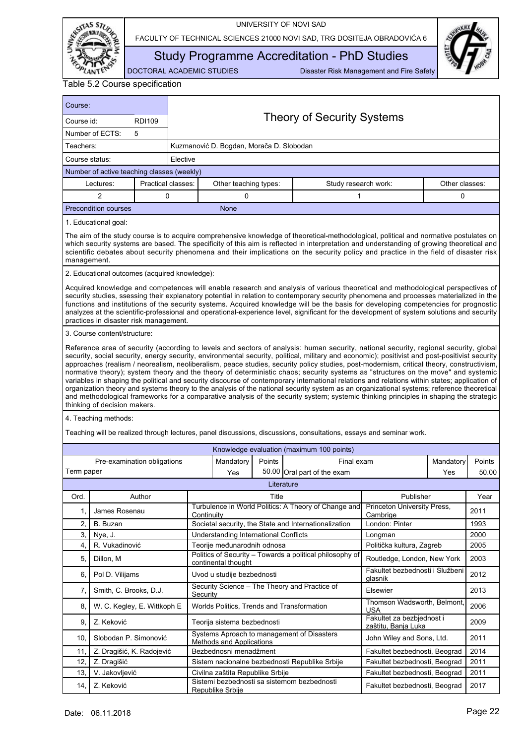

Г

<span id="page-23-0"></span>UNIVERSITY OF NOVI SAD

FACULTY OF TECHNICAL SCIENCES 21000 NOVI SAD, TRG DOSITEJA OBRADOVIĆA 6



Study Programme Accreditation - PhD Studies

DOCTORAL ACADEMIC STUDIES Disaster Risk Management and Fire Safety

| Course:        |                                                                                                                                                                                                                                                                                                                                                                                                                                                                                                                                                                                                                                                                                                                                                                                                                                                                                                                                                                                                                                                    |               |                                                                                                     |                                            |                                    |                                                                                                                                                                                                                                                                                                                                                                                                                                                                                                                                                                |                                                                |                |              |  |  |
|----------------|----------------------------------------------------------------------------------------------------------------------------------------------------------------------------------------------------------------------------------------------------------------------------------------------------------------------------------------------------------------------------------------------------------------------------------------------------------------------------------------------------------------------------------------------------------------------------------------------------------------------------------------------------------------------------------------------------------------------------------------------------------------------------------------------------------------------------------------------------------------------------------------------------------------------------------------------------------------------------------------------------------------------------------------------------|---------------|-----------------------------------------------------------------------------------------------------|--------------------------------------------|------------------------------------|----------------------------------------------------------------------------------------------------------------------------------------------------------------------------------------------------------------------------------------------------------------------------------------------------------------------------------------------------------------------------------------------------------------------------------------------------------------------------------------------------------------------------------------------------------------|----------------------------------------------------------------|----------------|--------------|--|--|
| Course id:     |                                                                                                                                                                                                                                                                                                                                                                                                                                                                                                                                                                                                                                                                                                                                                                                                                                                                                                                                                                                                                                                    | <b>RDI109</b> |                                                                                                     |                                            |                                    | <b>Theory of Security Systems</b>                                                                                                                                                                                                                                                                                                                                                                                                                                                                                                                              |                                                                |                |              |  |  |
|                | Number of ECTS:                                                                                                                                                                                                                                                                                                                                                                                                                                                                                                                                                                                                                                                                                                                                                                                                                                                                                                                                                                                                                                    | 5             |                                                                                                     |                                            |                                    |                                                                                                                                                                                                                                                                                                                                                                                                                                                                                                                                                                |                                                                |                |              |  |  |
| Teachers:      |                                                                                                                                                                                                                                                                                                                                                                                                                                                                                                                                                                                                                                                                                                                                                                                                                                                                                                                                                                                                                                                    |               |                                                                                                     | Kuzmanović D. Bogdan, Morača D. Slobodan   |                                    |                                                                                                                                                                                                                                                                                                                                                                                                                                                                                                                                                                |                                                                |                |              |  |  |
| Course status: |                                                                                                                                                                                                                                                                                                                                                                                                                                                                                                                                                                                                                                                                                                                                                                                                                                                                                                                                                                                                                                                    |               | Elective                                                                                            |                                            |                                    |                                                                                                                                                                                                                                                                                                                                                                                                                                                                                                                                                                |                                                                |                |              |  |  |
|                | Number of active teaching classes (weekly)                                                                                                                                                                                                                                                                                                                                                                                                                                                                                                                                                                                                                                                                                                                                                                                                                                                                                                                                                                                                         |               |                                                                                                     |                                            |                                    |                                                                                                                                                                                                                                                                                                                                                                                                                                                                                                                                                                |                                                                |                |              |  |  |
|                | Lectures:                                                                                                                                                                                                                                                                                                                                                                                                                                                                                                                                                                                                                                                                                                                                                                                                                                                                                                                                                                                                                                          |               | Practical classes:                                                                                  | Other teaching types:                      |                                    | Study research work:                                                                                                                                                                                                                                                                                                                                                                                                                                                                                                                                           |                                                                | Other classes: |              |  |  |
|                | 2                                                                                                                                                                                                                                                                                                                                                                                                                                                                                                                                                                                                                                                                                                                                                                                                                                                                                                                                                                                                                                                  |               | 0                                                                                                   | 0                                          |                                    | 1                                                                                                                                                                                                                                                                                                                                                                                                                                                                                                                                                              |                                                                | 0              |              |  |  |
|                | <b>Precondition courses</b>                                                                                                                                                                                                                                                                                                                                                                                                                                                                                                                                                                                                                                                                                                                                                                                                                                                                                                                                                                                                                        |               |                                                                                                     | None                                       |                                    |                                                                                                                                                                                                                                                                                                                                                                                                                                                                                                                                                                |                                                                |                |              |  |  |
|                | 1. Educational goal:                                                                                                                                                                                                                                                                                                                                                                                                                                                                                                                                                                                                                                                                                                                                                                                                                                                                                                                                                                                                                               |               |                                                                                                     |                                            |                                    |                                                                                                                                                                                                                                                                                                                                                                                                                                                                                                                                                                |                                                                |                |              |  |  |
| management.    |                                                                                                                                                                                                                                                                                                                                                                                                                                                                                                                                                                                                                                                                                                                                                                                                                                                                                                                                                                                                                                                    |               |                                                                                                     |                                            |                                    | The aim of the study course is to acquire comprehensive knowledge of theoretical-methodological, political and normative postulates on<br>which security systems are based. The specificity of this aim is reflected in interpretation and understanding of growing theoretical and<br>scientific debates about security phenomena and their implications on the security policy and practice in the field of disaster risk                                                                                                                                    |                                                                |                |              |  |  |
|                | 2. Educational outcomes (acquired knowledge):                                                                                                                                                                                                                                                                                                                                                                                                                                                                                                                                                                                                                                                                                                                                                                                                                                                                                                                                                                                                      |               |                                                                                                     |                                            |                                    |                                                                                                                                                                                                                                                                                                                                                                                                                                                                                                                                                                |                                                                |                |              |  |  |
|                | practices in disaster risk management.                                                                                                                                                                                                                                                                                                                                                                                                                                                                                                                                                                                                                                                                                                                                                                                                                                                                                                                                                                                                             |               |                                                                                                     |                                            |                                    | Acquired knowledge and competences will enable research and analysis of various theoretical and methodological perspectives of<br>security studies, ssessing their explanatory potential in relation to contemporary security phenomena and processes materialized in the<br>functions and institutions of the security systems. Acquired knowledge will be the basis for developing competencies for prognostic<br>analyzes at the scientific-professional and operational-experience level, significant for the development of system solutions and security |                                                                |                |              |  |  |
|                | 3. Course content/structure:                                                                                                                                                                                                                                                                                                                                                                                                                                                                                                                                                                                                                                                                                                                                                                                                                                                                                                                                                                                                                       |               |                                                                                                     |                                            |                                    |                                                                                                                                                                                                                                                                                                                                                                                                                                                                                                                                                                |                                                                |                |              |  |  |
|                | Reference area of security (according to levels and sectors of analysis: human security, national security, regional security, global<br>security, social security, energy security, environmental security, political, military and economic); positivist and post-positivist security<br>approaches (realism / neorealism, neoliberalism, peace studies, security policy studies, post-modernism, critical theory, constructivism,<br>normative theory); system theory and the theory of deterministic chaos; security systems as "structures on the move" and systemic<br>variables in shaping the political and security discourse of contemporary international relations and relations within states; application of<br>organization theory and systems theory to the analysis of the national security system as an organizational systems; reference theoretical<br>and methodological frameworks for a comparative analysis of the security system; systemic thinking principles in shaping the strategic<br>thinking of decision makers. |               |                                                                                                     |                                            |                                    |                                                                                                                                                                                                                                                                                                                                                                                                                                                                                                                                                                |                                                                |                |              |  |  |
|                | 4. Teaching methods:                                                                                                                                                                                                                                                                                                                                                                                                                                                                                                                                                                                                                                                                                                                                                                                                                                                                                                                                                                                                                               |               |                                                                                                     |                                            |                                    |                                                                                                                                                                                                                                                                                                                                                                                                                                                                                                                                                                |                                                                |                |              |  |  |
|                |                                                                                                                                                                                                                                                                                                                                                                                                                                                                                                                                                                                                                                                                                                                                                                                                                                                                                                                                                                                                                                                    |               |                                                                                                     |                                            |                                    | Teaching will be realized through lectures, panel discussions, discussions, consultations, essays and seminar work.                                                                                                                                                                                                                                                                                                                                                                                                                                            |                                                                |                |              |  |  |
|                |                                                                                                                                                                                                                                                                                                                                                                                                                                                                                                                                                                                                                                                                                                                                                                                                                                                                                                                                                                                                                                                    |               |                                                                                                     |                                            |                                    | Knowledge evaluation (maximum 100 points)                                                                                                                                                                                                                                                                                                                                                                                                                                                                                                                      |                                                                |                |              |  |  |
|                | Pre-examination obligations                                                                                                                                                                                                                                                                                                                                                                                                                                                                                                                                                                                                                                                                                                                                                                                                                                                                                                                                                                                                                        |               |                                                                                                     | Mandatory                                  | Points                             | Final exam                                                                                                                                                                                                                                                                                                                                                                                                                                                                                                                                                     |                                                                | Mandatory      | Points       |  |  |
| Term paper     |                                                                                                                                                                                                                                                                                                                                                                                                                                                                                                                                                                                                                                                                                                                                                                                                                                                                                                                                                                                                                                                    |               |                                                                                                     | Yes                                        | 50.00                              | Oral part of the exam                                                                                                                                                                                                                                                                                                                                                                                                                                                                                                                                          |                                                                | Yes            | 50.00        |  |  |
|                |                                                                                                                                                                                                                                                                                                                                                                                                                                                                                                                                                                                                                                                                                                                                                                                                                                                                                                                                                                                                                                                    |               |                                                                                                     |                                            | Literature                         |                                                                                                                                                                                                                                                                                                                                                                                                                                                                                                                                                                |                                                                |                |              |  |  |
| Ord.           |                                                                                                                                                                                                                                                                                                                                                                                                                                                                                                                                                                                                                                                                                                                                                                                                                                                                                                                                                                                                                                                    | Author        |                                                                                                     |                                            | Title                              |                                                                                                                                                                                                                                                                                                                                                                                                                                                                                                                                                                | Publisher                                                      |                | Year         |  |  |
| 1.             | James Rosenau                                                                                                                                                                                                                                                                                                                                                                                                                                                                                                                                                                                                                                                                                                                                                                                                                                                                                                                                                                                                                                      |               |                                                                                                     |                                            |                                    | Turbulence in World Politics: A Theory of Change and                                                                                                                                                                                                                                                                                                                                                                                                                                                                                                           | Princeton University Press,                                    |                | 2011         |  |  |
| 2,             | B. Buzan                                                                                                                                                                                                                                                                                                                                                                                                                                                                                                                                                                                                                                                                                                                                                                                                                                                                                                                                                                                                                                           |               |                                                                                                     | Continuity                                 |                                    | Societal security, the State and Internationalization                                                                                                                                                                                                                                                                                                                                                                                                                                                                                                          | Cambrige<br>London: Pinter                                     |                | 1993         |  |  |
| 3.             | Nye, J.                                                                                                                                                                                                                                                                                                                                                                                                                                                                                                                                                                                                                                                                                                                                                                                                                                                                                                                                                                                                                                            |               |                                                                                                     | Understanding International Conflicts      |                                    |                                                                                                                                                                                                                                                                                                                                                                                                                                                                                                                                                                | Longman                                                        |                | 2000         |  |  |
| 4.             | R. Vukadinović                                                                                                                                                                                                                                                                                                                                                                                                                                                                                                                                                                                                                                                                                                                                                                                                                                                                                                                                                                                                                                     |               |                                                                                                     | Teorije međunarodnih odnosa                |                                    |                                                                                                                                                                                                                                                                                                                                                                                                                                                                                                                                                                | Politička kultura, Zagreb                                      |                | 2005         |  |  |
| 5              | Dillon, M                                                                                                                                                                                                                                                                                                                                                                                                                                                                                                                                                                                                                                                                                                                                                                                                                                                                                                                                                                                                                                          |               |                                                                                                     | continental thought                        |                                    | Politics of Security - Towards a political philosophy of                                                                                                                                                                                                                                                                                                                                                                                                                                                                                                       | Routledge, London, New York                                    |                | 2003         |  |  |
| 6.             | Pol D. Vilijams                                                                                                                                                                                                                                                                                                                                                                                                                                                                                                                                                                                                                                                                                                                                                                                                                                                                                                                                                                                                                                    |               |                                                                                                     | Uvod u studije bezbednosti                 |                                    |                                                                                                                                                                                                                                                                                                                                                                                                                                                                                                                                                                | Fakultet bezbednosti i Službeni<br>glasnik                     |                | 2012         |  |  |
| 7,             | Smith, C. Brooks, D.J.                                                                                                                                                                                                                                                                                                                                                                                                                                                                                                                                                                                                                                                                                                                                                                                                                                                                                                                                                                                                                             |               |                                                                                                     | Security                                   |                                    | Security Science - The Theory and Practice of                                                                                                                                                                                                                                                                                                                                                                                                                                                                                                                  | Elsewier                                                       |                | 2013         |  |  |
| 8.             | W. C. Kegley, E. Wittkoph E.                                                                                                                                                                                                                                                                                                                                                                                                                                                                                                                                                                                                                                                                                                                                                                                                                                                                                                                                                                                                                       |               |                                                                                                     | Worlds Politics, Trends and Transformation | Thomson Wadsworth, Belmont,<br>USA |                                                                                                                                                                                                                                                                                                                                                                                                                                                                                                                                                                | 2006                                                           |                |              |  |  |
| 9.             | Z. Keković                                                                                                                                                                                                                                                                                                                                                                                                                                                                                                                                                                                                                                                                                                                                                                                                                                                                                                                                                                                                                                         |               | Fakultet za bezbjednost i<br>Teorija sistema bezbednosti<br>zaštitu, Banja Luka                     |                                            |                                    |                                                                                                                                                                                                                                                                                                                                                                                                                                                                                                                                                                |                                                                | 2009           |              |  |  |
| 10.            | Slobodan P. Simonović                                                                                                                                                                                                                                                                                                                                                                                                                                                                                                                                                                                                                                                                                                                                                                                                                                                                                                                                                                                                                              |               | Systems Aproach to management of Disasters<br>John Wiley and Sons, Ltd.<br>Methods and Applications |                                            |                                    |                                                                                                                                                                                                                                                                                                                                                                                                                                                                                                                                                                |                                                                | 2011           |              |  |  |
| 11,            | Z. Dragišić, K. Radojević                                                                                                                                                                                                                                                                                                                                                                                                                                                                                                                                                                                                                                                                                                                                                                                                                                                                                                                                                                                                                          |               | Bezbednosni menadžment<br>Fakultet bezbednosti, Beograd                                             |                                            |                                    |                                                                                                                                                                                                                                                                                                                                                                                                                                                                                                                                                                |                                                                | 2014           |              |  |  |
| 12,            | Z. Dragišić<br>V. Jakovljević                                                                                                                                                                                                                                                                                                                                                                                                                                                                                                                                                                                                                                                                                                                                                                                                                                                                                                                                                                                                                      |               | Sistem nacionalne bezbednosti Republike Srbije<br>Fakultet bezbednosti, Beograd                     |                                            |                                    |                                                                                                                                                                                                                                                                                                                                                                                                                                                                                                                                                                |                                                                |                |              |  |  |
| 13,            |                                                                                                                                                                                                                                                                                                                                                                                                                                                                                                                                                                                                                                                                                                                                                                                                                                                                                                                                                                                                                                                    |               |                                                                                                     |                                            |                                    |                                                                                                                                                                                                                                                                                                                                                                                                                                                                                                                                                                |                                                                |                | 2011         |  |  |
| 14,            | Z. Keković                                                                                                                                                                                                                                                                                                                                                                                                                                                                                                                                                                                                                                                                                                                                                                                                                                                                                                                                                                                                                                         |               |                                                                                                     | Civilna zaštita Republike Srbije           |                                    | Sistemi bezbednosti sa sistemom bezbednosti                                                                                                                                                                                                                                                                                                                                                                                                                                                                                                                    | Fakultet bezbednosti, Beograd<br>Fakultet bezbednosti, Beograd |                | 2011<br>2017 |  |  |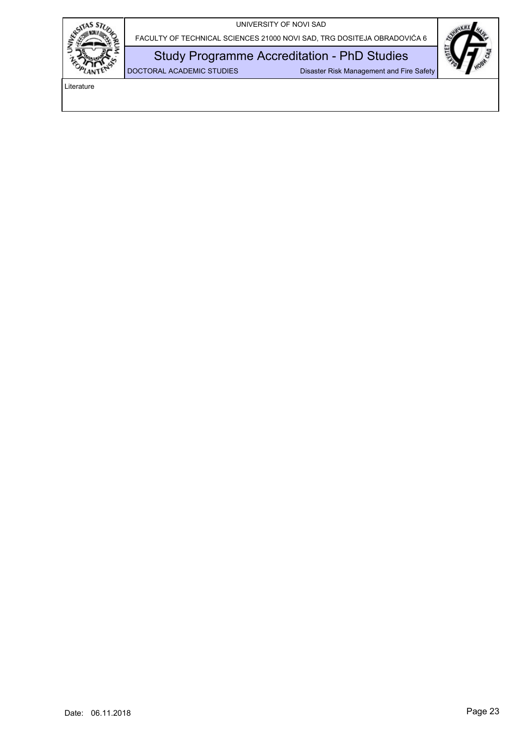

FACULTY OF TECHNICAL SCIENCES 21000 NOVI SAD, TRG DOSITEJA OBRADOVIĆA 6



Study Programme Accreditation - PhD Studies

DOCTORAL ACADEMIC STUDIES Disaster Risk Management and Fire Safety

Literature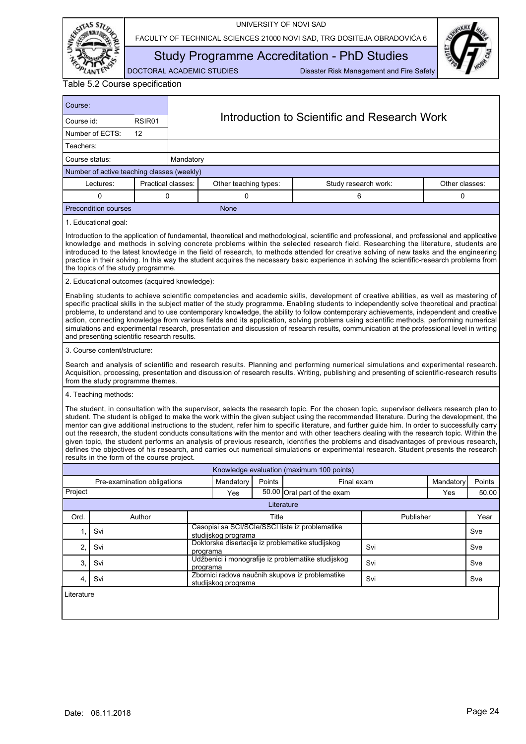

FACULTY OF TECHNICAL SCIENCES 21000 NOVI SAD, TRG DOSITEJA OBRADOVIĆA 6



Study Programme Accreditation - PhD Studies

<span id="page-25-0"></span>DOCTORAL ACADEMIC STUDIES Disaster Risk Management and Fire Safety

| Course:                                     |                                               |                    |                                                                               |                                                                        |            |                                                                                                                                                                                                                                                                                                                                                                                                                                                                                                                                                                                                                                                                                                                                                                                                                                                                    |     |                |        |  |  |  |  |
|---------------------------------------------|-----------------------------------------------|--------------------|-------------------------------------------------------------------------------|------------------------------------------------------------------------|------------|--------------------------------------------------------------------------------------------------------------------------------------------------------------------------------------------------------------------------------------------------------------------------------------------------------------------------------------------------------------------------------------------------------------------------------------------------------------------------------------------------------------------------------------------------------------------------------------------------------------------------------------------------------------------------------------------------------------------------------------------------------------------------------------------------------------------------------------------------------------------|-----|----------------|--------|--|--|--|--|
| Course id:                                  |                                               | RSIR01             |                                                                               |                                                                        |            | Introduction to Scientific and Research Work                                                                                                                                                                                                                                                                                                                                                                                                                                                                                                                                                                                                                                                                                                                                                                                                                       |     |                |        |  |  |  |  |
| Number of ECTS:                             |                                               | 12                 |                                                                               |                                                                        |            |                                                                                                                                                                                                                                                                                                                                                                                                                                                                                                                                                                                                                                                                                                                                                                                                                                                                    |     |                |        |  |  |  |  |
| Teachers:                                   |                                               |                    |                                                                               |                                                                        |            |                                                                                                                                                                                                                                                                                                                                                                                                                                                                                                                                                                                                                                                                                                                                                                                                                                                                    |     |                |        |  |  |  |  |
| Course status:                              |                                               |                    | Mandatory                                                                     |                                                                        |            |                                                                                                                                                                                                                                                                                                                                                                                                                                                                                                                                                                                                                                                                                                                                                                                                                                                                    |     |                |        |  |  |  |  |
| Number of active teaching classes (weekly)  |                                               |                    |                                                                               |                                                                        |            |                                                                                                                                                                                                                                                                                                                                                                                                                                                                                                                                                                                                                                                                                                                                                                                                                                                                    |     |                |        |  |  |  |  |
| Lectures:                                   |                                               | Practical classes: |                                                                               | Other teaching types:                                                  |            | Study research work:                                                                                                                                                                                                                                                                                                                                                                                                                                                                                                                                                                                                                                                                                                                                                                                                                                               |     | Other classes: |        |  |  |  |  |
| 0                                           |                                               | 0                  |                                                                               | 0                                                                      |            | 6                                                                                                                                                                                                                                                                                                                                                                                                                                                                                                                                                                                                                                                                                                                                                                                                                                                                  |     | 0              |        |  |  |  |  |
| <b>Precondition courses</b>                 |                                               |                    |                                                                               | None                                                                   |            |                                                                                                                                                                                                                                                                                                                                                                                                                                                                                                                                                                                                                                                                                                                                                                                                                                                                    |     |                |        |  |  |  |  |
|                                             | 1. Educational goal:                          |                    |                                                                               |                                                                        |            |                                                                                                                                                                                                                                                                                                                                                                                                                                                                                                                                                                                                                                                                                                                                                                                                                                                                    |     |                |        |  |  |  |  |
| the topics of the study programme.          |                                               |                    |                                                                               |                                                                        |            | Introduction to the application of fundamental, theoretical and methodological, scientific and professional, and professional and applicative<br>knowledge and methods in solving concrete problems within the selected research field. Researching the literature, students are<br>introduced to the latest knowledge in the field of research, to methods attended for creative solving of new tasks and the engineering<br>practice in their solving. In this way the student acquires the necessary basic experience in solving the scientific-research problems from                                                                                                                                                                                                                                                                                          |     |                |        |  |  |  |  |
|                                             | 2. Educational outcomes (acquired knowledge): |                    |                                                                               |                                                                        |            |                                                                                                                                                                                                                                                                                                                                                                                                                                                                                                                                                                                                                                                                                                                                                                                                                                                                    |     |                |        |  |  |  |  |
| and presenting scientific research results. |                                               |                    |                                                                               |                                                                        |            | Enabling students to achieve scientific competencies and academic skills, development of creative abilities, as well as mastering of<br>specific practical skills in the subject matter of the study programme. Enabling students to independently solve theoretical and practical<br>problems, to understand and to use contemporary knowledge, the ability to follow contemporary achievements, independent and creative<br>action, connecting knowledge from various fields and its application, solving problems using scientific methods, performing numerical<br>simulations and experimental research, presentation and discussion of research results, communication at the professional level in writing                                                                                                                                                  |     |                |        |  |  |  |  |
| 3. Course content/structure:                |                                               |                    |                                                                               |                                                                        |            |                                                                                                                                                                                                                                                                                                                                                                                                                                                                                                                                                                                                                                                                                                                                                                                                                                                                    |     |                |        |  |  |  |  |
| from the study programme themes.            |                                               |                    |                                                                               |                                                                        |            | Search and analysis of scientific and research results. Planning and performing numerical simulations and experimental research.<br>Acquisition, processing, presentation and discussion of research results. Writing, publishing and presenting of scientific-research results                                                                                                                                                                                                                                                                                                                                                                                                                                                                                                                                                                                    |     |                |        |  |  |  |  |
| 4. Teaching methods:                        |                                               |                    |                                                                               |                                                                        |            |                                                                                                                                                                                                                                                                                                                                                                                                                                                                                                                                                                                                                                                                                                                                                                                                                                                                    |     |                |        |  |  |  |  |
| results in the form of the course project.  |                                               |                    |                                                                               |                                                                        |            | The student, in consultation with the supervisor, selects the research topic. For the chosen topic, supervisor delivers research plan to<br>student. The student is obliged to make the work within the given subject using the recommended literature. During the development, the<br>mentor can give additional instructions to the student, refer him to specific literature, and further guide him. In order to successfully carry<br>out the research, the student conducts consultations with the mentor and with other teachers dealing with the research topic. Within the<br>given topic, the student performs an analysis of previous research, identifies the problems and disadvantages of previous research,<br>defines the objectives of his research, and carries out numerical simulations or experimental research. Student presents the research |     |                |        |  |  |  |  |
|                                             |                                               |                    |                                                                               |                                                                        |            | Knowledge evaluation (maximum 100 points)                                                                                                                                                                                                                                                                                                                                                                                                                                                                                                                                                                                                                                                                                                                                                                                                                          |     |                |        |  |  |  |  |
|                                             | Pre-examination obligations                   |                    |                                                                               | Mandatory                                                              | Points     | Final exam                                                                                                                                                                                                                                                                                                                                                                                                                                                                                                                                                                                                                                                                                                                                                                                                                                                         |     | Mandatory      | Points |  |  |  |  |
| Project                                     |                                               |                    |                                                                               | Yes                                                                    |            | 50.00 Oral part of the exam                                                                                                                                                                                                                                                                                                                                                                                                                                                                                                                                                                                                                                                                                                                                                                                                                                        |     | Yes            | 50.00  |  |  |  |  |
|                                             |                                               |                    |                                                                               |                                                                        | Literature |                                                                                                                                                                                                                                                                                                                                                                                                                                                                                                                                                                                                                                                                                                                                                                                                                                                                    |     |                |        |  |  |  |  |
| Ord.                                        |                                               | Author             | Title<br>Publisher<br>Year<br>Časopisi sa SCI/SCIe/SSCI liste iz problematike |                                                                        |            |                                                                                                                                                                                                                                                                                                                                                                                                                                                                                                                                                                                                                                                                                                                                                                                                                                                                    |     |                |        |  |  |  |  |
| Svi<br>1,                                   |                                               |                    |                                                                               | studijskog programa                                                    |            |                                                                                                                                                                                                                                                                                                                                                                                                                                                                                                                                                                                                                                                                                                                                                                                                                                                                    |     |                | Sve    |  |  |  |  |
| 2,<br>Svi                                   |                                               |                    |                                                                               | Doktorske disertacije iz problematike studijskog<br>programa           |            |                                                                                                                                                                                                                                                                                                                                                                                                                                                                                                                                                                                                                                                                                                                                                                                                                                                                    | Svi |                | Sve    |  |  |  |  |
| 3,<br>Svi                                   |                                               |                    |                                                                               | programa                                                               |            | Udžbenici i monografije iz problematike studijskog                                                                                                                                                                                                                                                                                                                                                                                                                                                                                                                                                                                                                                                                                                                                                                                                                 | Svi |                | Sve    |  |  |  |  |
| Svi<br>4,                                   |                                               |                    |                                                                               | Zbornici radova naučnih skupova iz problematike<br>studijskog programa |            |                                                                                                                                                                                                                                                                                                                                                                                                                                                                                                                                                                                                                                                                                                                                                                                                                                                                    | Svi |                | Sve    |  |  |  |  |
| Literature                                  |                                               |                    |                                                                               |                                                                        |            |                                                                                                                                                                                                                                                                                                                                                                                                                                                                                                                                                                                                                                                                                                                                                                                                                                                                    |     |                |        |  |  |  |  |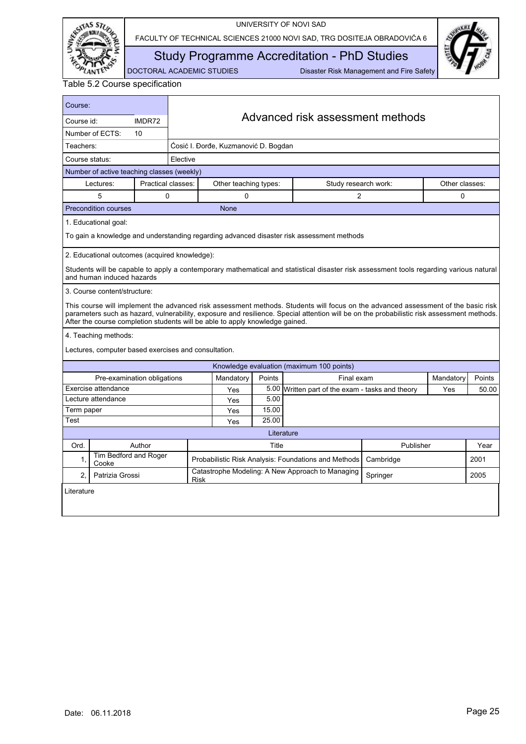

FACULTY OF TECHNICAL SCIENCES 21000 NOVI SAD, TRG DOSITEJA OBRADOVIĆA 6



Study Programme Accreditation - PhD Studies

<span id="page-26-0"></span>DOCTORAL ACADEMIC STUDIES Disaster Risk Management and Fire Safety

| Course:        |                                                                                                                                                                     |        |                            |                                      |        |                                                                                                                                                                                                                                                                                 |           |                |        |  |
|----------------|---------------------------------------------------------------------------------------------------------------------------------------------------------------------|--------|----------------------------|--------------------------------------|--------|---------------------------------------------------------------------------------------------------------------------------------------------------------------------------------------------------------------------------------------------------------------------------------|-----------|----------------|--------|--|
| Course id:     |                                                                                                                                                                     | IMDR72 |                            |                                      |        | Advanced risk assessment methods                                                                                                                                                                                                                                                |           |                |        |  |
|                | Number of ECTS:                                                                                                                                                     | 10     |                            |                                      |        |                                                                                                                                                                                                                                                                                 |           |                |        |  |
| Teachers:      |                                                                                                                                                                     |        |                            | Ćosić I. Đorđe, Kuzmanović D. Bogdan |        |                                                                                                                                                                                                                                                                                 |           |                |        |  |
| Course status: |                                                                                                                                                                     |        | Elective                   |                                      |        |                                                                                                                                                                                                                                                                                 |           |                |        |  |
|                | Number of active teaching classes (weekly)                                                                                                                          |        |                            |                                      |        |                                                                                                                                                                                                                                                                                 |           |                |        |  |
|                | Lectures:                                                                                                                                                           |        | Practical classes:         | Other teaching types:                |        | Study research work:                                                                                                                                                                                                                                                            |           | Other classes: |        |  |
|                | 5                                                                                                                                                                   |        | 0                          | $\Omega$                             |        | $\overline{2}$                                                                                                                                                                                                                                                                  |           | $\Omega$       |        |  |
|                | <b>Precondition courses</b>                                                                                                                                         |        |                            | <b>None</b>                          |        |                                                                                                                                                                                                                                                                                 |           |                |        |  |
|                | 1. Educational goal:                                                                                                                                                |        |                            |                                      |        |                                                                                                                                                                                                                                                                                 |           |                |        |  |
|                |                                                                                                                                                                     |        |                            |                                      |        | To gain a knowledge and understanding regarding advanced disaster risk assessment methods                                                                                                                                                                                       |           |                |        |  |
|                | 2. Educational outcomes (acquired knowledge):                                                                                                                       |        |                            |                                      |        |                                                                                                                                                                                                                                                                                 |           |                |        |  |
|                | Students will be capable to apply a contemporary mathematical and statistical disaster risk assessment tools regarding various natural<br>and human induced hazards |        |                            |                                      |        |                                                                                                                                                                                                                                                                                 |           |                |        |  |
|                | 3. Course content/structure:                                                                                                                                        |        |                            |                                      |        |                                                                                                                                                                                                                                                                                 |           |                |        |  |
|                | After the course completion students will be able to apply knowledge gained.                                                                                        |        |                            |                                      |        | This course will implement the advanced risk assessment methods. Students will focus on the advanced assessment of the basic risk<br>parameters such as hazard, vulnerability, exposure and resilience. Special attention will be on the probabilistic risk assessment methods. |           |                |        |  |
|                | 4. Teaching methods:                                                                                                                                                |        |                            |                                      |        |                                                                                                                                                                                                                                                                                 |           |                |        |  |
|                | Lectures, computer based exercises and consultation.                                                                                                                |        |                            |                                      |        |                                                                                                                                                                                                                                                                                 |           |                |        |  |
|                |                                                                                                                                                                     |        |                            |                                      |        | Knowledge evaluation (maximum 100 points)                                                                                                                                                                                                                                       |           |                |        |  |
|                | Pre-examination obligations                                                                                                                                         |        |                            | Mandatory                            | Points | Final exam                                                                                                                                                                                                                                                                      |           | Mandatory      | Points |  |
|                | Exercise attendance                                                                                                                                                 |        |                            | Yes                                  | 5.00   | Written part of the exam - tasks and theory                                                                                                                                                                                                                                     |           | Yes            | 50.00  |  |
|                | Lecture attendance                                                                                                                                                  |        |                            | Yes                                  | 5.00   |                                                                                                                                                                                                                                                                                 |           |                |        |  |
| Term paper     |                                                                                                                                                                     |        |                            | Yes                                  | 15.00  |                                                                                                                                                                                                                                                                                 |           |                |        |  |
| Test           |                                                                                                                                                                     |        |                            | Yes                                  | 25.00  |                                                                                                                                                                                                                                                                                 |           |                |        |  |
|                |                                                                                                                                                                     |        |                            |                                      |        | Literature                                                                                                                                                                                                                                                                      |           |                |        |  |
| Ord.           | Tim Bedford and Roger                                                                                                                                               | Author | Title<br>Publisher<br>Year |                                      |        |                                                                                                                                                                                                                                                                                 |           |                |        |  |
| 1.             | Cooke                                                                                                                                                               |        |                            |                                      |        | Probabilistic Risk Analysis: Foundations and Methods                                                                                                                                                                                                                            | Cambridge |                | 2001   |  |
| 2.             | Patrizia Grossi                                                                                                                                                     |        | <b>Risk</b>                |                                      |        | Catastrophe Modeling: A New Approach to Managing                                                                                                                                                                                                                                | Springer  |                | 2005   |  |
| Literature     |                                                                                                                                                                     |        |                            |                                      |        |                                                                                                                                                                                                                                                                                 |           |                |        |  |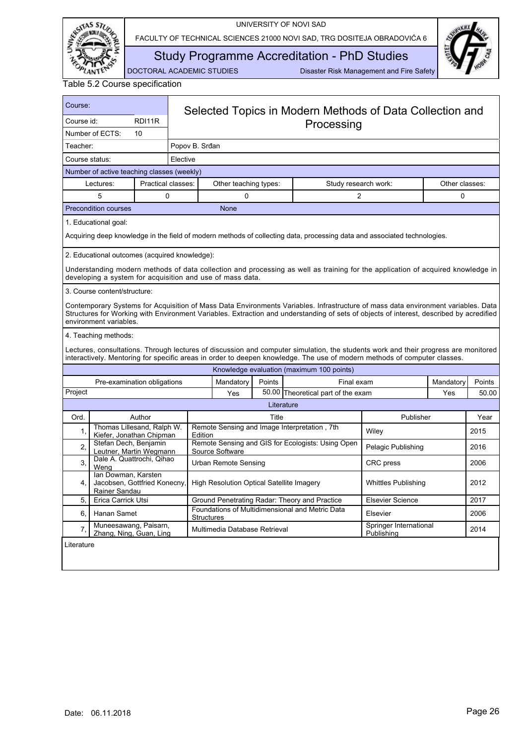

FACULTY OF TECHNICAL SCIENCES 21000 NOVI SAD, TRG DOSITEJA OBRADOVIĆA 6



Study Programme Accreditation - PhD Studies

<span id="page-27-0"></span>DOCTORAL ACADEMIC STUDIES Disaster Risk Management and Fire Safety

| Course:        |                                                                                                                                                                                                                                                                                                        |                    |                                                                                          | Selected Topics in Modern Methods of Data Collection and                         |            |                                                                                                                                                                                                                                                                 |                                      |                |        |  |  |  |  |
|----------------|--------------------------------------------------------------------------------------------------------------------------------------------------------------------------------------------------------------------------------------------------------------------------------------------------------|--------------------|------------------------------------------------------------------------------------------|----------------------------------------------------------------------------------|------------|-----------------------------------------------------------------------------------------------------------------------------------------------------------------------------------------------------------------------------------------------------------------|--------------------------------------|----------------|--------|--|--|--|--|
| Course id:     |                                                                                                                                                                                                                                                                                                        | RDI11R             |                                                                                          |                                                                                  |            | Processing                                                                                                                                                                                                                                                      |                                      |                |        |  |  |  |  |
|                | Number of ECTS:                                                                                                                                                                                                                                                                                        | 10                 |                                                                                          |                                                                                  |            |                                                                                                                                                                                                                                                                 |                                      |                |        |  |  |  |  |
| Teacher:       |                                                                                                                                                                                                                                                                                                        |                    | Popov B. Srđan                                                                           |                                                                                  |            |                                                                                                                                                                                                                                                                 |                                      |                |        |  |  |  |  |
| Course status: |                                                                                                                                                                                                                                                                                                        |                    | Elective                                                                                 |                                                                                  |            |                                                                                                                                                                                                                                                                 |                                      |                |        |  |  |  |  |
|                | Number of active teaching classes (weekly)                                                                                                                                                                                                                                                             |                    |                                                                                          |                                                                                  |            |                                                                                                                                                                                                                                                                 |                                      |                |        |  |  |  |  |
|                | Lectures:                                                                                                                                                                                                                                                                                              | Practical classes: |                                                                                          | Other teaching types:                                                            |            |                                                                                                                                                                                                                                                                 | Study research work:                 | Other classes: |        |  |  |  |  |
|                | 5                                                                                                                                                                                                                                                                                                      | 0                  |                                                                                          | 0                                                                                |            |                                                                                                                                                                                                                                                                 | 2                                    | 0              |        |  |  |  |  |
|                | <b>Precondition courses</b>                                                                                                                                                                                                                                                                            |                    |                                                                                          | <b>None</b>                                                                      |            |                                                                                                                                                                                                                                                                 |                                      |                |        |  |  |  |  |
|                | 1. Educational goal:                                                                                                                                                                                                                                                                                   |                    |                                                                                          |                                                                                  |            |                                                                                                                                                                                                                                                                 |                                      |                |        |  |  |  |  |
|                | Acquiring deep knowledge in the field of modern methods of collecting data, processing data and associated technologies.                                                                                                                                                                               |                    |                                                                                          |                                                                                  |            |                                                                                                                                                                                                                                                                 |                                      |                |        |  |  |  |  |
|                | 2. Educational outcomes (acquired knowledge):                                                                                                                                                                                                                                                          |                    |                                                                                          |                                                                                  |            |                                                                                                                                                                                                                                                                 |                                      |                |        |  |  |  |  |
|                | Understanding modern methods of data collection and processing as well as training for the application of acquired knowledge in<br>developing a system for acquisition and use of mass data.                                                                                                           |                    |                                                                                          |                                                                                  |            |                                                                                                                                                                                                                                                                 |                                      |                |        |  |  |  |  |
|                | 3. Course content/structure:                                                                                                                                                                                                                                                                           |                    |                                                                                          |                                                                                  |            |                                                                                                                                                                                                                                                                 |                                      |                |        |  |  |  |  |
|                | Contemporary Systems for Acquisition of Mass Data Environments Variables. Infrastructure of mass data environment variables. Data<br>Structures for Working with Environment Variables. Extraction and understanding of sets of objects of interest, described by acredified<br>environment variables. |                    |                                                                                          |                                                                                  |            |                                                                                                                                                                                                                                                                 |                                      |                |        |  |  |  |  |
|                | 4. Teaching methods:                                                                                                                                                                                                                                                                                   |                    |                                                                                          |                                                                                  |            |                                                                                                                                                                                                                                                                 |                                      |                |        |  |  |  |  |
|                |                                                                                                                                                                                                                                                                                                        |                    |                                                                                          |                                                                                  |            | Lectures, consultations. Through lectures of discussion and computer simulation, the students work and their progress are monitored<br>interactively. Mentoring for specific areas in order to deepen knowledge. The use of modern methods of computer classes. |                                      |                |        |  |  |  |  |
|                |                                                                                                                                                                                                                                                                                                        |                    |                                                                                          |                                                                                  |            | Knowledge evaluation (maximum 100 points)                                                                                                                                                                                                                       |                                      |                |        |  |  |  |  |
|                | Pre-examination obligations                                                                                                                                                                                                                                                                            |                    |                                                                                          | Mandatory                                                                        | Points     | Final exam                                                                                                                                                                                                                                                      |                                      | Mandatory      | Points |  |  |  |  |
| Project        |                                                                                                                                                                                                                                                                                                        |                    |                                                                                          | Yes                                                                              |            | 50.00 Theoretical part of the exam                                                                                                                                                                                                                              |                                      | Yes            | 50.00  |  |  |  |  |
|                |                                                                                                                                                                                                                                                                                                        |                    |                                                                                          |                                                                                  | Literature |                                                                                                                                                                                                                                                                 |                                      |                |        |  |  |  |  |
| Ord.           |                                                                                                                                                                                                                                                                                                        | Author             |                                                                                          |                                                                                  | Title      |                                                                                                                                                                                                                                                                 | Publisher                            |                | Year   |  |  |  |  |
| 1.             | Thomas Lillesand, Ralph W.<br>Kiefer, Jonathan Chipman                                                                                                                                                                                                                                                 |                    |                                                                                          | Edition                                                                          |            | Remote Sensing and Image Interpretation, 7th                                                                                                                                                                                                                    | Wiley                                |                | 2015   |  |  |  |  |
| 2,             | Stefan Dech, Benjamin<br>Leutner, Martin Wegmann                                                                                                                                                                                                                                                       |                    |                                                                                          | Source Software                                                                  |            | Remote Sensing and GIS for Ecologists: Using Open                                                                                                                                                                                                               | Pelagic Publishing                   |                | 2016   |  |  |  |  |
| 3.             | Dale A. Quattrochi, Qihao<br>Weng                                                                                                                                                                                                                                                                      |                    |                                                                                          | <b>Urban Remote Sensing</b>                                                      |            |                                                                                                                                                                                                                                                                 | CRC press                            |                | 2006   |  |  |  |  |
| 4.             | Ian Dowman, Karsten<br>Jacobsen, Gottfried Konecny,<br>Rainer Sandau                                                                                                                                                                                                                                   |                    |                                                                                          | 2012<br>High Resolution Optical Satellite Imagery<br><b>Whittles Publishing</b>  |            |                                                                                                                                                                                                                                                                 |                                      |                |        |  |  |  |  |
| 5,             | Erica Carrick Utsi                                                                                                                                                                                                                                                                                     |                    |                                                                                          | Ground Penetrating Radar: Theory and Practice<br><b>Elsevier Science</b><br>2017 |            |                                                                                                                                                                                                                                                                 |                                      |                |        |  |  |  |  |
| 6,             | Hanan Samet                                                                                                                                                                                                                                                                                            |                    | Foundations of Multidimensional and Metric Data<br>Elsevier<br>2006<br><b>Structures</b> |                                                                                  |            |                                                                                                                                                                                                                                                                 |                                      |                |        |  |  |  |  |
| 7,             | Muneesawang, Paisarn,<br>Zhang, Ning, Guan, Ling                                                                                                                                                                                                                                                       |                    |                                                                                          | Multimedia Database Retrieval                                                    |            |                                                                                                                                                                                                                                                                 | Springer International<br>Publishing |                | 2014   |  |  |  |  |
| Literature     |                                                                                                                                                                                                                                                                                                        |                    |                                                                                          |                                                                                  |            |                                                                                                                                                                                                                                                                 |                                      |                |        |  |  |  |  |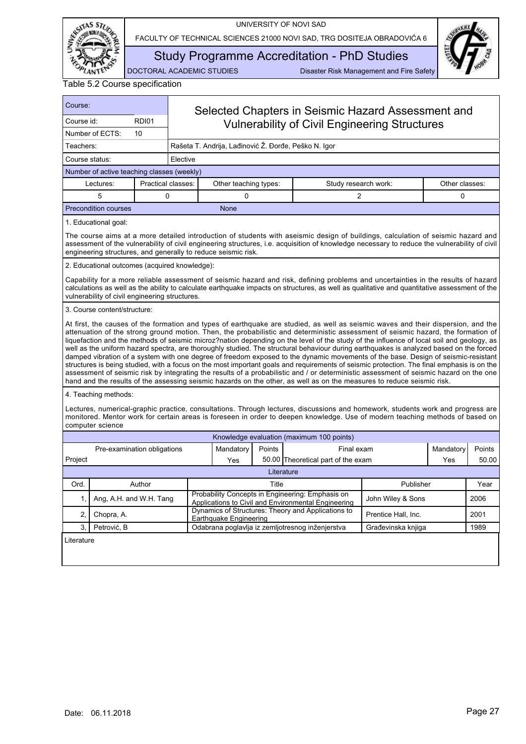

FACULTY OF TECHNICAL SCIENCES 21000 NOVI SAD, TRG DOSITEJA OBRADOVIĆA 6



Study Programme Accreditation - PhD Studies

<span id="page-28-0"></span>DOCTORAL ACADEMIC STUDIES Disaster Risk Management and Fire Safety

| Course:        |                                                                                                                                                                                                                                                                                                                                                    |                    |                                                                                                                                      | Selected Chapters in Seismic Hazard Assessment and |        |                                                                                                                                                                                                                                                                                                                                                                                                                                                                                                                                                                                                                                                                                                                                                                                                                                                                                                                                                                                                                                                                                                                       |                     |                |        |  |  |
|----------------|----------------------------------------------------------------------------------------------------------------------------------------------------------------------------------------------------------------------------------------------------------------------------------------------------------------------------------------------------|--------------------|--------------------------------------------------------------------------------------------------------------------------------------|----------------------------------------------------|--------|-----------------------------------------------------------------------------------------------------------------------------------------------------------------------------------------------------------------------------------------------------------------------------------------------------------------------------------------------------------------------------------------------------------------------------------------------------------------------------------------------------------------------------------------------------------------------------------------------------------------------------------------------------------------------------------------------------------------------------------------------------------------------------------------------------------------------------------------------------------------------------------------------------------------------------------------------------------------------------------------------------------------------------------------------------------------------------------------------------------------------|---------------------|----------------|--------|--|--|
| Course id:     |                                                                                                                                                                                                                                                                                                                                                    | <b>RDI01</b>       |                                                                                                                                      |                                                    |        | <b>Vulnerability of Civil Engineering Structures</b>                                                                                                                                                                                                                                                                                                                                                                                                                                                                                                                                                                                                                                                                                                                                                                                                                                                                                                                                                                                                                                                                  |                     |                |        |  |  |
|                | Number of ECTS:                                                                                                                                                                                                                                                                                                                                    | 10                 |                                                                                                                                      |                                                    |        |                                                                                                                                                                                                                                                                                                                                                                                                                                                                                                                                                                                                                                                                                                                                                                                                                                                                                                                                                                                                                                                                                                                       |                     |                |        |  |  |
| Teachers:      |                                                                                                                                                                                                                                                                                                                                                    |                    |                                                                                                                                      |                                                    |        | Rašeta T. Andrija, Lađinović Ž. Đorđe, Peško N. Igor                                                                                                                                                                                                                                                                                                                                                                                                                                                                                                                                                                                                                                                                                                                                                                                                                                                                                                                                                                                                                                                                  |                     |                |        |  |  |
| Course status: |                                                                                                                                                                                                                                                                                                                                                    |                    | Elective                                                                                                                             |                                                    |        |                                                                                                                                                                                                                                                                                                                                                                                                                                                                                                                                                                                                                                                                                                                                                                                                                                                                                                                                                                                                                                                                                                                       |                     |                |        |  |  |
|                | Number of active teaching classes (weekly)                                                                                                                                                                                                                                                                                                         |                    |                                                                                                                                      |                                                    |        |                                                                                                                                                                                                                                                                                                                                                                                                                                                                                                                                                                                                                                                                                                                                                                                                                                                                                                                                                                                                                                                                                                                       |                     |                |        |  |  |
|                | Lectures:                                                                                                                                                                                                                                                                                                                                          | Practical classes: |                                                                                                                                      | Other teaching types:                              |        | Study research work:                                                                                                                                                                                                                                                                                                                                                                                                                                                                                                                                                                                                                                                                                                                                                                                                                                                                                                                                                                                                                                                                                                  |                     | Other classes: |        |  |  |
|                | 5                                                                                                                                                                                                                                                                                                                                                  |                    | 0                                                                                                                                    | $\Omega$                                           |        | $\overline{c}$                                                                                                                                                                                                                                                                                                                                                                                                                                                                                                                                                                                                                                                                                                                                                                                                                                                                                                                                                                                                                                                                                                        |                     | 0              |        |  |  |
|                | <b>Precondition courses</b>                                                                                                                                                                                                                                                                                                                        |                    |                                                                                                                                      | None                                               |        |                                                                                                                                                                                                                                                                                                                                                                                                                                                                                                                                                                                                                                                                                                                                                                                                                                                                                                                                                                                                                                                                                                                       |                     |                |        |  |  |
|                | 1. Educational goal:                                                                                                                                                                                                                                                                                                                               |                    |                                                                                                                                      |                                                    |        |                                                                                                                                                                                                                                                                                                                                                                                                                                                                                                                                                                                                                                                                                                                                                                                                                                                                                                                                                                                                                                                                                                                       |                     |                |        |  |  |
|                | The course aims at a more detailed introduction of students with aseismic design of buildings, calculation of seismic hazard and<br>assessment of the vulnerability of civil engineering structures, i.e. acquisition of knowledge necessary to reduce the vulnerability of civil<br>engineering structures, and generally to reduce seismic risk. |                    |                                                                                                                                      |                                                    |        |                                                                                                                                                                                                                                                                                                                                                                                                                                                                                                                                                                                                                                                                                                                                                                                                                                                                                                                                                                                                                                                                                                                       |                     |                |        |  |  |
|                | 2. Educational outcomes (acquired knowledge):                                                                                                                                                                                                                                                                                                      |                    |                                                                                                                                      |                                                    |        |                                                                                                                                                                                                                                                                                                                                                                                                                                                                                                                                                                                                                                                                                                                                                                                                                                                                                                                                                                                                                                                                                                                       |                     |                |        |  |  |
|                | vulnerability of civil engineering structures.                                                                                                                                                                                                                                                                                                     |                    |                                                                                                                                      |                                                    |        | Capability for a more reliable assessment of seismic hazard and risk, defining problems and uncertainties in the results of hazard<br>calculations as well as the ability to calculate earthquake impacts on structures, as well as qualitative and quantitative assessment of the                                                                                                                                                                                                                                                                                                                                                                                                                                                                                                                                                                                                                                                                                                                                                                                                                                    |                     |                |        |  |  |
|                | 3. Course content/structure:                                                                                                                                                                                                                                                                                                                       |                    |                                                                                                                                      |                                                    |        |                                                                                                                                                                                                                                                                                                                                                                                                                                                                                                                                                                                                                                                                                                                                                                                                                                                                                                                                                                                                                                                                                                                       |                     |                |        |  |  |
|                |                                                                                                                                                                                                                                                                                                                                                    |                    |                                                                                                                                      |                                                    |        | At first, the causes of the formation and types of earthquake are studied, as well as seismic waves and their dispersion, and the<br>attenuation of the strong ground motion. Then, the probabilistic and deterministic assessment of seismic hazard, the formation of<br>liquefaction and the methods of seismic microz?nation depending on the level of the study of the influence of local soil and geology, as<br>well as the uniform hazard spectra, are thoroughly studied. The structural behaviour during earthquakes is analyzed based on the forced<br>damped vibration of a system with one degree of freedom exposed to the dynamic movements of the base. Design of seismic-resistant<br>structures is being studied, with a focus on the most important goals and requirements of seismic protection. The final emphasis is on the<br>assessment of seismic risk by integrating the results of a probabilistic and / or deterministic assessment of seismic hazard on the one<br>hand and the results of the assessing seismic hazards on the other, as well as on the measures to reduce seismic risk. |                     |                |        |  |  |
|                | 4. Teaching methods:                                                                                                                                                                                                                                                                                                                               |                    |                                                                                                                                      |                                                    |        |                                                                                                                                                                                                                                                                                                                                                                                                                                                                                                                                                                                                                                                                                                                                                                                                                                                                                                                                                                                                                                                                                                                       |                     |                |        |  |  |
|                | computer science                                                                                                                                                                                                                                                                                                                                   |                    |                                                                                                                                      |                                                    |        | Lectures, numerical-graphic practice, consultations. Through lectures, discussions and homework, students work and progress are<br>monitored. Mentor work for certain areas is foreseen in order to deepen knowledge. Use of modern teaching methods of based on                                                                                                                                                                                                                                                                                                                                                                                                                                                                                                                                                                                                                                                                                                                                                                                                                                                      |                     |                |        |  |  |
|                |                                                                                                                                                                                                                                                                                                                                                    |                    |                                                                                                                                      |                                                    |        | Knowledge evaluation (maximum 100 points)                                                                                                                                                                                                                                                                                                                                                                                                                                                                                                                                                                                                                                                                                                                                                                                                                                                                                                                                                                                                                                                                             |                     |                |        |  |  |
|                | Pre-examination obligations                                                                                                                                                                                                                                                                                                                        |                    |                                                                                                                                      | Mandatory                                          | Points | Final exam                                                                                                                                                                                                                                                                                                                                                                                                                                                                                                                                                                                                                                                                                                                                                                                                                                                                                                                                                                                                                                                                                                            |                     | Mandatory      | Points |  |  |
| Project        |                                                                                                                                                                                                                                                                                                                                                    |                    |                                                                                                                                      | Yes                                                |        | 50.00 Theoretical part of the exam                                                                                                                                                                                                                                                                                                                                                                                                                                                                                                                                                                                                                                                                                                                                                                                                                                                                                                                                                                                                                                                                                    |                     | Yes            | 50.00  |  |  |
|                |                                                                                                                                                                                                                                                                                                                                                    |                    |                                                                                                                                      |                                                    |        | Literature                                                                                                                                                                                                                                                                                                                                                                                                                                                                                                                                                                                                                                                                                                                                                                                                                                                                                                                                                                                                                                                                                                            |                     |                |        |  |  |
| Ord.           |                                                                                                                                                                                                                                                                                                                                                    | Author             | Publisher<br>Title<br>Year                                                                                                           |                                                    |        |                                                                                                                                                                                                                                                                                                                                                                                                                                                                                                                                                                                                                                                                                                                                                                                                                                                                                                                                                                                                                                                                                                                       |                     |                |        |  |  |
| 1,             | Ang, A.H. and W.H. Tang                                                                                                                                                                                                                                                                                                                            |                    | Probability Concepts in Engineering: Emphasis on<br>2006<br>John Wiley & Sons<br>Applications to Civil and Environmental Engineering |                                                    |        |                                                                                                                                                                                                                                                                                                                                                                                                                                                                                                                                                                                                                                                                                                                                                                                                                                                                                                                                                                                                                                                                                                                       |                     |                |        |  |  |
| 2,             | Chopra, A.                                                                                                                                                                                                                                                                                                                                         |                    |                                                                                                                                      | Earthquake Engineering                             |        | Dynamics of Structures: Theory and Applications to                                                                                                                                                                                                                                                                                                                                                                                                                                                                                                                                                                                                                                                                                                                                                                                                                                                                                                                                                                                                                                                                    | Prentice Hall, Inc. |                | 2001   |  |  |
| 3.             | Petrović, B                                                                                                                                                                                                                                                                                                                                        |                    |                                                                                                                                      |                                                    |        | Odabrana poglavlja iz zemljotresnog inženjerstva                                                                                                                                                                                                                                                                                                                                                                                                                                                                                                                                                                                                                                                                                                                                                                                                                                                                                                                                                                                                                                                                      | Građevinska knjiga  |                | 1989   |  |  |
| Literature     |                                                                                                                                                                                                                                                                                                                                                    |                    |                                                                                                                                      |                                                    |        |                                                                                                                                                                                                                                                                                                                                                                                                                                                                                                                                                                                                                                                                                                                                                                                                                                                                                                                                                                                                                                                                                                                       |                     |                |        |  |  |
|                |                                                                                                                                                                                                                                                                                                                                                    |                    |                                                                                                                                      |                                                    |        |                                                                                                                                                                                                                                                                                                                                                                                                                                                                                                                                                                                                                                                                                                                                                                                                                                                                                                                                                                                                                                                                                                                       |                     |                |        |  |  |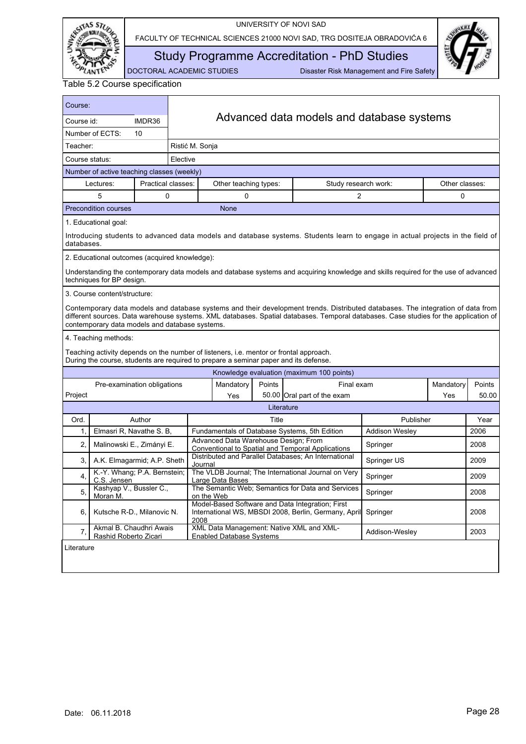

FACULTY OF TECHNICAL SCIENCES 21000 NOVI SAD, TRG DOSITEJA OBRADOVIĆA 6



Study Programme Accreditation - PhD Studies

<span id="page-29-0"></span>DOCTORAL ACADEMIC STUDIES Disaster Risk Management and Fire Safety

| Course:        |                                                                                                                                                                                                                                                                                                                           |                    |                 |                                                                                                                                                                                |            |                                                                                                          |                       |                |        |  |  |  |
|----------------|---------------------------------------------------------------------------------------------------------------------------------------------------------------------------------------------------------------------------------------------------------------------------------------------------------------------------|--------------------|-----------------|--------------------------------------------------------------------------------------------------------------------------------------------------------------------------------|------------|----------------------------------------------------------------------------------------------------------|-----------------------|----------------|--------|--|--|--|
| Course id:     |                                                                                                                                                                                                                                                                                                                           | IMDR36             |                 |                                                                                                                                                                                |            | Advanced data models and database systems                                                                |                       |                |        |  |  |  |
|                | Number of ECTS:                                                                                                                                                                                                                                                                                                           | 10                 |                 |                                                                                                                                                                                |            |                                                                                                          |                       |                |        |  |  |  |
| Teacher:       |                                                                                                                                                                                                                                                                                                                           |                    | Ristić M. Sonja |                                                                                                                                                                                |            |                                                                                                          |                       |                |        |  |  |  |
| Course status: |                                                                                                                                                                                                                                                                                                                           |                    | Elective        |                                                                                                                                                                                |            |                                                                                                          |                       |                |        |  |  |  |
|                | Number of active teaching classes (weekly)                                                                                                                                                                                                                                                                                |                    |                 |                                                                                                                                                                                |            |                                                                                                          |                       |                |        |  |  |  |
|                | Lectures:                                                                                                                                                                                                                                                                                                                 | Practical classes: |                 | Other teaching types:                                                                                                                                                          |            | Study research work:                                                                                     |                       | Other classes: |        |  |  |  |
|                | 5                                                                                                                                                                                                                                                                                                                         | 0                  |                 | 0                                                                                                                                                                              |            | 2                                                                                                        |                       | 0              |        |  |  |  |
|                | <b>Precondition courses</b>                                                                                                                                                                                                                                                                                               |                    |                 | <b>None</b>                                                                                                                                                                    |            |                                                                                                          |                       |                |        |  |  |  |
|                | 1. Educational goal:                                                                                                                                                                                                                                                                                                      |                    |                 |                                                                                                                                                                                |            |                                                                                                          |                       |                |        |  |  |  |
|                | Introducing students to advanced data models and database systems. Students learn to engage in actual projects in the field of<br>databases.                                                                                                                                                                              |                    |                 |                                                                                                                                                                                |            |                                                                                                          |                       |                |        |  |  |  |
|                | 2. Educational outcomes (acquired knowledge):                                                                                                                                                                                                                                                                             |                    |                 |                                                                                                                                                                                |            |                                                                                                          |                       |                |        |  |  |  |
|                | Understanding the contemporary data models and database systems and acquiring knowledge and skills required for the use of advanced<br>techniques for BP design.                                                                                                                                                          |                    |                 |                                                                                                                                                                                |            |                                                                                                          |                       |                |        |  |  |  |
|                | 3. Course content/structure:                                                                                                                                                                                                                                                                                              |                    |                 |                                                                                                                                                                                |            |                                                                                                          |                       |                |        |  |  |  |
|                | Contemporary data models and database systems and their development trends. Distributed databases. The integration of data from<br>different sources. Data warehouse systems. XML databases. Spatial databases. Temporal databases. Case studies for the application of<br>contemporary data models and database systems. |                    |                 |                                                                                                                                                                                |            |                                                                                                          |                       |                |        |  |  |  |
|                | 4. Teaching methods:                                                                                                                                                                                                                                                                                                      |                    |                 |                                                                                                                                                                                |            |                                                                                                          |                       |                |        |  |  |  |
|                |                                                                                                                                                                                                                                                                                                                           |                    |                 | Teaching activity depends on the number of listeners, i.e. mentor or frontal approach.<br>During the course, students are required to prepare a seminar paper and its defense. |            |                                                                                                          |                       |                |        |  |  |  |
|                |                                                                                                                                                                                                                                                                                                                           |                    |                 |                                                                                                                                                                                |            | Knowledge evaluation (maximum 100 points)                                                                |                       |                |        |  |  |  |
|                | Pre-examination obligations                                                                                                                                                                                                                                                                                               |                    |                 | Mandatory                                                                                                                                                                      | Points     | Final exam                                                                                               |                       | Mandatory      | Points |  |  |  |
| Project        |                                                                                                                                                                                                                                                                                                                           |                    |                 | Yes                                                                                                                                                                            |            | 50.00 Oral part of the exam                                                                              |                       | Yes            | 50.00  |  |  |  |
|                |                                                                                                                                                                                                                                                                                                                           |                    |                 |                                                                                                                                                                                | Literature |                                                                                                          |                       |                |        |  |  |  |
| Ord.           |                                                                                                                                                                                                                                                                                                                           | Author             |                 |                                                                                                                                                                                | Title      |                                                                                                          | Publisher             |                | Year   |  |  |  |
| 1.             | Elmasri R, Navathe S. B.                                                                                                                                                                                                                                                                                                  |                    |                 |                                                                                                                                                                                |            | Fundamentals of Database Systems, 5th Edition                                                            | <b>Addison Wesley</b> |                | 2006   |  |  |  |
| 2.             | Malinowski E., Zimányi E.                                                                                                                                                                                                                                                                                                 |                    |                 | Advanced Data Warehouse Design; From                                                                                                                                           |            | <b>Conventional to Spatial and Temporal Applications</b>                                                 | Springer              |                | 2008   |  |  |  |
| 3.             | A.K. Elmagarmid; A.P. Sheth                                                                                                                                                                                                                                                                                               |                    |                 | Journal                                                                                                                                                                        |            | Distributed and Parallel Databases; An International                                                     | Springer US           |                | 2009   |  |  |  |
| 4,             | K.-Y. Whang; P.A. Bernstein;<br>C.S. Jensen                                                                                                                                                                                                                                                                               |                    |                 | Large Data Bases                                                                                                                                                               |            | The VLDB Journal; The International Journal on Very                                                      | Springer              |                | 2009   |  |  |  |
| 5<br>Ψ,        | Kashyap V., Bussler C.,<br>Moran M.                                                                                                                                                                                                                                                                                       |                    |                 | The Semantic Web; Semantics for Data and Services<br>2008<br>Springer<br>on the Web                                                                                            |            |                                                                                                          |                       |                |        |  |  |  |
| 6.             | Kutsche R-D., Milanovic N.                                                                                                                                                                                                                                                                                                |                    |                 | 2008                                                                                                                                                                           |            | Model-Based Software and Data Integration; First<br>International WS, MBSDI 2008, Berlin, Germany, April | Springer              |                | 2008   |  |  |  |
| 7,             | Akmal B. Chaudhri Awais<br>Rashid Roberto Zicari                                                                                                                                                                                                                                                                          |                    |                 | XML Data Management: Native XML and XML-<br><b>Enabled Database Systems</b>                                                                                                    |            |                                                                                                          | Addison-Wesley        |                | 2003   |  |  |  |
| Literature     |                                                                                                                                                                                                                                                                                                                           |                    |                 |                                                                                                                                                                                |            |                                                                                                          |                       |                |        |  |  |  |
|                |                                                                                                                                                                                                                                                                                                                           |                    |                 |                                                                                                                                                                                |            |                                                                                                          |                       |                |        |  |  |  |
|                |                                                                                                                                                                                                                                                                                                                           |                    |                 |                                                                                                                                                                                |            |                                                                                                          |                       |                |        |  |  |  |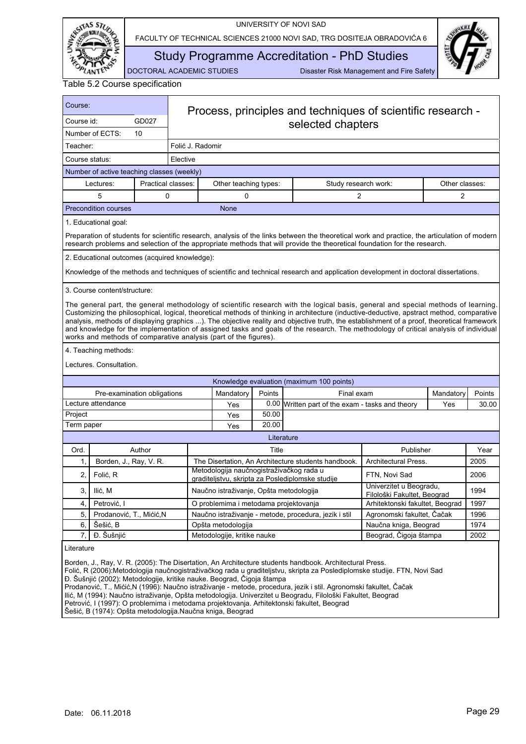

FACULTY OF TECHNICAL SCIENCES 21000 NOVI SAD, TRG DOSITEJA OBRADOVIĆA 6



Study Programme Accreditation - PhD Studies

<span id="page-30-0"></span>DOCTORAL ACADEMIC STUDIES Disaster Risk Management and Fire Safety

| Course:<br>Process, principles and techniques of scientific research -                                                              |                                                                                                                                                                                                                                                                                                                                                                                                                                                                                                                                                                                                                                                                                                                             |                    |                  |                                          |                |                                                                                                                                                                                                                                                                           |                                                        |                  |                 |
|-------------------------------------------------------------------------------------------------------------------------------------|-----------------------------------------------------------------------------------------------------------------------------------------------------------------------------------------------------------------------------------------------------------------------------------------------------------------------------------------------------------------------------------------------------------------------------------------------------------------------------------------------------------------------------------------------------------------------------------------------------------------------------------------------------------------------------------------------------------------------------|--------------------|------------------|------------------------------------------|----------------|---------------------------------------------------------------------------------------------------------------------------------------------------------------------------------------------------------------------------------------------------------------------------|--------------------------------------------------------|------------------|-----------------|
| Course id:                                                                                                                          |                                                                                                                                                                                                                                                                                                                                                                                                                                                                                                                                                                                                                                                                                                                             | GD027              |                  |                                          |                | selected chapters                                                                                                                                                                                                                                                         |                                                        |                  |                 |
|                                                                                                                                     | Number of ECTS:                                                                                                                                                                                                                                                                                                                                                                                                                                                                                                                                                                                                                                                                                                             | 10                 |                  |                                          |                |                                                                                                                                                                                                                                                                           |                                                        |                  |                 |
| Teacher:                                                                                                                            |                                                                                                                                                                                                                                                                                                                                                                                                                                                                                                                                                                                                                                                                                                                             |                    | Folić J. Radomir |                                          |                |                                                                                                                                                                                                                                                                           |                                                        |                  |                 |
| Course status:                                                                                                                      |                                                                                                                                                                                                                                                                                                                                                                                                                                                                                                                                                                                                                                                                                                                             |                    | Elective         |                                          |                |                                                                                                                                                                                                                                                                           |                                                        |                  |                 |
|                                                                                                                                     | Number of active teaching classes (weekly)                                                                                                                                                                                                                                                                                                                                                                                                                                                                                                                                                                                                                                                                                  |                    |                  |                                          |                |                                                                                                                                                                                                                                                                           |                                                        |                  |                 |
|                                                                                                                                     | Lectures:                                                                                                                                                                                                                                                                                                                                                                                                                                                                                                                                                                                                                                                                                                                   | Practical classes: |                  | Other teaching types:                    |                | Study research work:                                                                                                                                                                                                                                                      |                                                        | Other classes:   |                 |
|                                                                                                                                     | 5                                                                                                                                                                                                                                                                                                                                                                                                                                                                                                                                                                                                                                                                                                                           | 0                  |                  | 0                                        |                | 2                                                                                                                                                                                                                                                                         |                                                        | 2                |                 |
|                                                                                                                                     | <b>Precondition courses</b>                                                                                                                                                                                                                                                                                                                                                                                                                                                                                                                                                                                                                                                                                                 |                    |                  | <b>None</b>                              |                |                                                                                                                                                                                                                                                                           |                                                        |                  |                 |
|                                                                                                                                     | 1. Educational goal:                                                                                                                                                                                                                                                                                                                                                                                                                                                                                                                                                                                                                                                                                                        |                    |                  |                                          |                |                                                                                                                                                                                                                                                                           |                                                        |                  |                 |
|                                                                                                                                     |                                                                                                                                                                                                                                                                                                                                                                                                                                                                                                                                                                                                                                                                                                                             |                    |                  |                                          |                | Preparation of students for scientific research, analysis of the links between the theoretical work and practice, the articulation of modern<br>research problems and selection of the appropriate methods that will provide the theoretical foundation for the research. |                                                        |                  |                 |
| 2. Educational outcomes (acquired knowledge):                                                                                       |                                                                                                                                                                                                                                                                                                                                                                                                                                                                                                                                                                                                                                                                                                                             |                    |                  |                                          |                |                                                                                                                                                                                                                                                                           |                                                        |                  |                 |
| Knowledge of the methods and techniques of scientific and technical research and application development in doctoral dissertations. |                                                                                                                                                                                                                                                                                                                                                                                                                                                                                                                                                                                                                                                                                                                             |                    |                  |                                          |                |                                                                                                                                                                                                                                                                           |                                                        |                  |                 |
|                                                                                                                                     | 3. Course content/structure:                                                                                                                                                                                                                                                                                                                                                                                                                                                                                                                                                                                                                                                                                                |                    |                  |                                          |                |                                                                                                                                                                                                                                                                           |                                                        |                  |                 |
|                                                                                                                                     | The general part, the general methodology of scientific research with the logical basis, general and special methods of learning.<br>Customizing the philosophical, logical, theoretical methods of thinking in architecture (inductive-deductive, apstract method, comparative<br>analysis, methods of displaying graphics ). The objective reality and objective truth, the establishment of a proof, theoretical framework<br>and knowledge for the implementation of assigned tasks and goals of the research. The methodology of critical analysis of individual<br>works and methods of comparative analysis (part of the figures).                                                                                   |                    |                  |                                          |                |                                                                                                                                                                                                                                                                           |                                                        |                  |                 |
|                                                                                                                                     | 4. Teaching methods:                                                                                                                                                                                                                                                                                                                                                                                                                                                                                                                                                                                                                                                                                                        |                    |                  |                                          |                |                                                                                                                                                                                                                                                                           |                                                        |                  |                 |
|                                                                                                                                     | Lectures. Consultation.                                                                                                                                                                                                                                                                                                                                                                                                                                                                                                                                                                                                                                                                                                     |                    |                  |                                          |                |                                                                                                                                                                                                                                                                           |                                                        |                  |                 |
|                                                                                                                                     |                                                                                                                                                                                                                                                                                                                                                                                                                                                                                                                                                                                                                                                                                                                             |                    |                  |                                          |                |                                                                                                                                                                                                                                                                           |                                                        |                  |                 |
|                                                                                                                                     |                                                                                                                                                                                                                                                                                                                                                                                                                                                                                                                                                                                                                                                                                                                             |                    |                  |                                          |                | Knowledge evaluation (maximum 100 points)                                                                                                                                                                                                                                 |                                                        |                  |                 |
|                                                                                                                                     | Pre-examination obligations<br>Lecture attendance                                                                                                                                                                                                                                                                                                                                                                                                                                                                                                                                                                                                                                                                           |                    |                  | Mandatory                                | Points<br>0.00 | Final exam<br>Written part of the exam - tasks and theory                                                                                                                                                                                                                 |                                                        | Mandatory<br>Yes | Points<br>30.00 |
| Project                                                                                                                             |                                                                                                                                                                                                                                                                                                                                                                                                                                                                                                                                                                                                                                                                                                                             |                    |                  | Yes<br>Yes                               | 50.00          |                                                                                                                                                                                                                                                                           |                                                        |                  |                 |
| Term paper                                                                                                                          |                                                                                                                                                                                                                                                                                                                                                                                                                                                                                                                                                                                                                                                                                                                             |                    |                  | Yes                                      | 20.00          |                                                                                                                                                                                                                                                                           |                                                        |                  |                 |
|                                                                                                                                     |                                                                                                                                                                                                                                                                                                                                                                                                                                                                                                                                                                                                                                                                                                                             |                    |                  |                                          |                | Literature                                                                                                                                                                                                                                                                |                                                        |                  |                 |
| Ord.                                                                                                                                |                                                                                                                                                                                                                                                                                                                                                                                                                                                                                                                                                                                                                                                                                                                             | Author             |                  |                                          | Title          |                                                                                                                                                                                                                                                                           | Publisher                                              |                  | Year            |
| 1.                                                                                                                                  | Borden, J., Ray, V. R.                                                                                                                                                                                                                                                                                                                                                                                                                                                                                                                                                                                                                                                                                                      |                    |                  |                                          |                | The Disertation. An Architecture students handbook.                                                                                                                                                                                                                       | <b>Architectural Press.</b>                            |                  | 2005            |
| 2,                                                                                                                                  | Folić, R                                                                                                                                                                                                                                                                                                                                                                                                                                                                                                                                                                                                                                                                                                                    |                    |                  | Metodologija naučnogistraživačkog rada u |                | graditeljstvu, skripta za Poslediplomske studije                                                                                                                                                                                                                          | FTN, Novi Sad                                          |                  | 2006            |
| 3,                                                                                                                                  | Ilić, M                                                                                                                                                                                                                                                                                                                                                                                                                                                                                                                                                                                                                                                                                                                     |                    |                  | Naučno istraživanje, Opšta metodologija  |                |                                                                                                                                                                                                                                                                           | Univerzitet u Beogradu,<br>Filološki Fakultet, Beograd |                  | 1994            |
| 4,                                                                                                                                  | Petrović, I                                                                                                                                                                                                                                                                                                                                                                                                                                                                                                                                                                                                                                                                                                                 |                    |                  | O problemima i metodama projektovanja    |                |                                                                                                                                                                                                                                                                           | Arhitektonski fakultet, Beograd                        |                  | 1997            |
| 5.                                                                                                                                  | Prodanović, T., Mićić, N                                                                                                                                                                                                                                                                                                                                                                                                                                                                                                                                                                                                                                                                                                    |                    |                  |                                          |                | Naučno istraživanje - metode, procedura, jezik i stil                                                                                                                                                                                                                     | Agronomski fakultet, Čačak                             |                  | 1996            |
| 6.                                                                                                                                  | Šešić, B                                                                                                                                                                                                                                                                                                                                                                                                                                                                                                                                                                                                                                                                                                                    |                    |                  | Opšta metodologija                       |                |                                                                                                                                                                                                                                                                           | Naučna kniga, Beograd                                  |                  | 1974            |
| 7,                                                                                                                                  | Beograd, Čigoja štampa<br>Đ. Šušnjić<br>Metodologije, kritike nauke<br>2002                                                                                                                                                                                                                                                                                                                                                                                                                                                                                                                                                                                                                                                 |                    |                  |                                          |                |                                                                                                                                                                                                                                                                           |                                                        |                  |                 |
|                                                                                                                                     | Literature<br>Borden, J., Ray, V. R. (2005): The Disertation, An Architecture students handbook. Architectural Press.<br>Folić, R (2006):Metodologija naučnogistraživačkog rada u graditeljstvu, skripta za Poslediplomske studije. FTN, Novi Sad<br>Đ. Šušnjić (2002): Metodologije, kritike nauke. Beograd, Čigoja štampa<br>Prodanović, T., Mićić,N (1996): Naučno istraživanje - metode, procedura, jezik i stil. Agronomski fakultet, Čačak<br>Ilić, M (1994): Naučno istraživanje, Opšta metodologija. Univerzitet u Beogradu, Filološki Fakultet, Beograd<br>Petrović, I (1997): O problemima i metodama projektovanja. Arhitektonski fakultet, Beograd<br>Šešić, B (1974): Opšta metodologija.Naučna kniga, Beograd |                    |                  |                                          |                |                                                                                                                                                                                                                                                                           |                                                        |                  |                 |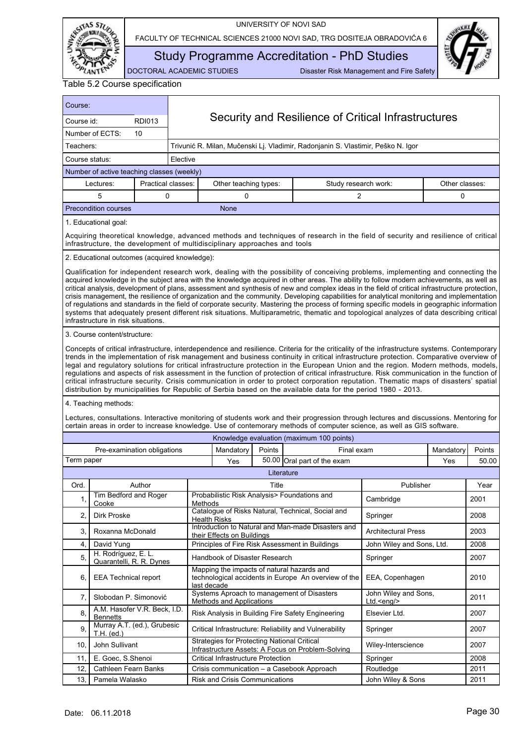

FACULTY OF TECHNICAL SCIENCES 21000 NOVI SAD, TRG DOSITEJA OBRADOVIĆA 6



Study Programme Accreditation - PhD Studies

<span id="page-31-0"></span>DOCTORAL ACADEMIC STUDIES Disaster Risk Management and Fire Safety

| Course:        |                                                                                                                                                                                                                                                                                                                                                                                                                                                                                                                                                                                                                                                                                                                                                                                                                                                                                                                |                    |                                                                                                                                                                                                                                                                                                                                                                                                                                                                                                                                                                                                                                                                                                                                                                                                                                         |                                                                                                                                      |                                          |                                                                                                                                        |                            |                |                 |  |
|----------------|----------------------------------------------------------------------------------------------------------------------------------------------------------------------------------------------------------------------------------------------------------------------------------------------------------------------------------------------------------------------------------------------------------------------------------------------------------------------------------------------------------------------------------------------------------------------------------------------------------------------------------------------------------------------------------------------------------------------------------------------------------------------------------------------------------------------------------------------------------------------------------------------------------------|--------------------|-----------------------------------------------------------------------------------------------------------------------------------------------------------------------------------------------------------------------------------------------------------------------------------------------------------------------------------------------------------------------------------------------------------------------------------------------------------------------------------------------------------------------------------------------------------------------------------------------------------------------------------------------------------------------------------------------------------------------------------------------------------------------------------------------------------------------------------------|--------------------------------------------------------------------------------------------------------------------------------------|------------------------------------------|----------------------------------------------------------------------------------------------------------------------------------------|----------------------------|----------------|-----------------|--|
| Course id:     |                                                                                                                                                                                                                                                                                                                                                                                                                                                                                                                                                                                                                                                                                                                                                                                                                                                                                                                | RDI013             |                                                                                                                                                                                                                                                                                                                                                                                                                                                                                                                                                                                                                                                                                                                                                                                                                                         |                                                                                                                                      |                                          | Security and Resilience of Critical Infrastructures                                                                                    |                            |                |                 |  |
|                | Number of ECTS:                                                                                                                                                                                                                                                                                                                                                                                                                                                                                                                                                                                                                                                                                                                                                                                                                                                                                                | 10                 |                                                                                                                                                                                                                                                                                                                                                                                                                                                                                                                                                                                                                                                                                                                                                                                                                                         |                                                                                                                                      |                                          |                                                                                                                                        |                            |                |                 |  |
| Teachers:      |                                                                                                                                                                                                                                                                                                                                                                                                                                                                                                                                                                                                                                                                                                                                                                                                                                                                                                                |                    |                                                                                                                                                                                                                                                                                                                                                                                                                                                                                                                                                                                                                                                                                                                                                                                                                                         |                                                                                                                                      |                                          | Trivunić R. Milan, Mučenski Lj. Vladimir, Radonjanin S. Vlastimir, Peško N. Igor                                                       |                            |                |                 |  |
| Course status: |                                                                                                                                                                                                                                                                                                                                                                                                                                                                                                                                                                                                                                                                                                                                                                                                                                                                                                                |                    | Elective                                                                                                                                                                                                                                                                                                                                                                                                                                                                                                                                                                                                                                                                                                                                                                                                                                |                                                                                                                                      |                                          |                                                                                                                                        |                            |                |                 |  |
|                | Number of active teaching classes (weekly)                                                                                                                                                                                                                                                                                                                                                                                                                                                                                                                                                                                                                                                                                                                                                                                                                                                                     |                    |                                                                                                                                                                                                                                                                                                                                                                                                                                                                                                                                                                                                                                                                                                                                                                                                                                         |                                                                                                                                      |                                          |                                                                                                                                        |                            |                |                 |  |
|                | Lectures:                                                                                                                                                                                                                                                                                                                                                                                                                                                                                                                                                                                                                                                                                                                                                                                                                                                                                                      | Practical classes: |                                                                                                                                                                                                                                                                                                                                                                                                                                                                                                                                                                                                                                                                                                                                                                                                                                         | Other teaching types:                                                                                                                |                                          | Study research work:                                                                                                                   |                            | Other classes: |                 |  |
|                | 5                                                                                                                                                                                                                                                                                                                                                                                                                                                                                                                                                                                                                                                                                                                                                                                                                                                                                                              |                    | 0                                                                                                                                                                                                                                                                                                                                                                                                                                                                                                                                                                                                                                                                                                                                                                                                                                       | $\Omega$                                                                                                                             |                                          | 2                                                                                                                                      |                            | 0              |                 |  |
|                | <b>Precondition courses</b>                                                                                                                                                                                                                                                                                                                                                                                                                                                                                                                                                                                                                                                                                                                                                                                                                                                                                    |                    |                                                                                                                                                                                                                                                                                                                                                                                                                                                                                                                                                                                                                                                                                                                                                                                                                                         | <b>None</b>                                                                                                                          |                                          |                                                                                                                                        |                            |                |                 |  |
|                | 1. Educational goal:                                                                                                                                                                                                                                                                                                                                                                                                                                                                                                                                                                                                                                                                                                                                                                                                                                                                                           |                    |                                                                                                                                                                                                                                                                                                                                                                                                                                                                                                                                                                                                                                                                                                                                                                                                                                         |                                                                                                                                      |                                          |                                                                                                                                        |                            |                |                 |  |
|                |                                                                                                                                                                                                                                                                                                                                                                                                                                                                                                                                                                                                                                                                                                                                                                                                                                                                                                                |                    |                                                                                                                                                                                                                                                                                                                                                                                                                                                                                                                                                                                                                                                                                                                                                                                                                                         | infrastructure, the development of multidisciplinary approaches and tools                                                            |                                          | Acquiring theoretical knowledge, advanced methods and techniques of research in the field of security and resilience of critical       |                            |                |                 |  |
|                | 2. Educational outcomes (acquired knowledge):                                                                                                                                                                                                                                                                                                                                                                                                                                                                                                                                                                                                                                                                                                                                                                                                                                                                  |                    |                                                                                                                                                                                                                                                                                                                                                                                                                                                                                                                                                                                                                                                                                                                                                                                                                                         |                                                                                                                                      |                                          |                                                                                                                                        |                            |                |                 |  |
|                | Qualification for independent research work, dealing with the possibility of conceiving problems, implementing and connecting the<br>acquired knowledge in the subject area with the knowledge acquired in other areas. The ability to follow modern achievements, as well as<br>critical analysis, development of plans, assessment and synthesis of new and complex ideas in the field of critical infrastructure protection,<br>crisis management, the resilience of organization and the community. Developing capabilities for analytical monitoring and implementation<br>of regulations and standards in the field of corporate security. Mastering the process of forming specific models in geographic information<br>systems that adequately present different risk situations. Multiparametric, thematic and topological analyzes of data describing critical<br>infrastructure in risk situations. |                    |                                                                                                                                                                                                                                                                                                                                                                                                                                                                                                                                                                                                                                                                                                                                                                                                                                         |                                                                                                                                      |                                          |                                                                                                                                        |                            |                |                 |  |
|                | 3. Course content/structure:                                                                                                                                                                                                                                                                                                                                                                                                                                                                                                                                                                                                                                                                                                                                                                                                                                                                                   |                    |                                                                                                                                                                                                                                                                                                                                                                                                                                                                                                                                                                                                                                                                                                                                                                                                                                         |                                                                                                                                      |                                          |                                                                                                                                        |                            |                |                 |  |
|                |                                                                                                                                                                                                                                                                                                                                                                                                                                                                                                                                                                                                                                                                                                                                                                                                                                                                                                                |                    | Concepts of critical infrastructure, interdependence and resilience. Criteria for the criticality of the infrastructure systems. Contemporary<br>trends in the implementation of risk management and business continuity in critical infrastructure protection. Comparative overview of<br>legal and regulatory solutions for critical infrastructure protection in the European Union and the region. Modern methods, models,<br>regulations and aspects of risk assessment in the function of protection of critical infrastructure. Risk communication in the function of<br>critical infrastructure security. Crisis communication in order to protect corporation reputation. Thematic maps of disasters' spatial<br>distribution by municipalities for Republic of Serbia based on the available data for the period 1980 - 2013. |                                                                                                                                      |                                          |                                                                                                                                        |                            |                |                 |  |
|                | 4. Teaching methods:                                                                                                                                                                                                                                                                                                                                                                                                                                                                                                                                                                                                                                                                                                                                                                                                                                                                                           |                    |                                                                                                                                                                                                                                                                                                                                                                                                                                                                                                                                                                                                                                                                                                                                                                                                                                         |                                                                                                                                      |                                          | Lectures, consultations. Interactive monitoring of students work and their progression through lectures and discussions. Mentoring for |                            |                |                 |  |
|                |                                                                                                                                                                                                                                                                                                                                                                                                                                                                                                                                                                                                                                                                                                                                                                                                                                                                                                                |                    |                                                                                                                                                                                                                                                                                                                                                                                                                                                                                                                                                                                                                                                                                                                                                                                                                                         |                                                                                                                                      |                                          | certain areas in order to increase knowledge. Use of contemorary methods of computer science, as well as GIS software.                 |                            |                |                 |  |
|                |                                                                                                                                                                                                                                                                                                                                                                                                                                                                                                                                                                                                                                                                                                                                                                                                                                                                                                                |                    |                                                                                                                                                                                                                                                                                                                                                                                                                                                                                                                                                                                                                                                                                                                                                                                                                                         |                                                                                                                                      |                                          | Knowledge evaluation (maximum 100 points)                                                                                              |                            |                |                 |  |
| Term paper     | Pre-examination obligations                                                                                                                                                                                                                                                                                                                                                                                                                                                                                                                                                                                                                                                                                                                                                                                                                                                                                    |                    |                                                                                                                                                                                                                                                                                                                                                                                                                                                                                                                                                                                                                                                                                                                                                                                                                                         | Mandatory                                                                                                                            | Points                                   | Final exam<br>50.00 Oral part of the exam                                                                                              |                            | Mandatory      | Points<br>50.00 |  |
|                |                                                                                                                                                                                                                                                                                                                                                                                                                                                                                                                                                                                                                                                                                                                                                                                                                                                                                                                |                    |                                                                                                                                                                                                                                                                                                                                                                                                                                                                                                                                                                                                                                                                                                                                                                                                                                         | Yes                                                                                                                                  |                                          |                                                                                                                                        |                            | Yes            |                 |  |
|                |                                                                                                                                                                                                                                                                                                                                                                                                                                                                                                                                                                                                                                                                                                                                                                                                                                                                                                                |                    |                                                                                                                                                                                                                                                                                                                                                                                                                                                                                                                                                                                                                                                                                                                                                                                                                                         |                                                                                                                                      | Literature                               |                                                                                                                                        |                            |                |                 |  |
| Ord.           | Tim Bedford and Roger                                                                                                                                                                                                                                                                                                                                                                                                                                                                                                                                                                                                                                                                                                                                                                                                                                                                                          | Author             |                                                                                                                                                                                                                                                                                                                                                                                                                                                                                                                                                                                                                                                                                                                                                                                                                                         | Probabilistic Risk Analysis> Foundations and                                                                                         | Title                                    |                                                                                                                                        | Publisher                  |                | Year            |  |
| 1.             | Cooke                                                                                                                                                                                                                                                                                                                                                                                                                                                                                                                                                                                                                                                                                                                                                                                                                                                                                                          |                    |                                                                                                                                                                                                                                                                                                                                                                                                                                                                                                                                                                                                                                                                                                                                                                                                                                         | Methods                                                                                                                              |                                          |                                                                                                                                        | Cambridge                  |                | 2001            |  |
| 2,             | Dirk Proske                                                                                                                                                                                                                                                                                                                                                                                                                                                                                                                                                                                                                                                                                                                                                                                                                                                                                                    |                    |                                                                                                                                                                                                                                                                                                                                                                                                                                                                                                                                                                                                                                                                                                                                                                                                                                         | <b>Health Risks</b>                                                                                                                  |                                          | Catalogue of Risks Natural, Technical, Social and                                                                                      | Springer                   |                | 2008            |  |
| 3.             | Roxanna McDonald                                                                                                                                                                                                                                                                                                                                                                                                                                                                                                                                                                                                                                                                                                                                                                                                                                                                                               |                    |                                                                                                                                                                                                                                                                                                                                                                                                                                                                                                                                                                                                                                                                                                                                                                                                                                         | their Effects on Buildings                                                                                                           |                                          | Introduction to Natural and Man-made Disasters and                                                                                     | <b>Architectural Press</b> |                | 2003            |  |
| 4,             | David Yung                                                                                                                                                                                                                                                                                                                                                                                                                                                                                                                                                                                                                                                                                                                                                                                                                                                                                                     |                    |                                                                                                                                                                                                                                                                                                                                                                                                                                                                                                                                                                                                                                                                                                                                                                                                                                         |                                                                                                                                      |                                          | Principles of Fire Risk Assessment in Buildings                                                                                        | John Wiley and Sons, Ltd.  |                | 2008            |  |
| 5.             | H. Rodríguez, E. L.<br>Quarantelli, R. R. Dynes                                                                                                                                                                                                                                                                                                                                                                                                                                                                                                                                                                                                                                                                                                                                                                                                                                                                |                    |                                                                                                                                                                                                                                                                                                                                                                                                                                                                                                                                                                                                                                                                                                                                                                                                                                         | Handbook of Disaster Research                                                                                                        |                                          |                                                                                                                                        | Springer                   |                | 2007            |  |
| 6.             | <b>EEA Technical report</b>                                                                                                                                                                                                                                                                                                                                                                                                                                                                                                                                                                                                                                                                                                                                                                                                                                                                                    |                    |                                                                                                                                                                                                                                                                                                                                                                                                                                                                                                                                                                                                                                                                                                                                                                                                                                         | Mapping the impacts of natural hazards and<br>technological accidents in Europe An overview of the<br>EEA, Copenhagen<br>last decade |                                          |                                                                                                                                        |                            |                | 2010            |  |
| 7,             | Slobodan P. Simonović                                                                                                                                                                                                                                                                                                                                                                                                                                                                                                                                                                                                                                                                                                                                                                                                                                                                                          |                    |                                                                                                                                                                                                                                                                                                                                                                                                                                                                                                                                                                                                                                                                                                                                                                                                                                         | Systems Aproach to management of Disasters                                                                                           | John Wiley and Sons,<br>Ltd. <eng></eng> |                                                                                                                                        | 2011                       |                |                 |  |
| 8,             | A.M. Hasofer V.R. Beck, I.D.<br><b>Bennetts</b>                                                                                                                                                                                                                                                                                                                                                                                                                                                                                                                                                                                                                                                                                                                                                                                                                                                                |                    |                                                                                                                                                                                                                                                                                                                                                                                                                                                                                                                                                                                                                                                                                                                                                                                                                                         | <b>Methods and Applications</b><br>Elsevier Ltd.<br>Risk Analysis in Building Fire Safety Engineering                                |                                          |                                                                                                                                        |                            |                | 2007            |  |
| 9.             | Murray A.T. (ed.), Grubesic<br>T.H. (ed.)                                                                                                                                                                                                                                                                                                                                                                                                                                                                                                                                                                                                                                                                                                                                                                                                                                                                      |                    | Critical Infrastructure: Reliability and Vulnerability<br>Springer                                                                                                                                                                                                                                                                                                                                                                                                                                                                                                                                                                                                                                                                                                                                                                      |                                                                                                                                      |                                          |                                                                                                                                        |                            | 2007           |                 |  |
| 10,            | John Sullivant                                                                                                                                                                                                                                                                                                                                                                                                                                                                                                                                                                                                                                                                                                                                                                                                                                                                                                 |                    | <b>Strategies for Protecting National Critical</b><br>Wiley-Interscience<br>Infrastructure Assets: A Focus on Problem-Solving                                                                                                                                                                                                                                                                                                                                                                                                                                                                                                                                                                                                                                                                                                           |                                                                                                                                      |                                          |                                                                                                                                        |                            | 2007           |                 |  |
| 11.            | E. Goec, S. Shenoi                                                                                                                                                                                                                                                                                                                                                                                                                                                                                                                                                                                                                                                                                                                                                                                                                                                                                             |                    | <b>Critical Infrastructure Protection</b><br>Springer                                                                                                                                                                                                                                                                                                                                                                                                                                                                                                                                                                                                                                                                                                                                                                                   |                                                                                                                                      |                                          |                                                                                                                                        |                            | 2008           |                 |  |
| 12.            | Cathleen Fearn Banks                                                                                                                                                                                                                                                                                                                                                                                                                                                                                                                                                                                                                                                                                                                                                                                                                                                                                           |                    |                                                                                                                                                                                                                                                                                                                                                                                                                                                                                                                                                                                                                                                                                                                                                                                                                                         |                                                                                                                                      |                                          |                                                                                                                                        | Routledge                  |                | 2011            |  |
| 13.            | Pamela Walasko                                                                                                                                                                                                                                                                                                                                                                                                                                                                                                                                                                                                                                                                                                                                                                                                                                                                                                 |                    |                                                                                                                                                                                                                                                                                                                                                                                                                                                                                                                                                                                                                                                                                                                                                                                                                                         | Crisis communication - a Casebook Approach<br>John Wiley & Sons<br>2011<br>Risk and Crisis Communications                            |                                          |                                                                                                                                        |                            |                |                 |  |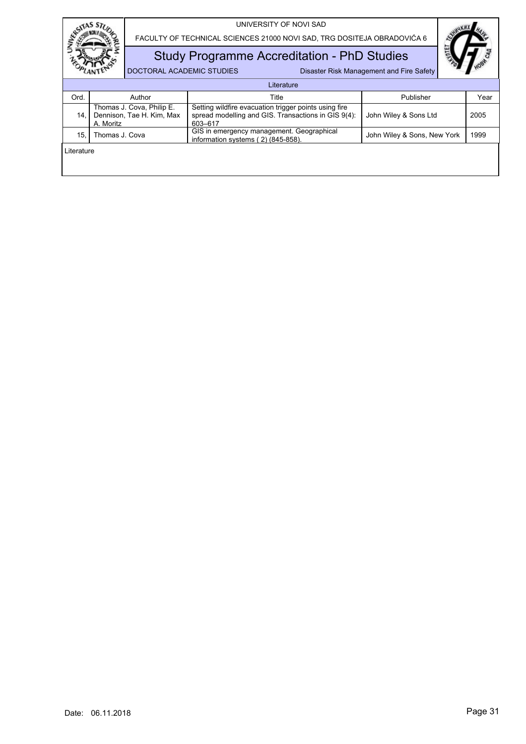| UNIVERSITY OF NOVI SAD |                                                                       |                                                        |                                                                                                                         |                             |  |      |  |  |  |  |  |  |
|------------------------|-----------------------------------------------------------------------|--------------------------------------------------------|-------------------------------------------------------------------------------------------------------------------------|-----------------------------|--|------|--|--|--|--|--|--|
|                        |                                                                       |                                                        | FACULTY OF TECHNICAL SCIENCES 21000 NOVI SAD, TRG DOSITEJA OBRADOVIĆA 6                                                 |                             |  |      |  |  |  |  |  |  |
|                        |                                                                       |                                                        | <b>Study Programme Accreditation - PhD Studies</b>                                                                      |                             |  |      |  |  |  |  |  |  |
|                        | DOCTORAL ACADEMIC STUDIES<br>Disaster Risk Management and Fire Safety |                                                        |                                                                                                                         |                             |  |      |  |  |  |  |  |  |
|                        | Literature                                                            |                                                        |                                                                                                                         |                             |  |      |  |  |  |  |  |  |
| Ord.                   |                                                                       | Author                                                 | Title                                                                                                                   | Publisher                   |  | Year |  |  |  |  |  |  |
| 14.                    | A. Moritz                                                             | Thomas J. Cova, Philip E.<br>Dennison, Tae H. Kim, Max | Setting wildfire evacuation trigger points using fire<br>spread modelling and GIS. Transactions in GIS 9(4):<br>603-617 | John Wiley & Sons Ltd       |  | 2005 |  |  |  |  |  |  |
| 15,                    | Thomas J. Cova                                                        |                                                        | GIS in emergency management. Geographical<br>information systems (2) (845-858).                                         | John Wiley & Sons, New York |  | 1999 |  |  |  |  |  |  |
|                        | Literature                                                            |                                                        |                                                                                                                         |                             |  |      |  |  |  |  |  |  |
|                        |                                                                       |                                                        |                                                                                                                         |                             |  |      |  |  |  |  |  |  |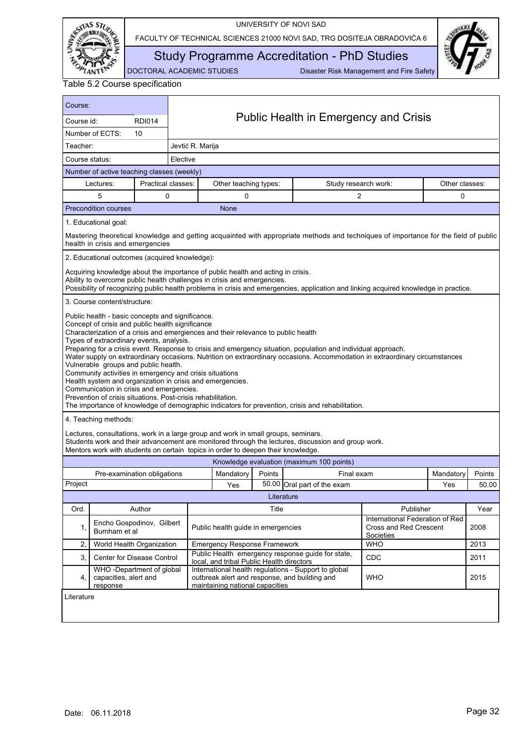

FACULTY OF TECHNICAL SCIENCES 21000 NOVI SAD, TRG DOSITEJA OBRADOVIĆA 6



Study Programme Accreditation - PhD Studies

<span id="page-33-0"></span>DOCTORAL ACADEMIC STUDIES Disaster Risk Management and Fire Safety

| Course:        |                                                                                                                                                                                                                                                                                                                                                                                                                                                                                                                                                                                                                                                                                                                                                                                                                                                                       |                    |                  | <b>Public Health in Emergency and Crisis</b> |     |                       |                                                                                                       |                |                                                                                                                                      |                |        |
|----------------|-----------------------------------------------------------------------------------------------------------------------------------------------------------------------------------------------------------------------------------------------------------------------------------------------------------------------------------------------------------------------------------------------------------------------------------------------------------------------------------------------------------------------------------------------------------------------------------------------------------------------------------------------------------------------------------------------------------------------------------------------------------------------------------------------------------------------------------------------------------------------|--------------------|------------------|----------------------------------------------|-----|-----------------------|-------------------------------------------------------------------------------------------------------|----------------|--------------------------------------------------------------------------------------------------------------------------------------|----------------|--------|
| Course id:     |                                                                                                                                                                                                                                                                                                                                                                                                                                                                                                                                                                                                                                                                                                                                                                                                                                                                       | <b>RDI014</b>      |                  |                                              |     |                       |                                                                                                       |                |                                                                                                                                      |                |        |
|                | Number of ECTS:                                                                                                                                                                                                                                                                                                                                                                                                                                                                                                                                                                                                                                                                                                                                                                                                                                                       | 10                 |                  |                                              |     |                       |                                                                                                       |                |                                                                                                                                      |                |        |
| Teacher:       |                                                                                                                                                                                                                                                                                                                                                                                                                                                                                                                                                                                                                                                                                                                                                                                                                                                                       |                    | Jevtić R. Marija |                                              |     |                       |                                                                                                       |                |                                                                                                                                      |                |        |
| Course status: |                                                                                                                                                                                                                                                                                                                                                                                                                                                                                                                                                                                                                                                                                                                                                                                                                                                                       |                    | Elective         |                                              |     |                       |                                                                                                       |                |                                                                                                                                      |                |        |
|                | Number of active teaching classes (weekly)                                                                                                                                                                                                                                                                                                                                                                                                                                                                                                                                                                                                                                                                                                                                                                                                                            |                    |                  |                                              |     |                       |                                                                                                       |                |                                                                                                                                      |                |        |
|                | Lectures:                                                                                                                                                                                                                                                                                                                                                                                                                                                                                                                                                                                                                                                                                                                                                                                                                                                             | Practical classes: |                  |                                              |     | Other teaching types: |                                                                                                       |                | Study research work:                                                                                                                 | Other classes: |        |
|                | 5                                                                                                                                                                                                                                                                                                                                                                                                                                                                                                                                                                                                                                                                                                                                                                                                                                                                     |                    | 0                |                                              | 0   |                       |                                                                                                       | $\overline{c}$ |                                                                                                                                      | 0              |        |
|                | Precondition courses                                                                                                                                                                                                                                                                                                                                                                                                                                                                                                                                                                                                                                                                                                                                                                                                                                                  |                    |                  | None                                         |     |                       |                                                                                                       |                |                                                                                                                                      |                |        |
|                | 1. Educational goal:                                                                                                                                                                                                                                                                                                                                                                                                                                                                                                                                                                                                                                                                                                                                                                                                                                                  |                    |                  |                                              |     |                       |                                                                                                       |                |                                                                                                                                      |                |        |
|                | health in crisis and emergencies                                                                                                                                                                                                                                                                                                                                                                                                                                                                                                                                                                                                                                                                                                                                                                                                                                      |                    |                  |                                              |     |                       |                                                                                                       |                | Mastering theoretical knowledge and getting acquainted with appropriate methods and techniques of importance for the field of public |                |        |
|                | 2. Educational outcomes (acquired knowledge):                                                                                                                                                                                                                                                                                                                                                                                                                                                                                                                                                                                                                                                                                                                                                                                                                         |                    |                  |                                              |     |                       |                                                                                                       |                |                                                                                                                                      |                |        |
|                | Acquiring knowledge about the importance of public health and acting in crisis.<br>Ability to overcome public health challenges in crisis and emergencies.                                                                                                                                                                                                                                                                                                                                                                                                                                                                                                                                                                                                                                                                                                            |                    |                  |                                              |     |                       |                                                                                                       |                | Possibility of recognizing public health problems in crisis and emergencies, application and linking acquired knowledge in practice. |                |        |
|                | 3. Course content/structure:                                                                                                                                                                                                                                                                                                                                                                                                                                                                                                                                                                                                                                                                                                                                                                                                                                          |                    |                  |                                              |     |                       |                                                                                                       |                |                                                                                                                                      |                |        |
|                | Public health - basic concepts and significance.<br>Concept of crisis and public health significance<br>Characterization of a crisis and emergiences and their relevance to public health<br>Types of extraordinary events, analysis.<br>Preparing for a crisis event. Response to crisis and emergency situation, population and individual approach.<br>Water supply on extraordinary occasions. Nutrition on extraordinary occasions. Accommodation in extraordinary circumstances<br>Vulnerable groups and public health.<br>Community activities in emergency and crisis situations<br>Health system and organization in crisis and emergencies.<br>Communication in crisis and emergencies.<br>Prevention of crisis situations. Post-crisis rehabilitation.<br>The importance of knowledge of demographic indicators for prevention, crisis and rehabilitation. |                    |                  |                                              |     |                       |                                                                                                       |                |                                                                                                                                      |                |        |
|                | 4. Teaching methods:<br>Lectures, consultations, work in a large group and work in small groups, seminars.<br>Mentors work with students on certain topics in order to deepen their knowledge.                                                                                                                                                                                                                                                                                                                                                                                                                                                                                                                                                                                                                                                                        |                    |                  |                                              |     |                       | Students work and their advancement are monitored through the lectures, discussion and group work.    |                |                                                                                                                                      |                |        |
|                |                                                                                                                                                                                                                                                                                                                                                                                                                                                                                                                                                                                                                                                                                                                                                                                                                                                                       |                    |                  |                                              |     |                       | Knowledge evaluation (maximum 100 points)                                                             |                |                                                                                                                                      |                |        |
|                | Pre-examination obligations                                                                                                                                                                                                                                                                                                                                                                                                                                                                                                                                                                                                                                                                                                                                                                                                                                           |                    |                  | Mandatory                                    |     | Points                |                                                                                                       | Final exam     |                                                                                                                                      | Mandatory      | Points |
| Project        |                                                                                                                                                                                                                                                                                                                                                                                                                                                                                                                                                                                                                                                                                                                                                                                                                                                                       |                    |                  |                                              | Yes |                       | 50.00 Oral part of the exam                                                                           |                |                                                                                                                                      | Yes            | 50.00  |
|                |                                                                                                                                                                                                                                                                                                                                                                                                                                                                                                                                                                                                                                                                                                                                                                                                                                                                       |                    |                  |                                              |     |                       | Literature                                                                                            |                |                                                                                                                                      |                |        |
| Ord.           |                                                                                                                                                                                                                                                                                                                                                                                                                                                                                                                                                                                                                                                                                                                                                                                                                                                                       | Author             |                  |                                              |     | Title                 |                                                                                                       |                | Publisher                                                                                                                            |                | Year   |
| 1,             | Encho Gospodinov, Gilbert<br>Burnham et al                                                                                                                                                                                                                                                                                                                                                                                                                                                                                                                                                                                                                                                                                                                                                                                                                            |                    |                  | Public health quide in emergencies           |     |                       |                                                                                                       |                | International Federation of Red<br>Cross and Red Crescent<br>Societies                                                               |                | 2008   |
| 2.             | World Health Organization                                                                                                                                                                                                                                                                                                                                                                                                                                                                                                                                                                                                                                                                                                                                                                                                                                             |                    |                  | <b>Emergency Response Framework</b>          |     |                       |                                                                                                       |                | <b>WHO</b>                                                                                                                           |                | 2013   |
| 3.             | Center for Disease Control                                                                                                                                                                                                                                                                                                                                                                                                                                                                                                                                                                                                                                                                                                                                                                                                                                            |                    |                  | local, and tribal Public Health directors    |     |                       | Public Health emergency response guide for state,                                                     |                | CDC                                                                                                                                  |                | 2011   |
| 4,             | WHO -Department of global<br>capacities, alert and<br>response                                                                                                                                                                                                                                                                                                                                                                                                                                                                                                                                                                                                                                                                                                                                                                                                        |                    |                  |                                              |     |                       | International health regulations - Support to global<br>outbreak alert and response, and building and |                | <b>WHO</b>                                                                                                                           |                | 2015   |
| Literature     | maintaining national capacities                                                                                                                                                                                                                                                                                                                                                                                                                                                                                                                                                                                                                                                                                                                                                                                                                                       |                    |                  |                                              |     |                       |                                                                                                       |                |                                                                                                                                      |                |        |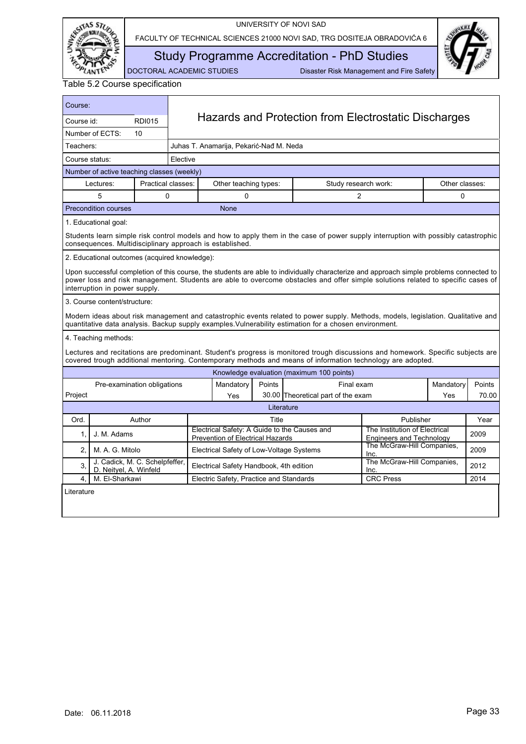

FACULTY OF TECHNICAL SCIENCES 21000 NOVI SAD, TRG DOSITEJA OBRADOVIĆA 6



Study Programme Accreditation - PhD Studies

<span id="page-34-0"></span>DOCTORAL ACADEMIC STUDIES Disaster Risk Management and Fire Safety

| Course:        |                                                                                                                                                                                                                                                                                                             |                           |                                                                                        |  |                                         |            |                                                                                                                                                                                                                                                |                                                           |                |        |
|----------------|-------------------------------------------------------------------------------------------------------------------------------------------------------------------------------------------------------------------------------------------------------------------------------------------------------------|---------------------------|----------------------------------------------------------------------------------------|--|-----------------------------------------|------------|------------------------------------------------------------------------------------------------------------------------------------------------------------------------------------------------------------------------------------------------|-----------------------------------------------------------|----------------|--------|
| Course id:     |                                                                                                                                                                                                                                                                                                             | <b>RDI015</b>             |                                                                                        |  |                                         |            | Hazards and Protection from Electrostatic Discharges                                                                                                                                                                                           |                                                           |                |        |
|                | Number of ECTS:                                                                                                                                                                                                                                                                                             | 10                        |                                                                                        |  |                                         |            |                                                                                                                                                                                                                                                |                                                           |                |        |
| Teachers:      |                                                                                                                                                                                                                                                                                                             |                           |                                                                                        |  | Juhas T. Anamarija, Pekarić-Nađ M. Neda |            |                                                                                                                                                                                                                                                |                                                           |                |        |
| Course status: |                                                                                                                                                                                                                                                                                                             |                           | Elective                                                                               |  |                                         |            |                                                                                                                                                                                                                                                |                                                           |                |        |
|                | Number of active teaching classes (weekly)                                                                                                                                                                                                                                                                  |                           |                                                                                        |  |                                         |            |                                                                                                                                                                                                                                                |                                                           |                |        |
|                | Lectures:                                                                                                                                                                                                                                                                                                   | <b>Practical classes:</b> |                                                                                        |  | Other teaching types:                   |            | Study research work:                                                                                                                                                                                                                           |                                                           | Other classes: |        |
|                | 5                                                                                                                                                                                                                                                                                                           | $\Omega$                  |                                                                                        |  | $\Omega$                                |            | 2                                                                                                                                                                                                                                              |                                                           | 0              |        |
|                | <b>Precondition courses</b>                                                                                                                                                                                                                                                                                 |                           |                                                                                        |  | None                                    |            |                                                                                                                                                                                                                                                |                                                           |                |        |
|                | 1. Educational goal:                                                                                                                                                                                                                                                                                        |                           |                                                                                        |  |                                         |            |                                                                                                                                                                                                                                                |                                                           |                |        |
|                | consequences. Multidisciplinary approach is established.                                                                                                                                                                                                                                                    |                           |                                                                                        |  |                                         |            | Students learn simple risk control models and how to apply them in the case of power supply interruption with possibly catastrophic                                                                                                            |                                                           |                |        |
|                | 2. Educational outcomes (acquired knowledge):                                                                                                                                                                                                                                                               |                           |                                                                                        |  |                                         |            |                                                                                                                                                                                                                                                |                                                           |                |        |
|                | Upon successful completion of this course, the students are able to individually characterize and approach simple problems connected to<br>power loss and risk management. Students are able to overcome obstacles and offer simple solutions related to specific cases of<br>interruption in power supply. |                           |                                                                                        |  |                                         |            |                                                                                                                                                                                                                                                |                                                           |                |        |
|                | 3. Course content/structure:                                                                                                                                                                                                                                                                                |                           |                                                                                        |  |                                         |            |                                                                                                                                                                                                                                                |                                                           |                |        |
|                |                                                                                                                                                                                                                                                                                                             |                           |                                                                                        |  |                                         |            | Modern ideas about risk management and catastrophic events related to power supply. Methods, models, legislation. Qualitative and<br>quantitative data analysis. Backup supply examples. Vulnerability estimation for a chosen environment.    |                                                           |                |        |
|                | 4. Teaching methods:                                                                                                                                                                                                                                                                                        |                           |                                                                                        |  |                                         |            |                                                                                                                                                                                                                                                |                                                           |                |        |
|                |                                                                                                                                                                                                                                                                                                             |                           |                                                                                        |  |                                         |            | Lectures and recitations are predominant. Student's progress is monitored trough discussions and homework. Specific subjects are<br>covered trough additional mentoring. Contemporary methods and means of information technology are adopted. |                                                           |                |        |
|                |                                                                                                                                                                                                                                                                                                             |                           |                                                                                        |  |                                         |            | Knowledge evaluation (maximum 100 points)                                                                                                                                                                                                      |                                                           |                |        |
|                | Pre-examination obligations                                                                                                                                                                                                                                                                                 |                           |                                                                                        |  | Mandatory                               | Points     | Final exam                                                                                                                                                                                                                                     |                                                           | Mandatory      | Points |
| Project        |                                                                                                                                                                                                                                                                                                             |                           |                                                                                        |  | Yes                                     |            | 30.00 Theoretical part of the exam                                                                                                                                                                                                             |                                                           | Yes            | 70.00  |
|                |                                                                                                                                                                                                                                                                                                             |                           |                                                                                        |  |                                         | Literature |                                                                                                                                                                                                                                                |                                                           |                |        |
| Ord.           |                                                                                                                                                                                                                                                                                                             | Author                    |                                                                                        |  |                                         | Title      |                                                                                                                                                                                                                                                | Publisher                                                 |                | Year   |
| 1.             | J. M. Adams                                                                                                                                                                                                                                                                                                 |                           |                                                                                        |  | Prevention of Electrical Hazards        |            | Electrical Safety: A Guide to the Causes and                                                                                                                                                                                                   | The Institution of Electrical<br>Engineers and Technology |                | 2009   |
| 2.             | M. A. G. Mitolo                                                                                                                                                                                                                                                                                             |                           | The McGraw-Hill Companies,<br>2009<br>Electrical Safety of Low-Voltage Systems<br>Inc. |  |                                         |            |                                                                                                                                                                                                                                                |                                                           |                |        |
| 3,             | J. Cadick, M. C. Schelpfeffer,<br>D. Neityel, A. Winfeld                                                                                                                                                                                                                                                    |                           |                                                                                        |  | Electrical Safety Handbook, 4th edition |            |                                                                                                                                                                                                                                                | The McGraw-Hill Companies,<br>Inc.                        |                | 2012   |
| $\overline{4}$ | M. El-Sharkawi                                                                                                                                                                                                                                                                                              |                           |                                                                                        |  | Electric Safety, Practice and Standards |            |                                                                                                                                                                                                                                                | <b>CRC</b> Press                                          |                | 2014   |
|                | Literature                                                                                                                                                                                                                                                                                                  |                           |                                                                                        |  |                                         |            |                                                                                                                                                                                                                                                |                                                           |                |        |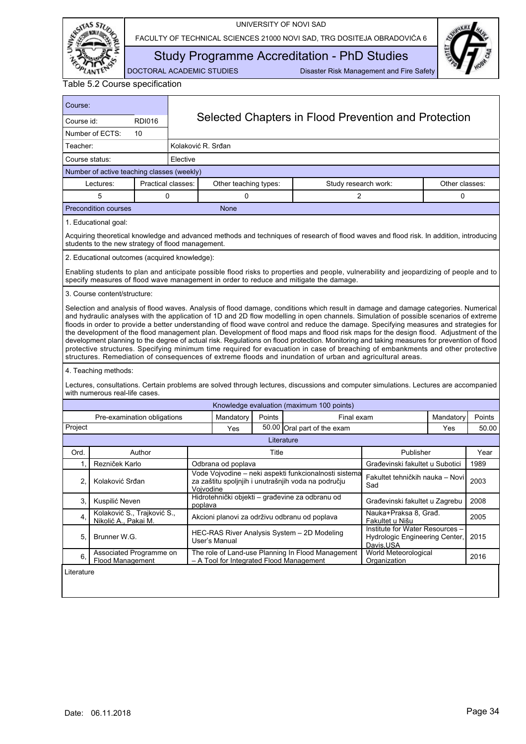

FACULTY OF TECHNICAL SCIENCES 21000 NOVI SAD, TRG DOSITEJA OBRADOVIĆA 6



Study Programme Accreditation - PhD Studies

<span id="page-35-0"></span>DOCTORAL ACADEMIC STUDIES Disaster Risk Management and Fire Safety

| Course:                      |                                                                                                                                                                                                                                  |                    |                                                                                                   |                                          |            |                                                                                                                                                                                                                                                                                                                                                                                                                                                                                                                                                                                                                                                                                                                                                                                                                                                                                                                                                            |                                                                                 |                |        |  |  |
|------------------------------|----------------------------------------------------------------------------------------------------------------------------------------------------------------------------------------------------------------------------------|--------------------|---------------------------------------------------------------------------------------------------|------------------------------------------|------------|------------------------------------------------------------------------------------------------------------------------------------------------------------------------------------------------------------------------------------------------------------------------------------------------------------------------------------------------------------------------------------------------------------------------------------------------------------------------------------------------------------------------------------------------------------------------------------------------------------------------------------------------------------------------------------------------------------------------------------------------------------------------------------------------------------------------------------------------------------------------------------------------------------------------------------------------------------|---------------------------------------------------------------------------------|----------------|--------|--|--|
| Course id:                   |                                                                                                                                                                                                                                  | <b>RDI016</b>      |                                                                                                   |                                          |            | Selected Chapters in Flood Prevention and Protection                                                                                                                                                                                                                                                                                                                                                                                                                                                                                                                                                                                                                                                                                                                                                                                                                                                                                                       |                                                                                 |                |        |  |  |
|                              | Number of ECTS:                                                                                                                                                                                                                  | 10 <sup>10</sup>   |                                                                                                   |                                          |            |                                                                                                                                                                                                                                                                                                                                                                                                                                                                                                                                                                                                                                                                                                                                                                                                                                                                                                                                                            |                                                                                 |                |        |  |  |
| Teacher:                     |                                                                                                                                                                                                                                  |                    |                                                                                                   | Kolaković R. Srđan                       |            |                                                                                                                                                                                                                                                                                                                                                                                                                                                                                                                                                                                                                                                                                                                                                                                                                                                                                                                                                            |                                                                                 |                |        |  |  |
| Course status:               |                                                                                                                                                                                                                                  |                    | Elective                                                                                          |                                          |            |                                                                                                                                                                                                                                                                                                                                                                                                                                                                                                                                                                                                                                                                                                                                                                                                                                                                                                                                                            |                                                                                 |                |        |  |  |
|                              | Number of active teaching classes (weekly)                                                                                                                                                                                       |                    |                                                                                                   |                                          |            |                                                                                                                                                                                                                                                                                                                                                                                                                                                                                                                                                                                                                                                                                                                                                                                                                                                                                                                                                            |                                                                                 |                |        |  |  |
|                              | Lectures:                                                                                                                                                                                                                        | Practical classes: |                                                                                                   | Other teaching types:                    |            | Study research work:                                                                                                                                                                                                                                                                                                                                                                                                                                                                                                                                                                                                                                                                                                                                                                                                                                                                                                                                       |                                                                                 | Other classes: |        |  |  |
|                              | 5                                                                                                                                                                                                                                | 0                  |                                                                                                   | 0                                        |            | $\overline{2}$                                                                                                                                                                                                                                                                                                                                                                                                                                                                                                                                                                                                                                                                                                                                                                                                                                                                                                                                             |                                                                                 | 0              |        |  |  |
|                              | <b>Precondition courses</b>                                                                                                                                                                                                      |                    |                                                                                                   | None                                     |            |                                                                                                                                                                                                                                                                                                                                                                                                                                                                                                                                                                                                                                                                                                                                                                                                                                                                                                                                                            |                                                                                 |                |        |  |  |
|                              | 1. Educational goal:                                                                                                                                                                                                             |                    |                                                                                                   |                                          |            |                                                                                                                                                                                                                                                                                                                                                                                                                                                                                                                                                                                                                                                                                                                                                                                                                                                                                                                                                            |                                                                                 |                |        |  |  |
|                              | Acquiring theoretical knowledge and advanced methods and techniques of research of flood waves and flood risk. In addition, introducing<br>students to the new strategy of flood management.                                     |                    |                                                                                                   |                                          |            |                                                                                                                                                                                                                                                                                                                                                                                                                                                                                                                                                                                                                                                                                                                                                                                                                                                                                                                                                            |                                                                                 |                |        |  |  |
|                              | 2. Educational outcomes (acquired knowledge):                                                                                                                                                                                    |                    |                                                                                                   |                                          |            |                                                                                                                                                                                                                                                                                                                                                                                                                                                                                                                                                                                                                                                                                                                                                                                                                                                                                                                                                            |                                                                                 |                |        |  |  |
|                              | Enabling students to plan and anticipate possible flood risks to properties and people, vulnerability and jeopardizing of people and to<br>specify measures of flood wave management in order to reduce and mitigate the damage. |                    |                                                                                                   |                                          |            |                                                                                                                                                                                                                                                                                                                                                                                                                                                                                                                                                                                                                                                                                                                                                                                                                                                                                                                                                            |                                                                                 |                |        |  |  |
| 3. Course content/structure: |                                                                                                                                                                                                                                  |                    |                                                                                                   |                                          |            |                                                                                                                                                                                                                                                                                                                                                                                                                                                                                                                                                                                                                                                                                                                                                                                                                                                                                                                                                            |                                                                                 |                |        |  |  |
|                              |                                                                                                                                                                                                                                  |                    |                                                                                                   |                                          |            | Selection and analysis of flood waves. Analysis of flood damage, conditions which result in damage and damage categories. Numerical<br>and hydraulic analyses with the application of 1D and 2D flow modelling in open channels. Simulation of possible scenarios of extreme<br>floods in order to provide a better understanding of flood wave control and reduce the damage. Specifying measures and strategies for<br>the development of the flood management plan. Development of flood maps and flood risk maps for the design flood. Adjustment of the<br>development planning to the degree of actual risk. Regulations on flood protection. Monitoring and taking measures for prevention of flood<br>protective structures. Specifying minimum time required for evacuation in case of breaching of embankments and other protective<br>structures. Remediation of consequences of extreme floods and inundation of urban and agricultural areas. |                                                                                 |                |        |  |  |
|                              | 4. Teaching methods:                                                                                                                                                                                                             |                    |                                                                                                   |                                          |            |                                                                                                                                                                                                                                                                                                                                                                                                                                                                                                                                                                                                                                                                                                                                                                                                                                                                                                                                                            |                                                                                 |                |        |  |  |
|                              | with numerous real-life cases.                                                                                                                                                                                                   |                    |                                                                                                   |                                          |            | Lectures, consultations. Certain problems are solved through lectures, discussions and computer simulations. Lectures are accompanied                                                                                                                                                                                                                                                                                                                                                                                                                                                                                                                                                                                                                                                                                                                                                                                                                      |                                                                                 |                |        |  |  |
|                              |                                                                                                                                                                                                                                  |                    |                                                                                                   |                                          |            | Knowledge evaluation (maximum 100 points)                                                                                                                                                                                                                                                                                                                                                                                                                                                                                                                                                                                                                                                                                                                                                                                                                                                                                                                  |                                                                                 |                |        |  |  |
|                              | Pre-examination obligations                                                                                                                                                                                                      |                    |                                                                                                   | Mandatory                                | Points     | Final exam                                                                                                                                                                                                                                                                                                                                                                                                                                                                                                                                                                                                                                                                                                                                                                                                                                                                                                                                                 |                                                                                 | Mandatory      | Points |  |  |
| Project                      |                                                                                                                                                                                                                                  |                    |                                                                                                   | Yes                                      |            | 50.00 Oral part of the exam                                                                                                                                                                                                                                                                                                                                                                                                                                                                                                                                                                                                                                                                                                                                                                                                                                                                                                                                |                                                                                 | Yes            | 50.00  |  |  |
|                              |                                                                                                                                                                                                                                  |                    |                                                                                                   |                                          | Literature |                                                                                                                                                                                                                                                                                                                                                                                                                                                                                                                                                                                                                                                                                                                                                                                                                                                                                                                                                            |                                                                                 |                |        |  |  |
| Ord.                         |                                                                                                                                                                                                                                  | Author             |                                                                                                   |                                          | Title      |                                                                                                                                                                                                                                                                                                                                                                                                                                                                                                                                                                                                                                                                                                                                                                                                                                                                                                                                                            | Publisher                                                                       |                | Year   |  |  |
| 1.                           | Rezniček Karlo                                                                                                                                                                                                                   |                    |                                                                                                   | Odbrana od poplava                       |            |                                                                                                                                                                                                                                                                                                                                                                                                                                                                                                                                                                                                                                                                                                                                                                                                                                                                                                                                                            | Građevinski fakultet u Subotici                                                 |                | 1989   |  |  |
| 2.                           | Kolaković Srđan                                                                                                                                                                                                                  |                    |                                                                                                   | Vojvodine                                |            | Vode Vojvodine - neki aspekti funkcionalnosti sistema<br>za zaštitu spoljnjih i unutrašnjih voda na području                                                                                                                                                                                                                                                                                                                                                                                                                                                                                                                                                                                                                                                                                                                                                                                                                                               | Fakultet tehničkih nauka – Novi<br>Sad                                          |                | 2003   |  |  |
| 3,                           | Kuspilić Neven                                                                                                                                                                                                                   |                    |                                                                                                   | poplava                                  |            | Hidrotehnički objekti - građevine za odbranu od                                                                                                                                                                                                                                                                                                                                                                                                                                                                                                                                                                                                                                                                                                                                                                                                                                                                                                            | Građevinski fakultet u Zagrebu                                                  |                | 2008   |  |  |
| 4,                           | Kolaković S., Trajković S.,<br>Nikolić A., Pakai M.                                                                                                                                                                              |                    | Nauka+Praksa 8, Građ.<br>2005<br>Akcioni planovi za održivu odbranu od poplava<br>Fakultet u Nišu |                                          |            |                                                                                                                                                                                                                                                                                                                                                                                                                                                                                                                                                                                                                                                                                                                                                                                                                                                                                                                                                            |                                                                                 |                |        |  |  |
| 5.                           | Brunner W.G.                                                                                                                                                                                                                     |                    |                                                                                                   | User's Manual                            |            | HEC-RAS River Analysis System - 2D Modeling                                                                                                                                                                                                                                                                                                                                                                                                                                                                                                                                                                                                                                                                                                                                                                                                                                                                                                                | Institute for Water Resources -<br>Hydrologic Engineering Center,<br>Davis, USA |                | 2015   |  |  |
| 6,                           | Associated Programme on<br>Flood Management                                                                                                                                                                                      |                    |                                                                                                   | - A Tool for Integrated Flood Management |            | The role of Land-use Planning In Flood Management                                                                                                                                                                                                                                                                                                                                                                                                                                                                                                                                                                                                                                                                                                                                                                                                                                                                                                          | World Meteorological<br>Organization                                            |                | 2016   |  |  |
|                              | Literature                                                                                                                                                                                                                       |                    |                                                                                                   |                                          |            |                                                                                                                                                                                                                                                                                                                                                                                                                                                                                                                                                                                                                                                                                                                                                                                                                                                                                                                                                            |                                                                                 |                |        |  |  |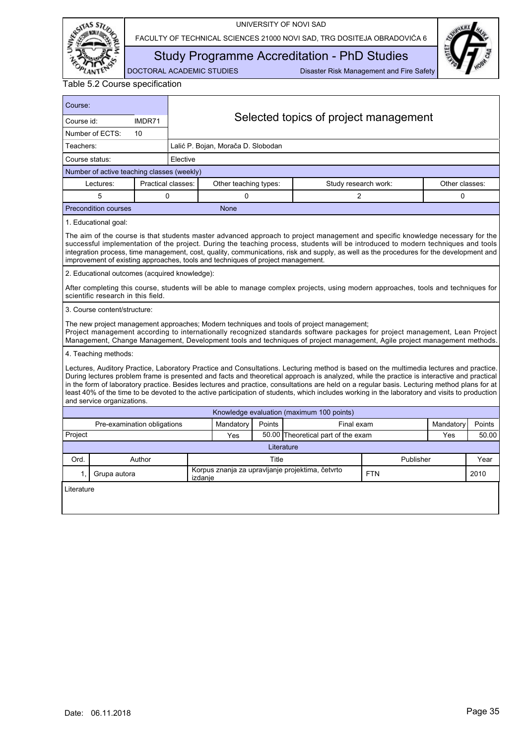

FACULTY OF TECHNICAL SCIENCES 21000 NOVI SAD, TRG DOSITEJA OBRADOVIĆA 6



Study Programme Accreditation - PhD Studies

<span id="page-36-0"></span>DOCTORAL ACADEMIC STUDIES Disaster Risk Management and Fire Safety

| Course:                                    |                                                                                                                                                                                                                                                                                                                                                                                                                                                                                                   |                    |          |                                    |        |                                                                                                                                                                                                                                                                                                                                                                                                                                                                                                                                                                                       |            |                |        |
|--------------------------------------------|---------------------------------------------------------------------------------------------------------------------------------------------------------------------------------------------------------------------------------------------------------------------------------------------------------------------------------------------------------------------------------------------------------------------------------------------------------------------------------------------------|--------------------|----------|------------------------------------|--------|---------------------------------------------------------------------------------------------------------------------------------------------------------------------------------------------------------------------------------------------------------------------------------------------------------------------------------------------------------------------------------------------------------------------------------------------------------------------------------------------------------------------------------------------------------------------------------------|------------|----------------|--------|
| Course id:                                 |                                                                                                                                                                                                                                                                                                                                                                                                                                                                                                   | IMDR71             |          |                                    |        | Selected topics of project management                                                                                                                                                                                                                                                                                                                                                                                                                                                                                                                                                 |            |                |        |
| Number of ECTS:                            |                                                                                                                                                                                                                                                                                                                                                                                                                                                                                                   | 10 <sup>1</sup>    |          |                                    |        |                                                                                                                                                                                                                                                                                                                                                                                                                                                                                                                                                                                       |            |                |        |
| Teachers:                                  |                                                                                                                                                                                                                                                                                                                                                                                                                                                                                                   |                    |          | Lalić P. Bojan, Morača D. Slobodan |        |                                                                                                                                                                                                                                                                                                                                                                                                                                                                                                                                                                                       |            |                |        |
| Course status:                             |                                                                                                                                                                                                                                                                                                                                                                                                                                                                                                   |                    | Elective |                                    |        |                                                                                                                                                                                                                                                                                                                                                                                                                                                                                                                                                                                       |            |                |        |
| Number of active teaching classes (weekly) |                                                                                                                                                                                                                                                                                                                                                                                                                                                                                                   |                    |          |                                    |        |                                                                                                                                                                                                                                                                                                                                                                                                                                                                                                                                                                                       |            |                |        |
| Lectures:                                  |                                                                                                                                                                                                                                                                                                                                                                                                                                                                                                   | Practical classes: |          | Other teaching types:              |        | Study research work:                                                                                                                                                                                                                                                                                                                                                                                                                                                                                                                                                                  |            | Other classes: |        |
| 5                                          |                                                                                                                                                                                                                                                                                                                                                                                                                                                                                                   |                    | 0        | $\Omega$                           |        | 2                                                                                                                                                                                                                                                                                                                                                                                                                                                                                                                                                                                     |            | $\Omega$       |        |
| <b>Precondition courses</b>                |                                                                                                                                                                                                                                                                                                                                                                                                                                                                                                   |                    |          | <b>None</b>                        |        |                                                                                                                                                                                                                                                                                                                                                                                                                                                                                                                                                                                       |            |                |        |
| 1. Educational goal:                       |                                                                                                                                                                                                                                                                                                                                                                                                                                                                                                   |                    |          |                                    |        |                                                                                                                                                                                                                                                                                                                                                                                                                                                                                                                                                                                       |            |                |        |
|                                            | The aim of the course is that students master advanced approach to project management and specific knowledge necessary for the<br>successful implementation of the project. During the teaching process, students will be introduced to modern techniques and tools<br>integration process, time management, cost, quality, communications, risk and supply, as well as the procedures for the development and<br>improvement of existing approaches, tools and techniques of project management. |                    |          |                                    |        |                                                                                                                                                                                                                                                                                                                                                                                                                                                                                                                                                                                       |            |                |        |
|                                            | 2. Educational outcomes (acquired knowledge):                                                                                                                                                                                                                                                                                                                                                                                                                                                     |                    |          |                                    |        |                                                                                                                                                                                                                                                                                                                                                                                                                                                                                                                                                                                       |            |                |        |
| scientific research in this field.         |                                                                                                                                                                                                                                                                                                                                                                                                                                                                                                   |                    |          |                                    |        | After completing this course, students will be able to manage complex projects, using modern approaches, tools and techniques for                                                                                                                                                                                                                                                                                                                                                                                                                                                     |            |                |        |
| 3. Course content/structure:               |                                                                                                                                                                                                                                                                                                                                                                                                                                                                                                   |                    |          |                                    |        |                                                                                                                                                                                                                                                                                                                                                                                                                                                                                                                                                                                       |            |                |        |
|                                            |                                                                                                                                                                                                                                                                                                                                                                                                                                                                                                   |                    |          |                                    |        | The new project management approaches; Modern techniques and tools of project management;<br>Project management according to internationally recognized standards software packages for project management, Lean Project<br>Management, Change Management, Development tools and techniques of project management, Agile project management methods.                                                                                                                                                                                                                                  |            |                |        |
| 4. Teaching methods:                       |                                                                                                                                                                                                                                                                                                                                                                                                                                                                                                   |                    |          |                                    |        |                                                                                                                                                                                                                                                                                                                                                                                                                                                                                                                                                                                       |            |                |        |
| and service organizations.                 |                                                                                                                                                                                                                                                                                                                                                                                                                                                                                                   |                    |          |                                    |        | Lectures, Auditory Practice, Laboratory Practice and Consultations. Lecturing method is based on the multimedia lectures and practice.<br>During lectures problem frame is presented and facts and theoretical approach is analyzed, while the practice is interactive and practical<br>in the form of laboratory practice. Besides lectures and practice, consultations are held on a regular basis. Lecturing method plans for at<br>least 40% of the time to be devoted to the active participation of students, which includes working in the laboratory and visits to production |            |                |        |
|                                            |                                                                                                                                                                                                                                                                                                                                                                                                                                                                                                   |                    |          |                                    |        | Knowledge evaluation (maximum 100 points)                                                                                                                                                                                                                                                                                                                                                                                                                                                                                                                                             |            |                |        |
|                                            | Pre-examination obligations                                                                                                                                                                                                                                                                                                                                                                                                                                                                       |                    |          | Mandatory                          | Points | Final exam                                                                                                                                                                                                                                                                                                                                                                                                                                                                                                                                                                            |            | Mandatory      | Points |
|                                            | Project<br>50.00 Theoretical part of the exam<br>50.00<br>Yes<br>Yes                                                                                                                                                                                                                                                                                                                                                                                                                              |                    |          |                                    |        |                                                                                                                                                                                                                                                                                                                                                                                                                                                                                                                                                                                       |            |                |        |
|                                            | Literature                                                                                                                                                                                                                                                                                                                                                                                                                                                                                        |                    |          |                                    |        |                                                                                                                                                                                                                                                                                                                                                                                                                                                                                                                                                                                       |            |                |        |
| Ord.                                       |                                                                                                                                                                                                                                                                                                                                                                                                                                                                                                   | Author             |          |                                    | Title  |                                                                                                                                                                                                                                                                                                                                                                                                                                                                                                                                                                                       | Publisher  |                | Year   |
| 1.                                         | Grupa autora                                                                                                                                                                                                                                                                                                                                                                                                                                                                                      |                    |          | izdanie                            |        | Korpus znanja za upravljanje projektima, četvrto                                                                                                                                                                                                                                                                                                                                                                                                                                                                                                                                      | <b>FTN</b> |                | 2010   |
| Literature                                 |                                                                                                                                                                                                                                                                                                                                                                                                                                                                                                   |                    |          |                                    |        |                                                                                                                                                                                                                                                                                                                                                                                                                                                                                                                                                                                       |            |                |        |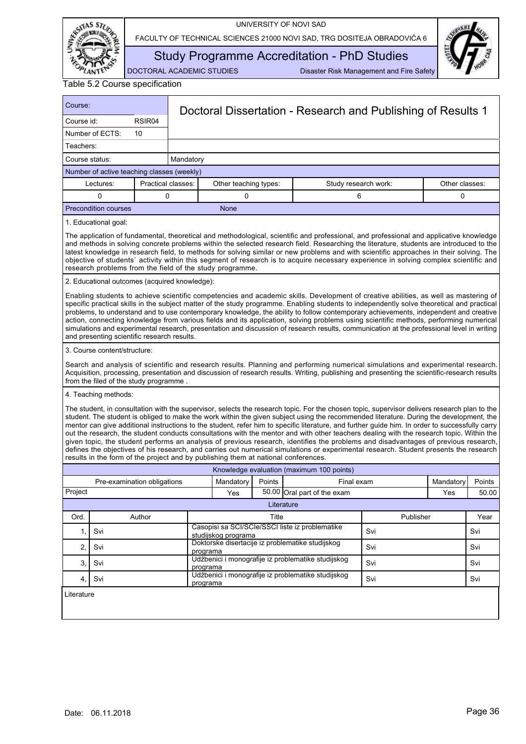

FACULTY OF TECHNICAL SCIENCES 21000 NOVI SAD, TRG DOSITEJA OBRADOVIĆA 6



Study Programme Accreditation - PhD Studies

<span id="page-37-0"></span>DOCTORAL ACADEMIC STUDIES Disaster Risk Management and Fire Safety

| Course:<br>Doctoral Dissertation - Research and Publishing of Results 1            |                                                                                                                                                                                                                                                                                                                                                                                                                                                                                                                                                                                                                                   |           |                       |            |                                                                                                                                                                                                                                                                                                                                                                                                                                                                                                                                                                                                                                                                                                                                                                                                                                                                        |           |                |        |  |  |
|------------------------------------------------------------------------------------|-----------------------------------------------------------------------------------------------------------------------------------------------------------------------------------------------------------------------------------------------------------------------------------------------------------------------------------------------------------------------------------------------------------------------------------------------------------------------------------------------------------------------------------------------------------------------------------------------------------------------------------|-----------|-----------------------|------------|------------------------------------------------------------------------------------------------------------------------------------------------------------------------------------------------------------------------------------------------------------------------------------------------------------------------------------------------------------------------------------------------------------------------------------------------------------------------------------------------------------------------------------------------------------------------------------------------------------------------------------------------------------------------------------------------------------------------------------------------------------------------------------------------------------------------------------------------------------------------|-----------|----------------|--------|--|--|
| Course id:                                                                         | RSIR04                                                                                                                                                                                                                                                                                                                                                                                                                                                                                                                                                                                                                            |           |                       |            |                                                                                                                                                                                                                                                                                                                                                                                                                                                                                                                                                                                                                                                                                                                                                                                                                                                                        |           |                |        |  |  |
| Number of ECTS:                                                                    | 10                                                                                                                                                                                                                                                                                                                                                                                                                                                                                                                                                                                                                                |           |                       |            |                                                                                                                                                                                                                                                                                                                                                                                                                                                                                                                                                                                                                                                                                                                                                                                                                                                                        |           |                |        |  |  |
| Teachers:                                                                          |                                                                                                                                                                                                                                                                                                                                                                                                                                                                                                                                                                                                                                   |           |                       |            |                                                                                                                                                                                                                                                                                                                                                                                                                                                                                                                                                                                                                                                                                                                                                                                                                                                                        |           |                |        |  |  |
| Course status:                                                                     |                                                                                                                                                                                                                                                                                                                                                                                                                                                                                                                                                                                                                                   | Mandatory |                       |            |                                                                                                                                                                                                                                                                                                                                                                                                                                                                                                                                                                                                                                                                                                                                                                                                                                                                        |           |                |        |  |  |
| Number of active teaching classes (weekly)                                         |                                                                                                                                                                                                                                                                                                                                                                                                                                                                                                                                                                                                                                   |           |                       |            |                                                                                                                                                                                                                                                                                                                                                                                                                                                                                                                                                                                                                                                                                                                                                                                                                                                                        |           |                |        |  |  |
| Lectures:                                                                          | Practical classes:                                                                                                                                                                                                                                                                                                                                                                                                                                                                                                                                                                                                                |           | Other teaching types: |            | Study research work:                                                                                                                                                                                                                                                                                                                                                                                                                                                                                                                                                                                                                                                                                                                                                                                                                                                   |           | Other classes: |        |  |  |
| 0                                                                                  | 0                                                                                                                                                                                                                                                                                                                                                                                                                                                                                                                                                                                                                                 |           | 0                     |            | 6                                                                                                                                                                                                                                                                                                                                                                                                                                                                                                                                                                                                                                                                                                                                                                                                                                                                      |           | 0              |        |  |  |
| Precondition courses                                                               |                                                                                                                                                                                                                                                                                                                                                                                                                                                                                                                                                                                                                                   |           | None                  |            |                                                                                                                                                                                                                                                                                                                                                                                                                                                                                                                                                                                                                                                                                                                                                                                                                                                                        |           |                |        |  |  |
| 1. Educational goal:                                                               |                                                                                                                                                                                                                                                                                                                                                                                                                                                                                                                                                                                                                                   |           |                       |            |                                                                                                                                                                                                                                                                                                                                                                                                                                                                                                                                                                                                                                                                                                                                                                                                                                                                        |           |                |        |  |  |
|                                                                                    | The application of fundamental, theoretical and methodological, scientific and professional, and professional and applicative knowledge<br>and methods in solving concrete problems within the selected research field. Researching the literature, students are introduced to the<br>latest knowledge in research field, to methods for solving similar or new problems and with scientific approaches in their solving. The<br>objective of students' activity within this segment of research is to acquire necessary experience in solving complex scientific and<br>research problems from the field of the study programme. |           |                       |            |                                                                                                                                                                                                                                                                                                                                                                                                                                                                                                                                                                                                                                                                                                                                                                                                                                                                        |           |                |        |  |  |
| 2. Educational outcomes (acquired knowledge):                                      |                                                                                                                                                                                                                                                                                                                                                                                                                                                                                                                                                                                                                                   |           |                       |            |                                                                                                                                                                                                                                                                                                                                                                                                                                                                                                                                                                                                                                                                                                                                                                                                                                                                        |           |                |        |  |  |
| and presenting scientific research results.                                        |                                                                                                                                                                                                                                                                                                                                                                                                                                                                                                                                                                                                                                   |           |                       |            | Enabling students to achieve scientific competencies and academic skills. Development of creative abilities, as well as mastering of<br>specific practical skills in the subject matter of the study programme. Enabling students to independently solve theoretical and practical<br>problems, to understand and to use contemporary knowledge, the ability to follow contemporary achievements, independent and creative<br>action, connecting knowledge from various fields and its application, solving problems using scientific methods, performing numerical<br>simulations and experimental research, presentation and discussion of research results, communication at the professional level in writing                                                                                                                                                      |           |                |        |  |  |
| 3. Course content/structure:                                                       |                                                                                                                                                                                                                                                                                                                                                                                                                                                                                                                                                                                                                                   |           |                       |            |                                                                                                                                                                                                                                                                                                                                                                                                                                                                                                                                                                                                                                                                                                                                                                                                                                                                        |           |                |        |  |  |
| from the filed of the study programme.                                             |                                                                                                                                                                                                                                                                                                                                                                                                                                                                                                                                                                                                                                   |           |                       |            | Search and analysis of scientific and research results. Planning and performing numerical simulations and experimental research.<br>Acquisition, processing, presentation and discussion of research results. Writing, publishing and presenting the scientific-research results                                                                                                                                                                                                                                                                                                                                                                                                                                                                                                                                                                                       |           |                |        |  |  |
| 4. Teaching methods:                                                               |                                                                                                                                                                                                                                                                                                                                                                                                                                                                                                                                                                                                                                   |           |                       |            |                                                                                                                                                                                                                                                                                                                                                                                                                                                                                                                                                                                                                                                                                                                                                                                                                                                                        |           |                |        |  |  |
| results in the form of the project and by publishing them at national conferences. |                                                                                                                                                                                                                                                                                                                                                                                                                                                                                                                                                                                                                                   |           |                       |            | The student, in consultation with the supervisor, selects the research topic. For the chosen topic, supervisor delivers research plan to the<br>student. The student is obliged to make the work within the given subject using the recommended literature. During the development, the<br>mentor can give additional instructions to the student, refer him to specific literature, and further guide him. In order to successfully carry<br>out the research, the student conducts consultations with the mentor and with other teachers dealing with the research topic. Within the<br>given topic, the student performs an analysis of previous research, identifies the problems and disadvantages of previous research,<br>defines the objectives of his research, and carries out numerical simulations or experimental research. Student presents the research |           |                |        |  |  |
|                                                                                    |                                                                                                                                                                                                                                                                                                                                                                                                                                                                                                                                                                                                                                   |           |                       |            | Knowledge evaluation (maximum 100 points)                                                                                                                                                                                                                                                                                                                                                                                                                                                                                                                                                                                                                                                                                                                                                                                                                              |           |                |        |  |  |
|                                                                                    | Pre-examination obligations                                                                                                                                                                                                                                                                                                                                                                                                                                                                                                                                                                                                       |           | Mandatory             | Points     | Final exam                                                                                                                                                                                                                                                                                                                                                                                                                                                                                                                                                                                                                                                                                                                                                                                                                                                             |           | Mandatory      | Points |  |  |
| Project                                                                            |                                                                                                                                                                                                                                                                                                                                                                                                                                                                                                                                                                                                                                   |           | Yes                   |            | 50.00 Oral part of the exam                                                                                                                                                                                                                                                                                                                                                                                                                                                                                                                                                                                                                                                                                                                                                                                                                                            |           | Yes            | 50.00  |  |  |
|                                                                                    |                                                                                                                                                                                                                                                                                                                                                                                                                                                                                                                                                                                                                                   |           |                       | Literature |                                                                                                                                                                                                                                                                                                                                                                                                                                                                                                                                                                                                                                                                                                                                                                                                                                                                        |           |                |        |  |  |
| Ord.                                                                               | Author                                                                                                                                                                                                                                                                                                                                                                                                                                                                                                                                                                                                                            |           |                       | Title      |                                                                                                                                                                                                                                                                                                                                                                                                                                                                                                                                                                                                                                                                                                                                                                                                                                                                        | Publisher |                | Year   |  |  |
| Svi<br>1.                                                                          |                                                                                                                                                                                                                                                                                                                                                                                                                                                                                                                                                                                                                                   |           | studijskog programa   |            | Časopisi sa SCI/SCIe/SSCI liste iz problematike                                                                                                                                                                                                                                                                                                                                                                                                                                                                                                                                                                                                                                                                                                                                                                                                                        | Svi       |                | Svi    |  |  |
| 2,<br>Svi                                                                          |                                                                                                                                                                                                                                                                                                                                                                                                                                                                                                                                                                                                                                   |           | programa              |            | Doktorske disertacije iz problematike studijskog                                                                                                                                                                                                                                                                                                                                                                                                                                                                                                                                                                                                                                                                                                                                                                                                                       | Svi       |                | Svi    |  |  |
| 3.<br>Svi                                                                          |                                                                                                                                                                                                                                                                                                                                                                                                                                                                                                                                                                                                                                   |           | programa              |            | Udžbenici i monografije iz problematike studijskog                                                                                                                                                                                                                                                                                                                                                                                                                                                                                                                                                                                                                                                                                                                                                                                                                     | Svi       |                | Svi    |  |  |
| 4.<br>Svi                                                                          |                                                                                                                                                                                                                                                                                                                                                                                                                                                                                                                                                                                                                                   |           | programa              |            | Udžbenici i monografije iz problematike studijskog                                                                                                                                                                                                                                                                                                                                                                                                                                                                                                                                                                                                                                                                                                                                                                                                                     | Svi       |                | Svi    |  |  |
| Literature                                                                         |                                                                                                                                                                                                                                                                                                                                                                                                                                                                                                                                                                                                                                   |           |                       |            |                                                                                                                                                                                                                                                                                                                                                                                                                                                                                                                                                                                                                                                                                                                                                                                                                                                                        |           |                |        |  |  |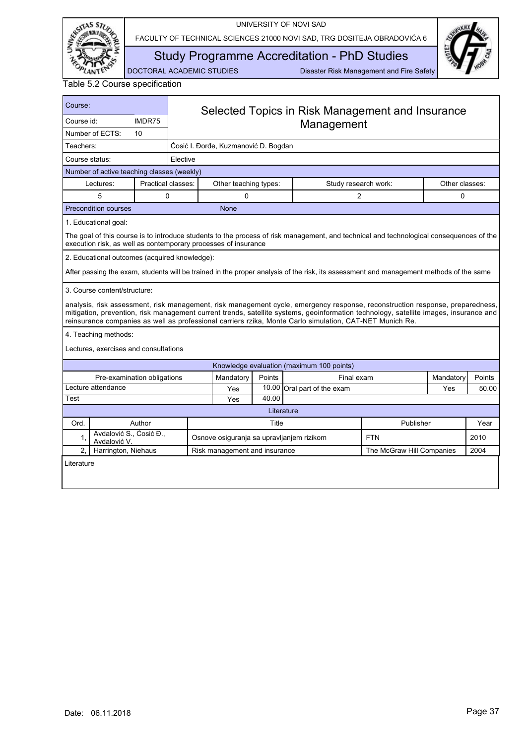

FACULTY OF TECHNICAL SCIENCES 21000 NOVI SAD, TRG DOSITEJA OBRADOVIĆA 6



Study Programme Accreditation - PhD Studies

<span id="page-38-0"></span>DOCTORAL ACADEMIC STUDIES Disaster Risk Management and Fire Safety

| Course:                                      |                                                                                                                                                                                                           |                    |          |                                           |        |                                                                                                                                                                                                                                                                                                                                                                                    |                           |                |        |  |
|----------------------------------------------|-----------------------------------------------------------------------------------------------------------------------------------------------------------------------------------------------------------|--------------------|----------|-------------------------------------------|--------|------------------------------------------------------------------------------------------------------------------------------------------------------------------------------------------------------------------------------------------------------------------------------------------------------------------------------------------------------------------------------------|---------------------------|----------------|--------|--|
|                                              |                                                                                                                                                                                                           |                    |          |                                           |        | Selected Topics in Risk Management and Insurance                                                                                                                                                                                                                                                                                                                                   |                           |                |        |  |
| Course id:                                   |                                                                                                                                                                                                           | IMDR75             |          |                                           |        | Management                                                                                                                                                                                                                                                                                                                                                                         |                           |                |        |  |
|                                              | Number of ECTS:                                                                                                                                                                                           | 10                 |          |                                           |        |                                                                                                                                                                                                                                                                                                                                                                                    |                           |                |        |  |
| Teachers:                                    |                                                                                                                                                                                                           |                    |          | Ćosić I. Đorđe, Kuzmanović D. Bogdan      |        |                                                                                                                                                                                                                                                                                                                                                                                    |                           |                |        |  |
| Course status:                               |                                                                                                                                                                                                           |                    | Elective |                                           |        |                                                                                                                                                                                                                                                                                                                                                                                    |                           |                |        |  |
|                                              | Number of active teaching classes (weekly)                                                                                                                                                                |                    |          |                                           |        |                                                                                                                                                                                                                                                                                                                                                                                    |                           |                |        |  |
|                                              | Lectures:                                                                                                                                                                                                 | Practical classes: |          | Other teaching types:                     |        | Study research work:                                                                                                                                                                                                                                                                                                                                                               |                           | Other classes: |        |  |
|                                              | 5                                                                                                                                                                                                         | 0                  |          | 0                                         |        | 2                                                                                                                                                                                                                                                                                                                                                                                  |                           | 0              |        |  |
|                                              | <b>Precondition courses</b>                                                                                                                                                                               |                    |          | <b>None</b>                               |        |                                                                                                                                                                                                                                                                                                                                                                                    |                           |                |        |  |
|                                              | 1. Educational goal:                                                                                                                                                                                      |                    |          |                                           |        |                                                                                                                                                                                                                                                                                                                                                                                    |                           |                |        |  |
|                                              | The goal of this course is to introduce students to the process of risk management, and technical and technological consequences of the<br>execution risk, as well as contemporary processes of insurance |                    |          |                                           |        |                                                                                                                                                                                                                                                                                                                                                                                    |                           |                |        |  |
|                                              | 2. Educational outcomes (acquired knowledge):                                                                                                                                                             |                    |          |                                           |        |                                                                                                                                                                                                                                                                                                                                                                                    |                           |                |        |  |
|                                              | After passing the exam, students will be trained in the proper analysis of the risk, its assessment and management methods of the same                                                                    |                    |          |                                           |        |                                                                                                                                                                                                                                                                                                                                                                                    |                           |                |        |  |
|                                              | 3. Course content/structure:                                                                                                                                                                              |                    |          |                                           |        |                                                                                                                                                                                                                                                                                                                                                                                    |                           |                |        |  |
|                                              |                                                                                                                                                                                                           |                    |          |                                           |        | analysis, risk assessment, risk management, risk management cycle, emergency response, reconstruction response, preparedness,<br>mitigation, prevention, risk management current trends, satellite systems, geoinformation technology, satellite images, insurance and<br>reinsurance companies as well as professional carriers rzika, Monte Carlo simulation, CAT-NET Munich Re. |                           |                |        |  |
|                                              | 4. Teaching methods:                                                                                                                                                                                      |                    |          |                                           |        |                                                                                                                                                                                                                                                                                                                                                                                    |                           |                |        |  |
|                                              | Lectures, exercises and consultations                                                                                                                                                                     |                    |          |                                           |        |                                                                                                                                                                                                                                                                                                                                                                                    |                           |                |        |  |
|                                              |                                                                                                                                                                                                           |                    |          |                                           |        | Knowledge evaluation (maximum 100 points)                                                                                                                                                                                                                                                                                                                                          |                           |                |        |  |
|                                              | Pre-examination obligations                                                                                                                                                                               |                    |          | Mandatory                                 | Points | Final exam                                                                                                                                                                                                                                                                                                                                                                         |                           | Mandatory      | Points |  |
|                                              | Lecture attendance                                                                                                                                                                                        |                    |          | Yes                                       | 10.00  | Oral part of the exam                                                                                                                                                                                                                                                                                                                                                              |                           | Yes            | 50.00  |  |
| Test                                         |                                                                                                                                                                                                           |                    |          | Yes                                       | 40.00  |                                                                                                                                                                                                                                                                                                                                                                                    |                           |                |        |  |
|                                              |                                                                                                                                                                                                           |                    |          |                                           |        | Literature                                                                                                                                                                                                                                                                                                                                                                         |                           |                |        |  |
| Ord.<br>Author<br>Title<br>Publisher<br>Year |                                                                                                                                                                                                           |                    |          |                                           |        |                                                                                                                                                                                                                                                                                                                                                                                    |                           |                |        |  |
| 1.                                           | Avdalović S., Ćosić Đ.,<br>Avdalović V.                                                                                                                                                                   |                    |          | Osnove osiguranja sa upravljanjem rizikom |        |                                                                                                                                                                                                                                                                                                                                                                                    | <b>FTN</b>                |                | 2010   |  |
| $\overline{2}$                               | Harrington, Niehaus                                                                                                                                                                                       |                    |          | Risk management and insurance             |        |                                                                                                                                                                                                                                                                                                                                                                                    | The McGraw Hill Companies |                | 2004   |  |
|                                              | Literature                                                                                                                                                                                                |                    |          |                                           |        |                                                                                                                                                                                                                                                                                                                                                                                    |                           |                |        |  |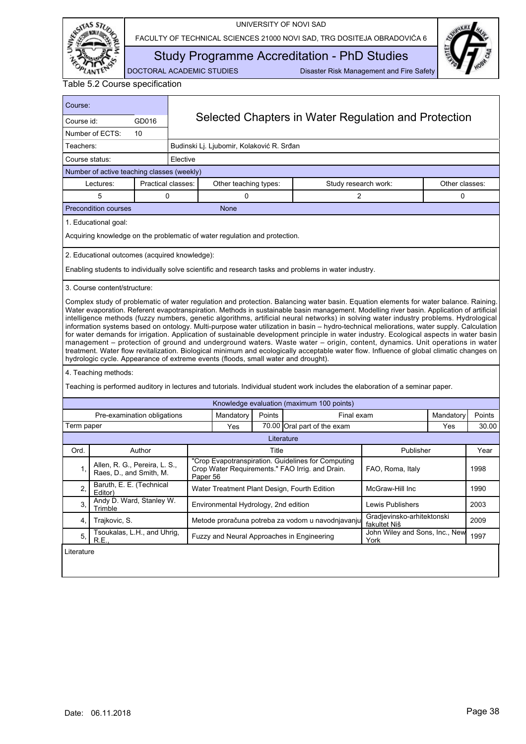

FACULTY OF TECHNICAL SCIENCES 21000 NOVI SAD, TRG DOSITEJA OBRADOVIĆA 6

<span id="page-39-0"></span>Study Programme Accreditation - PhD Studies DOCTORAL ACADEMIC STUDIES<br>
Disaster Risk Management and Fire Safety



Table 5.2 Course specification

GD016 Selected Chapters in Water Regulation and Protection Course: Course id: Number of ECTS: 10 Course status: Number of active teaching classes (weekly) Lectures: Practical classes: Other teaching types: Study research work: Elective Acquiring knowledge on the problematic of water regulation and protection. Enabling students to individually solve scientific and research tasks and problems in water industry. Complex study of problematic of water regulation and protection. Balancing water basin. Equation elements for water balance. Raining. Water evaporation. Referent evapotranspiration. Methods in sustainable basin management. Modelling river basin. Application of artificial intelligence methods (fuzzy numbers, genetic algorithms, artificial neural networks) in solving water industry problems. Hydrological information systems based on ontology. Multi-purpose water utilization in basin – hydro-technical meliorations, water supply. Calculation for water demands for irrigation. Application of sustainable development principle in water industry. Ecological aspects in water basin management – protection of ground and underground waters. Waste water – origin, content, dynamics. Unit operations in water treatment. Water flow revitalization. Biological minimum and ecologically acceptable water flow. Influence of global climatic changes on hydrologic cycle. Appearance of extreme events (floods, small water and drought). 1. Educational goal: 2. Educational outcomes (acquired knowledge): 3. Course content/structure: 4. Teaching methods: Teaching is performed auditory in lectures and tutorials. Individual student work includes the elaboration of a seminar paper. **Literature** Ord. | Author | Title Publisher | Year | Year | Year | Year | Year | Year | Year 1. Allen, R. G., Pereira, L. S., Raes, D., and Smith, M. "Crop Evapotranspiration. Guidelines for Computing Crop Water Requirements." FAO Irrig. and Drain. Paper 56 FAO, Roma, Italy 1998 2, Baruth, E. E. (Technical<br>Editor) Water Treatment Plant Design, Fourth Edition McGraw-Hill Inc 1990 3, Andy D. Ward, Stanley W.<br>Trimble Environmental Hydrology, 2nd edition Lewis Publishers 2003<br>Material Reservative Constants Constitution Language Canadievinsko-arhitektonski 4, Trajkovic, S. Metode proračuna potreba za vodom u navodnjavanju fakultet Niš <sup>2009</sup>  $5,$  Tsoukalas, L.H., and Uhrig, Fuzzy and Neural Approaches in Engineering  $\begin{bmatrix} 3011 \\ 1011 \end{bmatrix}$ John Wiley and Sons, Inc., New 1997 Final exam Mandatory Points Oral part of the exam  $\vert$  Yes  $\vert$  30.00 Knowledge evaluation (maximum 100 points) Pre-examination obligations Mandatory | Points Term paper and the set of the Yes 70.00 Teachers: **Budinski Lj. Ljubomir, Kolaković R. Srđan** Precondition courses None Other classes: 5 | 0 | 0 | 2 | 0 Literature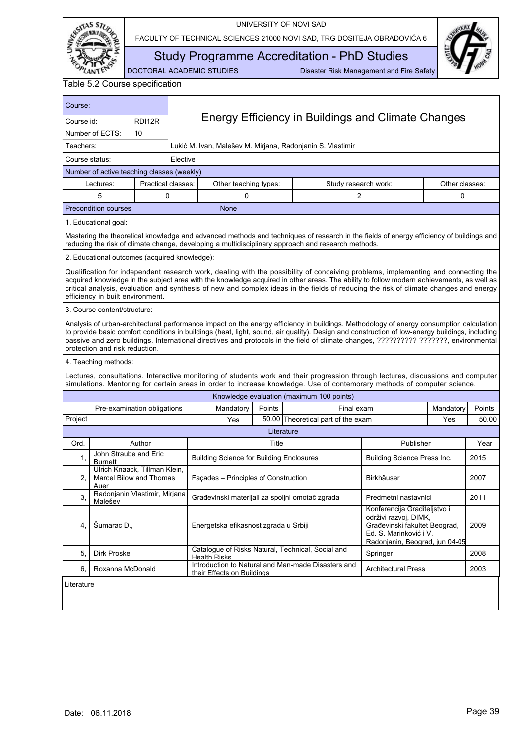

FACULTY OF TECHNICAL SCIENCES 21000 NOVI SAD, TRG DOSITEJA OBRADOVIĆA 6



Study Programme Accreditation - PhD Studies

<span id="page-40-0"></span>DOCTORAL ACADEMIC STUDIES Disaster Risk Management and Fire Safety

| Course:        |                                                                                                                                                                                                                                                                                                                                                                                                                                                                     | RDI <sub>12R</sub> |          | Energy Efficiency in Buildings and Climate Changes |            |                                                                                                                                                                                                                                               |                             |                |        |  |  |  |  |
|----------------|---------------------------------------------------------------------------------------------------------------------------------------------------------------------------------------------------------------------------------------------------------------------------------------------------------------------------------------------------------------------------------------------------------------------------------------------------------------------|--------------------|----------|----------------------------------------------------|------------|-----------------------------------------------------------------------------------------------------------------------------------------------------------------------------------------------------------------------------------------------|-----------------------------|----------------|--------|--|--|--|--|
| Course id:     | Number of ECTS:                                                                                                                                                                                                                                                                                                                                                                                                                                                     | 10                 |          |                                                    |            |                                                                                                                                                                                                                                               |                             |                |        |  |  |  |  |
| Teachers:      |                                                                                                                                                                                                                                                                                                                                                                                                                                                                     |                    |          |                                                    |            | Lukić M. Ivan, Malešev M. Mirjana, Radonjanin S. Vlastimir                                                                                                                                                                                    |                             |                |        |  |  |  |  |
| Course status: |                                                                                                                                                                                                                                                                                                                                                                                                                                                                     |                    | Elective |                                                    |            |                                                                                                                                                                                                                                               |                             |                |        |  |  |  |  |
|                | Number of active teaching classes (weekly)                                                                                                                                                                                                                                                                                                                                                                                                                          |                    |          |                                                    |            |                                                                                                                                                                                                                                               |                             |                |        |  |  |  |  |
|                | Lectures:                                                                                                                                                                                                                                                                                                                                                                                                                                                           | Practical classes: |          | Other teaching types:                              |            | Study research work:                                                                                                                                                                                                                          |                             | Other classes: |        |  |  |  |  |
|                | 5                                                                                                                                                                                                                                                                                                                                                                                                                                                                   | 0                  |          | 0                                                  |            | 2                                                                                                                                                                                                                                             |                             | 0              |        |  |  |  |  |
|                | <b>Precondition courses</b>                                                                                                                                                                                                                                                                                                                                                                                                                                         |                    |          | <b>None</b>                                        |            |                                                                                                                                                                                                                                               |                             |                |        |  |  |  |  |
|                | 1. Educational goal:                                                                                                                                                                                                                                                                                                                                                                                                                                                |                    |          |                                                    |            |                                                                                                                                                                                                                                               |                             |                |        |  |  |  |  |
|                |                                                                                                                                                                                                                                                                                                                                                                                                                                                                     |                    |          |                                                    |            | Mastering the theoretical knowledge and advanced methods and techniques of research in the fields of energy efficiency of buildings and<br>reducing the risk of climate change, developing a multidisciplinary approach and research methods. |                             |                |        |  |  |  |  |
|                | 2. Educational outcomes (acquired knowledge):                                                                                                                                                                                                                                                                                                                                                                                                                       |                    |          |                                                    |            |                                                                                                                                                                                                                                               |                             |                |        |  |  |  |  |
|                | Qualification for independent research work, dealing with the possibility of conceiving problems, implementing and connecting the<br>acquired knowledge in the subject area with the knowledge acquired in other areas. The ability to follow modern achievements, as well as<br>critical analysis, evaluation and synthesis of new and complex ideas in the fields of reducing the risk of climate changes and energy<br>efficiency in built environment.          |                    |          |                                                    |            |                                                                                                                                                                                                                                               |                             |                |        |  |  |  |  |
|                | 3. Course content/structure:                                                                                                                                                                                                                                                                                                                                                                                                                                        |                    |          |                                                    |            |                                                                                                                                                                                                                                               |                             |                |        |  |  |  |  |
|                | Analysis of urban-architectural performance impact on the energy efficiency in buildings. Methodology of energy consumption calculation<br>to provide basic comfort conditions in buildings (heat, light, sound, air quality). Design and construction of low-energy buildings, including<br>passive and zero buildings. International directives and protocols in the field of climate changes, ?????????????????, environmental<br>protection and risk reduction. |                    |          |                                                    |            |                                                                                                                                                                                                                                               |                             |                |        |  |  |  |  |
|                | 4. Teaching methods:                                                                                                                                                                                                                                                                                                                                                                                                                                                |                    |          |                                                    |            | Lectures, consultations. Interactive monitoring of students work and their progression through lectures, discussions and computer                                                                                                             |                             |                |        |  |  |  |  |
|                |                                                                                                                                                                                                                                                                                                                                                                                                                                                                     |                    |          |                                                    |            | simulations. Mentoring for certain areas in order to increase knowledge. Use of contemorary methods of computer science.                                                                                                                      |                             |                |        |  |  |  |  |
|                |                                                                                                                                                                                                                                                                                                                                                                                                                                                                     |                    |          |                                                    |            | Knowledge evaluation (maximum 100 points)                                                                                                                                                                                                     |                             |                |        |  |  |  |  |
|                | Pre-examination obligations                                                                                                                                                                                                                                                                                                                                                                                                                                         |                    |          | Mandatory                                          | Points     | Final exam                                                                                                                                                                                                                                    |                             | Mandatory      | Points |  |  |  |  |
| Project        |                                                                                                                                                                                                                                                                                                                                                                                                                                                                     |                    |          | Yes                                                | 50.00      | Theoretical part of the exam                                                                                                                                                                                                                  |                             | Yes            | 50.00  |  |  |  |  |
|                |                                                                                                                                                                                                                                                                                                                                                                                                                                                                     |                    |          |                                                    | Literature |                                                                                                                                                                                                                                               |                             |                |        |  |  |  |  |
| Ord.           |                                                                                                                                                                                                                                                                                                                                                                                                                                                                     | Author             |          |                                                    | Title      |                                                                                                                                                                                                                                               | Publisher                   |                | Year   |  |  |  |  |
| 1,             | John Straube and Eric<br><b>Burnett</b>                                                                                                                                                                                                                                                                                                                                                                                                                             |                    |          | <b>Building Science for Building Enclosures</b>    |            |                                                                                                                                                                                                                                               | Building Science Press Inc. |                | 2015   |  |  |  |  |
| 2.             | Ulrich Knaack. Tillman Klein.<br>Marcel Bilow and Thomas<br>Auer                                                                                                                                                                                                                                                                                                                                                                                                    |                    |          | Façades - Principles of Construction               |            |                                                                                                                                                                                                                                               | Birkhäuser                  |                | 2007   |  |  |  |  |
| 3,             | Radonjanin Vlastimir, Mirjana<br>Malešev                                                                                                                                                                                                                                                                                                                                                                                                                            |                    |          | Građevinski materijali za spoljni omotač zgrada    |            |                                                                                                                                                                                                                                               | Predmetni nastavnici        |                | 2011   |  |  |  |  |
| 4.             | Konferencija Graditeljstvo i<br>održivi razvoj, DIMK,<br>Šumarac D.,<br>Energetska efikasnost zgrada u Srbiji<br>Građevinski fakultet Beograd,<br>2009<br>Ed. S. Marinković i V.<br>Radonjanin, Beograd, jun 04-05                                                                                                                                                                                                                                                  |                    |          |                                                    |            |                                                                                                                                                                                                                                               |                             |                |        |  |  |  |  |
| 5.             | Dirk Proske                                                                                                                                                                                                                                                                                                                                                                                                                                                         |                    |          | <b>Health Risks</b>                                |            | Catalogue of Risks Natural, Technical, Social and                                                                                                                                                                                             | Springer                    |                | 2008   |  |  |  |  |
| 6.             | Roxanna McDonald                                                                                                                                                                                                                                                                                                                                                                                                                                                    |                    |          |                                                    |            | Introduction to Natural and Man-made Disasters and                                                                                                                                                                                            | <b>Architectural Press</b>  |                | 2003   |  |  |  |  |
| Literature     | their Effects on Buildings                                                                                                                                                                                                                                                                                                                                                                                                                                          |                    |          |                                                    |            |                                                                                                                                                                                                                                               |                             |                |        |  |  |  |  |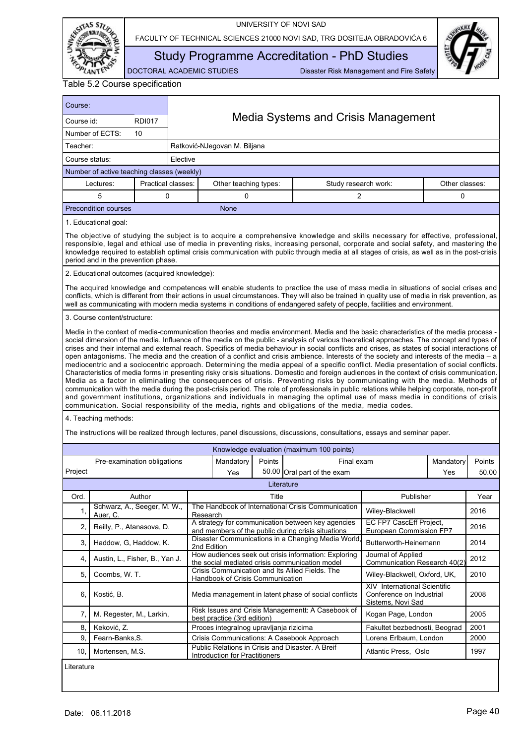

FACULTY OF TECHNICAL SCIENCES 21000 NOVI SAD, TRG DOSITEJA OBRADOVIĆA 6



Study Programme Accreditation - PhD Studies

<span id="page-41-0"></span>DOCTORAL ACADEMIC STUDIES Disaster Risk Management and Fire Safety

Table 5.2 Course specification

| Course:        |                                                                                                                                                                                                                                                                                                                                                                                                                    |                    |                                                                                                                                                                                            |                                                                                     |                              |                                                                                                                                                                                                                                                                                                                                                                                                                                                                                                                                                                                                                                                                                                                                                                                                                                                                                                                                                                                                                                                                                                                                                                                                                                                                                                                                                                                                   |                                                    |                |        |  |  |
|----------------|--------------------------------------------------------------------------------------------------------------------------------------------------------------------------------------------------------------------------------------------------------------------------------------------------------------------------------------------------------------------------------------------------------------------|--------------------|--------------------------------------------------------------------------------------------------------------------------------------------------------------------------------------------|-------------------------------------------------------------------------------------|------------------------------|---------------------------------------------------------------------------------------------------------------------------------------------------------------------------------------------------------------------------------------------------------------------------------------------------------------------------------------------------------------------------------------------------------------------------------------------------------------------------------------------------------------------------------------------------------------------------------------------------------------------------------------------------------------------------------------------------------------------------------------------------------------------------------------------------------------------------------------------------------------------------------------------------------------------------------------------------------------------------------------------------------------------------------------------------------------------------------------------------------------------------------------------------------------------------------------------------------------------------------------------------------------------------------------------------------------------------------------------------------------------------------------------------|----------------------------------------------------|----------------|--------|--|--|
| Course id:     |                                                                                                                                                                                                                                                                                                                                                                                                                    | <b>RDI017</b>      |                                                                                                                                                                                            |                                                                                     |                              | Media Systems and Crisis Management                                                                                                                                                                                                                                                                                                                                                                                                                                                                                                                                                                                                                                                                                                                                                                                                                                                                                                                                                                                                                                                                                                                                                                                                                                                                                                                                                               |                                                    |                |        |  |  |
|                | Number of ECTS:                                                                                                                                                                                                                                                                                                                                                                                                    | 10                 |                                                                                                                                                                                            |                                                                                     |                              |                                                                                                                                                                                                                                                                                                                                                                                                                                                                                                                                                                                                                                                                                                                                                                                                                                                                                                                                                                                                                                                                                                                                                                                                                                                                                                                                                                                                   |                                                    |                |        |  |  |
| Teacher:       |                                                                                                                                                                                                                                                                                                                                                                                                                    |                    |                                                                                                                                                                                            | Ratković-NJegovan M. Biljana                                                        |                              |                                                                                                                                                                                                                                                                                                                                                                                                                                                                                                                                                                                                                                                                                                                                                                                                                                                                                                                                                                                                                                                                                                                                                                                                                                                                                                                                                                                                   |                                                    |                |        |  |  |
| Course status: |                                                                                                                                                                                                                                                                                                                                                                                                                    |                    | Elective                                                                                                                                                                                   |                                                                                     |                              |                                                                                                                                                                                                                                                                                                                                                                                                                                                                                                                                                                                                                                                                                                                                                                                                                                                                                                                                                                                                                                                                                                                                                                                                                                                                                                                                                                                                   |                                                    |                |        |  |  |
|                | Number of active teaching classes (weekly)                                                                                                                                                                                                                                                                                                                                                                         |                    |                                                                                                                                                                                            |                                                                                     |                              |                                                                                                                                                                                                                                                                                                                                                                                                                                                                                                                                                                                                                                                                                                                                                                                                                                                                                                                                                                                                                                                                                                                                                                                                                                                                                                                                                                                                   |                                                    |                |        |  |  |
|                | Lectures:                                                                                                                                                                                                                                                                                                                                                                                                          | Practical classes: |                                                                                                                                                                                            | Other teaching types:                                                               |                              | Study research work:                                                                                                                                                                                                                                                                                                                                                                                                                                                                                                                                                                                                                                                                                                                                                                                                                                                                                                                                                                                                                                                                                                                                                                                                                                                                                                                                                                              |                                                    | Other classes: |        |  |  |
|                | 5                                                                                                                                                                                                                                                                                                                                                                                                                  |                    | 0                                                                                                                                                                                          | $\mathbf 0$                                                                         |                              | 2                                                                                                                                                                                                                                                                                                                                                                                                                                                                                                                                                                                                                                                                                                                                                                                                                                                                                                                                                                                                                                                                                                                                                                                                                                                                                                                                                                                                 |                                                    | 0              |        |  |  |
|                | Precondition courses                                                                                                                                                                                                                                                                                                                                                                                               |                    |                                                                                                                                                                                            | <b>None</b>                                                                         |                              |                                                                                                                                                                                                                                                                                                                                                                                                                                                                                                                                                                                                                                                                                                                                                                                                                                                                                                                                                                                                                                                                                                                                                                                                                                                                                                                                                                                                   |                                                    |                |        |  |  |
|                | 1. Educational goal:                                                                                                                                                                                                                                                                                                                                                                                               |                    |                                                                                                                                                                                            |                                                                                     |                              |                                                                                                                                                                                                                                                                                                                                                                                                                                                                                                                                                                                                                                                                                                                                                                                                                                                                                                                                                                                                                                                                                                                                                                                                                                                                                                                                                                                                   |                                                    |                |        |  |  |
|                | period and in the prevention phase.                                                                                                                                                                                                                                                                                                                                                                                |                    |                                                                                                                                                                                            |                                                                                     |                              | The objective of studying the subject is to acquire a comprehensive knowledge and skills necessary for effective, professional,<br>responsible, legal and ethical use of media in preventing risks, increasing personal, corporate and social safety, and mastering the<br>knowledge required to establish optimal crisis communication with public through media at all stages of crisis, as well as in the post-crisis                                                                                                                                                                                                                                                                                                                                                                                                                                                                                                                                                                                                                                                                                                                                                                                                                                                                                                                                                                          |                                                    |                |        |  |  |
|                | 2. Educational outcomes (acquired knowledge):                                                                                                                                                                                                                                                                                                                                                                      |                    |                                                                                                                                                                                            |                                                                                     |                              |                                                                                                                                                                                                                                                                                                                                                                                                                                                                                                                                                                                                                                                                                                                                                                                                                                                                                                                                                                                                                                                                                                                                                                                                                                                                                                                                                                                                   |                                                    |                |        |  |  |
|                | The acquired knowledge and competences will enable students to practice the use of mass media in situations of social crises and<br>conflicts, which is different from their actions in usual circumstances. They will also be trained in quality use of media in risk prevention, as<br>well as communicating with modern media systems in conditions of endangered safety of people, facilities and environment. |                    |                                                                                                                                                                                            |                                                                                     |                              |                                                                                                                                                                                                                                                                                                                                                                                                                                                                                                                                                                                                                                                                                                                                                                                                                                                                                                                                                                                                                                                                                                                                                                                                                                                                                                                                                                                                   |                                                    |                |        |  |  |
|                | 3. Course content/structure:                                                                                                                                                                                                                                                                                                                                                                                       |                    |                                                                                                                                                                                            |                                                                                     |                              |                                                                                                                                                                                                                                                                                                                                                                                                                                                                                                                                                                                                                                                                                                                                                                                                                                                                                                                                                                                                                                                                                                                                                                                                                                                                                                                                                                                                   |                                                    |                |        |  |  |
|                |                                                                                                                                                                                                                                                                                                                                                                                                                    |                    |                                                                                                                                                                                            |                                                                                     |                              | Media in the context of media-communication theories and media environment. Media and the basic characteristics of the media process -<br>social dimension of the media. Influence of the media on the public - analysis of various theoretical approaches. The concept and types of<br>crises and their internal and external reach. Specifics of media behaviour in social conflicts and crises, as states of social interactions of<br>open antagonisms. The media and the creation of a conflict and crisis ambience. Interests of the society and interests of the media - a<br>mediocentric and a sociocentric approach. Determining the media appeal of a specific conflict. Media presentation of social conflicts.<br>Characteristics of media forms in presenting risky crisis situations. Domestic and foreign audiences in the context of crisis communication.<br>Media as a factor in eliminating the consequences of crisis. Preventing risks by communicating with the media. Methods of<br>communication with the media during the post-crisis period. The role of professionals in public relations while helping corporate, non-profit<br>and government institutions, organizations and individuals in managing the optimal use of mass media in conditions of crisis<br>communication. Social responsibility of the media, rights and obligations of the media, media codes. |                                                    |                |        |  |  |
|                | 4. Teaching methods:                                                                                                                                                                                                                                                                                                                                                                                               |                    |                                                                                                                                                                                            |                                                                                     |                              |                                                                                                                                                                                                                                                                                                                                                                                                                                                                                                                                                                                                                                                                                                                                                                                                                                                                                                                                                                                                                                                                                                                                                                                                                                                                                                                                                                                                   |                                                    |                |        |  |  |
|                |                                                                                                                                                                                                                                                                                                                                                                                                                    |                    |                                                                                                                                                                                            |                                                                                     |                              | The instructions will be realized through lectures, panel discussions, discussions, consultations, essays and seminar paper.                                                                                                                                                                                                                                                                                                                                                                                                                                                                                                                                                                                                                                                                                                                                                                                                                                                                                                                                                                                                                                                                                                                                                                                                                                                                      |                                                    |                |        |  |  |
|                |                                                                                                                                                                                                                                                                                                                                                                                                                    |                    |                                                                                                                                                                                            |                                                                                     |                              | Knowledge evaluation (maximum 100 points)                                                                                                                                                                                                                                                                                                                                                                                                                                                                                                                                                                                                                                                                                                                                                                                                                                                                                                                                                                                                                                                                                                                                                                                                                                                                                                                                                         |                                                    |                |        |  |  |
|                | Pre-examination obligations                                                                                                                                                                                                                                                                                                                                                                                        |                    |                                                                                                                                                                                            | Mandatory                                                                           | Points                       | Final exam                                                                                                                                                                                                                                                                                                                                                                                                                                                                                                                                                                                                                                                                                                                                                                                                                                                                                                                                                                                                                                                                                                                                                                                                                                                                                                                                                                                        |                                                    | Mandatory      | Points |  |  |
| Project        |                                                                                                                                                                                                                                                                                                                                                                                                                    |                    |                                                                                                                                                                                            | Yes                                                                                 | 50.00                        | Oral part of the exam                                                                                                                                                                                                                                                                                                                                                                                                                                                                                                                                                                                                                                                                                                                                                                                                                                                                                                                                                                                                                                                                                                                                                                                                                                                                                                                                                                             |                                                    | Yes            | 50.00  |  |  |
|                |                                                                                                                                                                                                                                                                                                                                                                                                                    |                    |                                                                                                                                                                                            |                                                                                     | Literature                   |                                                                                                                                                                                                                                                                                                                                                                                                                                                                                                                                                                                                                                                                                                                                                                                                                                                                                                                                                                                                                                                                                                                                                                                                                                                                                                                                                                                                   |                                                    |                |        |  |  |
| Ord.           |                                                                                                                                                                                                                                                                                                                                                                                                                    | Author             |                                                                                                                                                                                            |                                                                                     | Title                        |                                                                                                                                                                                                                                                                                                                                                                                                                                                                                                                                                                                                                                                                                                                                                                                                                                                                                                                                                                                                                                                                                                                                                                                                                                                                                                                                                                                                   | Publisher                                          |                | Year   |  |  |
| 1.             | Schwarz, A., Seeger, M. W.,<br>Auer, C.                                                                                                                                                                                                                                                                                                                                                                            |                    |                                                                                                                                                                                            | Research                                                                            |                              | The Handbook of International Crisis Communication                                                                                                                                                                                                                                                                                                                                                                                                                                                                                                                                                                                                                                                                                                                                                                                                                                                                                                                                                                                                                                                                                                                                                                                                                                                                                                                                                | Wiley-Blackwell                                    |                | 2016   |  |  |
| 2.             | Reilly, P., Atanasova, D.                                                                                                                                                                                                                                                                                                                                                                                          |                    |                                                                                                                                                                                            |                                                                                     |                              | A strategy for communication between key agencies<br>and members of the public during crisis situations                                                                                                                                                                                                                                                                                                                                                                                                                                                                                                                                                                                                                                                                                                                                                                                                                                                                                                                                                                                                                                                                                                                                                                                                                                                                                           | EC FP7 CascEff Project,<br>European Commission FP7 |                | 2016   |  |  |
| 3.             | Haddow, G, Haddow, K.                                                                                                                                                                                                                                                                                                                                                                                              |                    |                                                                                                                                                                                            | 2nd Edition                                                                         |                              | Disaster Communications in a Changing Media World                                                                                                                                                                                                                                                                                                                                                                                                                                                                                                                                                                                                                                                                                                                                                                                                                                                                                                                                                                                                                                                                                                                                                                                                                                                                                                                                                 | Butterworth-Heinemann                              |                | 2014   |  |  |
| 4,             | Austin, L., Fisher, B., Yan J.                                                                                                                                                                                                                                                                                                                                                                                     |                    |                                                                                                                                                                                            |                                                                                     |                              | How audiences seek out crisis information: Exploring<br>the social mediated crisis communication model                                                                                                                                                                                                                                                                                                                                                                                                                                                                                                                                                                                                                                                                                                                                                                                                                                                                                                                                                                                                                                                                                                                                                                                                                                                                                            | Journal of Applied<br>Communication Research 40(2) |                | 2012   |  |  |
| 5.             | Coombs, W.T.                                                                                                                                                                                                                                                                                                                                                                                                       |                    |                                                                                                                                                                                            | Crisis Communication and Its Allied Fields. The<br>Handbook of Crisis Communication | Wiley-Blackwell, Oxford, UK, |                                                                                                                                                                                                                                                                                                                                                                                                                                                                                                                                                                                                                                                                                                                                                                                                                                                                                                                                                                                                                                                                                                                                                                                                                                                                                                                                                                                                   | 2010                                               |                |        |  |  |
| 6.             | Kostić, B.                                                                                                                                                                                                                                                                                                                                                                                                         |                    | XIV International Scientific<br>Conference on Industrial<br>Media management in latent phase of social conflicts<br>Sistems, Novi Sad<br>Risk Issues and Crisis Managementt: A Casebook of |                                                                                     |                              |                                                                                                                                                                                                                                                                                                                                                                                                                                                                                                                                                                                                                                                                                                                                                                                                                                                                                                                                                                                                                                                                                                                                                                                                                                                                                                                                                                                                   |                                                    |                | 2008   |  |  |
| 7,             | M. Regester, M., Larkin,                                                                                                                                                                                                                                                                                                                                                                                           |                    |                                                                                                                                                                                            | best practice (3rd edition)                                                         |                              |                                                                                                                                                                                                                                                                                                                                                                                                                                                                                                                                                                                                                                                                                                                                                                                                                                                                                                                                                                                                                                                                                                                                                                                                                                                                                                                                                                                                   | Kogan Page, London                                 |                | 2005   |  |  |
| 8.             | Keković, Z.                                                                                                                                                                                                                                                                                                                                                                                                        |                    |                                                                                                                                                                                            | Proces integralnog upravljanja rizicima                                             |                              |                                                                                                                                                                                                                                                                                                                                                                                                                                                                                                                                                                                                                                                                                                                                                                                                                                                                                                                                                                                                                                                                                                                                                                                                                                                                                                                                                                                                   | Fakultet bezbednosti, Beograd                      |                | 2001   |  |  |
| 9.             | Fearn-Banks, S.                                                                                                                                                                                                                                                                                                                                                                                                    |                    |                                                                                                                                                                                            | Crisis Communications: A Casebook Approach                                          |                              |                                                                                                                                                                                                                                                                                                                                                                                                                                                                                                                                                                                                                                                                                                                                                                                                                                                                                                                                                                                                                                                                                                                                                                                                                                                                                                                                                                                                   | Lorens Erlbaum, London                             |                | 2000   |  |  |
| 10,            | Mortensen, M.S.                                                                                                                                                                                                                                                                                                                                                                                                    |                    |                                                                                                                                                                                            | Public Relations in Crisis and Disaster. A Breif<br>Introduction for Practitioners  |                              |                                                                                                                                                                                                                                                                                                                                                                                                                                                                                                                                                                                                                                                                                                                                                                                                                                                                                                                                                                                                                                                                                                                                                                                                                                                                                                                                                                                                   | Atlantic Press, Oslo                               |                | 1997   |  |  |
| Literature     |                                                                                                                                                                                                                                                                                                                                                                                                                    |                    |                                                                                                                                                                                            |                                                                                     |                              |                                                                                                                                                                                                                                                                                                                                                                                                                                                                                                                                                                                                                                                                                                                                                                                                                                                                                                                                                                                                                                                                                                                                                                                                                                                                                                                                                                                                   |                                                    |                |        |  |  |

ı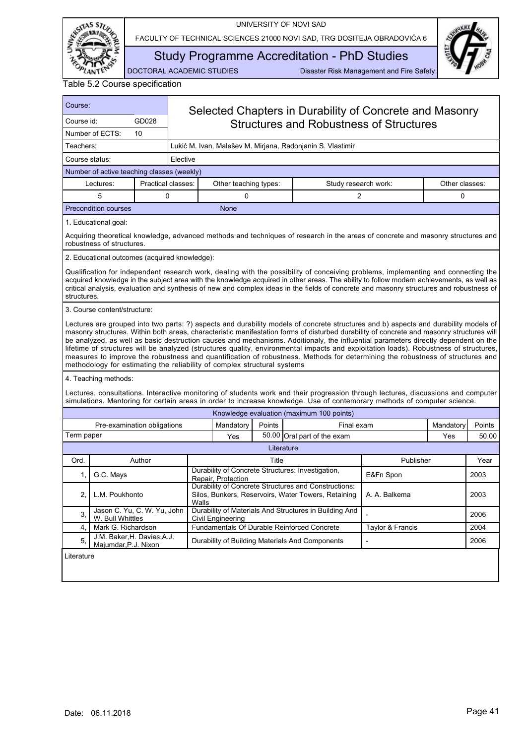

FACULTY OF TECHNICAL SCIENCES 21000 NOVI SAD, TRG DOSITEJA OBRADOVIĆA 6



Study Programme Accreditation - PhD Studies

<span id="page-42-0"></span>DOCTORAL ACADEMIC STUDIES Disaster Risk Management and Fire Safety

| Course:        | Selected Chapters in Durability of Concrete and Masonry |                    |          |                                                                          |            |                                                                                                                                                                                                                                                                                                                                                                                                                                                                                                                                                                                                                                                                                                   |                  |                |        |  |  |
|----------------|---------------------------------------------------------|--------------------|----------|--------------------------------------------------------------------------|------------|---------------------------------------------------------------------------------------------------------------------------------------------------------------------------------------------------------------------------------------------------------------------------------------------------------------------------------------------------------------------------------------------------------------------------------------------------------------------------------------------------------------------------------------------------------------------------------------------------------------------------------------------------------------------------------------------------|------------------|----------------|--------|--|--|
| Course id:     |                                                         | GD028              |          |                                                                          |            | <b>Structures and Robustness of Structures</b>                                                                                                                                                                                                                                                                                                                                                                                                                                                                                                                                                                                                                                                    |                  |                |        |  |  |
|                | Number of ECTS:                                         | 10                 |          |                                                                          |            |                                                                                                                                                                                                                                                                                                                                                                                                                                                                                                                                                                                                                                                                                                   |                  |                |        |  |  |
| Teachers:      |                                                         |                    |          |                                                                          |            | Lukić M. Ivan, Malešev M. Mirjana, Radonjanin S. Vlastimir                                                                                                                                                                                                                                                                                                                                                                                                                                                                                                                                                                                                                                        |                  |                |        |  |  |
| Course status: |                                                         |                    | Elective |                                                                          |            |                                                                                                                                                                                                                                                                                                                                                                                                                                                                                                                                                                                                                                                                                                   |                  |                |        |  |  |
|                | Number of active teaching classes (weekly)              |                    |          |                                                                          |            |                                                                                                                                                                                                                                                                                                                                                                                                                                                                                                                                                                                                                                                                                                   |                  |                |        |  |  |
|                | Lectures:                                               | Practical classes: |          | Other teaching types:                                                    |            | Study research work:                                                                                                                                                                                                                                                                                                                                                                                                                                                                                                                                                                                                                                                                              |                  | Other classes: |        |  |  |
|                | 5                                                       | 0                  |          | 0                                                                        |            | $\overline{c}$                                                                                                                                                                                                                                                                                                                                                                                                                                                                                                                                                                                                                                                                                    |                  | 0              |        |  |  |
|                | <b>Precondition courses</b><br>None                     |                    |          |                                                                          |            |                                                                                                                                                                                                                                                                                                                                                                                                                                                                                                                                                                                                                                                                                                   |                  |                |        |  |  |
|                | 1. Educational goal:                                    |                    |          |                                                                          |            |                                                                                                                                                                                                                                                                                                                                                                                                                                                                                                                                                                                                                                                                                                   |                  |                |        |  |  |
|                | robustness of structures.                               |                    |          |                                                                          |            | Acquiring theoretical knowledge, advanced methods and techniques of research in the areas of concrete and masonry structures and                                                                                                                                                                                                                                                                                                                                                                                                                                                                                                                                                                  |                  |                |        |  |  |
|                | 2. Educational outcomes (acquired knowledge):           |                    |          |                                                                          |            |                                                                                                                                                                                                                                                                                                                                                                                                                                                                                                                                                                                                                                                                                                   |                  |                |        |  |  |
| structures.    |                                                         |                    |          |                                                                          |            | Qualification for independent research work, dealing with the possibility of conceiving problems, implementing and connecting the<br>acquired knowledge in the subject area with the knowledge acquired in other areas. The ability to follow modern achievements, as well as<br>critical analysis, evaluation and synthesis of new and complex ideas in the fields of concrete and masonry structures and robustness of                                                                                                                                                                                                                                                                          |                  |                |        |  |  |
|                | 3. Course content/structure:                            |                    |          |                                                                          |            |                                                                                                                                                                                                                                                                                                                                                                                                                                                                                                                                                                                                                                                                                                   |                  |                |        |  |  |
|                |                                                         |                    |          | methodology for estimating the reliability of complex structural systems |            | Lectures are grouped into two parts: ?) aspects and durability models of concrete structures and b) aspects and durability models of<br>masonry structures. Within both areas, characteristic manifestation forms of disturbed durability of concrete and masonry structures will<br>be analyzed, as well as basic destruction causes and mechanisms. Additionaly, the influential parameters directly dependent on the<br>lifetime of structures will be analyzed (structures quality, environmental impacts and exploitation loads). Robustness of structures,<br>measures to improve the robustness and quantification of robustness. Methods for determining the robustness of structures and |                  |                |        |  |  |
|                | 4. Teaching methods:                                    |                    |          |                                                                          |            |                                                                                                                                                                                                                                                                                                                                                                                                                                                                                                                                                                                                                                                                                                   |                  |                |        |  |  |
|                |                                                         |                    |          |                                                                          |            | Lectures, consultations. Interactive monitoring of students work and their progression through lectures, discussions and computer<br>simulations. Mentoring for certain areas in order to increase knowledge. Use of contemorary methods of computer science.                                                                                                                                                                                                                                                                                                                                                                                                                                     |                  |                |        |  |  |
|                |                                                         |                    |          |                                                                          |            | Knowledge evaluation (maximum 100 points)                                                                                                                                                                                                                                                                                                                                                                                                                                                                                                                                                                                                                                                         |                  |                |        |  |  |
|                | Pre-examination obligations                             |                    |          | Mandatory                                                                | Points     | Final exam                                                                                                                                                                                                                                                                                                                                                                                                                                                                                                                                                                                                                                                                                        |                  | Mandatory      | Points |  |  |
| Term paper     |                                                         |                    |          | Yes                                                                      |            | 50.00 Oral part of the exam                                                                                                                                                                                                                                                                                                                                                                                                                                                                                                                                                                                                                                                                       |                  | Yes            | 50.00  |  |  |
|                |                                                         |                    |          |                                                                          | Literature |                                                                                                                                                                                                                                                                                                                                                                                                                                                                                                                                                                                                                                                                                                   |                  |                |        |  |  |
| Ord.           |                                                         | Author             |          |                                                                          | Title      |                                                                                                                                                                                                                                                                                                                                                                                                                                                                                                                                                                                                                                                                                                   | Publisher        |                | Year   |  |  |
| 1.             | G.C. Mays                                               |                    |          | Repair, Protection                                                       |            | Durability of Concrete Structures: Investigation,                                                                                                                                                                                                                                                                                                                                                                                                                                                                                                                                                                                                                                                 | E&Fn Spon        |                | 2003   |  |  |
| 2.1            | L.M. Poukhonto                                          |                    | Walls    |                                                                          |            | Durability of Concrete Structures and Constructions:<br>Silos, Bunkers, Reservoirs, Water Towers, Retaining                                                                                                                                                                                                                                                                                                                                                                                                                                                                                                                                                                                       | A. A. Balkema    |                | 2003   |  |  |
| 3,             | Jason C. Yu, C. W. Yu, John<br>W. Bull Whittles         |                    |          | Civil Engineering                                                        |            | Durability of Materials And Structures in Building And                                                                                                                                                                                                                                                                                                                                                                                                                                                                                                                                                                                                                                            |                  |                | 2006   |  |  |
| 4,             | Mark G. Richardson                                      |                    |          |                                                                          |            | Fundamentals Of Durable Reinforced Concrete                                                                                                                                                                                                                                                                                                                                                                                                                                                                                                                                                                                                                                                       | Taylor & Francis |                | 2004   |  |  |
| 5,             | J.M. Baker, H. Davies, A.J.<br>Majumdar, P.J. Nixon     |                    |          |                                                                          |            | Durability of Building Materials And Components                                                                                                                                                                                                                                                                                                                                                                                                                                                                                                                                                                                                                                                   |                  |                | 2006   |  |  |
| Literature     |                                                         |                    |          |                                                                          |            |                                                                                                                                                                                                                                                                                                                                                                                                                                                                                                                                                                                                                                                                                                   |                  |                |        |  |  |
|                |                                                         |                    |          |                                                                          |            |                                                                                                                                                                                                                                                                                                                                                                                                                                                                                                                                                                                                                                                                                                   |                  |                |        |  |  |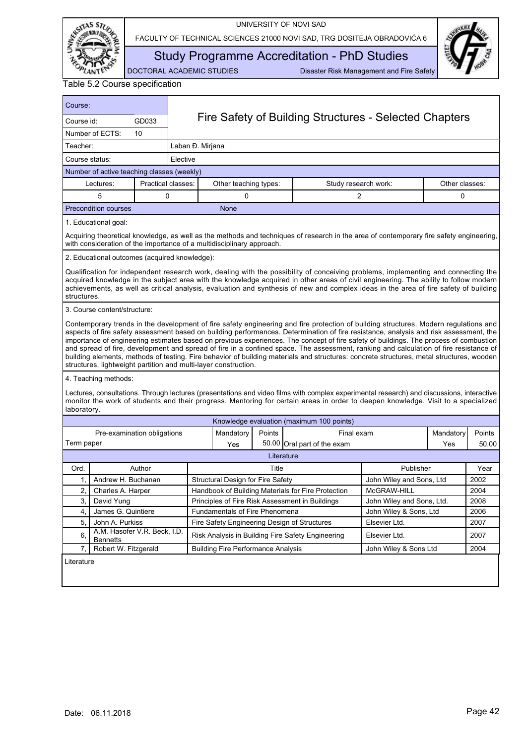

×

UNIVERSITY OF NOVI SAD

FACULTY OF TECHNICAL SCIENCES 21000 NOVI SAD, TRG DOSITEJA OBRADOVIĆA 6



Study Programme Accreditation - PhD Studies

<span id="page-43-0"></span>DOCTORAL ACADEMIC STUDIES Disaster Risk Management and Fire Safety

| Course:        |                                                                                                                                                                                                                  |                    |                                                                                      |  |                       |                                           |                                                                                                                                                                                                                                                                                                                                                                                                                                                                                                                                                                                                                                                                                                             |                          |                |        |
|----------------|------------------------------------------------------------------------------------------------------------------------------------------------------------------------------------------------------------------|--------------------|--------------------------------------------------------------------------------------|--|-----------------------|-------------------------------------------|-------------------------------------------------------------------------------------------------------------------------------------------------------------------------------------------------------------------------------------------------------------------------------------------------------------------------------------------------------------------------------------------------------------------------------------------------------------------------------------------------------------------------------------------------------------------------------------------------------------------------------------------------------------------------------------------------------------|--------------------------|----------------|--------|
| Course id:     |                                                                                                                                                                                                                  | GD033              |                                                                                      |  |                       |                                           | Fire Safety of Building Structures - Selected Chapters                                                                                                                                                                                                                                                                                                                                                                                                                                                                                                                                                                                                                                                      |                          |                |        |
|                | Number of ECTS:                                                                                                                                                                                                  | 10                 |                                                                                      |  |                       |                                           |                                                                                                                                                                                                                                                                                                                                                                                                                                                                                                                                                                                                                                                                                                             |                          |                |        |
| Teacher:       |                                                                                                                                                                                                                  |                    | Laban Đ. Mirjana                                                                     |  |                       |                                           |                                                                                                                                                                                                                                                                                                                                                                                                                                                                                                                                                                                                                                                                                                             |                          |                |        |
| Course status: |                                                                                                                                                                                                                  |                    | Elective                                                                             |  |                       |                                           |                                                                                                                                                                                                                                                                                                                                                                                                                                                                                                                                                                                                                                                                                                             |                          |                |        |
|                | Number of active teaching classes (weekly)                                                                                                                                                                       |                    |                                                                                      |  |                       |                                           |                                                                                                                                                                                                                                                                                                                                                                                                                                                                                                                                                                                                                                                                                                             |                          |                |        |
|                | Lectures:                                                                                                                                                                                                        | Practical classes: |                                                                                      |  | Other teaching types: |                                           | Study research work:                                                                                                                                                                                                                                                                                                                                                                                                                                                                                                                                                                                                                                                                                        |                          | Other classes: |        |
|                | 5                                                                                                                                                                                                                | 0                  |                                                                                      |  | 0                     |                                           | 2                                                                                                                                                                                                                                                                                                                                                                                                                                                                                                                                                                                                                                                                                                           |                          | 0              |        |
|                | <b>Precondition courses</b>                                                                                                                                                                                      |                    |                                                                                      |  | None                  |                                           |                                                                                                                                                                                                                                                                                                                                                                                                                                                                                                                                                                                                                                                                                                             |                          |                |        |
|                | 1. Educational goal:                                                                                                                                                                                             |                    |                                                                                      |  |                       |                                           |                                                                                                                                                                                                                                                                                                                                                                                                                                                                                                                                                                                                                                                                                                             |                          |                |        |
|                | Acquiring theoretical knowledge, as well as the methods and techniques of research in the area of contemporary fire safety engineering,<br>with consideration of the importance of a multidisciplinary approach. |                    |                                                                                      |  |                       |                                           |                                                                                                                                                                                                                                                                                                                                                                                                                                                                                                                                                                                                                                                                                                             |                          |                |        |
|                | 2. Educational outcomes (acquired knowledge):                                                                                                                                                                    |                    |                                                                                      |  |                       |                                           |                                                                                                                                                                                                                                                                                                                                                                                                                                                                                                                                                                                                                                                                                                             |                          |                |        |
| structures.    |                                                                                                                                                                                                                  |                    |                                                                                      |  |                       |                                           | Qualification for independent research work, dealing with the possibility of conceiving problems, implementing and connecting the<br>acquired knowledge in the subject area with the knowledge acquired in other areas of civil engineering. The ability to follow modern<br>achievements, as well as critical analysis, evaluation and synthesis of new and complex ideas in the area of fire safety of building                                                                                                                                                                                                                                                                                           |                          |                |        |
|                | 3. Course content/structure:                                                                                                                                                                                     |                    |                                                                                      |  |                       |                                           |                                                                                                                                                                                                                                                                                                                                                                                                                                                                                                                                                                                                                                                                                                             |                          |                |        |
|                | structures, lightweight partition and multi-layer construction.                                                                                                                                                  |                    |                                                                                      |  |                       |                                           | Contemporary trends in the development of fire safety engineering and fire protection of building structures. Modern regulations and<br>aspects of fire safety assessment based on building performances. Determination of fire resistance, analysis and risk assessment, the<br>importance of engineering estimates based on previous experiences. The concept of fire safety of buildings. The process of combustion<br>and spread of fire, development and spread of fire in a confined space. The assessment, ranking and calculation of fire resistance of<br>building elements, methods of testing. Fire behavior of building materials and structures: concrete structures, metal structures, wooden |                          |                |        |
|                | 4. Teaching methods:                                                                                                                                                                                             |                    |                                                                                      |  |                       |                                           |                                                                                                                                                                                                                                                                                                                                                                                                                                                                                                                                                                                                                                                                                                             |                          |                |        |
| laboratory.    |                                                                                                                                                                                                                  |                    |                                                                                      |  |                       |                                           | Lectures, consultations. Through lectures (presentations and video films with complex experimental research) and discussions, interactive<br>monitor the work of students and their progress. Mentoring for certain areas in order to deepen knowledge. Visit to a specialized                                                                                                                                                                                                                                                                                                                                                                                                                              |                          |                |        |
|                |                                                                                                                                                                                                                  |                    |                                                                                      |  |                       |                                           | Knowledge evaluation (maximum 100 points)                                                                                                                                                                                                                                                                                                                                                                                                                                                                                                                                                                                                                                                                   |                          |                |        |
|                | Pre-examination obligations                                                                                                                                                                                      |                    |                                                                                      |  | Mandatory             | Points                                    | Final exam                                                                                                                                                                                                                                                                                                                                                                                                                                                                                                                                                                                                                                                                                                  |                          | Mandatory      | Points |
| Term paper     |                                                                                                                                                                                                                  |                    |                                                                                      |  | Yes                   |                                           | 50.00 Oral part of the exam                                                                                                                                                                                                                                                                                                                                                                                                                                                                                                                                                                                                                                                                                 |                          | Yes            | 50.00  |
|                |                                                                                                                                                                                                                  |                    |                                                                                      |  |                       | Literature                                |                                                                                                                                                                                                                                                                                                                                                                                                                                                                                                                                                                                                                                                                                                             |                          |                |        |
| Ord.           |                                                                                                                                                                                                                  | Author             |                                                                                      |  |                       | Title                                     |                                                                                                                                                                                                                                                                                                                                                                                                                                                                                                                                                                                                                                                                                                             | Publisher                |                | Year   |
| 1.             | Andrew H. Buchanan                                                                                                                                                                                               |                    |                                                                                      |  |                       | Structural Design for Fire Safety         |                                                                                                                                                                                                                                                                                                                                                                                                                                                                                                                                                                                                                                                                                                             | John Wiley and Sons, Ltd |                | 2002   |
| 2,             | Charles A. Harper                                                                                                                                                                                                |                    |                                                                                      |  |                       |                                           | Handbook of Building Materials for Fire Protection                                                                                                                                                                                                                                                                                                                                                                                                                                                                                                                                                                                                                                                          | McGRAW-HILL              |                | 2004   |
| 3,             | David Yung                                                                                                                                                                                                       |                    | 2008<br>Principles of Fire Risk Assessment in Buildings<br>John Wiley and Sons, Ltd. |  |                       |                                           |                                                                                                                                                                                                                                                                                                                                                                                                                                                                                                                                                                                                                                                                                                             |                          |                |        |
| 4.             | James G. Quintiere                                                                                                                                                                                               |                    | Fundamentals of Fire Phenomena<br>John Wiley & Sons, Ltd<br>2006                     |  |                       |                                           |                                                                                                                                                                                                                                                                                                                                                                                                                                                                                                                                                                                                                                                                                                             |                          |                |        |
| 5.             | John A. Purkiss                                                                                                                                                                                                  |                    |                                                                                      |  |                       |                                           | Fire Safety Engineering Design of Structures                                                                                                                                                                                                                                                                                                                                                                                                                                                                                                                                                                                                                                                                | Elsevier Ltd.            |                | 2007   |
| 6,             | A.M. Hasofer V.R. Beck, I.D.<br><b>Bennetts</b>                                                                                                                                                                  |                    |                                                                                      |  |                       |                                           | Risk Analysis in Building Fire Safety Engineering                                                                                                                                                                                                                                                                                                                                                                                                                                                                                                                                                                                                                                                           | Elsevier Ltd.            |                | 2007   |
| 7,             | Robert W. Fitzgerald                                                                                                                                                                                             |                    |                                                                                      |  |                       | <b>Building Fire Performance Analysis</b> |                                                                                                                                                                                                                                                                                                                                                                                                                                                                                                                                                                                                                                                                                                             | John Wiley & Sons Ltd    |                | 2004   |
|                | Literature                                                                                                                                                                                                       |                    |                                                                                      |  |                       |                                           |                                                                                                                                                                                                                                                                                                                                                                                                                                                                                                                                                                                                                                                                                                             |                          |                |        |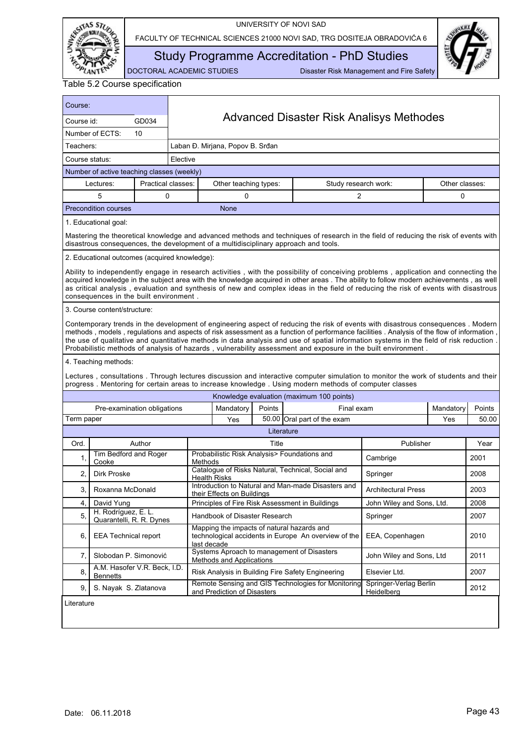

FACULTY OF TECHNICAL SCIENCES 21000 NOVI SAD, TRG DOSITEJA OBRADOVIĆA 6



Study Programme Accreditation - PhD Studies

<span id="page-44-0"></span>DOCTORAL ACADEMIC STUDIES Disaster Risk Management and Fire Safety

| Course:        |                                                                                                                                                                                                                                                                                                                                                                                                                                                                                                                                         |                    |          |                                                                                                                                              |            |                                                                                                                                                                                                                                             |                                      |                |        |  |  |  |  |
|----------------|-----------------------------------------------------------------------------------------------------------------------------------------------------------------------------------------------------------------------------------------------------------------------------------------------------------------------------------------------------------------------------------------------------------------------------------------------------------------------------------------------------------------------------------------|--------------------|----------|----------------------------------------------------------------------------------------------------------------------------------------------|------------|---------------------------------------------------------------------------------------------------------------------------------------------------------------------------------------------------------------------------------------------|--------------------------------------|----------------|--------|--|--|--|--|
| Course id:     |                                                                                                                                                                                                                                                                                                                                                                                                                                                                                                                                         | GD034              |          |                                                                                                                                              |            | Advanced Disaster Risk Analisys Methodes                                                                                                                                                                                                    |                                      |                |        |  |  |  |  |
|                | Number of ECTS:                                                                                                                                                                                                                                                                                                                                                                                                                                                                                                                         | 10                 |          |                                                                                                                                              |            |                                                                                                                                                                                                                                             |                                      |                |        |  |  |  |  |
| Teachers:      |                                                                                                                                                                                                                                                                                                                                                                                                                                                                                                                                         |                    |          | Laban Đ. Mirjana, Popov B. Srđan                                                                                                             |            |                                                                                                                                                                                                                                             |                                      |                |        |  |  |  |  |
| Course status: |                                                                                                                                                                                                                                                                                                                                                                                                                                                                                                                                         |                    | Elective |                                                                                                                                              |            |                                                                                                                                                                                                                                             |                                      |                |        |  |  |  |  |
|                | Number of active teaching classes (weekly)                                                                                                                                                                                                                                                                                                                                                                                                                                                                                              |                    |          |                                                                                                                                              |            |                                                                                                                                                                                                                                             |                                      |                |        |  |  |  |  |
|                | Lectures:                                                                                                                                                                                                                                                                                                                                                                                                                                                                                                                               | Practical classes: |          | Other teaching types:                                                                                                                        |            | Study research work:                                                                                                                                                                                                                        |                                      | Other classes: |        |  |  |  |  |
|                | 5                                                                                                                                                                                                                                                                                                                                                                                                                                                                                                                                       | 0                  |          | 0                                                                                                                                            |            | 2                                                                                                                                                                                                                                           |                                      | 0              |        |  |  |  |  |
|                | <b>Precondition courses</b>                                                                                                                                                                                                                                                                                                                                                                                                                                                                                                             |                    |          | <b>None</b>                                                                                                                                  |            |                                                                                                                                                                                                                                             |                                      |                |        |  |  |  |  |
|                | 1. Educational goal:                                                                                                                                                                                                                                                                                                                                                                                                                                                                                                                    |                    |          |                                                                                                                                              |            |                                                                                                                                                                                                                                             |                                      |                |        |  |  |  |  |
|                |                                                                                                                                                                                                                                                                                                                                                                                                                                                                                                                                         |                    |          |                                                                                                                                              |            | Mastering the theoretical knowledge and advanced methods and techniques of research in the field of reducing the risk of events with<br>disastrous consequences, the development of a multidisciplinary approach and tools.                 |                                      |                |        |  |  |  |  |
|                | 2. Educational outcomes (acquired knowledge):                                                                                                                                                                                                                                                                                                                                                                                                                                                                                           |                    |          |                                                                                                                                              |            |                                                                                                                                                                                                                                             |                                      |                |        |  |  |  |  |
|                | Ability to independently engage in research activities, with the possibility of conceiving problems, application and connecting the<br>acquired knowledge in the subject area with the knowledge acquired in other areas . The ability to follow modern achievements, as well<br>as critical analysis, evaluation and synthesis of new and complex ideas in the field of reducing the risk of events with disastrous<br>consequences in the built environment.                                                                          |                    |          |                                                                                                                                              |            |                                                                                                                                                                                                                                             |                                      |                |        |  |  |  |  |
|                | 3. Course content/structure:                                                                                                                                                                                                                                                                                                                                                                                                                                                                                                            |                    |          |                                                                                                                                              |            |                                                                                                                                                                                                                                             |                                      |                |        |  |  |  |  |
|                | Contemporary trends in the development of engineering aspect of reducing the risk of events with disastrous consequences. Modern<br>methods, models, regulations and aspects of risk assessment as a function of performance facilities. Analysis of the flow of information<br>the use of qualitative and quantitative methods in data analysis and use of spatial information systems in the field of risk reduction<br>Probabilistic methods of analysis of hazards, vulnerability assessment and exposure in the built environment. |                    |          |                                                                                                                                              |            |                                                                                                                                                                                                                                             |                                      |                |        |  |  |  |  |
|                | 4. Teaching methods:                                                                                                                                                                                                                                                                                                                                                                                                                                                                                                                    |                    |          |                                                                                                                                              |            |                                                                                                                                                                                                                                             |                                      |                |        |  |  |  |  |
|                |                                                                                                                                                                                                                                                                                                                                                                                                                                                                                                                                         |                    |          |                                                                                                                                              |            | Lectures, consultations. Through lectures discussion and interactive computer simulation to monitor the work of students and their<br>progress. Mentoring for certain areas to increase knowledge. Using modern methods of computer classes |                                      |                |        |  |  |  |  |
|                |                                                                                                                                                                                                                                                                                                                                                                                                                                                                                                                                         |                    |          |                                                                                                                                              |            | Knowledge evaluation (maximum 100 points)                                                                                                                                                                                                   |                                      |                |        |  |  |  |  |
|                | Pre-examination obligations                                                                                                                                                                                                                                                                                                                                                                                                                                                                                                             |                    |          | Mandatory                                                                                                                                    | Points     | Final exam                                                                                                                                                                                                                                  |                                      | Mandatory      | Points |  |  |  |  |
| Term paper     |                                                                                                                                                                                                                                                                                                                                                                                                                                                                                                                                         |                    |          | Yes                                                                                                                                          |            | 50.00 Oral part of the exam                                                                                                                                                                                                                 |                                      | Yes            | 50.00  |  |  |  |  |
|                |                                                                                                                                                                                                                                                                                                                                                                                                                                                                                                                                         |                    |          |                                                                                                                                              | Literature |                                                                                                                                                                                                                                             |                                      |                |        |  |  |  |  |
| Ord.           |                                                                                                                                                                                                                                                                                                                                                                                                                                                                                                                                         | Author             |          |                                                                                                                                              | Title      |                                                                                                                                                                                                                                             | Publisher                            |                | Year   |  |  |  |  |
| 1,             | Tim Bedford and Roger<br>Cooke                                                                                                                                                                                                                                                                                                                                                                                                                                                                                                          |                    |          | Probabilistic Risk Analysis> Foundations and<br>Methods                                                                                      |            |                                                                                                                                                                                                                                             | Cambrige                             |                | 2001   |  |  |  |  |
| 2.             | Dirk Proske                                                                                                                                                                                                                                                                                                                                                                                                                                                                                                                             |                    |          | <b>Health Risks</b>                                                                                                                          |            | Catalogue of Risks Natural, Technical, Social and                                                                                                                                                                                           | Springer                             |                | 2008   |  |  |  |  |
| 3.             | Roxanna McDonald                                                                                                                                                                                                                                                                                                                                                                                                                                                                                                                        |                    |          | their Effects on Buildings                                                                                                                   |            | Introduction to Natural and Man-made Disasters and                                                                                                                                                                                          | <b>Architectural Press</b>           |                | 2003   |  |  |  |  |
| 4.             | David Yung                                                                                                                                                                                                                                                                                                                                                                                                                                                                                                                              |                    |          |                                                                                                                                              |            | Principles of Fire Risk Assessment in Buildings                                                                                                                                                                                             | John Wiley and Sons, Ltd.            |                | 2008   |  |  |  |  |
| 5,             | H. Rodríguez, E. L.<br>Quarantelli, R. R. Dynes                                                                                                                                                                                                                                                                                                                                                                                                                                                                                         |                    |          | Handbook of Disaster Research                                                                                                                |            |                                                                                                                                                                                                                                             | Springer                             |                | 2007   |  |  |  |  |
| 6.             | <b>EEA Technical report</b>                                                                                                                                                                                                                                                                                                                                                                                                                                                                                                             |                    |          | Mapping the impacts of natural hazards and<br>technological accidents in Europe An overview of the<br>EEA, Copenhagen<br>2010<br>last decade |            |                                                                                                                                                                                                                                             |                                      |                |        |  |  |  |  |
| 7,             | Slobodan P. Simonović                                                                                                                                                                                                                                                                                                                                                                                                                                                                                                                   |                    |          | Systems Aproach to management of Disasters<br>John Wiley and Sons, Ltd<br>2011<br>Methods and Applications                                   |            |                                                                                                                                                                                                                                             |                                      |                |        |  |  |  |  |
| 8,             | A.M. Hasofer V.R. Beck, I.D.<br>Bennetts                                                                                                                                                                                                                                                                                                                                                                                                                                                                                                |                    |          |                                                                                                                                              |            | Risk Analysis in Building Fire Safety Engineering                                                                                                                                                                                           | Elsevier Ltd.                        |                | 2007   |  |  |  |  |
| 9.             | S. Nayak S. Zlatanova                                                                                                                                                                                                                                                                                                                                                                                                                                                                                                                   |                    |          | and Prediction of Disasters                                                                                                                  |            | Remote Sensing and GIS Technologies for Monitoring                                                                                                                                                                                          | Springer-Verlag Berlin<br>Heidelberg |                | 2012   |  |  |  |  |
| Literature     |                                                                                                                                                                                                                                                                                                                                                                                                                                                                                                                                         |                    |          |                                                                                                                                              |            |                                                                                                                                                                                                                                             |                                      |                |        |  |  |  |  |
|                |                                                                                                                                                                                                                                                                                                                                                                                                                                                                                                                                         |                    |          |                                                                                                                                              |            |                                                                                                                                                                                                                                             |                                      |                |        |  |  |  |  |
|                |                                                                                                                                                                                                                                                                                                                                                                                                                                                                                                                                         |                    |          |                                                                                                                                              |            |                                                                                                                                                                                                                                             |                                      |                |        |  |  |  |  |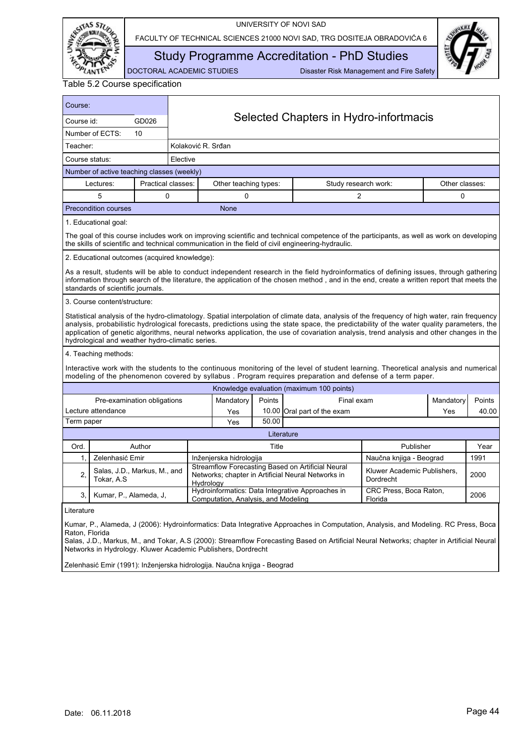

FACULTY OF TECHNICAL SCIENCES 21000 NOVI SAD, TRG DOSITEJA OBRADOVIĆA 6



Study Programme Accreditation - PhD Studies

<span id="page-45-0"></span>DOCTORAL ACADEMIC STUDIES Disaster Risk Management and Fire Safety

| Course:                      |                                                                          |                    |          |                                        |   |                       |                                                                                                                                                                                                                                                                                                                                                                                                                                         |                                          |                |        |  |  |
|------------------------------|--------------------------------------------------------------------------|--------------------|----------|----------------------------------------|---|-----------------------|-----------------------------------------------------------------------------------------------------------------------------------------------------------------------------------------------------------------------------------------------------------------------------------------------------------------------------------------------------------------------------------------------------------------------------------------|------------------------------------------|----------------|--------|--|--|
| Course id:                   |                                                                          | GD026              |          | Selected Chapters in Hydro-infortmacis |   |                       |                                                                                                                                                                                                                                                                                                                                                                                                                                         |                                          |                |        |  |  |
|                              | Number of ECTS:                                                          | 10                 |          |                                        |   |                       |                                                                                                                                                                                                                                                                                                                                                                                                                                         |                                          |                |        |  |  |
| Teacher:                     |                                                                          |                    |          | Kolaković R. Srđan                     |   |                       |                                                                                                                                                                                                                                                                                                                                                                                                                                         |                                          |                |        |  |  |
| Course status:               |                                                                          |                    | Elective |                                        |   |                       |                                                                                                                                                                                                                                                                                                                                                                                                                                         |                                          |                |        |  |  |
|                              | Number of active teaching classes (weekly)                               |                    |          |                                        |   |                       |                                                                                                                                                                                                                                                                                                                                                                                                                                         |                                          |                |        |  |  |
|                              | Lectures:                                                                | Practical classes: |          |                                        |   | Other teaching types: | Study research work:                                                                                                                                                                                                                                                                                                                                                                                                                    |                                          | Other classes: |        |  |  |
|                              | 5                                                                        | 0                  |          |                                        | 0 |                       | 2                                                                                                                                                                                                                                                                                                                                                                                                                                       |                                          | 0              |        |  |  |
|                              | <b>Precondition courses</b><br><b>None</b>                               |                    |          |                                        |   |                       |                                                                                                                                                                                                                                                                                                                                                                                                                                         |                                          |                |        |  |  |
|                              | 1. Educational goal:                                                     |                    |          |                                        |   |                       |                                                                                                                                                                                                                                                                                                                                                                                                                                         |                                          |                |        |  |  |
|                              |                                                                          |                    |          |                                        |   |                       | The goal of this course includes work on improving scientific and technical competence of the participants, as well as work on developing<br>the skills of scientific and technical communication in the field of civil engineering-hydraulic.                                                                                                                                                                                          |                                          |                |        |  |  |
|                              | 2. Educational outcomes (acquired knowledge):                            |                    |          |                                        |   |                       |                                                                                                                                                                                                                                                                                                                                                                                                                                         |                                          |                |        |  |  |
|                              | standards of scientific journals.                                        |                    |          |                                        |   |                       | As a result, students will be able to conduct independent research in the field hydroinformatics of defining issues, through gathering<br>information through search of the literature, the application of the chosen method, and in the end, create a written report that meets the                                                                                                                                                    |                                          |                |        |  |  |
|                              | 3. Course content/structure:                                             |                    |          |                                        |   |                       |                                                                                                                                                                                                                                                                                                                                                                                                                                         |                                          |                |        |  |  |
|                              | hydrological and weather hydro-climatic series.                          |                    |          |                                        |   |                       | Statistical analysis of the hydro-climatology. Spatial interpolation of climate data, analysis of the frequency of high water, rain frequency<br>analysis, probabilistic hydrological forecasts, predictions using the state space, the predictability of the water quality parameters, the<br>application of genetic algorithms, neural networks application, the use of covariation analysis, trend analysis and other changes in the |                                          |                |        |  |  |
|                              | 4. Teaching methods:                                                     |                    |          |                                        |   |                       |                                                                                                                                                                                                                                                                                                                                                                                                                                         |                                          |                |        |  |  |
|                              |                                                                          |                    |          |                                        |   |                       | Interactive work with the students to the continuous monitoring of the level of student learning. Theoretical analysis and numerical<br>modeling of the phenomenon covered by syllabus. Program requires preparation and defense of a term paper.                                                                                                                                                                                       |                                          |                |        |  |  |
|                              |                                                                          |                    |          |                                        |   |                       | Knowledge evaluation (maximum 100 points)                                                                                                                                                                                                                                                                                                                                                                                               |                                          |                |        |  |  |
|                              | Pre-examination obligations                                              |                    |          | Mandatory                              |   | Points                | Final exam                                                                                                                                                                                                                                                                                                                                                                                                                              |                                          | Mandatory      | Points |  |  |
|                              | Lecture attendance                                                       |                    |          | Yes                                    |   | 10.00                 | Oral part of the exam                                                                                                                                                                                                                                                                                                                                                                                                                   |                                          | Yes            | 40.00  |  |  |
| Term paper                   |                                                                          |                    |          | Yes                                    |   | 50.00                 |                                                                                                                                                                                                                                                                                                                                                                                                                                         |                                          |                |        |  |  |
|                              |                                                                          |                    |          |                                        |   | Literature            |                                                                                                                                                                                                                                                                                                                                                                                                                                         |                                          |                |        |  |  |
| Ord.                         |                                                                          | Author             |          |                                        |   | Title                 |                                                                                                                                                                                                                                                                                                                                                                                                                                         | Publisher                                |                | Year   |  |  |
| 1.                           | Zelenhasić Emir                                                          |                    |          | Inženjerska hidrologija                |   |                       |                                                                                                                                                                                                                                                                                                                                                                                                                                         | Naučna knjiga - Beograd                  |                | 1991   |  |  |
| 2,                           | Salas, J.D., Markus, M., and<br>Tokar, A.S.                              |                    |          | Hydrology                              |   |                       | Streamflow Forecasting Based on Artificial Neural<br>Networks; chapter in Artificial Neural Networks in                                                                                                                                                                                                                                                                                                                                 | Kluwer Academic Publishers,<br>Dordrecht |                | 2000   |  |  |
| 3,                           | Kumar, P., Alameda, J,                                                   |                    |          | Computation, Analysis, and Modeling    |   |                       | Hydroinformatics: Data Integrative Approaches in                                                                                                                                                                                                                                                                                                                                                                                        | CRC Press, Boca Raton,<br>Florida        |                | 2006   |  |  |
| Literature<br>Raton, Florida | Networks in Hydrology. Kluwer Academic Publishers, Dordrecht             |                    |          |                                        |   |                       | Kumar, P., Alameda, J (2006): Hydroinformatics: Data Integrative Approaches in Computation, Analysis, and Modeling. RC Press, Boca<br>Salas, J.D., Markus, M., and Tokar, A.S (2000): Streamflow Forecasting Based on Artificial Neural Networks; chapter in Artificial Neural                                                                                                                                                          |                                          |                |        |  |  |
|                              | Zelenhasić Emir (1991): Inženjerska hidrologija. Naučna knjiga - Beograd |                    |          |                                        |   |                       |                                                                                                                                                                                                                                                                                                                                                                                                                                         |                                          |                |        |  |  |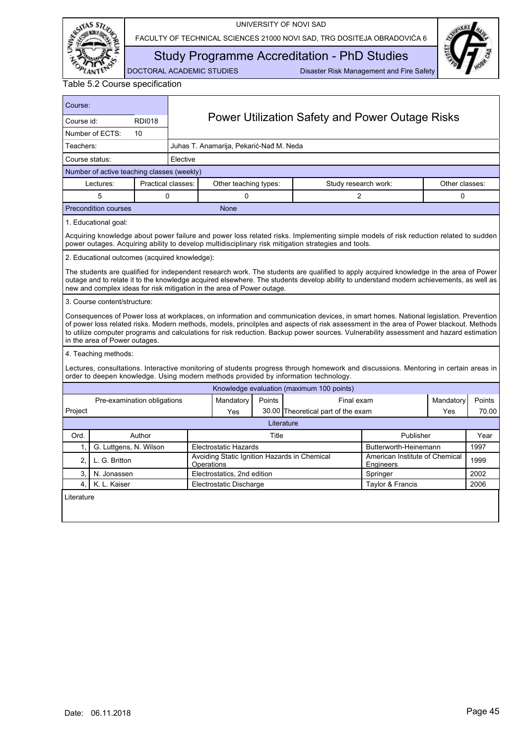

FACULTY OF TECHNICAL SCIENCES 21000 NOVI SAD, TRG DOSITEJA OBRADOVIĆA 6



Study Programme Accreditation - PhD Studies

<span id="page-46-0"></span>DOCTORAL ACADEMIC STUDIES Disaster Risk Management and Fire Safety

| Course:        |                                                                                                                                                                                                                                                                                                                                                                                                                                                           |                    |          |                                                            |            |                                                                                                                                                                                                                                             |                                             |                |        |
|----------------|-----------------------------------------------------------------------------------------------------------------------------------------------------------------------------------------------------------------------------------------------------------------------------------------------------------------------------------------------------------------------------------------------------------------------------------------------------------|--------------------|----------|------------------------------------------------------------|------------|---------------------------------------------------------------------------------------------------------------------------------------------------------------------------------------------------------------------------------------------|---------------------------------------------|----------------|--------|
| Course id:     |                                                                                                                                                                                                                                                                                                                                                                                                                                                           | <b>RDI018</b>      |          |                                                            |            | Power Utilization Safety and Power Outage Risks                                                                                                                                                                                             |                                             |                |        |
|                | Number of ECTS:                                                                                                                                                                                                                                                                                                                                                                                                                                           | 10                 |          |                                                            |            |                                                                                                                                                                                                                                             |                                             |                |        |
| Teachers:      |                                                                                                                                                                                                                                                                                                                                                                                                                                                           |                    |          | Juhas T. Anamarija, Pekarić-Nađ M. Neda                    |            |                                                                                                                                                                                                                                             |                                             |                |        |
| Course status: |                                                                                                                                                                                                                                                                                                                                                                                                                                                           |                    | Elective |                                                            |            |                                                                                                                                                                                                                                             |                                             |                |        |
|                | Number of active teaching classes (weekly)                                                                                                                                                                                                                                                                                                                                                                                                                |                    |          |                                                            |            |                                                                                                                                                                                                                                             |                                             |                |        |
|                | Lectures:                                                                                                                                                                                                                                                                                                                                                                                                                                                 | Practical classes: |          | Other teaching types:                                      |            | Study research work:                                                                                                                                                                                                                        |                                             | Other classes: |        |
|                | 5                                                                                                                                                                                                                                                                                                                                                                                                                                                         |                    | 0        | $\Omega$                                                   |            | $\overline{2}$                                                                                                                                                                                                                              |                                             | 0              |        |
|                | <b>Precondition courses</b>                                                                                                                                                                                                                                                                                                                                                                                                                               |                    |          | <b>None</b>                                                |            |                                                                                                                                                                                                                                             |                                             |                |        |
|                | 1. Educational goal:                                                                                                                                                                                                                                                                                                                                                                                                                                      |                    |          |                                                            |            |                                                                                                                                                                                                                                             |                                             |                |        |
|                |                                                                                                                                                                                                                                                                                                                                                                                                                                                           |                    |          |                                                            |            | Acquiring knowledge about power failure and power loss related risks. Implementing simple models of risk reduction related to sudden<br>power outages. Acquiring ability to develop multidisciplinary risk mitigation strategies and tools. |                                             |                |        |
|                | 2. Educational outcomes (acquired knowledge):                                                                                                                                                                                                                                                                                                                                                                                                             |                    |          |                                                            |            |                                                                                                                                                                                                                                             |                                             |                |        |
|                | The students are qualified for independent research work. The students are qualified to apply acquired knowledge in the area of Power<br>outage and to relate it to the knowledge acquired elsewhere. The students develop ability to understand modern achievements, as well as<br>new and complex ideas for risk mitigation in the area of Power outage.                                                                                                |                    |          |                                                            |            |                                                                                                                                                                                                                                             |                                             |                |        |
|                | 3. Course content/structure:                                                                                                                                                                                                                                                                                                                                                                                                                              |                    |          |                                                            |            |                                                                                                                                                                                                                                             |                                             |                |        |
|                | Consequences of Power loss at workplaces, on information and communication devices, in smart homes. National legislation. Prevention<br>of power loss related risks. Modern methods, models, princilples and aspects of risk assessment in the area of Power blackout. Methods<br>to utilize computer programs and calculations for risk reduction. Backup power sources. Vulnerability assessment and hazard estimation<br>in the area of Power outages. |                    |          |                                                            |            |                                                                                                                                                                                                                                             |                                             |                |        |
|                | 4. Teaching methods:                                                                                                                                                                                                                                                                                                                                                                                                                                      |                    |          |                                                            |            |                                                                                                                                                                                                                                             |                                             |                |        |
|                |                                                                                                                                                                                                                                                                                                                                                                                                                                                           |                    |          |                                                            |            | Lectures, consultations. Interactive monitoring of students progress through homework and discussions. Mentoring in certain areas in<br>order to deepen knowledge. Using modern methods provided by information technology.                 |                                             |                |        |
|                |                                                                                                                                                                                                                                                                                                                                                                                                                                                           |                    |          |                                                            |            | Knowledge evaluation (maximum 100 points)                                                                                                                                                                                                   |                                             |                |        |
|                | Pre-examination obligations                                                                                                                                                                                                                                                                                                                                                                                                                               |                    |          | Mandatory                                                  | Points     | Final exam                                                                                                                                                                                                                                  |                                             | Mandatory      | Points |
| Project        |                                                                                                                                                                                                                                                                                                                                                                                                                                                           |                    |          | Yes                                                        |            | 30.00 Theoretical part of the exam                                                                                                                                                                                                          |                                             | Yes            | 70.00  |
|                |                                                                                                                                                                                                                                                                                                                                                                                                                                                           |                    |          |                                                            | Literature |                                                                                                                                                                                                                                             |                                             |                |        |
| Ord.           |                                                                                                                                                                                                                                                                                                                                                                                                                                                           | Author             |          |                                                            | Title      |                                                                                                                                                                                                                                             | Publisher                                   |                | Year   |
| 1.             | G. Luttgens, N. Wilson                                                                                                                                                                                                                                                                                                                                                                                                                                    |                    |          | <b>Electrostatic Hazards</b>                               |            |                                                                                                                                                                                                                                             | Butterworth-Heinemann                       |                | 1997   |
| 2.             | L. G. Britton                                                                                                                                                                                                                                                                                                                                                                                                                                             |                    |          | Avoiding Static Ignition Hazards in Chemical<br>Operations |            |                                                                                                                                                                                                                                             | American Institute of Chemical<br>Engineers |                | 1999   |
| 3.             | N. Jonassen                                                                                                                                                                                                                                                                                                                                                                                                                                               |                    |          | Electrostatics, 2nd edition                                |            |                                                                                                                                                                                                                                             | Springer                                    |                | 2002   |
| 4.             | K. L. Kaiser                                                                                                                                                                                                                                                                                                                                                                                                                                              |                    |          | Electrostatic Discharge                                    |            |                                                                                                                                                                                                                                             | Taylor & Francis                            |                | 2006   |
| Literature     |                                                                                                                                                                                                                                                                                                                                                                                                                                                           |                    |          |                                                            |            |                                                                                                                                                                                                                                             |                                             |                |        |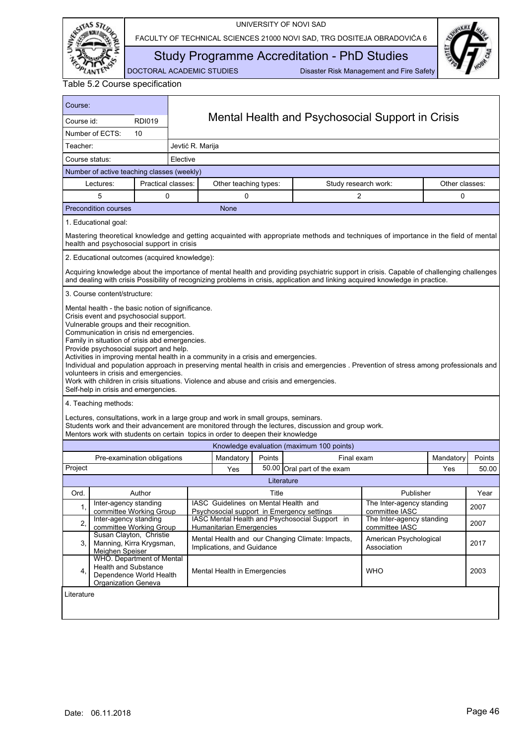

FACULTY OF TECHNICAL SCIENCES 21000 NOVI SAD, TRG DOSITEJA OBRADOVIĆA 6



Study Programme Accreditation - PhD Studies

<span id="page-47-0"></span>DOCTORAL ACADEMIC STUDIES Disaster Risk Management and Fire Safety

| Course:                              |                                                                                                                                                                                                                                                                                                                                                                                                                                                                                                                                                                                                                                                    |                    |          |                                                                                                                                                                       |            |                                                                                                                                                                                                                                                                            |                                             |                |        |  |  |
|--------------------------------------|----------------------------------------------------------------------------------------------------------------------------------------------------------------------------------------------------------------------------------------------------------------------------------------------------------------------------------------------------------------------------------------------------------------------------------------------------------------------------------------------------------------------------------------------------------------------------------------------------------------------------------------------------|--------------------|----------|-----------------------------------------------------------------------------------------------------------------------------------------------------------------------|------------|----------------------------------------------------------------------------------------------------------------------------------------------------------------------------------------------------------------------------------------------------------------------------|---------------------------------------------|----------------|--------|--|--|
| Course id:                           |                                                                                                                                                                                                                                                                                                                                                                                                                                                                                                                                                                                                                                                    | <b>RDI019</b>      |          | Mental Health and Psychosocial Support in Crisis                                                                                                                      |            |                                                                                                                                                                                                                                                                            |                                             |                |        |  |  |
|                                      | Number of ECTS:                                                                                                                                                                                                                                                                                                                                                                                                                                                                                                                                                                                                                                    | 10                 |          |                                                                                                                                                                       |            |                                                                                                                                                                                                                                                                            |                                             |                |        |  |  |
| Teacher:                             |                                                                                                                                                                                                                                                                                                                                                                                                                                                                                                                                                                                                                                                    |                    |          | Jevtić R. Marija                                                                                                                                                      |            |                                                                                                                                                                                                                                                                            |                                             |                |        |  |  |
| Course status:                       |                                                                                                                                                                                                                                                                                                                                                                                                                                                                                                                                                                                                                                                    |                    | Elective |                                                                                                                                                                       |            |                                                                                                                                                                                                                                                                            |                                             |                |        |  |  |
|                                      | Number of active teaching classes (weekly)                                                                                                                                                                                                                                                                                                                                                                                                                                                                                                                                                                                                         |                    |          |                                                                                                                                                                       |            |                                                                                                                                                                                                                                                                            |                                             |                |        |  |  |
|                                      | Lectures:                                                                                                                                                                                                                                                                                                                                                                                                                                                                                                                                                                                                                                          | Practical classes: |          | Other teaching types:                                                                                                                                                 |            | Study research work:                                                                                                                                                                                                                                                       |                                             | Other classes: |        |  |  |
|                                      | 5                                                                                                                                                                                                                                                                                                                                                                                                                                                                                                                                                                                                                                                  | 0                  |          | $\Omega$                                                                                                                                                              |            | 2                                                                                                                                                                                                                                                                          |                                             | 0              |        |  |  |
|                                      | <b>Precondition courses</b>                                                                                                                                                                                                                                                                                                                                                                                                                                                                                                                                                                                                                        |                    |          | <b>None</b>                                                                                                                                                           |            |                                                                                                                                                                                                                                                                            |                                             |                |        |  |  |
|                                      | 1. Educational goal:                                                                                                                                                                                                                                                                                                                                                                                                                                                                                                                                                                                                                               |                    |          |                                                                                                                                                                       |            |                                                                                                                                                                                                                                                                            |                                             |                |        |  |  |
|                                      | health and psychosocial support in crisis                                                                                                                                                                                                                                                                                                                                                                                                                                                                                                                                                                                                          |                    |          |                                                                                                                                                                       |            | Mastering theoretical knowledge and getting acquainted with appropriate methods and techniques of importance in the field of mental                                                                                                                                        |                                             |                |        |  |  |
|                                      | 2. Educational outcomes (acquired knowledge):                                                                                                                                                                                                                                                                                                                                                                                                                                                                                                                                                                                                      |                    |          |                                                                                                                                                                       |            |                                                                                                                                                                                                                                                                            |                                             |                |        |  |  |
|                                      |                                                                                                                                                                                                                                                                                                                                                                                                                                                                                                                                                                                                                                                    |                    |          |                                                                                                                                                                       |            | Acquiring knowledge about the importance of mental health and providing psychiatric support in crisis. Capable of challenging challenges<br>and dealing with crisis Possibility of recognizing problems in crisis, application and linking acquired knowledge in practice. |                                             |                |        |  |  |
|                                      | 3. Course content/structure:                                                                                                                                                                                                                                                                                                                                                                                                                                                                                                                                                                                                                       |                    |          |                                                                                                                                                                       |            |                                                                                                                                                                                                                                                                            |                                             |                |        |  |  |
| Self-help in crisis and emergencies. | Mental health - the basic notion of significance.<br>Crisis event and psychosocial support.<br>Vulnerable groups and their recognition.<br>Communication in crisis nd emergencies.<br>Family in situation of crisis abd emergencies.<br>Provide psychosocial support and help.<br>Activities in improving mental health in a community in a crisis and emergencies.<br>Individual and population approach in preserving mental health in crisis and emergencies . Prevention of stress among professionals and<br>volunteers in crisis and emergencies.<br>Work with children in crisis situations. Violence and abuse and crisis and emergencies. |                    |          |                                                                                                                                                                       |            |                                                                                                                                                                                                                                                                            |                                             |                |        |  |  |
|                                      | 4. Teaching methods:                                                                                                                                                                                                                                                                                                                                                                                                                                                                                                                                                                                                                               |                    |          |                                                                                                                                                                       |            |                                                                                                                                                                                                                                                                            |                                             |                |        |  |  |
|                                      |                                                                                                                                                                                                                                                                                                                                                                                                                                                                                                                                                                                                                                                    |                    |          | Lectures, consultations, work in a large group and work in small groups, seminars.<br>Mentors work with students on certain topics in order to deepen their knowledge |            | Students work and their advancement are monitored through the lectures, discussion and group work.                                                                                                                                                                         |                                             |                |        |  |  |
|                                      |                                                                                                                                                                                                                                                                                                                                                                                                                                                                                                                                                                                                                                                    |                    |          |                                                                                                                                                                       |            | Knowledge evaluation (maximum 100 points)                                                                                                                                                                                                                                  |                                             |                |        |  |  |
|                                      | Pre-examination obligations                                                                                                                                                                                                                                                                                                                                                                                                                                                                                                                                                                                                                        |                    |          | Mandatory                                                                                                                                                             | Points     | Final exam                                                                                                                                                                                                                                                                 |                                             | Mandatory      | Points |  |  |
| Project                              |                                                                                                                                                                                                                                                                                                                                                                                                                                                                                                                                                                                                                                                    |                    |          | Yes                                                                                                                                                                   | 50.00      | Oral part of the exam                                                                                                                                                                                                                                                      |                                             | Yes            | 50.00  |  |  |
|                                      |                                                                                                                                                                                                                                                                                                                                                                                                                                                                                                                                                                                                                                                    |                    |          |                                                                                                                                                                       | Literature |                                                                                                                                                                                                                                                                            |                                             |                |        |  |  |
| Ord.                                 |                                                                                                                                                                                                                                                                                                                                                                                                                                                                                                                                                                                                                                                    | Author             |          | IASC Guidelines on Mental Health and                                                                                                                                  | Title      |                                                                                                                                                                                                                                                                            | Publisher                                   |                | Year   |  |  |
| 1.                                   | Inter-agency standing<br>committee Working Group                                                                                                                                                                                                                                                                                                                                                                                                                                                                                                                                                                                                   |                    |          | Psychosocial support in Emergency settings                                                                                                                            |            |                                                                                                                                                                                                                                                                            | The Inter-agency standing<br>committee IASC |                | 2007   |  |  |
| 2,                                   | Inter-agency standing<br>committee Working Group                                                                                                                                                                                                                                                                                                                                                                                                                                                                                                                                                                                                   |                    |          | Humanitarian Emergencies                                                                                                                                              |            | IASC Mental Health and Psychosocial Support in                                                                                                                                                                                                                             | The Inter-agency standing<br>committee IASC |                | 2007   |  |  |
| 3.                                   | Susan Clayton, Christie<br>Manning, Kirra Krygsman,<br>Meighen Speiser                                                                                                                                                                                                                                                                                                                                                                                                                                                                                                                                                                             |                    |          | Implications, and Guidance                                                                                                                                            |            | Mental Health and our Changing Climate: Impacts,                                                                                                                                                                                                                           | American Psychological<br>Association       |                | 2017   |  |  |
| 4.                                   | WHO. Department of Mental<br>Health and Substance<br>Dependence World Health<br><b>Organization Geneva</b>                                                                                                                                                                                                                                                                                                                                                                                                                                                                                                                                         |                    |          | Mental Health in Emergencies                                                                                                                                          |            |                                                                                                                                                                                                                                                                            | <b>WHO</b>                                  |                | 2003   |  |  |
| Literature                           |                                                                                                                                                                                                                                                                                                                                                                                                                                                                                                                                                                                                                                                    |                    |          |                                                                                                                                                                       |            |                                                                                                                                                                                                                                                                            |                                             |                |        |  |  |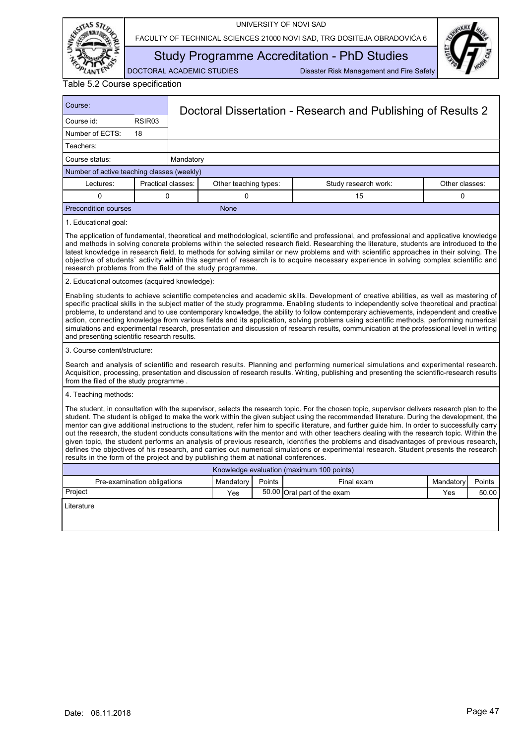

FACULTY OF TECHNICAL SCIENCES 21000 NOVI SAD, TRG DOSITEJA OBRADOVIĆA 6



Study Programme Accreditation - PhD Studies

<span id="page-48-0"></span>DOCTORAL ACADEMIC STUDIES Disaster Risk Management and Fire Safety

| Course:                                                                                                                                                                                                                                                                                                                                                                                                                                                                                                                                                                                                                                                                                                                                                                                                                                                                                                                                                      |                                                                                                                                                                                                                                                                                                                                                                                                                                                                                                                                                                                                                                                                                                                                                                  |   | Doctoral Dissertation - Research and Publishing of Results 2 |        |                                                                                                                                                                                                                                                                                  |                |        |  |  |  |  |
|--------------------------------------------------------------------------------------------------------------------------------------------------------------------------------------------------------------------------------------------------------------------------------------------------------------------------------------------------------------------------------------------------------------------------------------------------------------------------------------------------------------------------------------------------------------------------------------------------------------------------------------------------------------------------------------------------------------------------------------------------------------------------------------------------------------------------------------------------------------------------------------------------------------------------------------------------------------|------------------------------------------------------------------------------------------------------------------------------------------------------------------------------------------------------------------------------------------------------------------------------------------------------------------------------------------------------------------------------------------------------------------------------------------------------------------------------------------------------------------------------------------------------------------------------------------------------------------------------------------------------------------------------------------------------------------------------------------------------------------|---|--------------------------------------------------------------|--------|----------------------------------------------------------------------------------------------------------------------------------------------------------------------------------------------------------------------------------------------------------------------------------|----------------|--------|--|--|--|--|
| Course id:                                                                                                                                                                                                                                                                                                                                                                                                                                                                                                                                                                                                                                                                                                                                                                                                                                                                                                                                                   | RSIR <sub>03</sub>                                                                                                                                                                                                                                                                                                                                                                                                                                                                                                                                                                                                                                                                                                                                               |   |                                                              |        |                                                                                                                                                                                                                                                                                  |                |        |  |  |  |  |
| Number of ECTS:                                                                                                                                                                                                                                                                                                                                                                                                                                                                                                                                                                                                                                                                                                                                                                                                                                                                                                                                              | 18                                                                                                                                                                                                                                                                                                                                                                                                                                                                                                                                                                                                                                                                                                                                                               |   |                                                              |        |                                                                                                                                                                                                                                                                                  |                |        |  |  |  |  |
| Teachers:                                                                                                                                                                                                                                                                                                                                                                                                                                                                                                                                                                                                                                                                                                                                                                                                                                                                                                                                                    |                                                                                                                                                                                                                                                                                                                                                                                                                                                                                                                                                                                                                                                                                                                                                                  |   |                                                              |        |                                                                                                                                                                                                                                                                                  |                |        |  |  |  |  |
| Course status:                                                                                                                                                                                                                                                                                                                                                                                                                                                                                                                                                                                                                                                                                                                                                                                                                                                                                                                                               |                                                                                                                                                                                                                                                                                                                                                                                                                                                                                                                                                                                                                                                                                                                                                                  |   | Mandatory                                                    |        |                                                                                                                                                                                                                                                                                  |                |        |  |  |  |  |
| Number of active teaching classes (weekly)                                                                                                                                                                                                                                                                                                                                                                                                                                                                                                                                                                                                                                                                                                                                                                                                                                                                                                                   |                                                                                                                                                                                                                                                                                                                                                                                                                                                                                                                                                                                                                                                                                                                                                                  |   |                                                              |        |                                                                                                                                                                                                                                                                                  |                |        |  |  |  |  |
| Lectures:                                                                                                                                                                                                                                                                                                                                                                                                                                                                                                                                                                                                                                                                                                                                                                                                                                                                                                                                                    | Practical classes:                                                                                                                                                                                                                                                                                                                                                                                                                                                                                                                                                                                                                                                                                                                                               |   | Other teaching types:                                        |        | Study research work:                                                                                                                                                                                                                                                             | Other classes: |        |  |  |  |  |
| 0                                                                                                                                                                                                                                                                                                                                                                                                                                                                                                                                                                                                                                                                                                                                                                                                                                                                                                                                                            |                                                                                                                                                                                                                                                                                                                                                                                                                                                                                                                                                                                                                                                                                                                                                                  | 0 | 0                                                            |        | 15                                                                                                                                                                                                                                                                               | 0              |        |  |  |  |  |
| <b>Precondition courses</b>                                                                                                                                                                                                                                                                                                                                                                                                                                                                                                                                                                                                                                                                                                                                                                                                                                                                                                                                  |                                                                                                                                                                                                                                                                                                                                                                                                                                                                                                                                                                                                                                                                                                                                                                  |   | <b>None</b>                                                  |        |                                                                                                                                                                                                                                                                                  |                |        |  |  |  |  |
| 1. Educational goal:                                                                                                                                                                                                                                                                                                                                                                                                                                                                                                                                                                                                                                                                                                                                                                                                                                                                                                                                         |                                                                                                                                                                                                                                                                                                                                                                                                                                                                                                                                                                                                                                                                                                                                                                  |   |                                                              |        |                                                                                                                                                                                                                                                                                  |                |        |  |  |  |  |
| The application of fundamental, theoretical and methodological, scientific and professional, and professional and applicative knowledge<br>and methods in solving concrete problems within the selected research field. Researching the literature, students are introduced to the<br>latest knowledge in research field, to methods for solving similar or new problems and with scientific approaches in their solving. The<br>objective of students' activity within this segment of research is to acquire necessary experience in solving complex scientific and<br>research problems from the field of the study programme.                                                                                                                                                                                                                                                                                                                            |                                                                                                                                                                                                                                                                                                                                                                                                                                                                                                                                                                                                                                                                                                                                                                  |   |                                                              |        |                                                                                                                                                                                                                                                                                  |                |        |  |  |  |  |
| 2. Educational outcomes (acquired knowledge):                                                                                                                                                                                                                                                                                                                                                                                                                                                                                                                                                                                                                                                                                                                                                                                                                                                                                                                |                                                                                                                                                                                                                                                                                                                                                                                                                                                                                                                                                                                                                                                                                                                                                                  |   |                                                              |        |                                                                                                                                                                                                                                                                                  |                |        |  |  |  |  |
|                                                                                                                                                                                                                                                                                                                                                                                                                                                                                                                                                                                                                                                                                                                                                                                                                                                                                                                                                              | Enabling students to achieve scientific competencies and academic skills. Development of creative abilities, as well as mastering of<br>specific practical skills in the subject matter of the study programme. Enabling students to independently solve theoretical and practical<br>problems, to understand and to use contemporary knowledge, the ability to follow contemporary achievements, independent and creative<br>action, connecting knowledge from various fields and its application, solving problems using scientific methods, performing numerical<br>simulations and experimental research, presentation and discussion of research results, communication at the professional level in writing<br>and presenting scientific research results. |   |                                                              |        |                                                                                                                                                                                                                                                                                  |                |        |  |  |  |  |
| 3. Course content/structure:                                                                                                                                                                                                                                                                                                                                                                                                                                                                                                                                                                                                                                                                                                                                                                                                                                                                                                                                 |                                                                                                                                                                                                                                                                                                                                                                                                                                                                                                                                                                                                                                                                                                                                                                  |   |                                                              |        |                                                                                                                                                                                                                                                                                  |                |        |  |  |  |  |
| from the filed of the study programme.                                                                                                                                                                                                                                                                                                                                                                                                                                                                                                                                                                                                                                                                                                                                                                                                                                                                                                                       |                                                                                                                                                                                                                                                                                                                                                                                                                                                                                                                                                                                                                                                                                                                                                                  |   |                                                              |        | Search and analysis of scientific and research results. Planning and performing numerical simulations and experimental research.<br>Acquisition, processing, presentation and discussion of research results. Writing, publishing and presenting the scientific-research results |                |        |  |  |  |  |
| 4. Teaching methods:                                                                                                                                                                                                                                                                                                                                                                                                                                                                                                                                                                                                                                                                                                                                                                                                                                                                                                                                         |                                                                                                                                                                                                                                                                                                                                                                                                                                                                                                                                                                                                                                                                                                                                                                  |   |                                                              |        |                                                                                                                                                                                                                                                                                  |                |        |  |  |  |  |
| The student, in consultation with the supervisor, selects the research topic. For the chosen topic, supervisor delivers research plan to the<br>student. The student is obliged to make the work within the given subject using the recommended literature. During the development, the<br>mentor can give additional instructions to the student, refer him to specific literature, and further guide him. In order to successfully carry<br>out the research, the student conducts consultations with the mentor and with other teachers dealing with the research topic. Within the<br>given topic, the student performs an analysis of previous research, identifies the problems and disadvantages of previous research,<br>defines the objectives of his research, and carries out numerical simulations or experimental research. Student presents the research<br>results in the form of the project and by publishing them at national conferences. |                                                                                                                                                                                                                                                                                                                                                                                                                                                                                                                                                                                                                                                                                                                                                                  |   |                                                              |        |                                                                                                                                                                                                                                                                                  |                |        |  |  |  |  |
|                                                                                                                                                                                                                                                                                                                                                                                                                                                                                                                                                                                                                                                                                                                                                                                                                                                                                                                                                              |                                                                                                                                                                                                                                                                                                                                                                                                                                                                                                                                                                                                                                                                                                                                                                  |   |                                                              |        | Knowledge evaluation (maximum 100 points)                                                                                                                                                                                                                                        |                |        |  |  |  |  |
| Pre-examination obligations                                                                                                                                                                                                                                                                                                                                                                                                                                                                                                                                                                                                                                                                                                                                                                                                                                                                                                                                  |                                                                                                                                                                                                                                                                                                                                                                                                                                                                                                                                                                                                                                                                                                                                                                  |   | Mandatory                                                    | Points | Final exam                                                                                                                                                                                                                                                                       | Mandatory      | Points |  |  |  |  |
| Project                                                                                                                                                                                                                                                                                                                                                                                                                                                                                                                                                                                                                                                                                                                                                                                                                                                                                                                                                      |                                                                                                                                                                                                                                                                                                                                                                                                                                                                                                                                                                                                                                                                                                                                                                  |   | Yes                                                          |        | 50.00 Oral part of the exam                                                                                                                                                                                                                                                      | Yes            | 50.00  |  |  |  |  |
| Literature                                                                                                                                                                                                                                                                                                                                                                                                                                                                                                                                                                                                                                                                                                                                                                                                                                                                                                                                                   |                                                                                                                                                                                                                                                                                                                                                                                                                                                                                                                                                                                                                                                                                                                                                                  |   |                                                              |        |                                                                                                                                                                                                                                                                                  |                |        |  |  |  |  |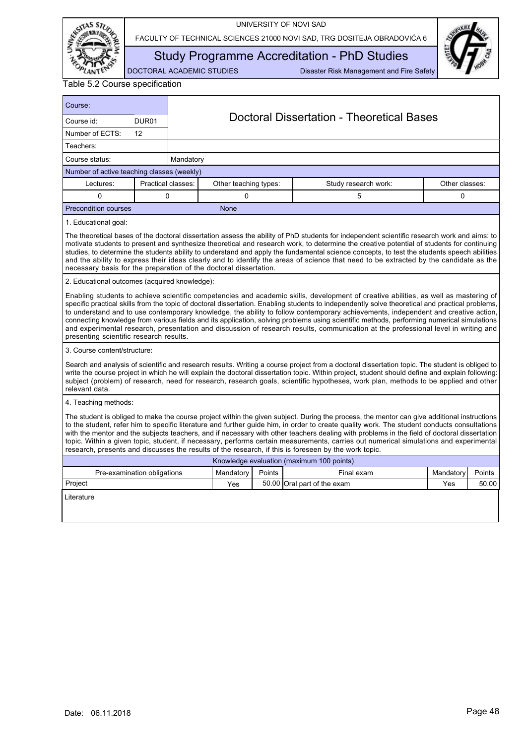

FACULTY OF TECHNICAL SCIENCES 21000 NOVI SAD, TRG DOSITEJA OBRADOVIĆA 6



Study Programme Accreditation - PhD Studies

<span id="page-49-0"></span>DOCTORAL ACADEMIC STUDIES Disaster Risk Management and Fire Safety

Table 5.2 Course specification

| Course:                                    |                    |           |                                           |                      |                |  |  |  |  |
|--------------------------------------------|--------------------|-----------|-------------------------------------------|----------------------|----------------|--|--|--|--|
| Course id:                                 | DUR <sub>01</sub>  |           | Doctoral Dissertation - Theoretical Bases |                      |                |  |  |  |  |
| Number of ECTS:                            | 12                 |           |                                           |                      |                |  |  |  |  |
| Teachers:                                  |                    |           |                                           |                      |                |  |  |  |  |
| Course status:                             |                    | Mandatory |                                           |                      |                |  |  |  |  |
| Number of active teaching classes (weekly) |                    |           |                                           |                      |                |  |  |  |  |
| Lectures:                                  | Practical classes: |           | Other teaching types:                     | Study research work: | Other classes: |  |  |  |  |
| 0                                          |                    |           | Ω                                         | 5                    | O              |  |  |  |  |
| <b>Precondition courses</b>                |                    |           | <b>None</b>                               |                      |                |  |  |  |  |
|                                            |                    |           |                                           |                      |                |  |  |  |  |

1. Educational goal:

The theoretical bases of the doctoral dissertation assess the ability of PhD students for independent scientific research work and aims: to motivate students to present and synthesize theoretical and research work, to determine the creative potential of students for continuing studies, to determine the students ability to understand and apply the fundamental science concepts, to test the students speech abilities and the ability to express their ideas clearly and to identify the areas of science that need to be extracted by the candidate as the necessary basis for the preparation of the doctoral dissertation.

2. Educational outcomes (acquired knowledge):

Enabling students to achieve scientific competencies and academic skills, development of creative abilities, as well as mastering of specific practical skills from the topic of doctoral dissertation. Enabling students to independently solve theoretical and practical problems, to understand and to use contemporary knowledge, the ability to follow contemporary achievements, independent and creative action, connecting knowledge from various fields and its application, solving problems using scientific methods, performing numerical simulations and experimental research, presentation and discussion of research results, communication at the professional level in writing and presenting scientific research results.

3. Course content/structure:

Search and analysis of scientific and research results. Writing a course project from a doctoral dissertation topic. The student is obliged to write the course project in which he will explain the doctoral dissertation topic. Within project, student should define and explain following: subject (problem) of research, need for research, research goals, scientific hypotheses, work plan, methods to be applied and other relevant data.

4. Teaching methods:

The student is obliged to make the course project within the given subject. During the process, the mentor can give additional instructions to the student, refer him to specific literature and further guide him, in order to create quality work. The student conducts consultations with the mentor and the subjects teachers, and if necessary with other teachers dealing with problems in the field of doctoral dissertation topic. Within a given topic, student, if necessary, performs certain measurements, carries out numerical simulations and experimental research, presents and discusses the results of the research, if this is foreseen by the work topic.

| Knowledge evaluation (maximum 100 points) |             |        |                             |           |        |  |  |  |  |  |
|-------------------------------------------|-------------|--------|-----------------------------|-----------|--------|--|--|--|--|--|
| Pre-examination obligations               | Mandatory I | Points | Final exam                  | Mandatory | Points |  |  |  |  |  |
| Project                                   | Yes         |        | 50.00 Oral part of the exam | Yes       | 50.00  |  |  |  |  |  |
|                                           |             |        |                             |           |        |  |  |  |  |  |

Literature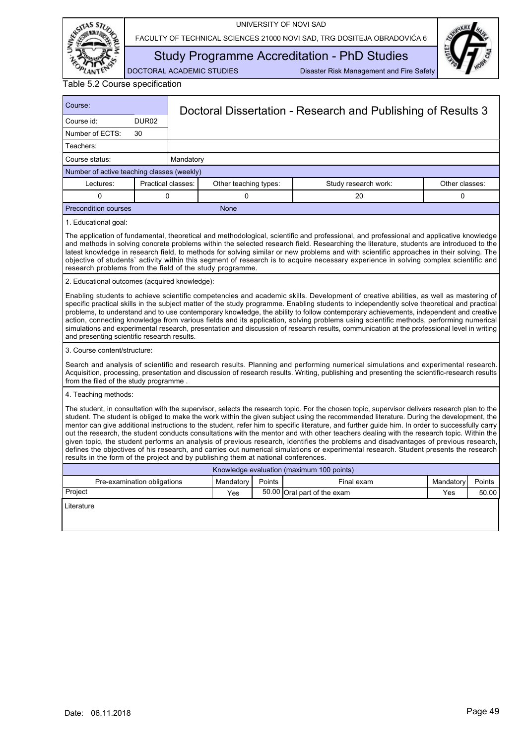

FACULTY OF TECHNICAL SCIENCES 21000 NOVI SAD, TRG DOSITEJA OBRADOVIĆA 6



Study Programme Accreditation - PhD Studies

<span id="page-50-0"></span>DOCTORAL ACADEMIC STUDIES Disaster Risk Management and Fire Safety

| Course:                                                                                                                                                                                                                                                                                                                                                                                                                                                                                                                                                                                                                                                                                                                                                                                                                                                                                                                                                      |                                            |                    | Doctoral Dissertation - Research and Publishing of Results 3 |        |                                                                                                                                                                                                                                                                                  |                |        |  |  |
|--------------------------------------------------------------------------------------------------------------------------------------------------------------------------------------------------------------------------------------------------------------------------------------------------------------------------------------------------------------------------------------------------------------------------------------------------------------------------------------------------------------------------------------------------------------------------------------------------------------------------------------------------------------------------------------------------------------------------------------------------------------------------------------------------------------------------------------------------------------------------------------------------------------------------------------------------------------|--------------------------------------------|--------------------|--------------------------------------------------------------|--------|----------------------------------------------------------------------------------------------------------------------------------------------------------------------------------------------------------------------------------------------------------------------------------|----------------|--------|--|--|
| Course id:                                                                                                                                                                                                                                                                                                                                                                                                                                                                                                                                                                                                                                                                                                                                                                                                                                                                                                                                                   | DUR <sub>02</sub>                          |                    |                                                              |        |                                                                                                                                                                                                                                                                                  |                |        |  |  |
| Number of ECTS:                                                                                                                                                                                                                                                                                                                                                                                                                                                                                                                                                                                                                                                                                                                                                                                                                                                                                                                                              | 30                                         |                    |                                                              |        |                                                                                                                                                                                                                                                                                  |                |        |  |  |
| Teachers:                                                                                                                                                                                                                                                                                                                                                                                                                                                                                                                                                                                                                                                                                                                                                                                                                                                                                                                                                    |                                            |                    |                                                              |        |                                                                                                                                                                                                                                                                                  |                |        |  |  |
| Course status:                                                                                                                                                                                                                                                                                                                                                                                                                                                                                                                                                                                                                                                                                                                                                                                                                                                                                                                                               |                                            | Mandatory          |                                                              |        |                                                                                                                                                                                                                                                                                  |                |        |  |  |
|                                                                                                                                                                                                                                                                                                                                                                                                                                                                                                                                                                                                                                                                                                                                                                                                                                                                                                                                                              | Number of active teaching classes (weekly) |                    |                                                              |        |                                                                                                                                                                                                                                                                                  |                |        |  |  |
| Lectures:                                                                                                                                                                                                                                                                                                                                                                                                                                                                                                                                                                                                                                                                                                                                                                                                                                                                                                                                                    |                                            | Practical classes: | Other teaching types:                                        |        | Study research work:                                                                                                                                                                                                                                                             | Other classes: |        |  |  |
| 0                                                                                                                                                                                                                                                                                                                                                                                                                                                                                                                                                                                                                                                                                                                                                                                                                                                                                                                                                            |                                            | 0                  | $\mathbf{0}$                                                 |        | 20                                                                                                                                                                                                                                                                               | 0              |        |  |  |
| <b>Precondition courses</b>                                                                                                                                                                                                                                                                                                                                                                                                                                                                                                                                                                                                                                                                                                                                                                                                                                                                                                                                  |                                            |                    | <b>None</b>                                                  |        |                                                                                                                                                                                                                                                                                  |                |        |  |  |
| 1. Educational goal:                                                                                                                                                                                                                                                                                                                                                                                                                                                                                                                                                                                                                                                                                                                                                                                                                                                                                                                                         |                                            |                    |                                                              |        |                                                                                                                                                                                                                                                                                  |                |        |  |  |
| The application of fundamental, theoretical and methodological, scientific and professional, and professional and applicative knowledge<br>and methods in solving concrete problems within the selected research field. Researching the literature, students are introduced to the<br>latest knowledge in research field, to methods for solving similar or new problems and with scientific approaches in their solving. The<br>objective of students' activity within this segment of research is to acquire necessary experience in solving complex scientific and<br>research problems from the field of the study programme.                                                                                                                                                                                                                                                                                                                            |                                            |                    |                                                              |        |                                                                                                                                                                                                                                                                                  |                |        |  |  |
| 2. Educational outcomes (acquired knowledge):                                                                                                                                                                                                                                                                                                                                                                                                                                                                                                                                                                                                                                                                                                                                                                                                                                                                                                                |                                            |                    |                                                              |        |                                                                                                                                                                                                                                                                                  |                |        |  |  |
| Enabling students to achieve scientific competencies and academic skills. Development of creative abilities, as well as mastering of<br>specific practical skills in the subject matter of the study programme. Enabling students to independently solve theoretical and practical<br>problems, to understand and to use contemporary knowledge, the ability to follow contemporary achievements, independent and creative<br>action, connecting knowledge from various fields and its application, solving problems using scientific methods, performing numerical<br>simulations and experimental research, presentation and discussion of research results, communication at the professional level in writing<br>and presenting scientific research results.                                                                                                                                                                                             |                                            |                    |                                                              |        |                                                                                                                                                                                                                                                                                  |                |        |  |  |
| 3. Course content/structure:                                                                                                                                                                                                                                                                                                                                                                                                                                                                                                                                                                                                                                                                                                                                                                                                                                                                                                                                 |                                            |                    |                                                              |        |                                                                                                                                                                                                                                                                                  |                |        |  |  |
| from the filed of the study programme.                                                                                                                                                                                                                                                                                                                                                                                                                                                                                                                                                                                                                                                                                                                                                                                                                                                                                                                       |                                            |                    |                                                              |        | Search and analysis of scientific and research results. Planning and performing numerical simulations and experimental research.<br>Acquisition, processing, presentation and discussion of research results. Writing, publishing and presenting the scientific-research results |                |        |  |  |
| 4. Teaching methods:                                                                                                                                                                                                                                                                                                                                                                                                                                                                                                                                                                                                                                                                                                                                                                                                                                                                                                                                         |                                            |                    |                                                              |        |                                                                                                                                                                                                                                                                                  |                |        |  |  |
| The student, in consultation with the supervisor, selects the research topic. For the chosen topic, supervisor delivers research plan to the<br>student. The student is obliged to make the work within the given subject using the recommended literature. During the development, the<br>mentor can give additional instructions to the student, refer him to specific literature, and further guide him. In order to successfully carry<br>out the research, the student conducts consultations with the mentor and with other teachers dealing with the research topic. Within the<br>given topic, the student performs an analysis of previous research, identifies the problems and disadvantages of previous research,<br>defines the objectives of his research, and carries out numerical simulations or experimental research. Student presents the research<br>results in the form of the project and by publishing them at national conferences. |                                            |                    |                                                              |        |                                                                                                                                                                                                                                                                                  |                |        |  |  |
|                                                                                                                                                                                                                                                                                                                                                                                                                                                                                                                                                                                                                                                                                                                                                                                                                                                                                                                                                              |                                            |                    |                                                              |        | Knowledge evaluation (maximum 100 points)                                                                                                                                                                                                                                        |                |        |  |  |
| Pre-examination obligations                                                                                                                                                                                                                                                                                                                                                                                                                                                                                                                                                                                                                                                                                                                                                                                                                                                                                                                                  |                                            |                    | Mandatory                                                    | Points | Final exam                                                                                                                                                                                                                                                                       | Mandatory      | Points |  |  |
| Project                                                                                                                                                                                                                                                                                                                                                                                                                                                                                                                                                                                                                                                                                                                                                                                                                                                                                                                                                      |                                            |                    | Yes                                                          | 50.00  | Oral part of the exam                                                                                                                                                                                                                                                            | Yes            | 50.00  |  |  |
| Literature                                                                                                                                                                                                                                                                                                                                                                                                                                                                                                                                                                                                                                                                                                                                                                                                                                                                                                                                                   |                                            |                    |                                                              |        |                                                                                                                                                                                                                                                                                  |                |        |  |  |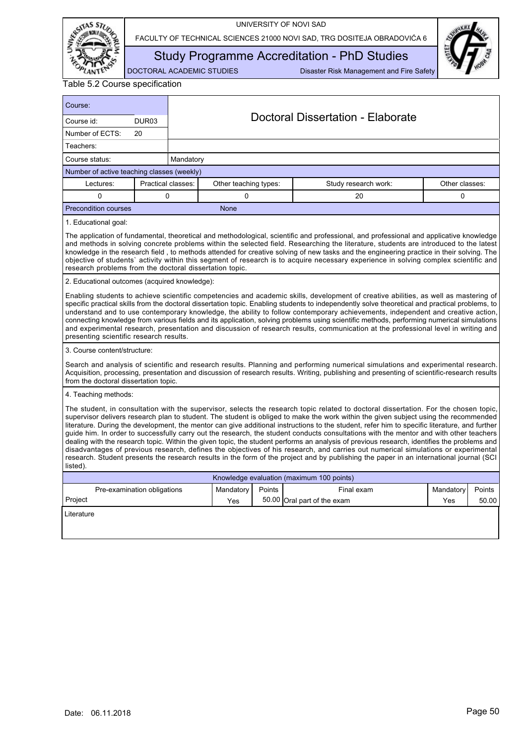

FACULTY OF TECHNICAL SCIENCES 21000 NOVI SAD, TRG DOSITEJA OBRADOVIĆA 6



Study Programme Accreditation - PhD Studies

<span id="page-51-0"></span>DOCTORAL ACADEMIC STUDIES Disaster Risk Management and Fire Safety

Table 5.2 Course specification

| Course:                                    |                   |                    |                                   |                      |                |  |  |  |  |  |
|--------------------------------------------|-------------------|--------------------|-----------------------------------|----------------------|----------------|--|--|--|--|--|
| Course id:                                 | DUR <sub>03</sub> |                    | Doctoral Dissertation - Elaborate |                      |                |  |  |  |  |  |
| Number of ECTS:                            | 20                |                    |                                   |                      |                |  |  |  |  |  |
| Teachers:                                  |                   |                    |                                   |                      |                |  |  |  |  |  |
| Course status:                             |                   | Mandatory          |                                   |                      |                |  |  |  |  |  |
| Number of active teaching classes (weekly) |                   |                    |                                   |                      |                |  |  |  |  |  |
| Lectures:                                  |                   | Practical classes: | Other teaching types:             | Study research work: | Other classes: |  |  |  |  |  |
| 0                                          |                   |                    | ი                                 | 20                   | O              |  |  |  |  |  |
| <b>Precondition courses</b>                |                   |                    | <b>None</b>                       |                      |                |  |  |  |  |  |

### 1. Educational goal:

The application of fundamental, theoretical and methodological, scientific and professional, and professional and applicative knowledge and methods in solving concrete problems within the selected field. Researching the literature, students are introduced to the latest knowledge in the research field , to methods attended for creative solving of new tasks and the engineering practice in their solving. The objective of students` activity within this segment of research is to acquire necessary experience in solving complex scientific and research problems from the doctoral dissertation topic.

2. Educational outcomes (acquired knowledge):

Enabling students to achieve scientific competencies and academic skills, development of creative abilities, as well as mastering of specific practical skills from the doctoral dissertation topic. Enabling students to independently solve theoretical and practical problems, to understand and to use contemporary knowledge, the ability to follow contemporary achievements, independent and creative action, connecting knowledge from various fields and its application, solving problems using scientific methods, performing numerical simulations and experimental research, presentation and discussion of research results, communication at the professional level in writing and presenting scientific research results.

3. Course content/structure:

Search and analysis of scientific and research results. Planning and performing numerical simulations and experimental research. Acquisition, processing, presentation and discussion of research results. Writing, publishing and presenting of scientific-research results from the doctoral dissertation topic.

### 4. Teaching methods:

The student, in consultation with the supervisor, selects the research topic related to doctoral dissertation. For the chosen topic, supervisor delivers research plan to student. The student is obliged to make the work within the given subject using the recommended literature. During the development, the mentor can give additional instructions to the student, refer him to specific literature, and further guide him. In order to successfully carry out the research, the student conducts consultations with the mentor and with other teachers dealing with the research topic. Within the given topic, the student performs an analysis of previous research, identifies the problems and disadvantages of previous research, defines the objectives of his research, and carries out numerical simulations or experimental research. Student presents the research results in the form of the project and by publishing the paper in an international journal (SCI listed).

| Knowledge evaluation (maximum 100 points) |           |        |                             |           |        |  |  |  |  |  |
|-------------------------------------------|-----------|--------|-----------------------------|-----------|--------|--|--|--|--|--|
| Pre-examination obligations               | Mandatory | Points | Final exam                  | Mandatory | Points |  |  |  |  |  |
| Project                                   | Yes       |        | 50.00 Oral part of the exam | Yes       | 50.00  |  |  |  |  |  |
| Literature                                |           |        |                             |           |        |  |  |  |  |  |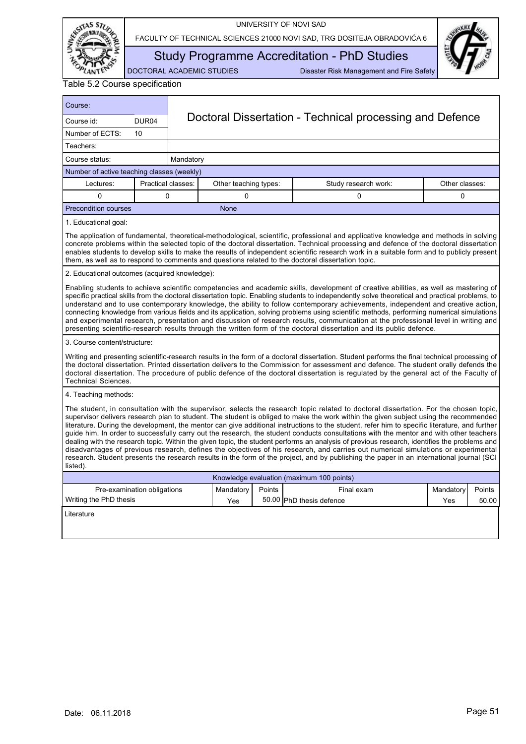

FACULTY OF TECHNICAL SCIENCES 21000 NOVI SAD, TRG DOSITEJA OBRADOVIĆA 6



Study Programme Accreditation - PhD Studies

<span id="page-52-0"></span>DOCTORAL ACADEMIC STUDIES Disaster Risk Management and Fire Safety

| Course:                                                                                                                                                                                                                                                                                                                                                                                                                                                                                                                                                                                                                                                                                                                                                                                                                                                                                                                                                                                                             |                                                                                                                                                                                                                                                                                                                                                                                                                                                                                                                                    |           |                                                          |        |                                                                                                                                                                                                                                                                                                                                                                                                                                 |                |        |  |  |  |  |
|---------------------------------------------------------------------------------------------------------------------------------------------------------------------------------------------------------------------------------------------------------------------------------------------------------------------------------------------------------------------------------------------------------------------------------------------------------------------------------------------------------------------------------------------------------------------------------------------------------------------------------------------------------------------------------------------------------------------------------------------------------------------------------------------------------------------------------------------------------------------------------------------------------------------------------------------------------------------------------------------------------------------|------------------------------------------------------------------------------------------------------------------------------------------------------------------------------------------------------------------------------------------------------------------------------------------------------------------------------------------------------------------------------------------------------------------------------------------------------------------------------------------------------------------------------------|-----------|----------------------------------------------------------|--------|---------------------------------------------------------------------------------------------------------------------------------------------------------------------------------------------------------------------------------------------------------------------------------------------------------------------------------------------------------------------------------------------------------------------------------|----------------|--------|--|--|--|--|
| Course id:                                                                                                                                                                                                                                                                                                                                                                                                                                                                                                                                                                                                                                                                                                                                                                                                                                                                                                                                                                                                          | DUR <sub>04</sub>                                                                                                                                                                                                                                                                                                                                                                                                                                                                                                                  |           | Doctoral Dissertation - Technical processing and Defence |        |                                                                                                                                                                                                                                                                                                                                                                                                                                 |                |        |  |  |  |  |
| Number of ECTS:                                                                                                                                                                                                                                                                                                                                                                                                                                                                                                                                                                                                                                                                                                                                                                                                                                                                                                                                                                                                     | 10                                                                                                                                                                                                                                                                                                                                                                                                                                                                                                                                 |           |                                                          |        |                                                                                                                                                                                                                                                                                                                                                                                                                                 |                |        |  |  |  |  |
| Teachers:                                                                                                                                                                                                                                                                                                                                                                                                                                                                                                                                                                                                                                                                                                                                                                                                                                                                                                                                                                                                           |                                                                                                                                                                                                                                                                                                                                                                                                                                                                                                                                    |           |                                                          |        |                                                                                                                                                                                                                                                                                                                                                                                                                                 |                |        |  |  |  |  |
| Course status:                                                                                                                                                                                                                                                                                                                                                                                                                                                                                                                                                                                                                                                                                                                                                                                                                                                                                                                                                                                                      |                                                                                                                                                                                                                                                                                                                                                                                                                                                                                                                                    | Mandatory |                                                          |        |                                                                                                                                                                                                                                                                                                                                                                                                                                 |                |        |  |  |  |  |
| Number of active teaching classes (weekly)                                                                                                                                                                                                                                                                                                                                                                                                                                                                                                                                                                                                                                                                                                                                                                                                                                                                                                                                                                          |                                                                                                                                                                                                                                                                                                                                                                                                                                                                                                                                    |           |                                                          |        |                                                                                                                                                                                                                                                                                                                                                                                                                                 |                |        |  |  |  |  |
| Lectures:                                                                                                                                                                                                                                                                                                                                                                                                                                                                                                                                                                                                                                                                                                                                                                                                                                                                                                                                                                                                           | Practical classes:                                                                                                                                                                                                                                                                                                                                                                                                                                                                                                                 |           | Other teaching types:                                    |        | Study research work:                                                                                                                                                                                                                                                                                                                                                                                                            | Other classes: |        |  |  |  |  |
| $\Omega$                                                                                                                                                                                                                                                                                                                                                                                                                                                                                                                                                                                                                                                                                                                                                                                                                                                                                                                                                                                                            | $\Omega$                                                                                                                                                                                                                                                                                                                                                                                                                                                                                                                           |           | $\Omega$                                                 |        | 0                                                                                                                                                                                                                                                                                                                                                                                                                               | 0              |        |  |  |  |  |
| <b>Precondition courses</b>                                                                                                                                                                                                                                                                                                                                                                                                                                                                                                                                                                                                                                                                                                                                                                                                                                                                                                                                                                                         |                                                                                                                                                                                                                                                                                                                                                                                                                                                                                                                                    |           | <b>None</b>                                              |        |                                                                                                                                                                                                                                                                                                                                                                                                                                 |                |        |  |  |  |  |
| 1. Educational goal:                                                                                                                                                                                                                                                                                                                                                                                                                                                                                                                                                                                                                                                                                                                                                                                                                                                                                                                                                                                                |                                                                                                                                                                                                                                                                                                                                                                                                                                                                                                                                    |           |                                                          |        |                                                                                                                                                                                                                                                                                                                                                                                                                                 |                |        |  |  |  |  |
|                                                                                                                                                                                                                                                                                                                                                                                                                                                                                                                                                                                                                                                                                                                                                                                                                                                                                                                                                                                                                     | The application of fundamental, theoretical-methodological, scientific, professional and applicative knowledge and methods in solving<br>concrete problems within the selected topic of the doctoral dissertation. Technical processing and defence of the doctoral dissertation<br>enables students to develop skills to make the results of independent scientific research work in a suitable form and to publicly present<br>them, as well as to respond to comments and questions related to the doctoral dissertation topic. |           |                                                          |        |                                                                                                                                                                                                                                                                                                                                                                                                                                 |                |        |  |  |  |  |
|                                                                                                                                                                                                                                                                                                                                                                                                                                                                                                                                                                                                                                                                                                                                                                                                                                                                                                                                                                                                                     | 2. Educational outcomes (acquired knowledge):                                                                                                                                                                                                                                                                                                                                                                                                                                                                                      |           |                                                          |        |                                                                                                                                                                                                                                                                                                                                                                                                                                 |                |        |  |  |  |  |
| Enabling students to achieve scientific competencies and academic skills, development of creative abilities, as well as mastering of<br>specific practical skills from the doctoral dissertation topic. Enabling students to independently solve theoretical and practical problems, to<br>understand and to use contemporary knowledge, the ability to follow contemporary achievements, independent and creative action,<br>connecting knowledge from various fields and its application, solving problems using scientific methods, performing numerical simulations<br>and experimental research, presentation and discussion of research results, communication at the professional level in writing and<br>presenting scientific-research results through the written form of the doctoral dissertation and its public defence.                                                                                                                                                                               |                                                                                                                                                                                                                                                                                                                                                                                                                                                                                                                                    |           |                                                          |        |                                                                                                                                                                                                                                                                                                                                                                                                                                 |                |        |  |  |  |  |
| 3. Course content/structure:                                                                                                                                                                                                                                                                                                                                                                                                                                                                                                                                                                                                                                                                                                                                                                                                                                                                                                                                                                                        |                                                                                                                                                                                                                                                                                                                                                                                                                                                                                                                                    |           |                                                          |        |                                                                                                                                                                                                                                                                                                                                                                                                                                 |                |        |  |  |  |  |
| <b>Technical Sciences.</b>                                                                                                                                                                                                                                                                                                                                                                                                                                                                                                                                                                                                                                                                                                                                                                                                                                                                                                                                                                                          |                                                                                                                                                                                                                                                                                                                                                                                                                                                                                                                                    |           |                                                          |        | Writing and presenting scientific-research results in the form of a doctoral dissertation. Student performs the final technical processing of<br>the doctoral dissertation. Printed dissertation delivers to the Commission for assessment and defence. The student orally defends the<br>doctoral dissertation. The procedure of public defence of the doctoral dissertation is regulated by the general act of the Faculty of |                |        |  |  |  |  |
| 4. Teaching methods:                                                                                                                                                                                                                                                                                                                                                                                                                                                                                                                                                                                                                                                                                                                                                                                                                                                                                                                                                                                                |                                                                                                                                                                                                                                                                                                                                                                                                                                                                                                                                    |           |                                                          |        |                                                                                                                                                                                                                                                                                                                                                                                                                                 |                |        |  |  |  |  |
| The student, in consultation with the supervisor, selects the research topic related to doctoral dissertation. For the chosen topic,<br>supervisor delivers research plan to student. The student is obliged to make the work within the given subject using the recommended<br>literature. During the development, the mentor can give additional instructions to the student, refer him to specific literature, and further<br>guide him. In order to successfully carry out the research, the student conducts consultations with the mentor and with other teachers<br>dealing with the research topic. Within the given topic, the student performs an analysis of previous research, identifies the problems and<br>disadvantages of previous research, defines the objectives of his research, and carries out numerical simulations or experimental<br>research. Student presents the research results in the form of the project, and by publishing the paper in an international journal (SCI<br>listed). |                                                                                                                                                                                                                                                                                                                                                                                                                                                                                                                                    |           |                                                          |        |                                                                                                                                                                                                                                                                                                                                                                                                                                 |                |        |  |  |  |  |
|                                                                                                                                                                                                                                                                                                                                                                                                                                                                                                                                                                                                                                                                                                                                                                                                                                                                                                                                                                                                                     |                                                                                                                                                                                                                                                                                                                                                                                                                                                                                                                                    |           |                                                          |        | Knowledge evaluation (maximum 100 points)                                                                                                                                                                                                                                                                                                                                                                                       |                |        |  |  |  |  |
| Pre-examination obligations                                                                                                                                                                                                                                                                                                                                                                                                                                                                                                                                                                                                                                                                                                                                                                                                                                                                                                                                                                                         |                                                                                                                                                                                                                                                                                                                                                                                                                                                                                                                                    |           | Mandatory                                                | Points | Final exam                                                                                                                                                                                                                                                                                                                                                                                                                      | Mandatory      | Points |  |  |  |  |
| Writing the PhD thesis                                                                                                                                                                                                                                                                                                                                                                                                                                                                                                                                                                                                                                                                                                                                                                                                                                                                                                                                                                                              |                                                                                                                                                                                                                                                                                                                                                                                                                                                                                                                                    |           | Yes                                                      |        | 50.00 PhD thesis defence                                                                                                                                                                                                                                                                                                                                                                                                        | Yes            | 50.00  |  |  |  |  |
| Literature                                                                                                                                                                                                                                                                                                                                                                                                                                                                                                                                                                                                                                                                                                                                                                                                                                                                                                                                                                                                          |                                                                                                                                                                                                                                                                                                                                                                                                                                                                                                                                    |           |                                                          |        |                                                                                                                                                                                                                                                                                                                                                                                                                                 |                |        |  |  |  |  |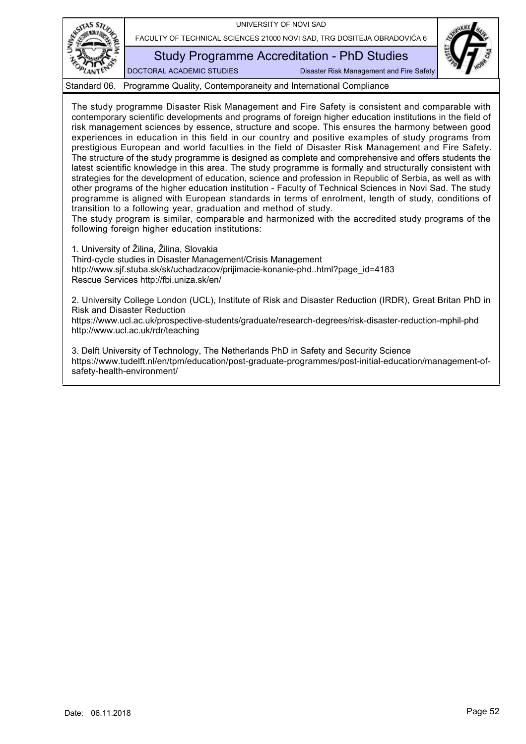



FACULTY OF TECHNICAL SCIENCES 21000 NOVI SAD, TRG DOSITEJA OBRADOVIĆA 6

Study Programme Accreditation - PhD Studies

DOCTORAL ACADEMIC STUDIES Disaster Risk Management and Fire Safety

Standard 06. Programme Quality, Contemporaneity and International Compliance

<span id="page-53-0"></span>The study programme Disaster Risk Management and Fire Safety is consistent and comparable with contemporary scientific developments and programs of foreign higher education institutions in the field of risk management sciences by essence, structure and scope. This ensures the harmony between good experiences in education in this field in our country and positive examples of study programs from prestigious European and world faculties in the field of Disaster Risk Management and Fire Safety. The structure of the study programme is designed as complete and comprehensive and offers students the latest scientific knowledge in this area. The study programme is formally and structurally consistent with strategies for the development of education, science and profession in Republic of Serbia, as well as with other programs of the higher education institution - Faculty of Technical Sciences in Novi Sad. The study programme is aligned with European standards in terms of enrolment, length of study, conditions of transition to a following year, graduation and method of study.

The study program is similar, comparable and harmonized with the accredited study programs of the following foreign higher education institutions:

1. University of Žilina, Žilina, Slovakia Third-cycle studies in Disaster Management/Crisis Management http://www.sjf.stuba.sk/sk/uchadzacov/prijimacie-konanie-phd..html?page\_id=4183 Rescue Services http://fbi.uniza.sk/en/

2. University College London (UCL), Institute of Risk and Disaster Reduction (IRDR), Great Britan PhD in Risk and Disaster Reduction https://www.ucl.ac.uk/prospective-students/graduate/research-degrees/risk-disaster-reduction-mphil-phd http://www.ucl.ac.uk/rdr/teaching

3. Delft University of Technology, The Netherlands PhD in Safety and Security Science https://www.tudelft.nl/en/tpm/education/post-graduate-programmes/post-initial-education/management-ofsafety-health-environment/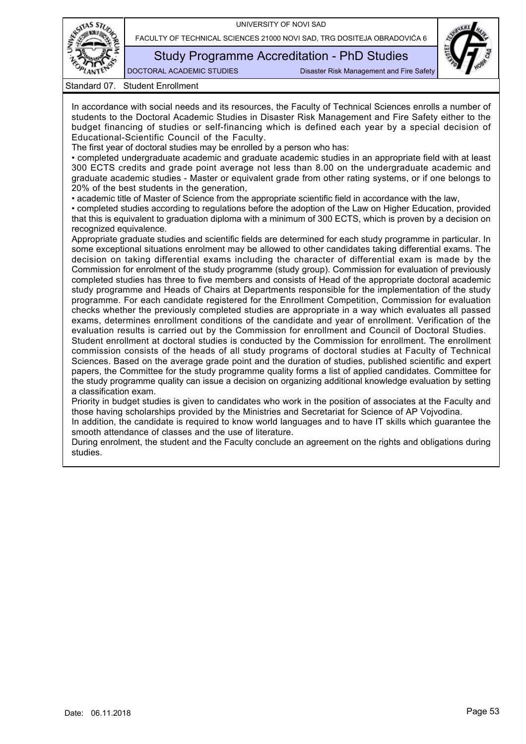



FACULTY OF TECHNICAL SCIENCES 21000 NOVI SAD, TRG DOSITEJA OBRADOVIĆA 6



Study Programme Accreditation - PhD Studies

DOCTORAL ACADEMIC STUDIES Disaster Risk Management and Fire Safety

Standard 07. Student Enrollment

<span id="page-54-0"></span>In accordance with social needs and its resources, the Faculty of Technical Sciences enrolls a number of students to the Doctoral Academic Studies in Disaster Risk Management and Fire Safety either to the budget financing of studies or self-financing which is defined each year by a special decision of Educational-Scientific Council of the Faculty.

The first year of doctoral studies may be enrolled by a person who has:

• completed undergraduate academic and graduate academic studies in an appropriate field with at least 300 ECTS credits and grade point average not less than 8.00 on the undergraduate academic and graduate academic studies - Master or equivalent grade from other rating systems, or if one belongs to 20% of the best students in the generation,

• academic title of Master of Science from the appropriate scientific field in accordance with the law,

• completed studies according to regulations before the adoption of the Law on Higher Education, provided that this is equivalent to graduation diploma with a minimum of 300 ECTS, which is proven by a decision on recognized equivalence.

Appropriate graduate studies and scientific fields are determined for each study programme in particular. In some exceptional situations enrolment may be allowed to other candidates taking differential exams. The decision on taking differential exams including the character of differential exam is made by the Commission for enrolment of the study programme (study group). Commission for evaluation of previously completed studies has three to five members and consists of Head of the appropriate doctoral academic study programme and Heads of Chairs at Departments responsible for the implementation of the study programme. For each candidate registered for the Enrollment Competition, Commission for evaluation checks whether the previously completed studies are appropriate in a way which evaluates all passed exams, determines enrollment conditions of the candidate and year of enrollment. Verification of the evaluation results is carried out by the Commission for enrollment and Council of Doctoral Studies. Student enrollment at doctoral studies is conducted by the Commission for enrollment. The enrollment

commission consists of the heads of all study programs of doctoral studies at Faculty of Technical Sciences. Based on the average grade point and the duration of studies, published scientific and expert papers, the Committee for the study programme quality forms a list of applied candidates. Committee for the study programme quality can issue a decision on organizing additional knowledge evaluation by setting a classification exam.

Priority in budget studies is given to candidates who work in the position of associates at the Faculty and those having scholarships provided by the Ministries and Secretariat for Science of AP Vojvodina.

In addition, the candidate is required to know world languages and to have IT skills which guarantee the smooth attendance of classes and the use of literature.

During enrolment, the student and the Faculty conclude an agreement on the rights and obligations during studies.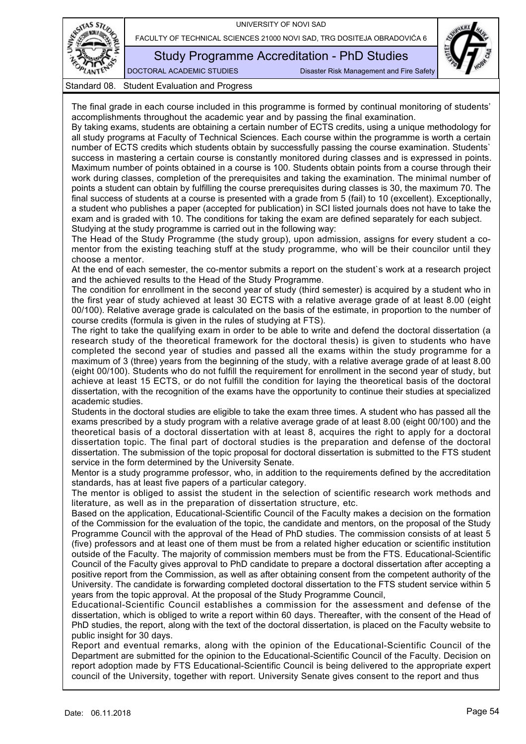

FACULTY OF TECHNICAL SCIENCES 21000 NOVI SAD, TRG DOSITEJA OBRADOVIĆA 6

Study Programme Accreditation - PhD Studies



DOCTORAL ACADEMIC STUDIES Disaster Risk Management and Fire Safety

Standard 08. Student Evaluation and Progress

<span id="page-55-0"></span>The final grade in each course included in this programme is formed by continual monitoring of students' accomplishments throughout the academic year and by passing the final examination.

By taking exams, students are obtaining a certain number of ECTS credits, using a unique methodology for all study programs at Faculty of Technical Sciences. Each course within the programme is worth a certain number of ECTS credits which students obtain by successfully passing the course examination. Students` success in mastering a certain course is constantly monitored during classes and is expressed in points. Maximum number of points obtained in a course is 100. Students obtain points from a course through their work during classes, completion of the prerequisites and taking the examination. The minimal number of points a student can obtain by fulfilling the course prerequisites during classes is 30, the maximum 70. The final success of students at a course is presented with a grade from 5 (fail) to 10 (excellent). Exceptionally, a student who publishes a paper (accepted for publication) in SCI listed journals does not have to take the exam and is graded with 10. The conditions for taking the exam are defined separately for each subject. Studying at the study programme is carried out in the following way:

The Head of the Study Programme (the study group), upon admission, assigns for every student a comentor from the existing teaching stuff at the study programme, who will be their councilor until they choose a mentor.

At the end of each semester, the co-mentor submits a report on the student`s work at a research project and the achieved results to the Head of the Study Programme.

The condition for enrollment in the second year of study (third semester) is acquired by a student who in the first year of study achieved at least 30 ECTS with a relative average grade of at least 8.00 (eight 00/100). Relative average grade is calculated on the basis of the estimate, in proportion to the number of course credits (formula is given in the rules of studying at FTS).

The right to take the qualifying exam in order to be able to write and defend the doctoral dissertation (a research study of the theoretical framework for the doctoral thesis) is given to students who have completed the second year of studies and passed all the exams within the study programme for a maximum of 3 (three) years from the beginning of the study, with a relative average grade of at least 8.00 (eight 00/100). Students who do not fulfill the requirement for enrollment in the second year of study, but achieve at least 15 ECTS, or do not fulfill the condition for laying the theoretical basis of the doctoral dissertation, with the recognition of the exams have the opportunity to continue their studies at specialized academic studies.

Students in the doctoral studies are eligible to take the exam three times. A student who has passed all the exams prescribed by a study program with a relative average grade of at least 8.00 (eight 00/100) and the theoretical basis of a doctoral dissertation with at least 8, acquires the right to apply for a doctoral dissertation topic. The final part of doctoral studies is the preparation and defense of the doctoral dissertation. The submission of the topic proposal for doctoral dissertation is submitted to the FTS student service in the form determined by the University Senate.

Mentor is a study programme professor, who, in addition to the requirements defined by the accreditation standards, has at least five papers of a particular category.

The mentor is obliged to assist the student in the selection of scientific research work methods and literature, as well as in the preparation of dissertation structure, etc.

Based on the application, Educational-Scientific Council of the Faculty makes a decision on the formation of the Commission for the evaluation of the topic, the candidate and mentors, on the proposal of the Study Programme Council with the approval of the Head of PhD studies. The commission consists of at least 5 (five) professors and at least one of them must be from a related higher education or scientific institution outside of the Faculty. The majority of commission members must be from the FTS. Educational-Scientific Council of the Faculty gives approval to PhD candidate to prepare a doctoral dissertation after accepting a positive report from the Commission, as well as after obtaining consent from the competent authority of the University. The candidate is forwarding completed doctoral dissertation to the FTS student service within 5 years from the topic approval. At the proposal of the Study Programme Council,

Educational-Scientific Council establishes a commission for the assessment and defense of the dissertation, which is obliged to write a report within 60 days. Thereafter, with the consent of the Head of PhD studies, the report, along with the text of the doctoral dissertation, is placed on the Faculty website to public insight for 30 days.

Report and eventual remarks, along with the opinion of the Educational-Scientific Council of the Department are submitted for the opinion to the Educational-Scientific Council of the Faculty. Decision on report adoption made by FTS Educational-Scientific Council is being delivered to the appropriate expert council of the University, together with report. University Senate gives consent to the report and thus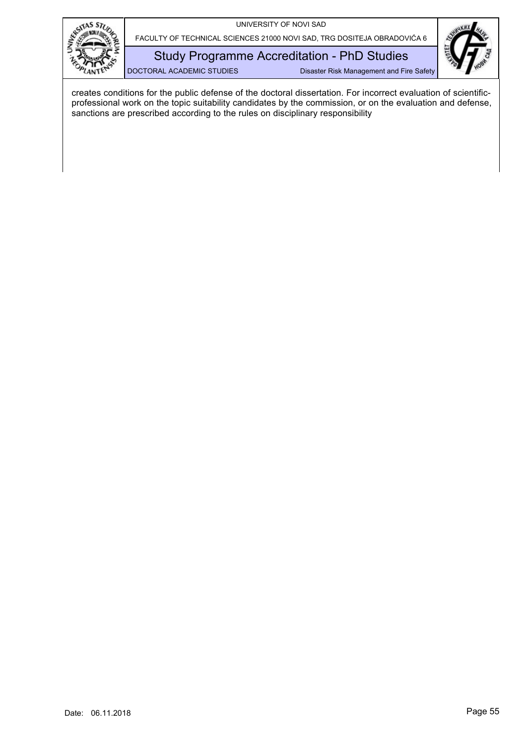

FACULTY OF TECHNICAL SCIENCES 21000 NOVI SAD, TRG DOSITEJA OBRADOVIĆA 6



Study Programme Accreditation - PhD Studies

DOCTORAL ACADEMIC STUDIES Disaster Risk Management and Fire Safety

creates conditions for the public defense of the doctoral dissertation. For incorrect evaluation of scientificprofessional work on the topic suitability candidates by the commission, or on the evaluation and defense, sanctions are prescribed according to the rules on disciplinary responsibility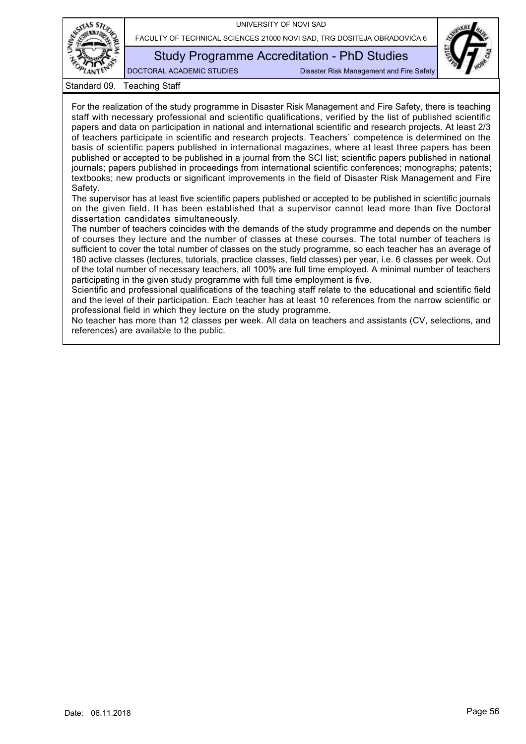

FACULTY OF TECHNICAL SCIENCES 21000 NOVI SAD, TRG DOSITEJA OBRADOVIĆA 6



Study Programme Accreditation - PhD Studies

DOCTORAL ACADEMIC STUDIES Disaster Risk Management and Fire Safety

Standard 09. Teaching Staff

<span id="page-57-0"></span>For the realization of the study programme in Disaster Risk Management and Fire Safety, there is teaching staff with necessary professional and scientific qualifications, verified by the list of published scientific papers and data on participation in national and international scientific and research projects. At least 2/3 of teachers participate in scientific and research projects. Teachers` competence is determined on the basis of scientific papers published in international magazines, where at least three papers has been published or accepted to be published in a journal from the SCI list; scientific papers published in national journals; papers published in proceedings from international scientific conferences; monographs; patents; textbooks; new products or significant improvements in the field of Disaster Risk Management and Fire Safety.

The supervisor has at least five scientific papers published or accepted to be published in scientific journals on the given field. It has been established that a supervisor cannot lead more than five Doctoral dissertation candidates simultaneously.

The number of teachers coincides with the demands of the study programme and depends on the number of courses they lecture and the number of classes at these courses. The total number of teachers is sufficient to cover the total number of classes on the study programme, so each teacher has an average of 180 active classes (lectures, tutorials, practice classes, field classes) per year, i.e. 6 classes per week. Out of the total number of necessary teachers, all 100% are full time employed. A minimal number of teachers participating in the given study programme with full time employment is five.

Scientific and professional qualifications of the teaching staff relate to the educational and scientific field and the level of their participation. Each teacher has at least 10 references from the narrow scientific or professional field in which they lecture on the study programme.

No teacher has more than 12 classes per week. All data on teachers and assistants (CV, selections, and references) are available to the public.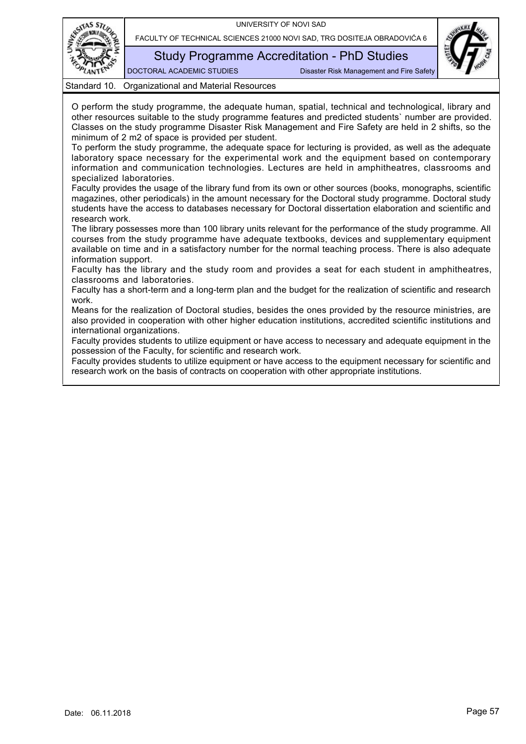

FACULTY OF TECHNICAL SCIENCES 21000 NOVI SAD, TRG DOSITEJA OBRADOVIĆA 6

Study Programme Accreditation - PhD Studies



DOCTORAL ACADEMIC STUDIES Disaster Risk Management and Fire Safety

Standard 10. Organizational and Material Resources

<span id="page-58-0"></span>O perform the study programme, the adequate human, spatial, technical and technological, library and other resources suitable to the study programme features and predicted students` number are provided. Classes on the study programme Disaster Risk Management and Fire Safety are held in 2 shifts, so the minimum of 2 m2 of space is provided per student.

To perform the study programme, the adequate space for lecturing is provided, as well as the adequate laboratory space necessary for the experimental work and the equipment based on contemporary information and communication technologies. Lectures are held in amphitheatres, classrooms and specialized laboratories.

Faculty provides the usage of the library fund from its own or other sources (books, monographs, scientific magazines, other periodicals) in the amount necessary for the Doctoral study programme. Doctoral study students have the access to databases necessary for Doctoral dissertation elaboration and scientific and research work.

The library possesses more than 100 library units relevant for the performance of the study programme. All courses from the study programme have adequate textbooks, devices and supplementary equipment available on time and in a satisfactory number for the normal teaching process. There is also adequate information support.

Faculty has the library and the study room and provides a seat for each student in amphitheatres, classrooms and laboratories.

Faculty has a short-term and a long-term plan and the budget for the realization of scientific and research work.

Means for the realization of Doctoral studies, besides the ones provided by the resource ministries, are also provided in cooperation with other higher education institutions, accredited scientific institutions and international organizations.

Faculty provides students to utilize equipment or have access to necessary and adequate equipment in the possession of the Faculty, for scientific and research work.

Faculty provides students to utilize equipment or have access to the equipment necessary for scientific and research work on the basis of contracts on cooperation with other appropriate institutions.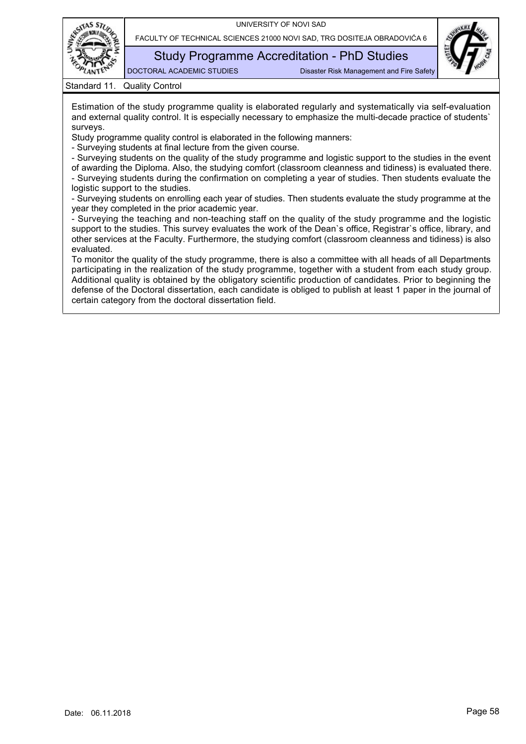



FACULTY OF TECHNICAL SCIENCES 21000 NOVI SAD, TRG DOSITEJA OBRADOVIĆA 6



Study Programme Accreditation - PhD Studies

DOCTORAL ACADEMIC STUDIES Disaster Risk Management and Fire Safety

Standard 11. Quality Control

<span id="page-59-0"></span>Estimation of the study programme quality is elaborated regularly and systematically via self-evaluation and external quality control. It is especially necessary to emphasize the multi-decade practice of students` surveys.

Study programme quality control is elaborated in the following manners:

- Surveying students at final lecture from the given course.

- Surveying students on the quality of the study programme and logistic support to the studies in the event

of awarding the Diploma. Also, the studying comfort (classroom cleanness and tidiness) is evaluated there. - Surveying students during the confirmation on completing a year of studies. Then students evaluate the logistic support to the studies.

- Surveying students on enrolling each year of studies. Then students evaluate the study programme at the year they completed in the prior academic year.

- Surveying the teaching and non-teaching staff on the quality of the study programme and the logistic support to the studies. This survey evaluates the work of the Dean`s office, Registrar`s office, library, and other services at the Faculty. Furthermore, the studying comfort (classroom cleanness and tidiness) is also evaluated.

To monitor the quality of the study programme, there is also a committee with all heads of all Departments participating in the realization of the study programme, together with a student from each study group. Additional quality is obtained by the obligatory scientific production of candidates. Prior to beginning the defense of the Doctoral dissertation, each candidate is obliged to publish at least 1 paper in the journal of certain category from the doctoral dissertation field.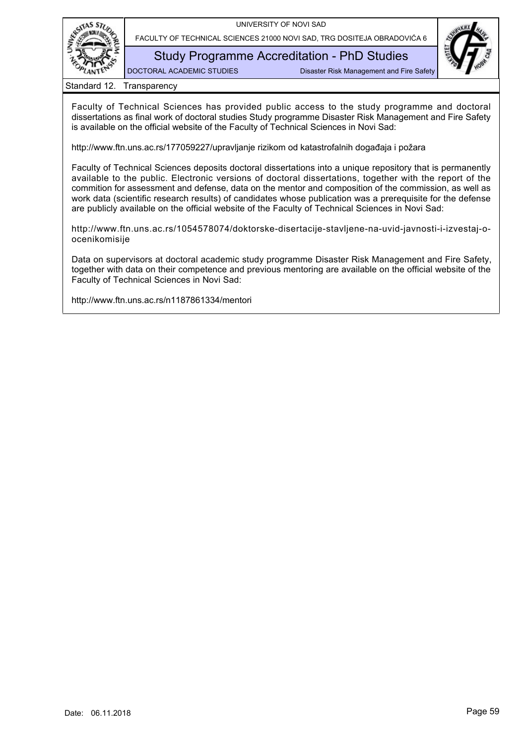



FACULTY OF TECHNICAL SCIENCES 21000 NOVI SAD, TRG DOSITEJA OBRADOVIĆA 6

Study Programme Accreditation - PhD Studies

DOCTORAL ACADEMIC STUDIES Disaster Risk Management and Fire Safety

Standard 12. Transparency

<span id="page-60-0"></span>Faculty of Technical Sciences has provided public access to the study programme and doctoral dissertations as final work of doctoral studies Study programme Disaster Risk Management and Fire Safety is available on the official website of the Faculty of Technical Sciences in Novi Sad:

http://www.ftn.uns.ac.rs/177059227/upravljanje rizikom od katastrofalnih događaja i požara

Faculty of Technical Sciences deposits doctoral dissertations into a unique repository that is permanently available to the public. Electronic versions of doctoral dissertations, together with the report of the commition for assessment and defense, data on the mentor and composition of the commission, as well as work data (scientific research results) of candidates whose publication was a prerequisite for the defense are publicly available on the official website of the Faculty of Technical Sciences in Novi Sad:

http://www.ftn.uns.ac.rs/1054578074/doktorske-disertacije-stavljene-na-uvid-javnosti-i-izvestaj-oocenikomisije

Data on supervisors at doctoral academic study programme Disaster Risk Management and Fire Safety, together with data on their competence and previous mentoring are available on the official website of the Faculty of Technical Sciences in Novi Sad:

http://www.ftn.uns.ac.rs/n1187861334/mentori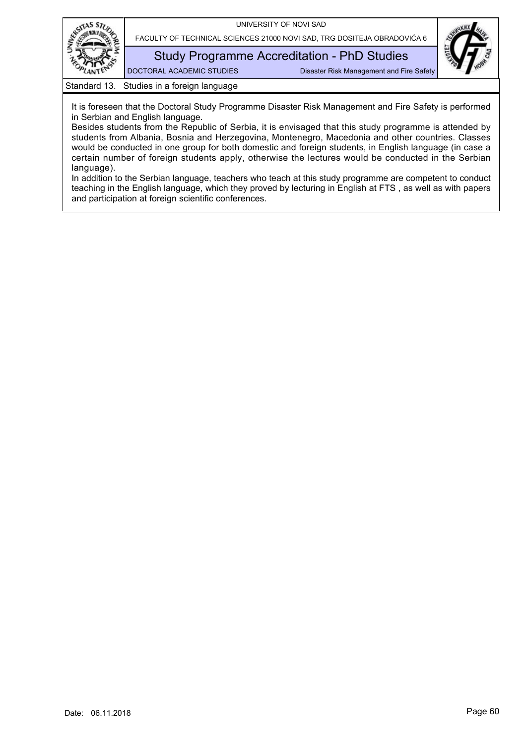FACULTY OF TECHNICAL SCIENCES 21000 NOVI SAD, TRG DOSITEJA OBRADOVIĆA 6



SITAS STUD

DOCTORAL ACADEMIC STUDIES Disaster Risk Management and Fire Safety



Standard 13. Studies in a foreign language

<span id="page-61-0"></span>It is foreseen that the Doctoral Study Programme Disaster Risk Management and Fire Safety is performed in Serbian and English language.

Besides students from the Republic of Serbia, it is envisaged that this study programme is attended by students from Albania, Bosnia and Herzegovina, Montenegro, Macedonia and other countries. Classes would be conducted in one group for both domestic and foreign students, in English language (in case a certain number of foreign students apply, otherwise the lectures would be conducted in the Serbian language).

In addition to the Serbian language, teachers who teach at this study programme are competent to conduct teaching in the English language, which they proved by lecturing in English at FTS , as well as with papers and participation at foreign scientific conferences.